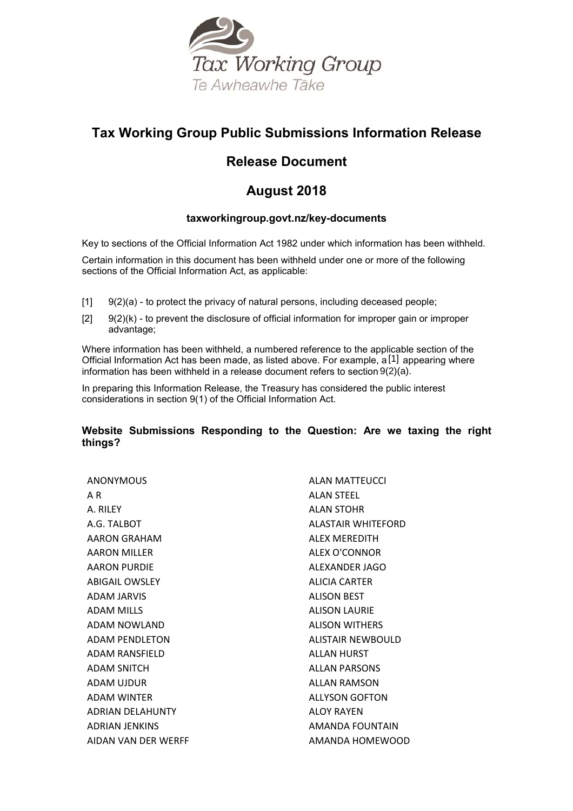

# **Tax Working Group Public Submissions Information Release**

# **Release Document**

# **August 2018**

# **taxworkingroup.govt.nz/key-documents**

Key to sections of the Official Information Act 1982 under which information has been withheld.

Certain information in this document has been withheld under one or more of the following sections of the Official Information Act, as applicable:

- $[1]$   $[9(2)(a)$  to protect the privacy of natural persons, including deceased people;
- $[2]$  9(2)(k) to prevent the disclosure of official information for improper gain or improper advantage;

Where information has been withheld, a numbered reference to the applicable section of the Official Information Act has been made, as listed above. For example, a<sup>[1]</sup> appearing where information has been withheld in a release document refers to section 9(2)(a).

In preparing this Information Release, the Treasury has considered the public interest considerations in section 9(1) of the Official Information Act.

# **Website Submissions Responding to the Question: Are we taxing the right things?**

| <b>ANONYMOUS</b>        | ALAN MATTEUCCI        |
|-------------------------|-----------------------|
| A R                     | ALAN STEEL            |
| A RII FY                | ALAN STOHR            |
| A.G. TALBOT             | ALASTAIR WHITEFORD    |
| AARON GRAHAM            | ALEX MEREDITH         |
| <b>AARON MILLER</b>     | ALEX O'CONNOR         |
| AARON PURDIE            | ALEXANDER JAGO        |
| <b>ABIGAIL OWSLEY</b>   | ALICIA CARTER         |
| <b>ADAM JARVIS</b>      | <b>ALISON BEST</b>    |
| <b>ADAM MILLS</b>       | <b>ALISON LAURIE</b>  |
| ADAM NOWLAND            | <b>ALISON WITHERS</b> |
| ADAM PENDLETON          | ALISTAIR NEWBOULD     |
| ADAM RANSFIELD          | <b>ALLAN HURST</b>    |
| <b>ADAM SNITCH</b>      | <b>ALLAN PARSONS</b>  |
| ADAM UIDUR              | ALLAN RAMSON          |
| <b>ADAM WINTER</b>      | <b>ALLYSON GOFTON</b> |
| <b>ADRIAN DELAHUNTY</b> | ALOY RAYEN            |
| <b>ADRIAN JENKINS</b>   | AMANDA FOUNTAIN       |
| AIDAN VAN DER WERFF     | AMANDA HOMEWOOD       |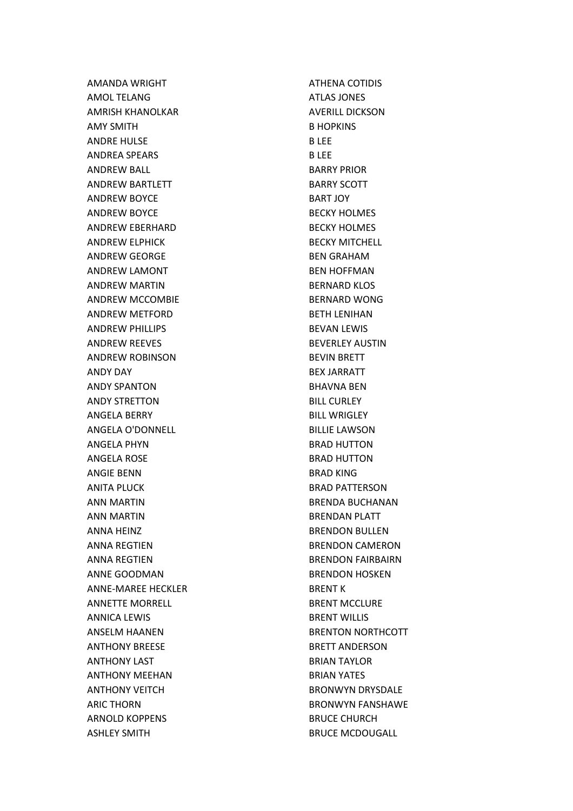AMANDA WRIGHT AMOL TELANG AMRISH KHANOLKAR AMY SMITH ANDRE HULSE ANDREA SPEARS ANDREW BALL ANDREW BARTLETT ANDREW BOYCE ANDREW BOYCE ANDREW EBERHARD ANDREW ELPHICK ANDREW GEORGE ANDREW LAMONT ANDREW MARTIN ANDREW MCCOMBIE ANDREW METFORD ANDREW PHILLIPS ANDREW REEVES ANDREW ROBINSON ANDY DAY ANDY SPANTON ANDY STRETTON ANGELA BERRY ANGELA O'DONNELL ANGELA PHYN ANGELA ROSE ANGIE BENN ANITA PLUCK ANN MARTIN ANN MARTIN ANNA HEINZ ANNA REGTIEN ANNA REGTIEN ANNE GOODMAN ANNE-MAREE HECKLER ANNETTE MORRELL ANNICA LEWIS ANSELM HAANEN ANTHONY BREESE ANTHONY LAST ANTHONY MEEHAN ANTHONY VEITCH ARIC THORN ARNOLD KOPPENS ASHLEY SMITH

ATHENA COTIDIS ATLAS JONES AVERILL DICKSON B HOPKINS B LEE B LEE BARRY PRIOR BARRY SCOTT BART JOY BECKY HOLMES BECKY HOLMES BECKY MITCHELL BEN GRAHAM BEN HOFFMAN BERNARD KLOS BERNARD WONG BETH LENIHAN BEVAN LEWIS BEVERLEY AUSTIN BEVIN BRETT BEX JARRATT BHAVNA BEN BILL CURLEY BILL WRIGLEY BILLIE LAWSON BRAD HUTTON BRAD HUTTON BRAD KING BRAD PATTERSON BRENDA BUCHANAN BRENDAN PLATT BRENDON BULLEN BRENDON CAMERON BRENDON FAIRBAIRN BRENDON HOSKEN BRENT K BRENT MCCLURE BRENT WILLIS BRENTON NORTHCOTT BRETT ANDERSON BRIAN TAYLOR BRIAN YATES BRONWYN DRYSDALE BRONWYN FANSHAWE BRUCE CHURCH BRUCE MCDOUGALL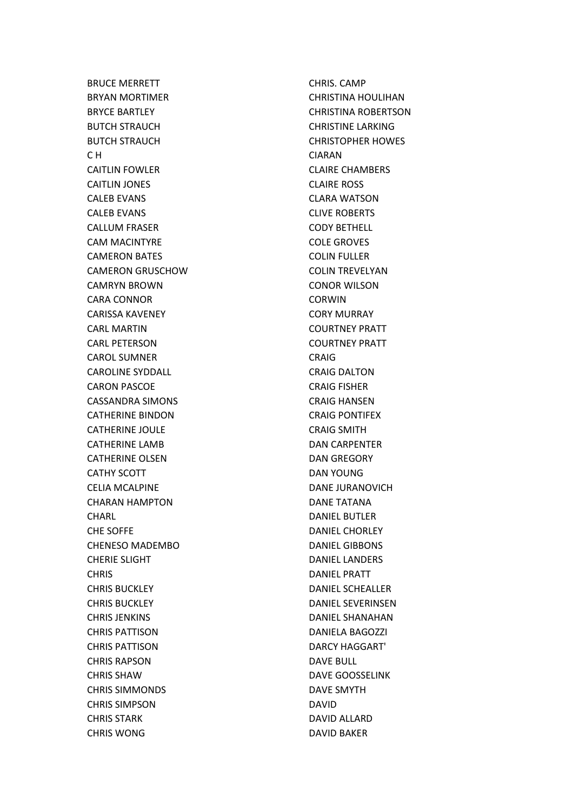BRUCE MERRETT BRYAN MORTIMER BRYCE BARTLEY BUTCH STRAUCH BUTCH STRAUCH C H CAITLIN FOWLER CAITLIN JONES CALEB EVANS CALEB EVANS CALLUM FRASER CAM MACINTYRE CAMERON BATES CAMERON GRUSCHOW CAMRYN BROWN CARA CONNOR CARISSA KAVENEY CARL MARTIN CARL PETERSON CAROL SUMNER CAROLINE SYDDALL CARON PASCOE CASSANDRA SIMONS CATHERINE BINDON CATHERINE JOULE CATHERINE LAMB CATHERINE OLSEN CATHY SCOTT CELIA MCALPINE CHARAN HAMPTON **CHARL** CHE SOFFE CHENESO MADEMBO CHERIE SLIGHT **CHRIS** CHRIS BUCKLEY CHRIS BUCKLEY CHRIS JENKINS CHRIS PATTISON CHRIS PATTISON CHRIS RAPSON CHRIS SHAW CHRIS SIMMONDS CHRIS SIMPSON CHRIS STARK CHRIS WONG

CHRIS. CAMP CHRISTINA HOULIHAN CHRISTINA ROBERTSON CHRISTINE LARKING CHRISTOPHER HOWES CIARAN CLAIRE CHAMBERS CLAIRE ROSS CLARA WATSON CLIVE ROBERTS CODY BETHELL COLE GROVES COLIN FULLER COLIN TREVELYAN CONOR WILSON CORWIN CORY MURRAY COURTNEY PRATT COURTNEY PRATT **CRAIG** CRAIG DALTON CRAIG FISHER CRAIG HANSEN CRAIG PONTIFEX CRAIG SMITH DAN CARPENTER DAN GREGORY DAN YOUNG DANE JURANOVICH DANE TATANA DANIEL BUTLER DANIEL CHORLEY DANIEL GIBBONS DANIEL LANDERS DANIEL PRATT DANIEL SCHEALLER DANIEL SEVERINSEN DANIEL SHANAHAN DANIELA BAGOZZI DARCY HAGGART' DAVE BULL DAVE GOOSSELINK DAVE SMYTH DAVID DAVID ALLARD DAVID BAKER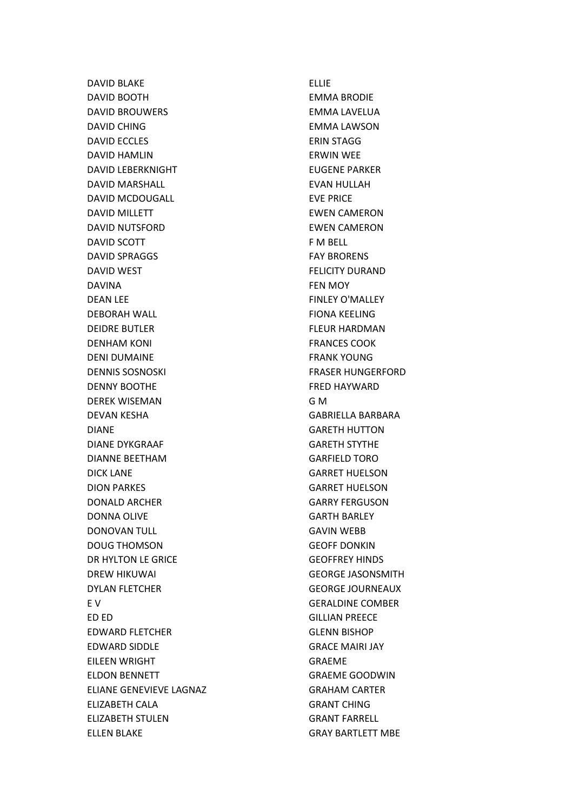DAVID BLAKE DAVID BOOTH DAVID BROUWERS DAVID CHING DAVID ECCLES DAVID HAMLIN DAVID LEBERKNIGHT DAVID MARSHALL DAVID MCDOUGALL DAVID MILLETT DAVID NUTSFORD DAVID SCOTT DAVID SPRAGGS DAVID WEST DAVINA DEAN LEE DEBORAH WALL DEIDRE BUTLER DENHAM KONI DENI DUMAINE DENNIS SOSNOSKI DENNY BOOTHE DEREK WISEMAN DEVAN KESHA DIANE DIANE DYKGRAAF DIANNE BEETHAM DICK LANE DION PARKES DONALD ARCHER DONNA OLIVE DONOVAN TULL DOUG THOMSON DR HYLTON LE GRICE DREW HIKUWAI DYLAN FLETCHER E V ED ED EDWARD FLETCHER EDWARD SIDDLE EILEEN WRIGHT ELDON BENNETT ELIANE GENEVIEVE LAGNAZ ELIZABETH CALA ELIZABETH STULEN ELLEN BLAKE

ELLIE EMMA BRODIE EMMA LAVELUA EMMA LAWSON ERIN STAGG ERWIN WEE EUGENE PARKER EVAN HULLAH EVE PRICE EWEN CAMERON EWEN CAMERON F M BELL FAY BRORENS FELICITY DURAND FEN MOY FINLEY O'MALLEY FIONA KEELING FLEUR HARDMAN FRANCES COOK FRANK YOUNG FRASER HUNGERFORD FRED HAYWARD G M GABRIELLA BARBARA GARETH HUTTON GARETH STYTHE GARFIELD TORO GARRET HUELSON GARRET HUELSON GARRY FERGUSON GARTH BARLEY GAVIN WEBB GEOFF DONKIN GEOFFREY HINDS GEORGE JASONSMITH GEORGE JOURNEAUX GERALDINE COMBER GILLIAN PREECE GLENN BISHOP GRACE MAIRI JAY GRAEME GRAEME GOODWIN GRAHAM CARTER GRANT CHING GRANT FARRELL GRAY BARTLETT MBE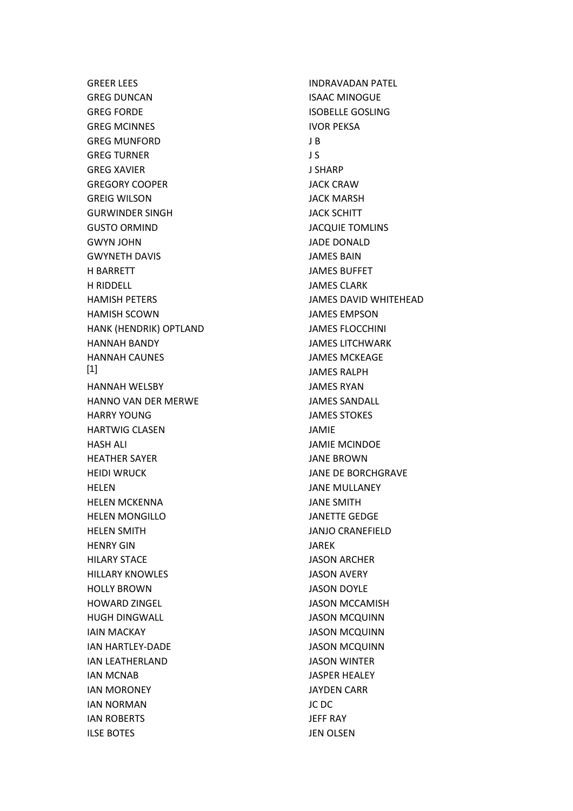GREER LEES GREG DUNCAN GREG FORDE GREG MCINNES GREG MUNFORD GREG TURNER GREG XAVIER GREGORY COOPER GREIG WILSON GURWINDER SINGH GUSTO ORMIND GWYN JOHN GWYNETH DAVIS H BARRETT H RIDDELL HAMISH PETERS HAMISH SCOWN HANK (HENDRIK) OPTLAND HANNAH BANDY HANNAH CAUNES HANNAH WELSBY HANNO VAN DER MERWE HARRY YOUNG HARTWIG CLASEN HASH ALI HEATHER SAYER HEIDI WRUCK HELEN HELEN MCKENNA HELEN MONGILLO HELEN SMITH HENRY GIN HILARY STACE HILLARY KNOWLES HOLLY BROWN HOWARD ZINGEL HUGH DINGWALL IAIN MACKAY IAN HARTLEY-DADE IAN LEATHERLAND IAN MCNAB IAN MORONEY IAN NORMAN IAN ROBERTS ILSE BOTES [1]

INDRAVADAN PATEL ISAAC MINOGUE ISOBELLE GOSLING IVOR PEKSA J B J S J SHARP JACK CRAW JACK MARSH JACK SCHITT JACQUIE TOMLINS JADE DONALD JAMES BAIN JAMES BUFFET JAMES CLARK JAMES DAVID WHITEHEAD JAMES EMPSON JAMES FLOCCHINI JAMES LITCHWARK JAMES MCKEAGE JAMES RALPH JAMES RYAN JAMES SANDALL JAMES STOKES JAMIE JAMIE MCINDOE JANE BROWN JANE DE BORCHGRAVE JANE MULLANEY JANE SMITH JANETTE GEDGE JANJO CRANEFIELD JAREK JASON ARCHER JASON AVERY JASON DOYLE JASON MCCAMISH JASON MCQUINN JASON MCQUINN JASON MCQUINN JASON WINTER JASPER HEALEY JAYDEN CARR JC DC JEFF RAY JEN OLSEN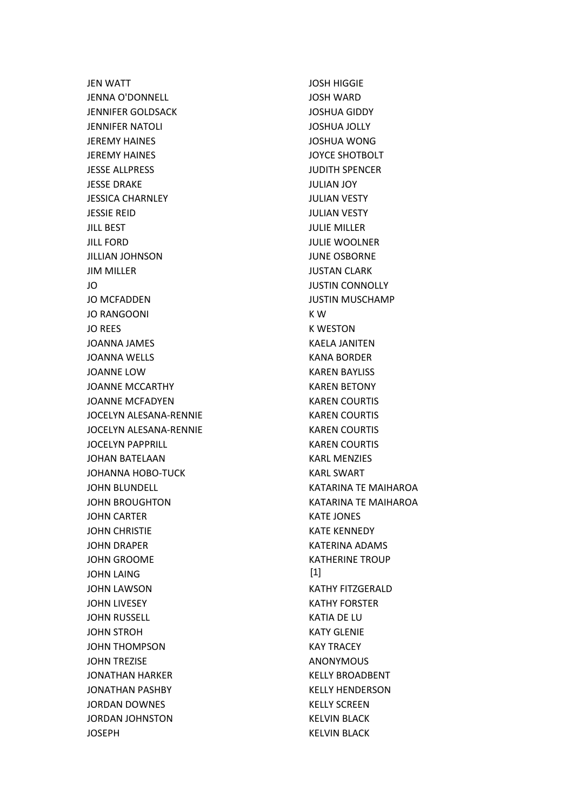JEN WATT JENNA O'DONNELL JENNIFER GOLDSACK JENNIFER NATOLI JEREMY HAINES JEREMY HAINES JESSE ALLPRESS JESSE DRAKE JESSICA CHARNLEY JESSIE REID JILL BEST JILL FORD JILLIAN JOHNSON JIM MILLER JO JO MCFADDEN JO RANGOONI JO REES JOANNA JAMES JOANNA WELLS JOANNE LOW JOANNE MCCARTHY JOANNE MCFADYEN JOCELYN ALESANA-RENNIE JOCELYN ALESANA-RENNIE JOCELYN PAPPRILL JOHAN BATELAAN JOHANNA HOBO-TUCK JOHN BLUNDELL JOHN BROUGHTON JOHN CARTER JOHN CHRISTIE JOHN DRAPER JOHN GROOME JOHN LAING JOHN LAWSON JOHN LIVESEY JOHN RUSSELL JOHN STROH JOHN THOMPSON JOHN TREZISE JONATHAN HARKER JONATHAN PASHBY JORDAN DOWNES JORDAN JOHNSTON **JOSEPH** 

JOSH HIGGIE JOSH WARD JOSHUA GIDDY JOSHUA JOLLY JOSHUA WONG JOYCE SHOTBOLT JUDITH SPENCER JULIAN JOY JULIAN VESTY JULIAN VESTY JULIE MILLER JULIE WOOLNER JUNE OSBORNE JUSTAN CLARK JUSTIN CONNOLLY JUSTIN MUSCHAMP K W K WESTON KAELA JANITEN KANA BORDER KAREN BAYLISS KAREN BETONY KAREN COURTIS KAREN COURTIS KAREN COURTIS KAREN COURTIS KARL MENZIES KARL SWART KATARINA TE MAIHAROA KATARINA TE MAIHAROA KATE JONES KATE KENNEDY KATERINA ADAMS KATHERINE TROUP KATHY FITZGERALD KATHY FORSTER KATIA DE LU KATY GLENIE KAY TRACEY ANONYMOUS KELLY BROADBENT KELLY HENDERSON KELLY SCREEN KELVIN BLACK KELVIN BLACK [1]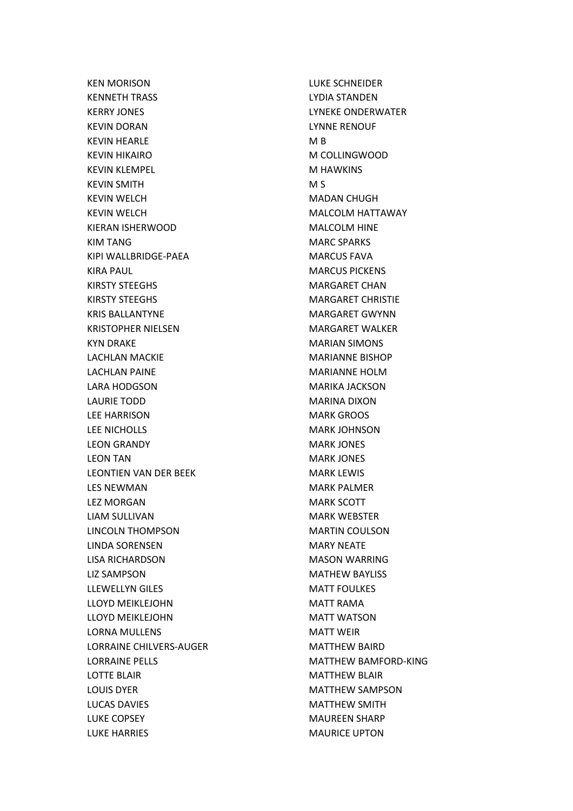KEN MORISON KENNETH TRASS KERRY JONES KEVIN DORAN KEVIN HEARLE KEVIN HIKAIRO KEVIN KLEMPEL KEVIN SMITH KEVIN WELCH KEVIN WELCH KIERAN ISHERWOOD KIM TANG KIPI WALLBRIDGE-PAEA KIRA PAUL KIRSTY STEEGHS KIRSTY STEEGHS KRIS BALLANTYNE KRISTOPHER NIELSEN KYN DRAKE LACHLAN MACKIE LACHLAN PAINE LARA HODGSON LAURIE TODD LEE HARRISON LEE NICHOLLS LEON GRANDY LEON TAN LEONTIEN VAN DER BEEK LES NEWMAN LEZ MORGAN LIAM SULLIVAN LINCOLN THOMPSON LINDA SORENSEN LISA RICHARDSON LIZ SAMPSON LLEWELLYN GILES LLOYD MEIKLEJOHN LLOYD MEIKLEJOHN LORNA MULLENS LORRAINE CHILVERS-AUGER LORRAINE PELLS LOTTE BLAIR LOUIS DYER LUCAS DAVIES LUKE COPSEY LUKE HARRIES

LUKE SCHNEIDER LYDIA STANDEN LYNEKE ONDERWATER LYNNE RENOUF M B M COLLINGWOOD M HAWKINS M S MADAN CHUGH MALCOLM HATTAWAY MALCOLM HINE MARC SPARKS MARCUS FAVA MARCUS PICKENS MARGARET CHAN MARGARET CHRISTIE MARGARET GWYNN MARGARET WALKER MARIAN SIMONS MARIANNE BISHOP MARIANNE HOLM MARIKA JACKSON MARINA DIXON MARK GROOS MARK JOHNSON MARK JONES MARK JONES MARK LEWIS MARK PALMER MARK SCOTT MARK WEBSTER MARTIN COULSON MARY NEATE MASON WARRING MATHEW BAYLISS MATT FOULKES MATT RAMA MATT WATSON MATT WEIR MATTHEW BAIRD MATTHEW BAMFORD-KING MATTHEW BLAIR MATTHEW SAMPSON MATTHEW SMITH MAUREEN SHARP MAURICE UPTON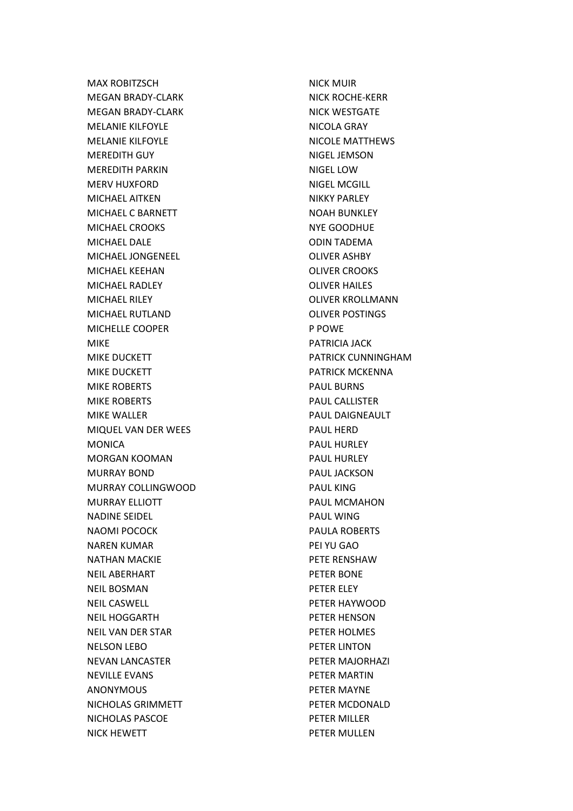MAX ROBITZSCH MEGAN BRADY-CLARK MEGAN BRADY-CLARK MELANIE KILFOYLE MELANIE KILFOYLE MEREDITH GUY MEREDITH PARKIN MERV HUXFORD MICHAEL AITKEN MICHAEL C BARNETT MICHAEL CROOKS MICHAEL DALE MICHAEL JONGENEEL MICHAEL KEEHAN MICHAEL RADLEY MICHAEL RILEY MICHAEL RUTLAND MICHELLE COOPER MIKE MIKE DUCKETT MIKE DUCKETT MIKE ROBERTS MIKE ROBERTS MIKE WALLER MIQUEL VAN DER WEES MONICA MORGAN KOOMAN MURRAY BOND MURRAY COLLINGWOOD MURRAY ELLIOTT NADINE SEIDEL NAOMI POCOCK NAREN KUMAR NATHAN MACKIE NEIL ABERHART NEIL BOSMAN NEIL CASWELL NEIL HOGGARTH NEIL VAN DER STAR NELSON LEBO NEVAN LANCASTER NEVILLE EVANS ANONYMOUS NICHOLAS GRIMMETT NICHOLAS PASCOE NICK HEWETT

NICK MUIR NICK ROCHE-KERR NICK WESTGATE NICOLA GRAY NICOLE MATTHEWS NIGEL JEMSON NIGEL LOW NIGEL MCGILL NIKKY PARLEY NOAH BUNKLEY NYE GOODHUE ODIN TADEMA OLIVER ASHBY OLIVER CROOKS OLIVER HAILES OLIVER KROLLMANN OLIVER POSTINGS P POWE PATRICIA JACK PATRICK CUNNINGHAM PATRICK MCKENNA PAUL BURNS PAUL CALLISTER PAUL DAIGNEAULT PAUL HERD PAUL HURLEY PAUL HURLEY PAUL JACKSON PAUL KING PAUL MCMAHON PAUL WING PAULA ROBERTS PEI YU GAO PETE RENSHAW PETER BONE PETER ELEY PETER HAYWOOD PETER HENSON PETER HOLMES PETER LINTON PETER MAJORHAZI PETER MARTIN PETER MAYNE PETER MCDONALD PETER MILLER PETER MULLEN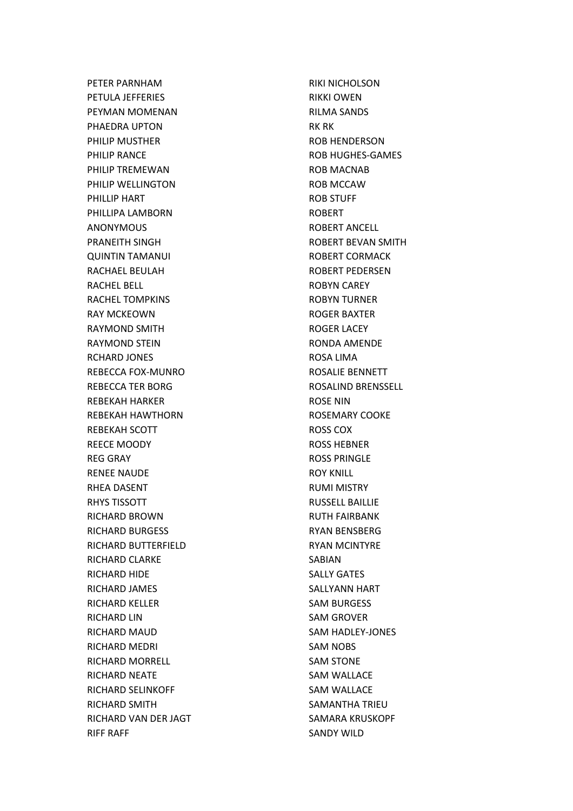PETER PARNHAM PETULA JEFFERIES PEYMAN MOMENAN PHAEDRA UPTON PHILIP MUSTHER PHILIP RANCE PHILIP TREMEWAN PHILIP WELLINGTON PHILLIP HART PHILLIPA LAMBORN ANONYMOUS PRANEITH SINGH QUINTIN TAMANUI RACHAEL BEULAH RACHEL BELL RACHEL TOMPKINS RAY MCKEOWN RAYMOND SMITH RAYMOND STEIN RCHARD JONES REBECCA FOX-MUNRO REBECCA TER BORG REBEKAH HARKER REBEKAH HAWTHORN REBEKAH SCOTT REECE MOODY REG GRAY RENEE NAUDE RHEA DASENT RHYS TISSOTT RICHARD BROWN RICHARD BURGESS RICHARD BUTTERFIELD RICHARD CLARKE RICHARD HIDE RICHARD JAMES RICHARD KELLER RICHARD LIN RICHARD MAUD RICHARD MEDRI RICHARD MORRELL RICHARD NEATE RICHARD SELINKOFF RICHARD SMITH RICHARD VAN DER JAGT RIFF RAFF

RIKI NICHOLSON RIKKI OWEN RILMA SANDS RK RK ROB HENDERSON ROB HUGHES-GAMES ROB MACNAB ROB MCCAW ROB STUFF ROBERT ROBERT ANCELL ROBERT BEVAN SMITH ROBERT CORMACK ROBERT PEDERSEN ROBYN CAREY ROBYN TURNER ROGER BAXTER ROGER LACEY RONDA AMENDE ROSA LIMA ROSALIE BENNETT ROSALIND BRENSSELL ROSE NIN ROSEMARY COOKE ROSS COX ROSS HEBNER ROSS PRINGLE ROY KNILL RUMI MISTRY RUSSELL BAILLIE RUTH FAIRBANK RYAN BENSBERG RYAN MCINTYRE SABIAN SALLY GATES SALLYANN HART SAM BURGESS SAM GROVER SAM HADLEY-JONES SAM NOBS SAM STONE SAM WALLACE SAM WALLACE SAMANTHA TRIEU SAMARA KRUSKOPF SANDY WILD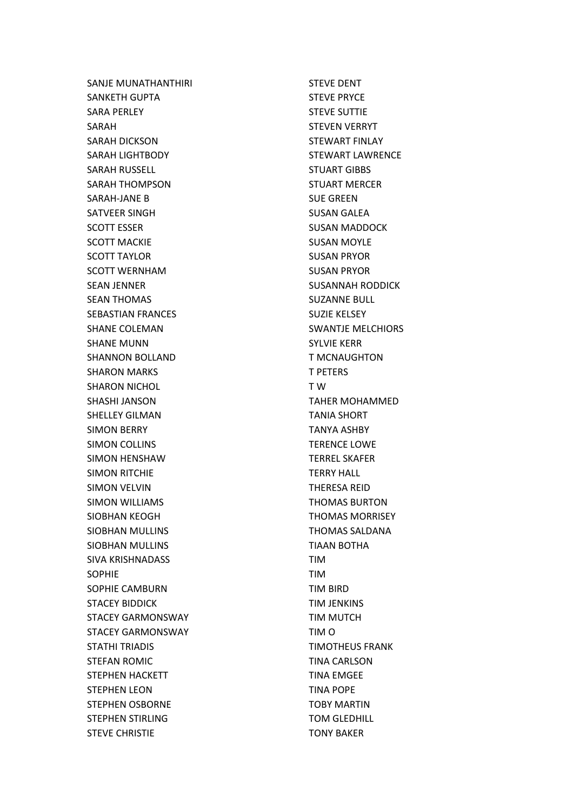SANJE MUNATHANTHIRI SANKETH GUPTA SARA PERLEY SARAH SARAH DICKSON SARAH LIGHTBODY SARAH RUSSELL SARAH THOMPSON SARAH-JANE B SATVEER SINGH SCOTT ESSER SCOTT MACKIE SCOTT TAYLOR SCOTT WERNHAM SEAN JENNER SEAN THOMAS SEBASTIAN FRANCES SHANE COLEMAN SHANE MUNN SHANNON BOLLAND SHARON MARKS SHARON NICHOL SHASHI JANSON SHELLEY GILMAN SIMON BERRY SIMON COLLINS SIMON HENSHAW SIMON RITCHIE SIMON VELVIN SIMON WILLIAMS SIOBHAN KEOGH SIOBHAN MULLINS SIOBHAN MULLINS SIVA KRISHNADASS SOPHIE SOPHIE CAMBURN STACEY BIDDICK STACEY GARMONSWAY STACEY GARMONSWAY STATHI TRIADIS STEFAN ROMIC STEPHEN HACKETT STEPHEN LEON STEPHEN OSBORNE STEPHEN STIRLING STEVE CHRISTIE

STEVE DENT STEVE PRYCE STEVE SUTTIE STEVEN VERRYT STEWART FINLAY STEWART LAWRENCE STUART GIBBS STUART MERCER SUE GREEN SUSAN GALEA SUSAN MADDOCK SUSAN MOYLE SUSAN PRYOR SUSAN PRYOR SUSANNAH RODDICK SUZANNE BULL SUZIE KELSEY SWANTJE MELCHIORS SYLVIE KERR T MCNAUGHTON T PETERS T W TAHER MOHAMMED TANIA SHORT TANYA ASHBY TERENCE LOWE TERREL SKAFER TERRY HALL THERESA REID THOMAS BURTON THOMAS MORRISEY THOMAS SALDANA TIAAN BOTHA TIM TIM TIM BIRD TIM JENKINS TIM MUTCH TIM O TIMOTHEUS FRANK TINA CARLSON TINA EMGEE TINA POPE TOBY MARTIN TOM GLEDHILL TONY BAKER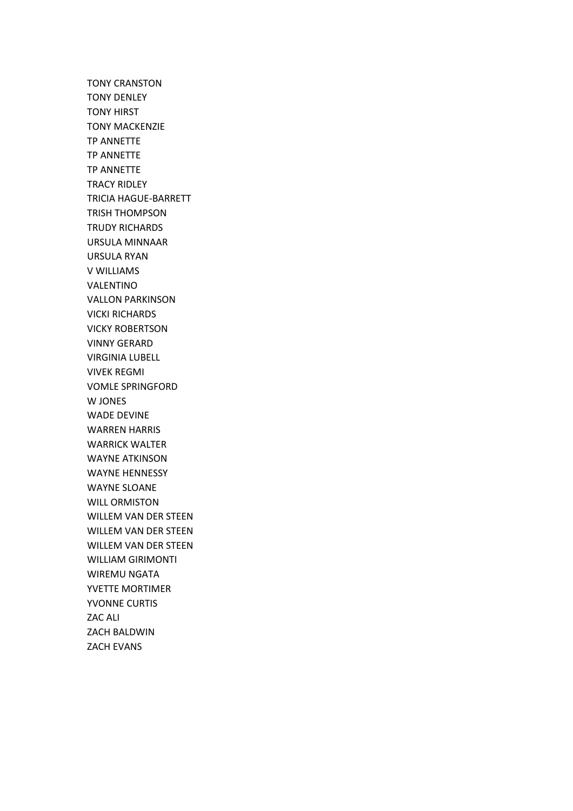TONY CRANSTON TONY DENLEY TONY HIRST TONY MACKENZIE TP ANNETTE TP ANNETTE TP ANNETTE TRACY RIDLEY TRICIA HAGUE-BARRETT TRISH THOMPSON TRUDY RICHARDS URSULA MINNAAR URSULA RYAN V WILLIAMS VALENTINO VALLON PARKINSON VICKI RICHARDS VICKY ROBERTSON VINNY GERARD VIRGINIA LUBELL VIVEK REGMI VOMLE SPRINGFORD W JONES WADE DEVINE WARREN HARRIS WARRICK WALTER WAYNE ATKINSON WAYNE HENNESSY WAYNE SLOANE WILL ORMISTON WILLEM VAN DER STEEN WILLEM VAN DER STEEN WILLEM VAN DER STEEN WILLIAM GIRIMONTI WIREMU NGATA YVETTE MORTIMER YVONNE CURTIS ZAC ALI ZACH BALDWIN ZACH EVANS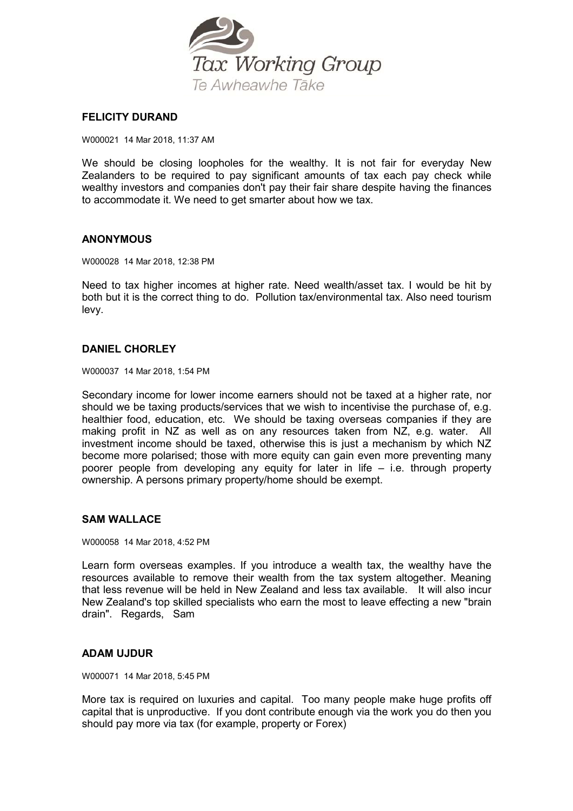

## **FELICITY DURAND**

W000021 14 Mar 2018, 11:37 AM

We should be closing loopholes for the wealthy. It is not fair for everyday New Zealanders to be required to pay significant amounts of tax each pay check while wealthy investors and companies don't pay their fair share despite having the finances to accommodate it. We need to get smarter about how we tax.

## **ANONYMOUS**

W000028 14 Mar 2018, 12:38 PM

Need to tax higher incomes at higher rate. Need wealth/asset tax. I would be hit by both but it is the correct thing to do. Pollution tax/environmental tax. Also need tourism levy.

## **DANIEL CHORLEY**

W000037 14 Mar 2018, 1:54 PM

Secondary income for lower income earners should not be taxed at a higher rate, nor should we be taxing products/services that we wish to incentivise the purchase of, e.g. healthier food, education, etc. We should be taxing overseas companies if they are making profit in NZ as well as on any resources taken from NZ, e.g. water. All investment income should be taxed, otherwise this is just a mechanism by which NZ become more polarised; those with more equity can gain even more preventing many poorer people from developing any equity for later in life – i.e. through property ownership. A persons primary property/home should be exempt.

## **SAM WALLACE**

W000058 14 Mar 2018, 4:52 PM

Learn form overseas examples. If you introduce a wealth tax, the wealthy have the resources available to remove their wealth from the tax system altogether. Meaning that less revenue will be held in New Zealand and less tax available. It will also incur New Zealand's top skilled specialists who earn the most to leave effecting a new "brain drain". Regards, Sam

## **ADAM UJDUR**

W000071 14 Mar 2018, 5:45 PM

More tax is required on luxuries and capital. Too many people make huge profits off capital that is unproductive. If you dont contribute enough via the work you do then you should pay more via tax (for example, property or Forex)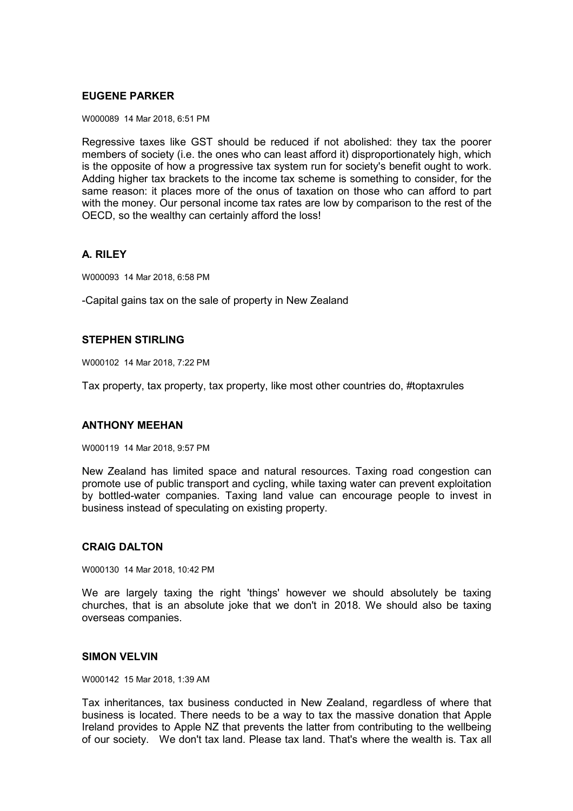# **EUGENE PARKER**

W000089 14 Mar 2018, 6:51 PM

Regressive taxes like GST should be reduced if not abolished: they tax the poorer members of society (i.e. the ones who can least afford it) disproportionately high, which is the opposite of how a progressive tax system run for society's benefit ought to work. Adding higher tax brackets to the income tax scheme is something to consider, for the same reason: it places more of the onus of taxation on those who can afford to part with the money. Our personal income tax rates are low by comparison to the rest of the OECD, so the wealthy can certainly afford the loss!

# **A. RILEY**

W000093 14 Mar 2018, 6:58 PM

-Capital gains tax on the sale of property in New Zealand

# **STEPHEN STIRLING**

W000102 14 Mar 2018, 7:22 PM

Tax property, tax property, tax property, like most other countries do, #toptaxrules

## **ANTHONY MEEHAN**

W000119 14 Mar 2018, 9:57 PM

New Zealand has limited space and natural resources. Taxing road congestion can promote use of public transport and cycling, while taxing water can prevent exploitation by bottled-water companies. Taxing land value can encourage people to invest in business instead of speculating on existing property.

# **CRAIG DALTON**

W000130 14 Mar 2018, 10:42 PM

We are largely taxing the right 'things' however we should absolutely be taxing churches, that is an absolute joke that we don't in 2018. We should also be taxing overseas companies.

## **SIMON VELVIN**

W000142 15 Mar 2018, 1:39 AM

Tax inheritances, tax business conducted in New Zealand, regardless of where that business is located. There needs to be a way to tax the massive donation that Apple Ireland provides to Apple NZ that prevents the latter from contributing to the wellbeing of our society. We don't tax land. Please tax land. That's where the wealth is. Tax all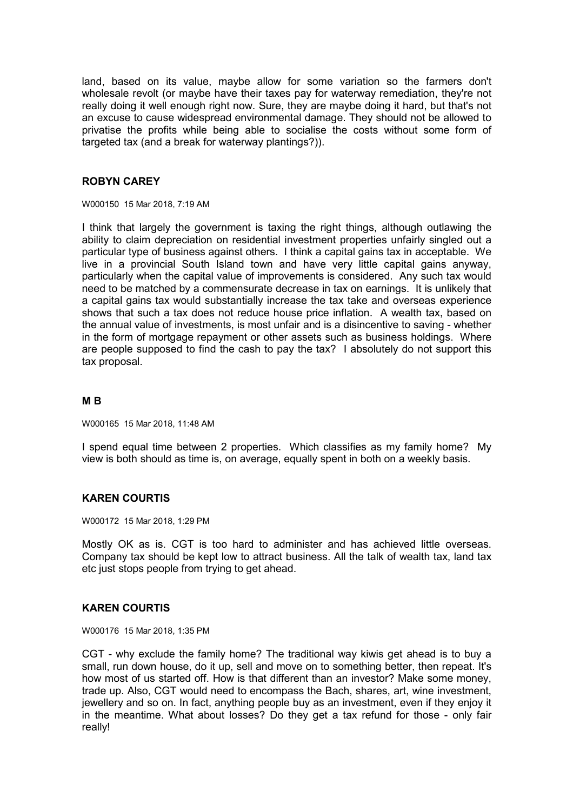land, based on its value, maybe allow for some variation so the farmers don't wholesale revolt (or maybe have their taxes pay for waterway remediation, they're not really doing it well enough right now. Sure, they are maybe doing it hard, but that's not an excuse to cause widespread environmental damage. They should not be allowed to privatise the profits while being able to socialise the costs without some form of targeted tax (and a break for waterway plantings?)).

## **ROBYN CAREY**

W000150 15 Mar 2018, 7:19 AM

I think that largely the government is taxing the right things, although outlawing the ability to claim depreciation on residential investment properties unfairly singled out a particular type of business against others. I think a capital gains tax in acceptable. We live in a provincial South Island town and have very little capital gains anyway, particularly when the capital value of improvements is considered. Any such tax would need to be matched by a commensurate decrease in tax on earnings. It is unlikely that a capital gains tax would substantially increase the tax take and overseas experience shows that such a tax does not reduce house price inflation. A wealth tax, based on the annual value of investments, is most unfair and is a disincentive to saving - whether in the form of mortgage repayment or other assets such as business holdings. Where are people supposed to find the cash to pay the tax? I absolutely do not support this tax proposal.

#### **M B**

W000165 15 Mar 2018, 11:48 AM

I spend equal time between 2 properties. Which classifies as my family home? My view is both should as time is, on average, equally spent in both on a weekly basis.

## **KAREN COURTIS**

W000172 15 Mar 2018, 1:29 PM

Mostly OK as is. CGT is too hard to administer and has achieved little overseas. Company tax should be kept low to attract business. All the talk of wealth tax, land tax etc just stops people from trying to get ahead.

## **KAREN COURTIS**

W000176 15 Mar 2018, 1:35 PM

CGT - why exclude the family home? The traditional way kiwis get ahead is to buy a small, run down house, do it up, sell and move on to something better, then repeat. It's how most of us started off. How is that different than an investor? Make some money, trade up. Also, CGT would need to encompass the Bach, shares, art, wine investment, jewellery and so on. In fact, anything people buy as an investment, even if they enjoy it in the meantime. What about losses? Do they get a tax refund for those - only fair really!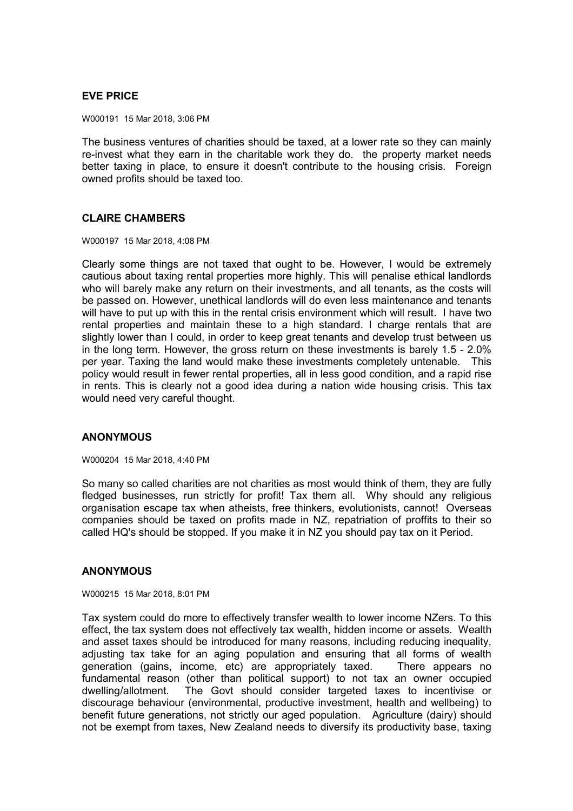# **EVE PRICE**

W000191 15 Mar 2018, 3:06 PM

The business ventures of charities should be taxed, at a lower rate so they can mainly re-invest what they earn in the charitable work they do. the property market needs better taxing in place, to ensure it doesn't contribute to the housing crisis. Foreign owned profits should be taxed too.

# **CLAIRE CHAMBERS**

W000197 15 Mar 2018, 4:08 PM

Clearly some things are not taxed that ought to be. However, I would be extremely cautious about taxing rental properties more highly. This will penalise ethical landlords who will barely make any return on their investments, and all tenants, as the costs will be passed on. However, unethical landlords will do even less maintenance and tenants will have to put up with this in the rental crisis environment which will result. I have two rental properties and maintain these to a high standard. I charge rentals that are slightly lower than I could, in order to keep great tenants and develop trust between us in the long term. However, the gross return on these investments is barely 1.5 - 2.0% per year. Taxing the land would make these investments completely untenable. This policy would result in fewer rental properties, all in less good condition, and a rapid rise in rents. This is clearly not a good idea during a nation wide housing crisis. This tax would need very careful thought.

## **ANONYMOUS**

W000204 15 Mar 2018, 4:40 PM

So many so called charities are not charities as most would think of them, they are fully fledged businesses, run strictly for profit! Tax them all. Why should any religious organisation escape tax when atheists, free thinkers, evolutionists, cannot! Overseas companies should be taxed on profits made in NZ, repatriation of proffits to their so called HQ's should be stopped. If you make it in NZ you should pay tax on it Period.

## **ANONYMOUS**

W000215 15 Mar 2018, 8:01 PM

Tax system could do more to effectively transfer wealth to lower income NZers. To this effect, the tax system does not effectively tax wealth, hidden income or assets. Wealth and asset taxes should be introduced for many reasons, including reducing inequality, adjusting tax take for an aging population and ensuring that all forms of wealth generation (gains, income, etc) are appropriately taxed. There appears no fundamental reason (other than political support) to not tax an owner occupied dwelling/allotment. The Govt should consider targeted taxes to incentivise or discourage behaviour (environmental, productive investment, health and wellbeing) to benefit future generations, not strictly our aged population. Agriculture (dairy) should not be exempt from taxes, New Zealand needs to diversify its productivity base, taxing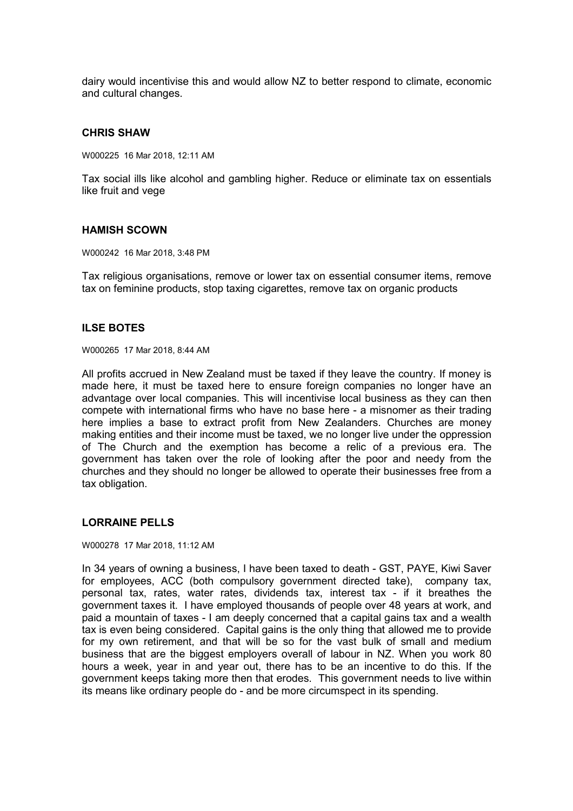dairy would incentivise this and would allow NZ to better respond to climate, economic and cultural changes.

#### **CHRIS SHAW**

W000225 16 Mar 2018, 12:11 AM

Tax social ills like alcohol and gambling higher. Reduce or eliminate tax on essentials like fruit and vege

#### **HAMISH SCOWN**

W000242 16 Mar 2018, 3:48 PM

Tax religious organisations, remove or lower tax on essential consumer items, remove tax on feminine products, stop taxing cigarettes, remove tax on organic products

#### **ILSE BOTES**

W000265 17 Mar 2018, 8:44 AM

All profits accrued in New Zealand must be taxed if they leave the country. If money is made here, it must be taxed here to ensure foreign companies no longer have an advantage over local companies. This will incentivise local business as they can then compete with international firms who have no base here - a misnomer as their trading here implies a base to extract profit from New Zealanders. Churches are money making entities and their income must be taxed, we no longer live under the oppression of The Church and the exemption has become a relic of a previous era. The government has taken over the role of looking after the poor and needy from the churches and they should no longer be allowed to operate their businesses free from a tax obligation.

# **LORRAINE PELLS**

W000278 17 Mar 2018, 11:12 AM

In 34 years of owning a business, I have been taxed to death - GST, PAYE, Kiwi Saver for employees, ACC (both compulsory government directed take), company tax, personal tax, rates, water rates, dividends tax, interest tax - if it breathes the government taxes it. I have employed thousands of people over 48 years at work, and paid a mountain of taxes - I am deeply concerned that a capital gains tax and a wealth tax is even being considered. Capital gains is the only thing that allowed me to provide for my own retirement, and that will be so for the vast bulk of small and medium business that are the biggest employers overall of labour in NZ. When you work 80 hours a week, year in and year out, there has to be an incentive to do this. If the government keeps taking more then that erodes. This government needs to live within its means like ordinary people do - and be more circumspect in its spending.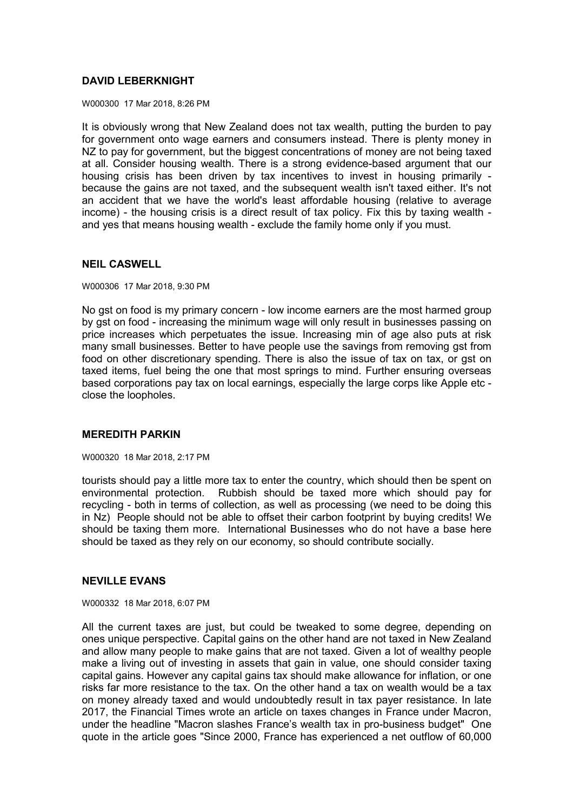# **DAVID LEBERKNIGHT**

W000300 17 Mar 2018, 8:26 PM

It is obviously wrong that New Zealand does not tax wealth, putting the burden to pay for government onto wage earners and consumers instead. There is plenty money in NZ to pay for government, but the biggest concentrations of money are not being taxed at all. Consider housing wealth. There is a strong evidence-based argument that our housing crisis has been driven by tax incentives to invest in housing primarily because the gains are not taxed, and the subsequent wealth isn't taxed either. It's not an accident that we have the world's least affordable housing (relative to average income) - the housing crisis is a direct result of tax policy. Fix this by taxing wealth and yes that means housing wealth - exclude the family home only if you must.

#### **NEIL CASWELL**

W000306 17 Mar 2018, 9:30 PM

No gst on food is my primary concern - low income earners are the most harmed group by gst on food - increasing the minimum wage will only result in businesses passing on price increases which perpetuates the issue. Increasing min of age also puts at risk many small businesses. Better to have people use the savings from removing gst from food on other discretionary spending. There is also the issue of tax on tax, or gst on taxed items, fuel being the one that most springs to mind. Further ensuring overseas based corporations pay tax on local earnings, especially the large corps like Apple etc close the loopholes.

#### **MEREDITH PARKIN**

W000320 18 Mar 2018, 2:17 PM

tourists should pay a little more tax to enter the country, which should then be spent on environmental protection. Rubbish should be taxed more which should pay for recycling - both in terms of collection, as well as processing (we need to be doing this in Nz) People should not be able to offset their carbon footprint by buying credits! We should be taxing them more. International Businesses who do not have a base here should be taxed as they rely on our economy, so should contribute socially.

#### **NEVILLE EVANS**

W000332 18 Mar 2018, 6:07 PM

All the current taxes are just, but could be tweaked to some degree, depending on ones unique perspective. Capital gains on the other hand are not taxed in New Zealand and allow many people to make gains that are not taxed. Given a lot of wealthy people make a living out of investing in assets that gain in value, one should consider taxing capital gains. However any capital gains tax should make allowance for inflation, or one risks far more resistance to the tax. On the other hand a tax on wealth would be a tax on money already taxed and would undoubtedly result in tax payer resistance. In late 2017, the Financial Times wrote an article on taxes changes in France under Macron, under the headline "Macron slashes France's wealth tax in pro-business budget" One quote in the article goes "Since 2000, France has experienced a net outflow of 60,000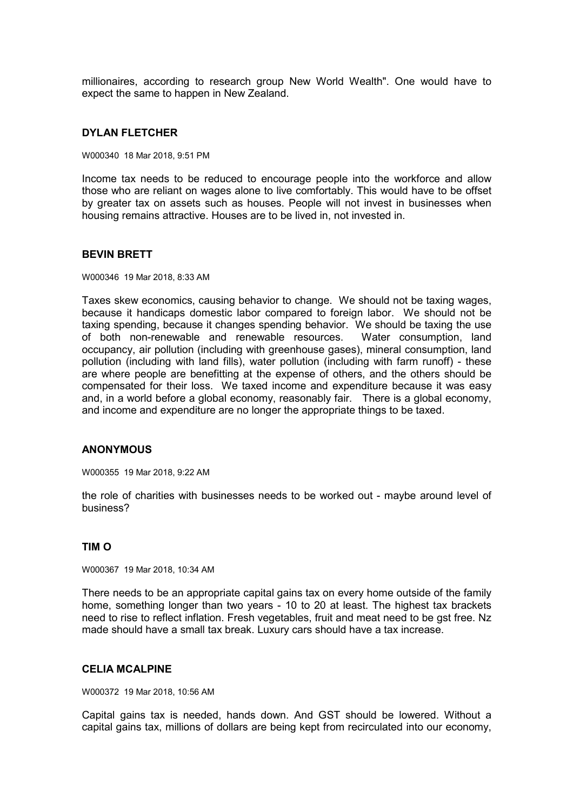millionaires, according to research group New World Wealth". One would have to expect the same to happen in New Zealand.

#### **DYLAN FLETCHER**

W000340 18 Mar 2018, 9:51 PM

Income tax needs to be reduced to encourage people into the workforce and allow those who are reliant on wages alone to live comfortably. This would have to be offset by greater tax on assets such as houses. People will not invest in businesses when housing remains attractive. Houses are to be lived in, not invested in.

#### **BEVIN BRETT**

W000346 19 Mar 2018, 8:33 AM

Taxes skew economics, causing behavior to change. We should not be taxing wages, because it handicaps domestic labor compared to foreign labor. We should not be taxing spending, because it changes spending behavior. We should be taxing the use of both non-renewable and renewable resources. Water consumption, land occupancy, air pollution (including with greenhouse gases), mineral consumption, land pollution (including with land fills), water pollution (including with farm runoff) - these are where people are benefitting at the expense of others, and the others should be compensated for their loss. We taxed income and expenditure because it was easy and, in a world before a global economy, reasonably fair. There is a global economy, and income and expenditure are no longer the appropriate things to be taxed.

## **ANONYMOUS**

W000355 19 Mar 2018, 9:22 AM

the role of charities with businesses needs to be worked out - maybe around level of business?

# **TIM O**

W000367 19 Mar 2018, 10:34 AM

There needs to be an appropriate capital gains tax on every home outside of the family home, something longer than two years - 10 to 20 at least. The highest tax brackets need to rise to reflect inflation. Fresh vegetables, fruit and meat need to be gst free. Nz made should have a small tax break. Luxury cars should have a tax increase.

# **CELIA MCALPINE**

W000372 19 Mar 2018, 10:56 AM

Capital gains tax is needed, hands down. And GST should be lowered. Without a capital gains tax, millions of dollars are being kept from recirculated into our economy,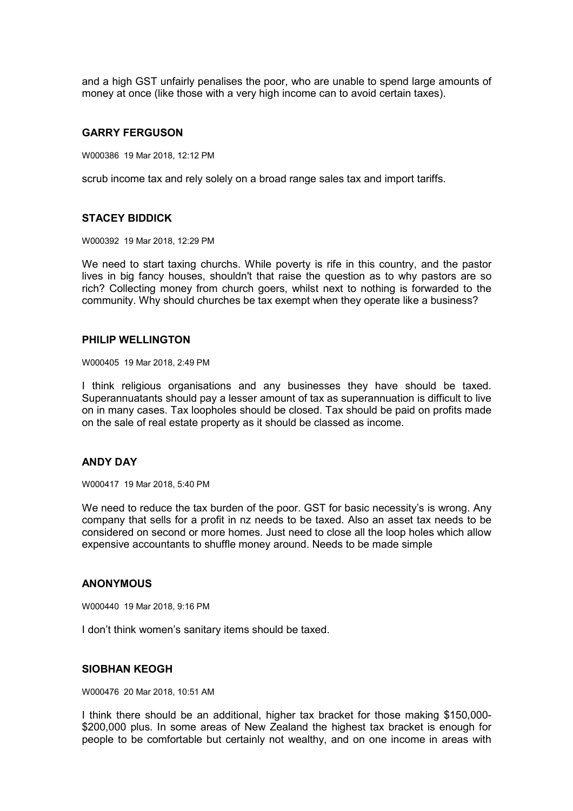and a high GST unfairly penalises the poor, who are unable to spend large amounts of money at once (like those with a very high income can to avoid certain taxes).

#### **GARRY FERGUSON**

W000386 19 Mar 2018, 12:12 PM

scrub income tax and rely solely on a broad range sales tax and import tariffs.

#### **STACEY BIDDICK**

W000392 19 Mar 2018, 12:29 PM

We need to start taxing churchs. While poverty is rife in this country, and the pastor lives in big fancy houses, shouldn't that raise the question as to why pastors are so rich? Collecting money from church goers, whilst next to nothing is forwarded to the community. Why should churches be tax exempt when they operate like a business?

#### **PHILIP WELLINGTON**

W000405 19 Mar 2018, 2:49 PM

I think religious organisations and any businesses they have should be taxed. Superannuatants should pay a lesser amount of tax as superannuation is difficult to live on in many cases. Tax loopholes should be closed. Tax should be paid on profits made on the sale of real estate property as it should be classed as income.

#### **ANDY DAY**

W000417 19 Mar 2018, 5:40 PM

We need to reduce the tax burden of the poor. GST for basic necessity's is wrong. Any company that sells for a profit in nz needs to be taxed. Also an asset tax needs to be considered on second or more homes. Just need to close all the loop holes which allow expensive accountants to shuffle money around. Needs to be made simple

#### **ANONYMOUS**

W000440 19 Mar 2018, 9:16 PM

I don't think women's sanitary items should be taxed.

# **SIOBHAN KEOGH**

W000476 20 Mar 2018, 10:51 AM

I think there should be an additional, higher tax bracket for those making \$150,000- \$200,000 plus. In some areas of New Zealand the highest tax bracket is enough for people to be comfortable but certainly not wealthy, and on one income in areas with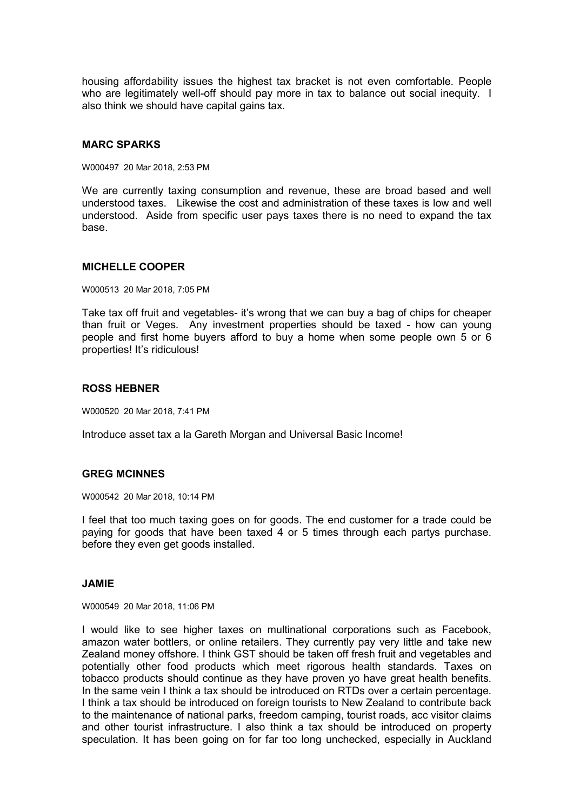housing affordability issues the highest tax bracket is not even comfortable. People who are legitimately well-off should pay more in tax to balance out social inequity. I also think we should have capital gains tax.

## **MARC SPARKS**

W000497 20 Mar 2018, 2:53 PM

We are currently taxing consumption and revenue, these are broad based and well understood taxes. Likewise the cost and administration of these taxes is low and well understood. Aside from specific user pays taxes there is no need to expand the tax base.

#### **MICHELLE COOPER**

W000513 20 Mar 2018, 7:05 PM

Take tax off fruit and vegetables- it's wrong that we can buy a bag of chips for cheaper than fruit or Veges. Any investment properties should be taxed - how can young people and first home buyers afford to buy a home when some people own 5 or 6 properties! It's ridiculous!

#### **ROSS HEBNER**

W000520 20 Mar 2018, 7:41 PM

Introduce asset tax a la Gareth Morgan and Universal Basic Income!

## **GREG MCINNES**

W000542 20 Mar 2018, 10:14 PM

I feel that too much taxing goes on for goods. The end customer for a trade could be paying for goods that have been taxed 4 or 5 times through each partys purchase. before they even get goods installed.

#### **JAMIE**

W000549 20 Mar 2018, 11:06 PM

I would like to see higher taxes on multinational corporations such as Facebook, amazon water bottlers, or online retailers. They currently pay very little and take new Zealand money offshore. I think GST should be taken off fresh fruit and vegetables and potentially other food products which meet rigorous health standards. Taxes on tobacco products should continue as they have proven yo have great health benefits. In the same vein I think a tax should be introduced on RTDs over a certain percentage. I think a tax should be introduced on foreign tourists to New Zealand to contribute back to the maintenance of national parks, freedom camping, tourist roads, acc visitor claims and other tourist infrastructure. I also think a tax should be introduced on property speculation. It has been going on for far too long unchecked, especially in Auckland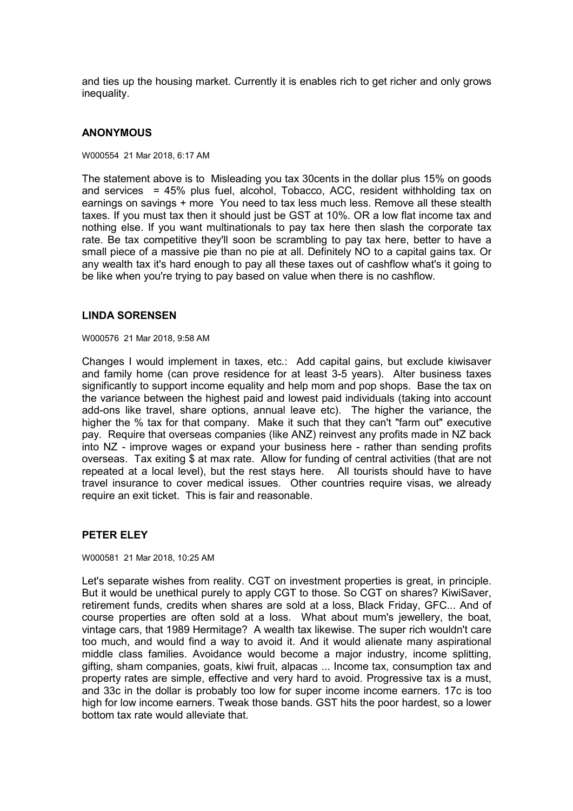and ties up the housing market. Currently it is enables rich to get richer and only grows inequality.

#### **ANONYMOUS**

W000554 21 Mar 2018, 6:17 AM

The statement above is to Misleading you tax 30cents in the dollar plus 15% on goods and services = 45% plus fuel, alcohol, Tobacco, ACC, resident withholding tax on earnings on savings + more You need to tax less much less. Remove all these stealth taxes. If you must tax then it should just be GST at 10%. OR a low flat income tax and nothing else. If you want multinationals to pay tax here then slash the corporate tax rate. Be tax competitive they'll soon be scrambling to pay tax here, better to have a small piece of a massive pie than no pie at all. Definitely NO to a capital gains tax. Or any wealth tax it's hard enough to pay all these taxes out of cashflow what's it going to be like when you're trying to pay based on value when there is no cashflow.

#### **LINDA SORENSEN**

W000576 21 Mar 2018, 9:58 AM

Changes I would implement in taxes, etc.: Add capital gains, but exclude kiwisaver and family home (can prove residence for at least 3-5 years). Alter business taxes significantly to support income equality and help mom and pop shops. Base the tax on the variance between the highest paid and lowest paid individuals (taking into account add-ons like travel, share options, annual leave etc). The higher the variance, the higher the % tax for that company. Make it such that they can't "farm out" executive pay. Require that overseas companies (like ANZ) reinvest any profits made in NZ back into NZ - improve wages or expand your business here - rather than sending profits overseas. Tax exiting \$ at max rate. Allow for funding of central activities (that are not repeated at a local level), but the rest stays here. All tourists should have to have travel insurance to cover medical issues. Other countries require visas, we already require an exit ticket. This is fair and reasonable.

#### **PETER ELEY**

W000581 21 Mar 2018, 10:25 AM

Let's separate wishes from reality. CGT on investment properties is great, in principle. But it would be unethical purely to apply CGT to those. So CGT on shares? KiwiSaver, retirement funds, credits when shares are sold at a loss, Black Friday, GFC... And of course properties are often sold at a loss. What about mum's jewellery, the boat, vintage cars, that 1989 Hermitage? A wealth tax likewise. The super rich wouldn't care too much, and would find a way to avoid it. And it would alienate many aspirational middle class families. Avoidance would become a major industry, income splitting, gifting, sham companies, goats, kiwi fruit, alpacas ... Income tax, consumption tax and property rates are simple, effective and very hard to avoid. Progressive tax is a must, and 33c in the dollar is probably too low for super income income earners. 17c is too high for low income earners. Tweak those bands. GST hits the poor hardest, so a lower bottom tax rate would alleviate that.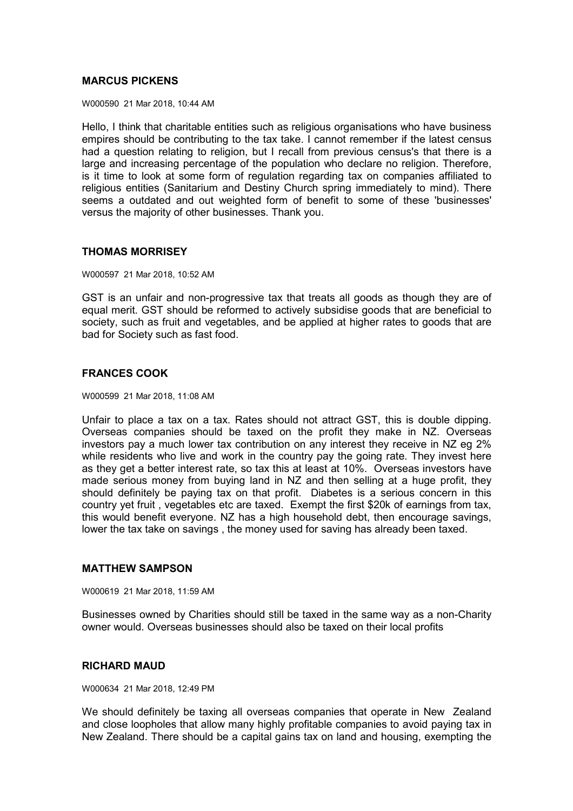# **MARCUS PICKENS**

W000590 21 Mar 2018, 10:44 AM

Hello, I think that charitable entities such as religious organisations who have business empires should be contributing to the tax take. I cannot remember if the latest census had a question relating to religion, but I recall from previous census's that there is a large and increasing percentage of the population who declare no religion. Therefore, is it time to look at some form of regulation regarding tax on companies affiliated to religious entities (Sanitarium and Destiny Church spring immediately to mind). There seems a outdated and out weighted form of benefit to some of these 'businesses' versus the majority of other businesses. Thank you.

## **THOMAS MORRISEY**

W000597 21 Mar 2018, 10:52 AM

GST is an unfair and non-progressive tax that treats all goods as though they are of equal merit. GST should be reformed to actively subsidise goods that are beneficial to society, such as fruit and vegetables, and be applied at higher rates to goods that are bad for Society such as fast food.

# **FRANCES COOK**

W000599 21 Mar 2018, 11:08 AM

Unfair to place a tax on a tax. Rates should not attract GST, this is double dipping. Overseas companies should be taxed on the profit they make in NZ. Overseas investors pay a much lower tax contribution on any interest they receive in NZ eg 2% while residents who live and work in the country pay the going rate. They invest here as they get a better interest rate, so tax this at least at 10%. Overseas investors have made serious money from buying land in NZ and then selling at a huge profit, they should definitely be paying tax on that profit. Diabetes is a serious concern in this country yet fruit , vegetables etc are taxed. Exempt the first \$20k of earnings from tax, this would benefit everyone. NZ has a high household debt, then encourage savings, lower the tax take on savings , the money used for saving has already been taxed.

#### **MATTHEW SAMPSON**

W000619 21 Mar 2018, 11:59 AM

Businesses owned by Charities should still be taxed in the same way as a non-Charity owner would. Overseas businesses should also be taxed on their local profits

## **RICHARD MAUD**

W000634 21 Mar 2018, 12:49 PM

We should definitely be taxing all overseas companies that operate in New Zealand and close loopholes that allow many highly profitable companies to avoid paying tax in New Zealand. There should be a capital gains tax on land and housing, exempting the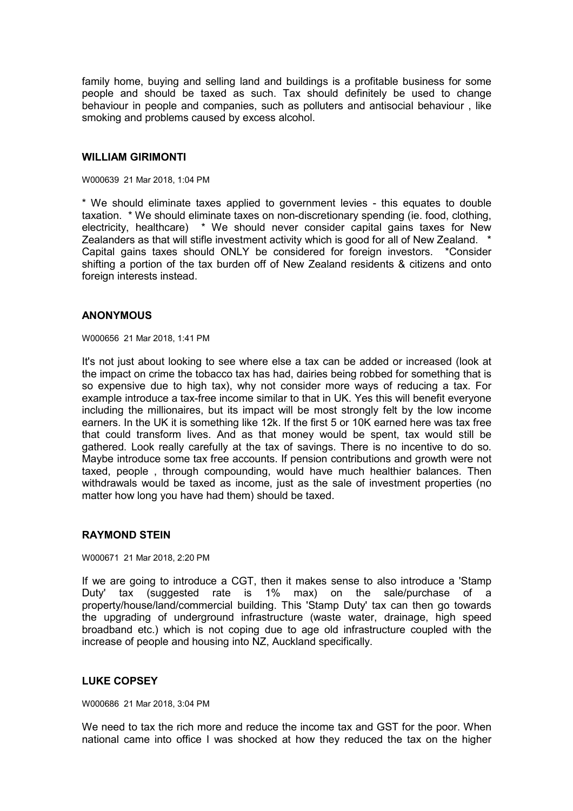family home, buying and selling land and buildings is a profitable business for some people and should be taxed as such. Tax should definitely be used to change behaviour in people and companies, such as polluters and antisocial behaviour , like smoking and problems caused by excess alcohol.

#### **WILLIAM GIRIMONTI**

W000639 21 Mar 2018, 1:04 PM

\* We should eliminate taxes applied to government levies - this equates to double taxation. \* We should eliminate taxes on non-discretionary spending (ie. food, clothing, electricity, healthcare) \* We should never consider capital gains taxes for New Zealanders as that will stifle investment activity which is good for all of New Zealand. Capital gains taxes should ONLY be considered for foreign investors. \*Consider shifting a portion of the tax burden off of New Zealand residents & citizens and onto foreign interests instead.

#### **ANONYMOUS**

W000656 21 Mar 2018, 1:41 PM

It's not just about looking to see where else a tax can be added or increased (look at the impact on crime the tobacco tax has had, dairies being robbed for something that is so expensive due to high tax), why not consider more ways of reducing a tax. For example introduce a tax-free income similar to that in UK. Yes this will benefit everyone including the millionaires, but its impact will be most strongly felt by the low income earners. In the UK it is something like 12k. If the first 5 or 10K earned here was tax free that could transform lives. And as that money would be spent, tax would still be gathered. Look really carefully at the tax of savings. There is no incentive to do so. Maybe introduce some tax free accounts. If pension contributions and growth were not taxed, people , through compounding, would have much healthier balances. Then withdrawals would be taxed as income, just as the sale of investment properties (no matter how long you have had them) should be taxed.

#### **RAYMOND STEIN**

W000671 21 Mar 2018, 2:20 PM

If we are going to introduce a CGT, then it makes sense to also introduce a 'Stamp Duty' tax (suggested rate is 1% max) on the sale/purchase of a property/house/land/commercial building. This 'Stamp Duty' tax can then go towards the upgrading of underground infrastructure (waste water, drainage, high speed broadband etc.) which is not coping due to age old infrastructure coupled with the increase of people and housing into NZ, Auckland specifically.

## **LUKE COPSEY**

W000686 21 Mar 2018, 3:04 PM

We need to tax the rich more and reduce the income tax and GST for the poor. When national came into office I was shocked at how they reduced the tax on the higher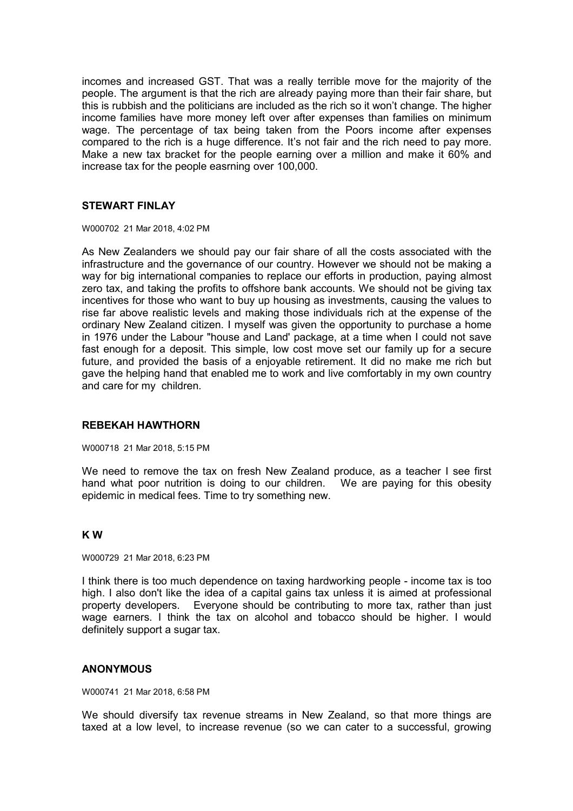incomes and increased GST. That was a really terrible move for the majority of the people. The argument is that the rich are already paying more than their fair share, but this is rubbish and the politicians are included as the rich so it won't change. The higher income families have more money left over after expenses than families on minimum wage. The percentage of tax being taken from the Poors income after expenses compared to the rich is a huge difference. It's not fair and the rich need to pay more. Make a new tax bracket for the people earning over a million and make it 60% and increase tax for the people easrning over 100,000.

#### **STEWART FINLAY**

W000702 21 Mar 2018, 4:02 PM

As New Zealanders we should pay our fair share of all the costs associated with the infrastructure and the governance of our country. However we should not be making a way for big international companies to replace our efforts in production, paying almost zero tax, and taking the profits to offshore bank accounts. We should not be giving tax incentives for those who want to buy up housing as investments, causing the values to rise far above realistic levels and making those individuals rich at the expense of the ordinary New Zealand citizen. I myself was given the opportunity to purchase a home in 1976 under the Labour "house and Land' package, at a time when I could not save fast enough for a deposit. This simple, low cost move set our family up for a secure future, and provided the basis of a enjoyable retirement. It did no make me rich but gave the helping hand that enabled me to work and live comfortably in my own country and care for my children.

## **REBEKAH HAWTHORN**

W000718 21 Mar 2018, 5:15 PM

We need to remove the tax on fresh New Zealand produce, as a teacher I see first hand what poor nutrition is doing to our children. We are paying for this obesity epidemic in medical fees. Time to try something new.

#### **K W**

W000729 21 Mar 2018, 6:23 PM

I think there is too much dependence on taxing hardworking people - income tax is too high. I also don't like the idea of a capital gains tax unless it is aimed at professional property developers. Everyone should be contributing to more tax, rather than just wage earners. I think the tax on alcohol and tobacco should be higher. I would definitely support a sugar tax.

#### **ANONYMOUS**

W000741 21 Mar 2018, 6:58 PM

We should diversify tax revenue streams in New Zealand, so that more things are taxed at a low level, to increase revenue (so we can cater to a successful, growing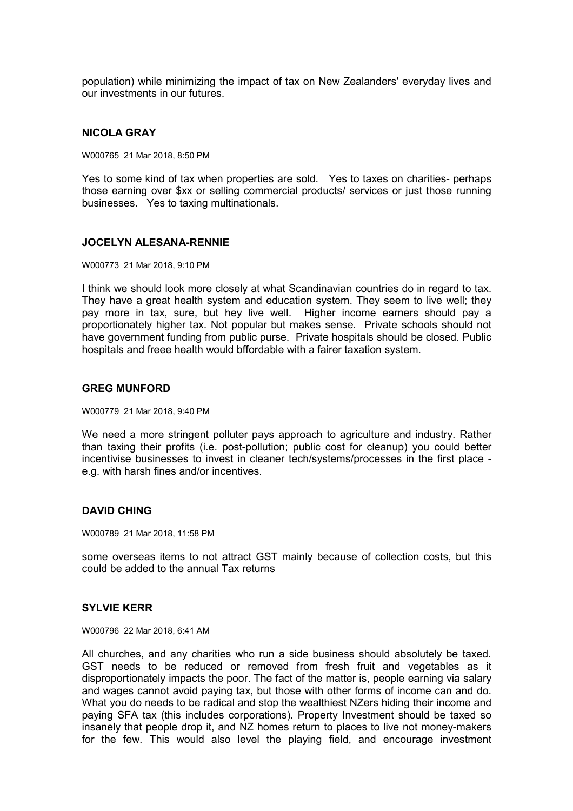population) while minimizing the impact of tax on New Zealanders' everyday lives and our investments in our futures.

## **NICOLA GRAY**

W000765 21 Mar 2018, 8:50 PM

Yes to some kind of tax when properties are sold. Yes to taxes on charities- perhaps those earning over \$xx or selling commercial products/ services or just those running businesses. Yes to taxing multinationals.

#### **JOCELYN ALESANA-RENNIE**

W000773 21 Mar 2018, 9:10 PM

I think we should look more closely at what Scandinavian countries do in regard to tax. They have a great health system and education system. They seem to live well; they pay more in tax, sure, but hey live well. Higher income earners should pay a proportionately higher tax. Not popular but makes sense. Private schools should not have government funding from public purse. Private hospitals should be closed. Public hospitals and freee health would bffordable with a fairer taxation system.

# **GREG MUNFORD**

W000779 21 Mar 2018, 9:40 PM

We need a more stringent polluter pays approach to agriculture and industry. Rather than taxing their profits (i.e. post-pollution; public cost for cleanup) you could better incentivise businesses to invest in cleaner tech/systems/processes in the first place e.g. with harsh fines and/or incentives.

## **DAVID CHING**

W000789 21 Mar 2018, 11:58 PM

some overseas items to not attract GST mainly because of collection costs, but this could be added to the annual Tax returns

#### **SYLVIE KERR**

W000796 22 Mar 2018, 6:41 AM

All churches, and any charities who run a side business should absolutely be taxed. GST needs to be reduced or removed from fresh fruit and vegetables as it disproportionately impacts the poor. The fact of the matter is, people earning via salary and wages cannot avoid paying tax, but those with other forms of income can and do. What you do needs to be radical and stop the wealthiest NZers hiding their income and paying SFA tax (this includes corporations). Property Investment should be taxed so insanely that people drop it, and NZ homes return to places to live not money-makers for the few. This would also level the playing field, and encourage investment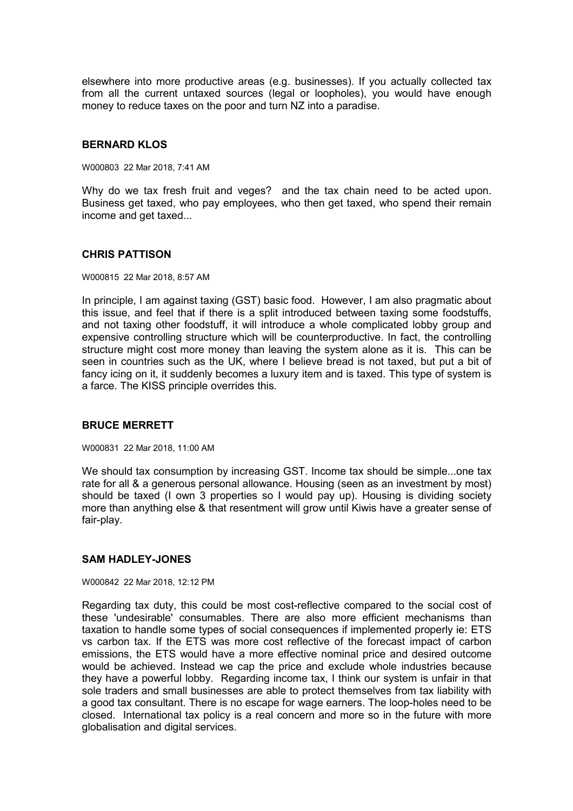elsewhere into more productive areas (e.g. businesses). If you actually collected tax from all the current untaxed sources (legal or loopholes), you would have enough money to reduce taxes on the poor and turn NZ into a paradise.

## **BERNARD KLOS**

W000803 22 Mar 2018, 7:41 AM

Why do we tax fresh fruit and veges? and the tax chain need to be acted upon. Business get taxed, who pay employees, who then get taxed, who spend their remain income and get taxed...

## **CHRIS PATTISON**

W000815 22 Mar 2018, 8:57 AM

In principle, I am against taxing (GST) basic food. However, I am also pragmatic about this issue, and feel that if there is a split introduced between taxing some foodstuffs, and not taxing other foodstuff, it will introduce a whole complicated lobby group and expensive controlling structure which will be counterproductive. In fact, the controlling structure might cost more money than leaving the system alone as it is. This can be seen in countries such as the UK, where I believe bread is not taxed, but put a bit of fancy icing on it, it suddenly becomes a luxury item and is taxed. This type of system is a farce. The KISS principle overrides this.

## **BRUCE MERRETT**

W000831 22 Mar 2018, 11:00 AM

We should tax consumption by increasing GST. Income tax should be simple...one tax rate for all & a generous personal allowance. Housing (seen as an investment by most) should be taxed (I own 3 properties so I would pay up). Housing is dividing society more than anything else & that resentment will grow until Kiwis have a greater sense of fair-play.

## **SAM HADLEY-JONES**

#### W000842 22 Mar 2018, 12:12 PM

Regarding tax duty, this could be most cost-reflective compared to the social cost of these 'undesirable' consumables. There are also more efficient mechanisms than taxation to handle some types of social consequences if implemented properly ie: ETS vs carbon tax. If the ETS was more cost reflective of the forecast impact of carbon emissions, the ETS would have a more effective nominal price and desired outcome would be achieved. Instead we cap the price and exclude whole industries because they have a powerful lobby. Regarding income tax, I think our system is unfair in that sole traders and small businesses are able to protect themselves from tax liability with a good tax consultant. There is no escape for wage earners. The loop-holes need to be closed. International tax policy is a real concern and more so in the future with more globalisation and digital services.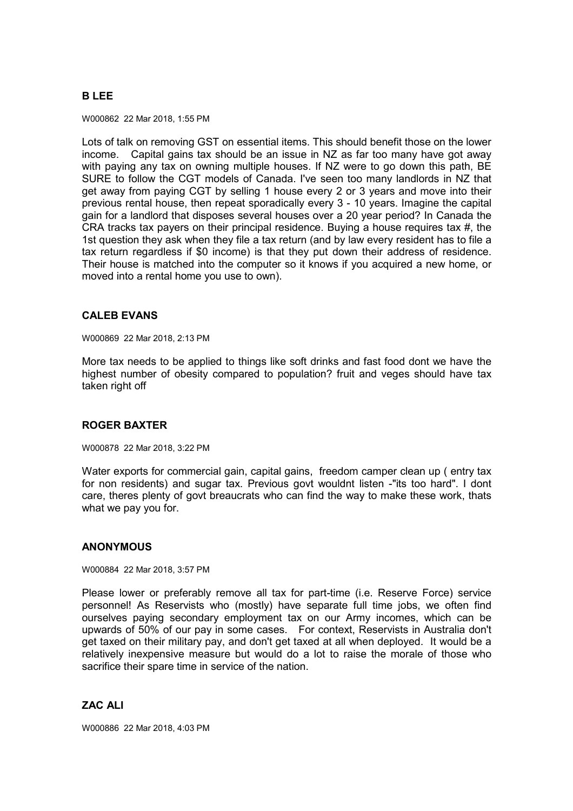# **B LEE**

W000862 22 Mar 2018, 1:55 PM

Lots of talk on removing GST on essential items. This should benefit those on the lower income. Capital gains tax should be an issue in NZ as far too many have got away with paying any tax on owning multiple houses. If NZ were to go down this path, BE SURE to follow the CGT models of Canada. I've seen too many landlords in NZ that get away from paying CGT by selling 1 house every 2 or 3 years and move into their previous rental house, then repeat sporadically every 3 - 10 years. Imagine the capital gain for a landlord that disposes several houses over a 20 year period? In Canada the CRA tracks tax payers on their principal residence. Buying a house requires tax #, the 1st question they ask when they file a tax return (and by law every resident has to file a tax return regardless if \$0 income) is that they put down their address of residence. Their house is matched into the computer so it knows if you acquired a new home, or moved into a rental home you use to own).

# **CALEB EVANS**

W000869 22 Mar 2018, 2:13 PM

More tax needs to be applied to things like soft drinks and fast food dont we have the highest number of obesity compared to population? fruit and veges should have tax taken right off

# **ROGER BAXTER**

W000878 22 Mar 2018, 3:22 PM

Water exports for commercial gain, capital gains, freedom camper clean up ( entry tax for non residents) and sugar tax. Previous govt wouldnt listen -"its too hard". I dont care, theres plenty of govt breaucrats who can find the way to make these work, thats what we pay you for.

## **ANONYMOUS**

W000884 22 Mar 2018, 3:57 PM

Please lower or preferably remove all tax for part-time (i.e. Reserve Force) service personnel! As Reservists who (mostly) have separate full time jobs, we often find ourselves paying secondary employment tax on our Army incomes, which can be upwards of 50% of our pay in some cases. For context, Reservists in Australia don't get taxed on their military pay, and don't get taxed at all when deployed. It would be a relatively inexpensive measure but would do a lot to raise the morale of those who sacrifice their spare time in service of the nation.

# **ZAC ALI**

W000886 22 Mar 2018, 4:03 PM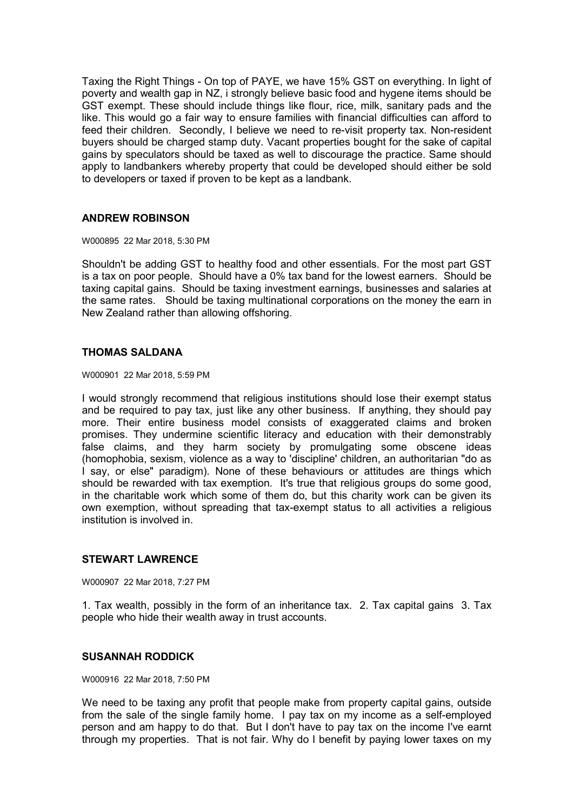Taxing the Right Things - On top of PAYE, we have 15% GST on everything. In light of poverty and wealth gap in NZ, i strongly believe basic food and hygene items should be GST exempt. These should include things like flour, rice, milk, sanitary pads and the like. This would go a fair way to ensure families with financial difficulties can afford to feed their children. Secondly, I believe we need to re-visit property tax. Non-resident buyers should be charged stamp duty. Vacant properties bought for the sake of capital gains by speculators should be taxed as well to discourage the practice. Same should apply to landbankers whereby property that could be developed should either be sold to developers or taxed if proven to be kept as a landbank.

# **ANDREW ROBINSON**

W000895 22 Mar 2018, 5:30 PM

Shouldn't be adding GST to healthy food and other essentials. For the most part GST is a tax on poor people. Should have a 0% tax band for the lowest earners. Should be taxing capital gains. Should be taxing investment earnings, businesses and salaries at the same rates. Should be taxing multinational corporations on the money the earn in New Zealand rather than allowing offshoring.

# **THOMAS SALDANA**

W000901 22 Mar 2018, 5:59 PM

I would strongly recommend that religious institutions should lose their exempt status and be required to pay tax, just like any other business. If anything, they should pay more. Their entire business model consists of exaggerated claims and broken promises. They undermine scientific literacy and education with their demonstrably false claims, and they harm society by promulgating some obscene ideas (homophobia, sexism, violence as a way to 'discipline' children, an authoritarian "do as I say, or else" paradigm). None of these behaviours or attitudes are things which should be rewarded with tax exemption. It's true that religious groups do some good, in the charitable work which some of them do, but this charity work can be given its own exemption, without spreading that tax-exempt status to all activities a religious institution is involved in.

# **STEWART LAWRENCE**

W000907 22 Mar 2018, 7:27 PM

1. Tax wealth, possibly in the form of an inheritance tax. 2. Tax capital gains 3. Tax people who hide their wealth away in trust accounts.

## **SUSANNAH RODDICK**

W000916 22 Mar 2018, 7:50 PM

We need to be taxing any profit that people make from property capital gains, outside from the sale of the single family home. I pay tax on my income as a self-employed person and am happy to do that. But I don't have to pay tax on the income I've earnt through my properties. That is not fair. Why do I benefit by paying lower taxes on my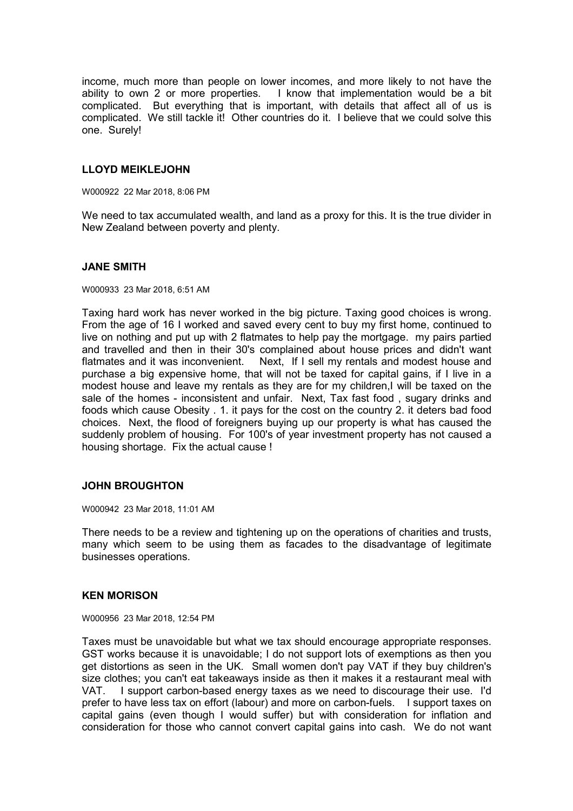income, much more than people on lower incomes, and more likely to not have the ability to own 2 or more properties. I know that implementation would be a bit complicated. But everything that is important, with details that affect all of us is complicated. We still tackle it! Other countries do it. I believe that we could solve this one. Surely!

# **LLOYD MEIKLEJOHN**

W000922 22 Mar 2018, 8:06 PM

We need to tax accumulated wealth, and land as a proxy for this. It is the true divider in New Zealand between poverty and plenty.

## **JANE SMITH**

W000933 23 Mar 2018, 6:51 AM

Taxing hard work has never worked in the big picture. Taxing good choices is wrong. From the age of 16 I worked and saved every cent to buy my first home, continued to live on nothing and put up with 2 flatmates to help pay the mortgage. my pairs partied and travelled and then in their 30's complained about house prices and didn't want flatmates and it was inconvenient. Next, If I sell my rentals and modest house and purchase a big expensive home, that will not be taxed for capital gains, if I live in a modest house and leave my rentals as they are for my children,I will be taxed on the sale of the homes - inconsistent and unfair. Next, Tax fast food , sugary drinks and foods which cause Obesity . 1. it pays for the cost on the country 2. it deters bad food choices. Next, the flood of foreigners buying up our property is what has caused the suddenly problem of housing. For 100's of year investment property has not caused a housing shortage. Fix the actual cause !

## **JOHN BROUGHTON**

W000942 23 Mar 2018, 11:01 AM

There needs to be a review and tightening up on the operations of charities and trusts, many which seem to be using them as facades to the disadvantage of legitimate businesses operations.

## **KEN MORISON**

W000956 23 Mar 2018, 12:54 PM

Taxes must be unavoidable but what we tax should encourage appropriate responses. GST works because it is unavoidable; I do not support lots of exemptions as then you get distortions as seen in the UK. Small women don't pay VAT if they buy children's size clothes; you can't eat takeaways inside as then it makes it a restaurant meal with VAT. I support carbon-based energy taxes as we need to discourage their use. I'd prefer to have less tax on effort (labour) and more on carbon-fuels. I support taxes on capital gains (even though I would suffer) but with consideration for inflation and consideration for those who cannot convert capital gains into cash. We do not want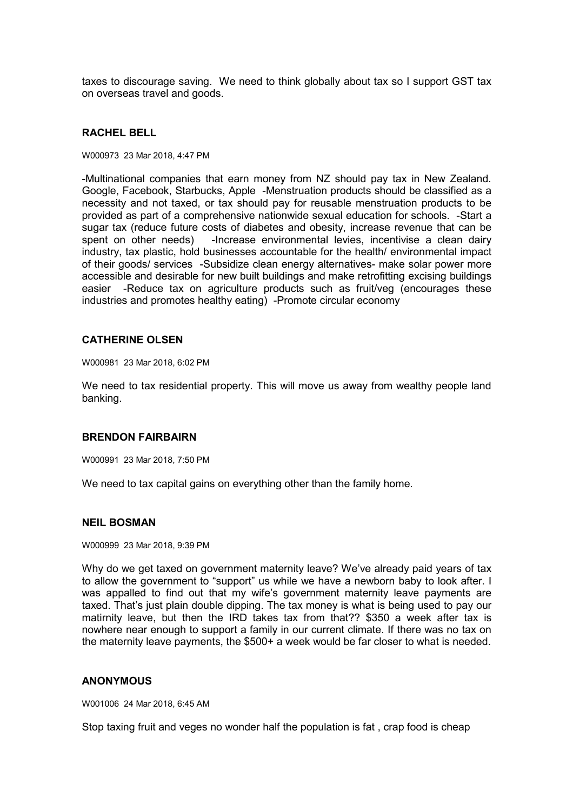taxes to discourage saving. We need to think globally about tax so I support GST tax on overseas travel and goods.

#### **RACHEL BELL**

#### W000973 23 Mar 2018, 4:47 PM

-Multinational companies that earn money from NZ should pay tax in New Zealand. Google, Facebook, Starbucks, Apple -Menstruation products should be classified as a necessity and not taxed, or tax should pay for reusable menstruation products to be provided as part of a comprehensive nationwide sexual education for schools. -Start a sugar tax (reduce future costs of diabetes and obesity, increase revenue that can be spent on other needs) -Increase environmental levies, incentivise a clean dairy industry, tax plastic, hold businesses accountable for the health/ environmental impact of their goods/ services -Subsidize clean energy alternatives- make solar power more accessible and desirable for new built buildings and make retrofitting excising buildings easier -Reduce tax on agriculture products such as fruit/veg (encourages these industries and promotes healthy eating) -Promote circular economy

#### **CATHERINE OLSEN**

W000981 23 Mar 2018, 6:02 PM

We need to tax residential property. This will move us away from wealthy people land banking.

#### **BRENDON FAIRBAIRN**

W000991 23 Mar 2018, 7:50 PM

We need to tax capital gains on everything other than the family home.

# **NEIL BOSMAN**

W000999 23 Mar 2018, 9:39 PM

Why do we get taxed on government maternity leave? We've already paid years of tax to allow the government to "support" us while we have a newborn baby to look after. I was appalled to find out that my wife's government maternity leave payments are taxed. That's just plain double dipping. The tax money is what is being used to pay our matirnity leave, but then the IRD takes tax from that?? \$350 a week after tax is nowhere near enough to support a family in our current climate. If there was no tax on the maternity leave payments, the \$500+ a week would be far closer to what is needed.

#### **ANONYMOUS**

W001006 24 Mar 2018, 6:45 AM

Stop taxing fruit and veges no wonder half the population is fat , crap food is cheap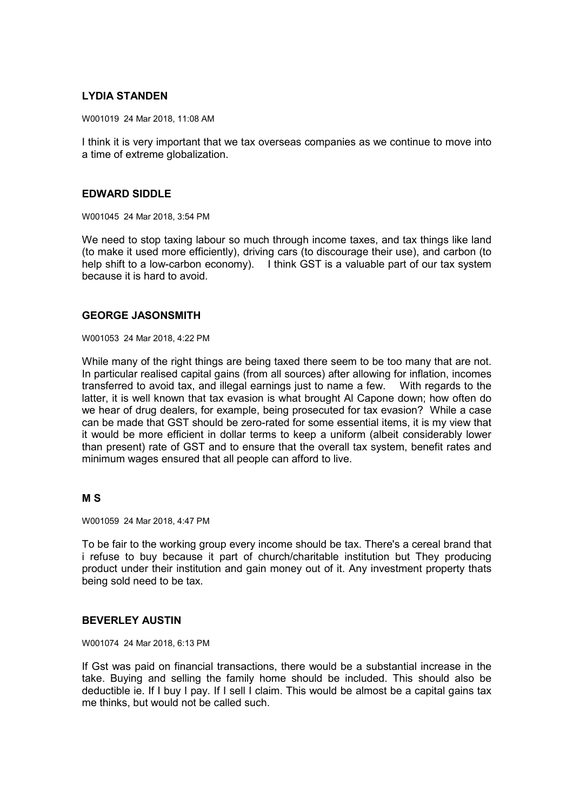# **LYDIA STANDEN**

W001019 24 Mar 2018, 11:08 AM

I think it is very important that we tax overseas companies as we continue to move into a time of extreme globalization.

## **EDWARD SIDDLE**

W001045 24 Mar 2018, 3:54 PM

We need to stop taxing labour so much through income taxes, and tax things like land (to make it used more efficiently), driving cars (to discourage their use), and carbon (to help shift to a low-carbon economy). I think GST is a valuable part of our tax system because it is hard to avoid.

## **GEORGE JASONSMITH**

W001053 24 Mar 2018, 4:22 PM

While many of the right things are being taxed there seem to be too many that are not. In particular realised capital gains (from all sources) after allowing for inflation, incomes transferred to avoid tax, and illegal earnings just to name a few. With regards to the latter, it is well known that tax evasion is what brought Al Capone down; how often do we hear of drug dealers, for example, being prosecuted for tax evasion? While a case can be made that GST should be zero-rated for some essential items, it is my view that it would be more efficient in dollar terms to keep a uniform (albeit considerably lower than present) rate of GST and to ensure that the overall tax system, benefit rates and minimum wages ensured that all people can afford to live.

## **M S**

W001059 24 Mar 2018, 4:47 PM

To be fair to the working group every income should be tax. There's a cereal brand that i refuse to buy because it part of church/charitable institution but They producing product under their institution and gain money out of it. Any investment property thats being sold need to be tax.

# **BEVERLEY AUSTIN**

#### W001074 24 Mar 2018, 6:13 PM

If Gst was paid on financial transactions, there would be a substantial increase in the take. Buying and selling the family home should be included. This should also be deductible ie. If I buy I pay. If I sell I claim. This would be almost be a capital gains tax me thinks, but would not be called such.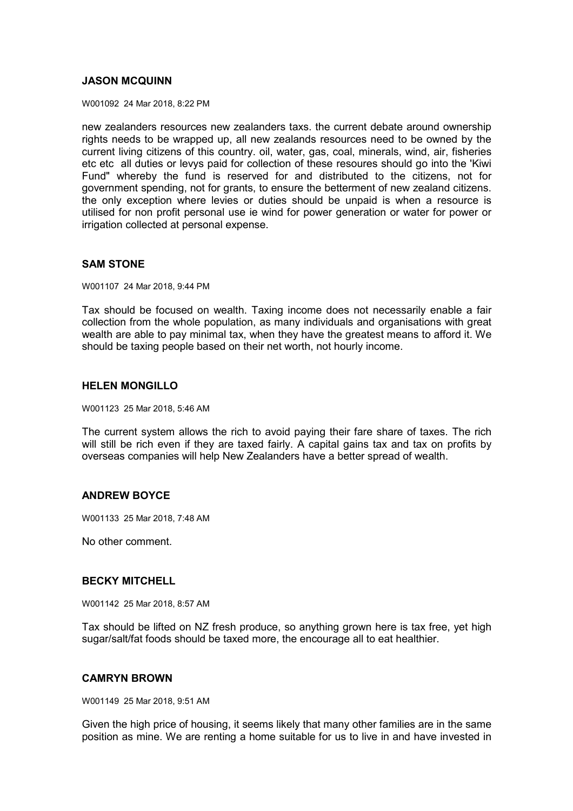## **JASON MCQUINN**

W001092 24 Mar 2018, 8:22 PM

new zealanders resources new zealanders taxs. the current debate around ownership rights needs to be wrapped up, all new zealands resources need to be owned by the current living citizens of this country. oil, water, gas, coal, minerals, wind, air, fisheries etc etc all duties or levys paid for collection of these resoures should go into the 'Kiwi Fund" whereby the fund is reserved for and distributed to the citizens, not for government spending, not for grants, to ensure the betterment of new zealand citizens. the only exception where levies or duties should be unpaid is when a resource is utilised for non profit personal use ie wind for power generation or water for power or irrigation collected at personal expense.

## **SAM STONE**

W001107 24 Mar 2018, 9:44 PM

Tax should be focused on wealth. Taxing income does not necessarily enable a fair collection from the whole population, as many individuals and organisations with great wealth are able to pay minimal tax, when they have the greatest means to afford it. We should be taxing people based on their net worth, not hourly income.

## **HELEN MONGILLO**

W001123 25 Mar 2018, 5:46 AM

The current system allows the rich to avoid paying their fare share of taxes. The rich will still be rich even if they are taxed fairly. A capital gains tax and tax on profits by overseas companies will help New Zealanders have a better spread of wealth.

## **ANDREW BOYCE**

W001133 25 Mar 2018, 7:48 AM

No other comment.

#### **BECKY MITCHELL**

W001142 25 Mar 2018, 8:57 AM

Tax should be lifted on NZ fresh produce, so anything grown here is tax free, yet high sugar/salt/fat foods should be taxed more, the encourage all to eat healthier.

## **CAMRYN BROWN**

W001149 25 Mar 2018, 9:51 AM

Given the high price of housing, it seems likely that many other families are in the same position as mine. We are renting a home suitable for us to live in and have invested in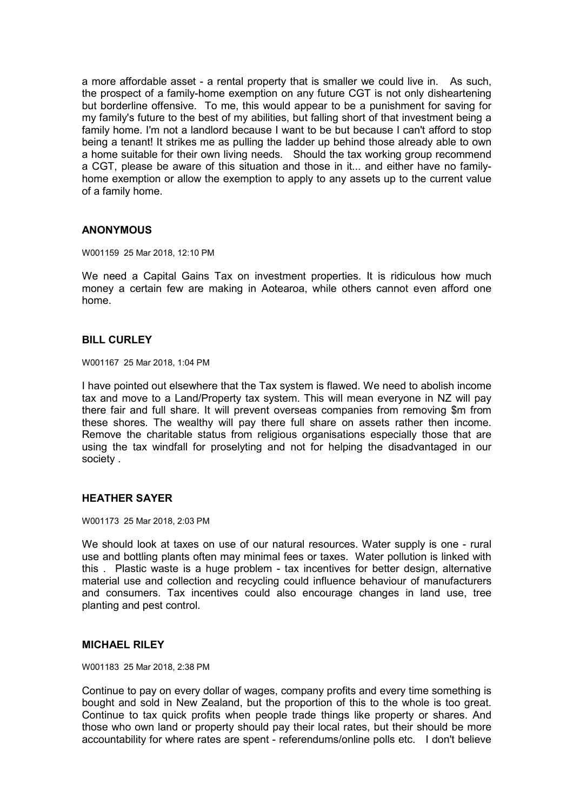a more affordable asset - a rental property that is smaller we could live in. As such, the prospect of a family-home exemption on any future CGT is not only disheartening but borderline offensive. To me, this would appear to be a punishment for saving for my family's future to the best of my abilities, but falling short of that investment being a family home. I'm not a landlord because I want to be but because I can't afford to stop being a tenant! It strikes me as pulling the ladder up behind those already able to own a home suitable for their own living needs. Should the tax working group recommend a CGT, please be aware of this situation and those in it... and either have no familyhome exemption or allow the exemption to apply to any assets up to the current value of a family home.

# **ANONYMOUS**

W001159 25 Mar 2018, 12:10 PM

We need a Capital Gains Tax on investment properties. It is ridiculous how much money a certain few are making in Aotearoa, while others cannot even afford one home.

# **BILL CURLEY**

W001167 25 Mar 2018, 1:04 PM

I have pointed out elsewhere that the Tax system is flawed. We need to abolish income tax and move to a Land/Property tax system. This will mean everyone in NZ will pay there fair and full share. It will prevent overseas companies from removing \$m from these shores. The wealthy will pay there full share on assets rather then income. Remove the charitable status from religious organisations especially those that are using the tax windfall for proselyting and not for helping the disadvantaged in our society .

## **HEATHER SAYER**

W001173 25 Mar 2018, 2:03 PM

We should look at taxes on use of our natural resources. Water supply is one - rural use and bottling plants often may minimal fees or taxes. Water pollution is linked with this . Plastic waste is a huge problem - tax incentives for better design, alternative material use and collection and recycling could influence behaviour of manufacturers and consumers. Tax incentives could also encourage changes in land use, tree planting and pest control.

#### **MICHAEL RILEY**

W001183 25 Mar 2018, 2:38 PM

Continue to pay on every dollar of wages, company profits and every time something is bought and sold in New Zealand, but the proportion of this to the whole is too great. Continue to tax quick profits when people trade things like property or shares. And those who own land or property should pay their local rates, but their should be more accountability for where rates are spent - referendums/online polls etc. I don't believe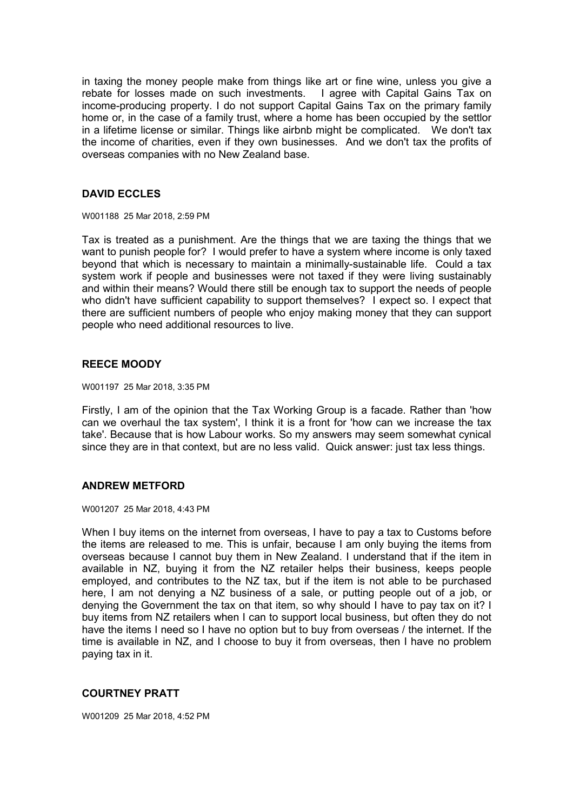in taxing the money people make from things like art or fine wine, unless you give a rebate for losses made on such investments. I agree with Capital Gains Tax on income-producing property. I do not support Capital Gains Tax on the primary family home or, in the case of a family trust, where a home has been occupied by the settlor in a lifetime license or similar. Things like airbnb might be complicated. We don't tax the income of charities, even if they own businesses. And we don't tax the profits of overseas companies with no New Zealand base.

# **DAVID ECCLES**

W001188 25 Mar 2018, 2:59 PM

Tax is treated as a punishment. Are the things that we are taxing the things that we want to punish people for? I would prefer to have a system where income is only taxed beyond that which is necessary to maintain a minimally-sustainable life. Could a tax system work if people and businesses were not taxed if they were living sustainably and within their means? Would there still be enough tax to support the needs of people who didn't have sufficient capability to support themselves? I expect so. I expect that there are sufficient numbers of people who enjoy making money that they can support people who need additional resources to live.

## **REECE MOODY**

W001197 25 Mar 2018, 3:35 PM

Firstly, I am of the opinion that the Tax Working Group is a facade. Rather than 'how can we overhaul the tax system', I think it is a front for 'how can we increase the tax take'. Because that is how Labour works. So my answers may seem somewhat cynical since they are in that context, but are no less valid. Quick answer: just tax less things.

## **ANDREW METFORD**

#### W001207 25 Mar 2018, 4:43 PM

When I buy items on the internet from overseas, I have to pay a tax to Customs before the items are released to me. This is unfair, because I am only buying the items from overseas because I cannot buy them in New Zealand. I understand that if the item in available in NZ, buying it from the NZ retailer helps their business, keeps people employed, and contributes to the NZ tax, but if the item is not able to be purchased here, I am not denying a NZ business of a sale, or putting people out of a job, or denying the Government the tax on that item, so why should I have to pay tax on it? I buy items from NZ retailers when I can to support local business, but often they do not have the items I need so I have no option but to buy from overseas / the internet. If the time is available in NZ, and I choose to buy it from overseas, then I have no problem paying tax in it.

## **COURTNEY PRATT**

W001209 25 Mar 2018, 4:52 PM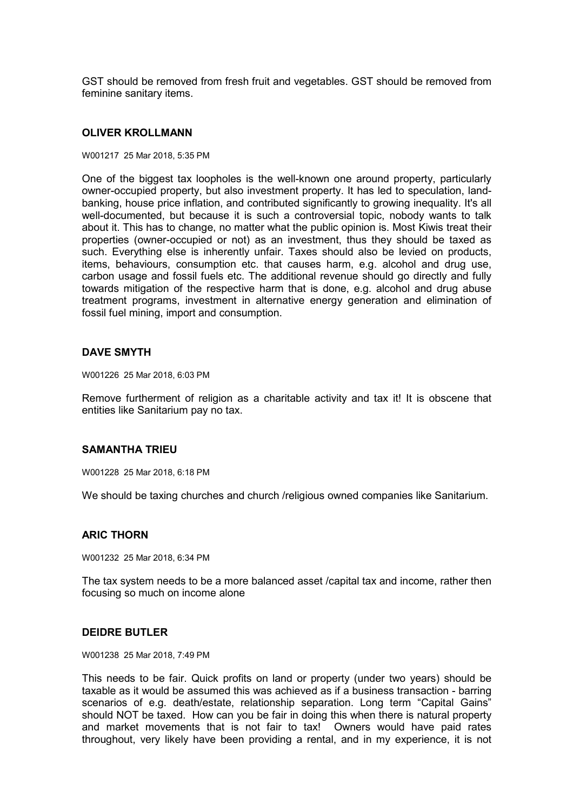GST should be removed from fresh fruit and vegetables. GST should be removed from feminine sanitary items.

#### **OLIVER KROLLMANN**

#### W001217 25 Mar 2018, 5:35 PM

One of the biggest tax loopholes is the well-known one around property, particularly owner-occupied property, but also investment property. It has led to speculation, landbanking, house price inflation, and contributed significantly to growing inequality. It's all well-documented, but because it is such a controversial topic, nobody wants to talk about it. This has to change, no matter what the public opinion is. Most Kiwis treat their properties (owner-occupied or not) as an investment, thus they should be taxed as such. Everything else is inherently unfair. Taxes should also be levied on products, items, behaviours, consumption etc. that causes harm, e.g. alcohol and drug use, carbon usage and fossil fuels etc. The additional revenue should go directly and fully towards mitigation of the respective harm that is done, e.g. alcohol and drug abuse treatment programs, investment in alternative energy generation and elimination of fossil fuel mining, import and consumption.

#### **DAVE SMYTH**

W001226 25 Mar 2018, 6:03 PM

Remove furtherment of religion as a charitable activity and tax it! It is obscene that entities like Sanitarium pay no tax.

#### **SAMANTHA TRIEU**

W001228 25 Mar 2018, 6:18 PM

We should be taxing churches and church /religious owned companies like Sanitarium.

#### **ARIC THORN**

W001232 25 Mar 2018, 6:34 PM

The tax system needs to be a more balanced asset /capital tax and income, rather then focusing so much on income alone

#### **DEIDRE BUTLER**

W001238 25 Mar 2018, 7:49 PM

This needs to be fair. Quick profits on land or property (under two years) should be taxable as it would be assumed this was achieved as if a business transaction - barring scenarios of e.g. death/estate, relationship separation. Long term "Capital Gains" should NOT be taxed. How can you be fair in doing this when there is natural property and market movements that is not fair to tax! Owners would have paid rates throughout, very likely have been providing a rental, and in my experience, it is not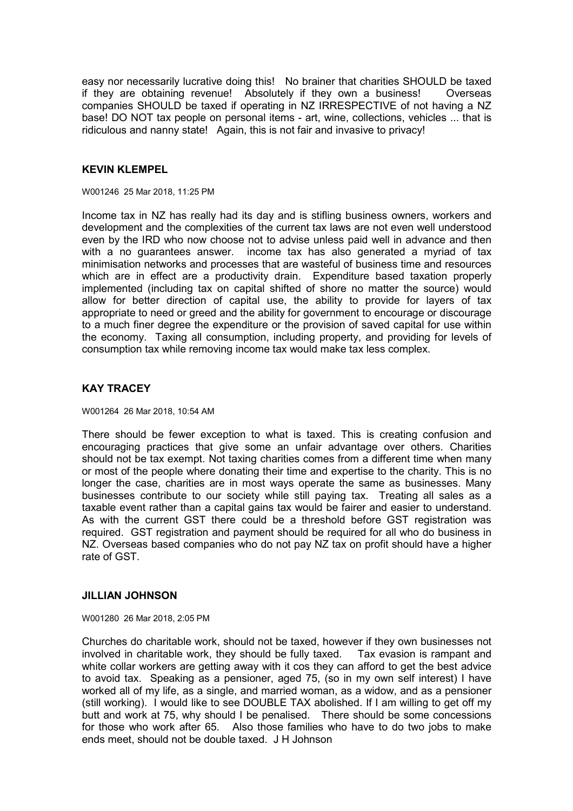easy nor necessarily lucrative doing this! No brainer that charities SHOULD be taxed if they are obtaining revenue! Absolutely if they own a business! Overseas companies SHOULD be taxed if operating in NZ IRRESPECTIVE of not having a NZ base! DO NOT tax people on personal items - art, wine, collections, vehicles ... that is ridiculous and nanny state! Again, this is not fair and invasive to privacy!

# **KEVIN KLEMPEL**

W001246 25 Mar 2018, 11:25 PM

Income tax in NZ has really had its day and is stifling business owners, workers and development and the complexities of the current tax laws are not even well understood even by the IRD who now choose not to advise unless paid well in advance and then with a no guarantees answer. income tax has also generated a myriad of tax minimisation networks and processes that are wasteful of business time and resources which are in effect are a productivity drain. Expenditure based taxation properly implemented (including tax on capital shifted of shore no matter the source) would allow for better direction of capital use, the ability to provide for layers of tax appropriate to need or greed and the ability for government to encourage or discourage to a much finer degree the expenditure or the provision of saved capital for use within the economy. Taxing all consumption, including property, and providing for levels of consumption tax while removing income tax would make tax less complex.

# **KAY TRACEY**

W001264 26 Mar 2018, 10:54 AM

There should be fewer exception to what is taxed. This is creating confusion and encouraging practices that give some an unfair advantage over others. Charities should not be tax exempt. Not taxing charities comes from a different time when many or most of the people where donating their time and expertise to the charity. This is no longer the case, charities are in most ways operate the same as businesses. Many businesses contribute to our society while still paying tax. Treating all sales as a taxable event rather than a capital gains tax would be fairer and easier to understand. As with the current GST there could be a threshold before GST registration was required. GST registration and payment should be required for all who do business in NZ. Overseas based companies who do not pay NZ tax on profit should have a higher rate of GST.

## **JILLIAN JOHNSON**

W001280 26 Mar 2018, 2:05 PM

Churches do charitable work, should not be taxed, however if they own businesses not involved in charitable work, they should be fully taxed. Tax evasion is rampant and white collar workers are getting away with it cos they can afford to get the best advice to avoid tax. Speaking as a pensioner, aged 75, (so in my own self interest) I have worked all of my life, as a single, and married woman, as a widow, and as a pensioner (still working). I would like to see DOUBLE TAX abolished. If I am willing to get off my butt and work at 75, why should I be penalised. There should be some concessions for those who work after 65. Also those families who have to do two jobs to make ends meet, should not be double taxed. J H Johnson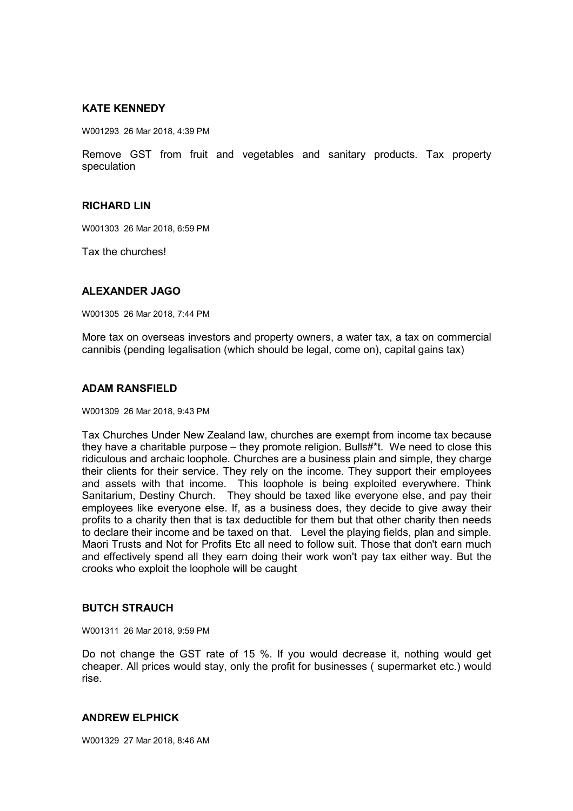### **KATE KENNEDY**

W001293 26 Mar 2018, 4:39 PM

Remove GST from fruit and vegetables and sanitary products. Tax property speculation

### **RICHARD LIN**

W001303 26 Mar 2018, 6:59 PM

Tax the churches!

### **ALEXANDER JAGO**

W001305 26 Mar 2018, 7:44 PM

More tax on overseas investors and property owners, a water tax, a tax on commercial cannibis (pending legalisation (which should be legal, come on), capital gains tax)

#### **ADAM RANSFIELD**

W001309 26 Mar 2018, 9:43 PM

Tax Churches Under New Zealand law, churches are exempt from income tax because they have a charitable purpose – they promote religion. Bulls#\*t. We need to close this ridiculous and archaic loophole. Churches are a business plain and simple, they charge their clients for their service. They rely on the income. They support their employees and assets with that income. This loophole is being exploited everywhere. Think Sanitarium, Destiny Church. They should be taxed like everyone else, and pay their employees like everyone else. If, as a business does, they decide to give away their profits to a charity then that is tax deductible for them but that other charity then needs to declare their income and be taxed on that. Level the playing fields, plan and simple. Maori Trusts and Not for Profits Etc all need to follow suit. Those that don't earn much and effectively spend all they earn doing their work won't pay tax either way. But the crooks who exploit the loophole will be caught

### **BUTCH STRAUCH**

W001311 26 Mar 2018, 9:59 PM

Do not change the GST rate of 15 %. If you would decrease it, nothing would get cheaper. All prices would stay, only the profit for businesses ( supermarket etc.) would rise.

#### **ANDREW ELPHICK**

W001329 27 Mar 2018, 8:46 AM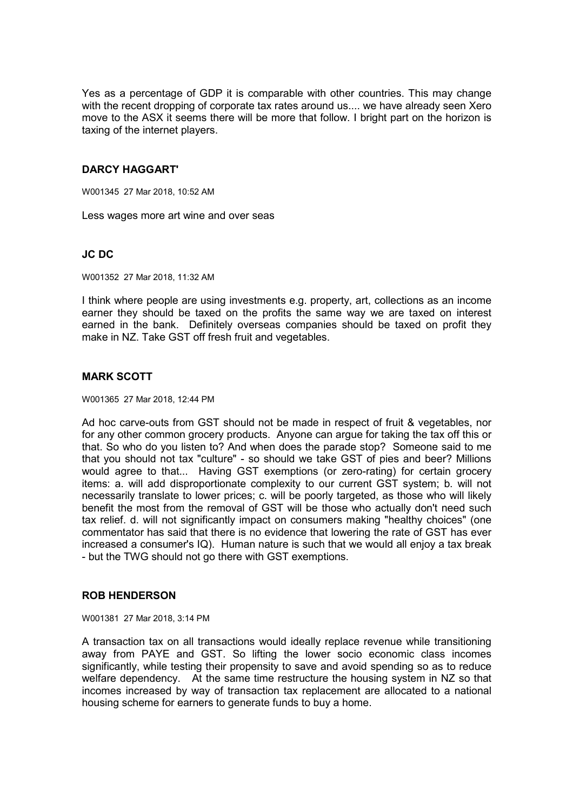Yes as a percentage of GDP it is comparable with other countries. This may change with the recent dropping of corporate tax rates around us.... we have already seen Xero move to the ASX it seems there will be more that follow. I bright part on the horizon is taxing of the internet players.

## **DARCY HAGGART'**

W001345 27 Mar 2018, 10:52 AM

Less wages more art wine and over seas

## **JC DC**

W001352 27 Mar 2018, 11:32 AM

I think where people are using investments e.g. property, art, collections as an income earner they should be taxed on the profits the same way we are taxed on interest earned in the bank. Definitely overseas companies should be taxed on profit they make in NZ. Take GST off fresh fruit and vegetables.

## **MARK SCOTT**

W001365 27 Mar 2018, 12:44 PM

Ad hoc carve-outs from GST should not be made in respect of fruit & vegetables, nor for any other common grocery products. Anyone can argue for taking the tax off this or that. So who do you listen to? And when does the parade stop? Someone said to me that you should not tax "culture" - so should we take GST of pies and beer? Millions would agree to that... Having GST exemptions (or zero-rating) for certain grocery items: a. will add disproportionate complexity to our current GST system; b. will not necessarily translate to lower prices; c. will be poorly targeted, as those who will likely benefit the most from the removal of GST will be those who actually don't need such tax relief. d. will not significantly impact on consumers making "healthy choices" (one commentator has said that there is no evidence that lowering the rate of GST has ever increased a consumer's IQ). Human nature is such that we would all enjoy a tax break - but the TWG should not go there with GST exemptions.

### **ROB HENDERSON**

W001381 27 Mar 2018, 3:14 PM

A transaction tax on all transactions would ideally replace revenue while transitioning away from PAYE and GST. So lifting the lower socio economic class incomes significantly, while testing their propensity to save and avoid spending so as to reduce welfare dependency. At the same time restructure the housing system in NZ so that incomes increased by way of transaction tax replacement are allocated to a national housing scheme for earners to generate funds to buy a home.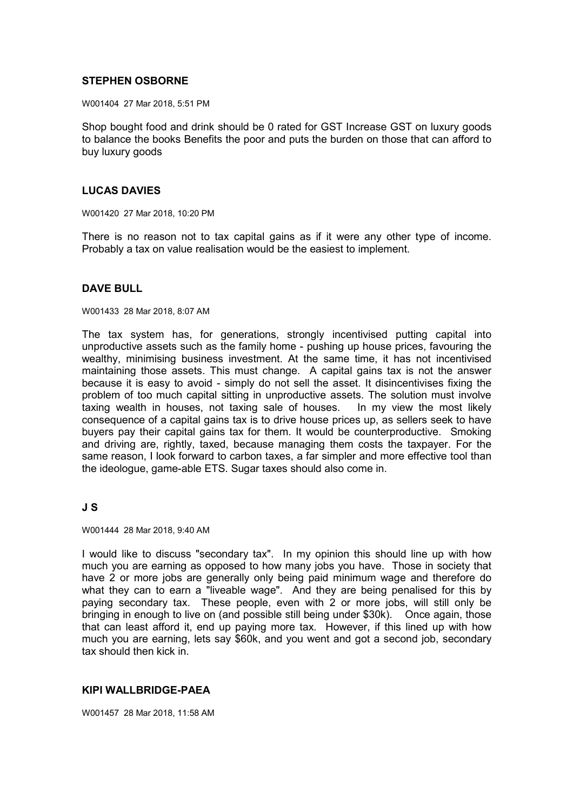## **STEPHEN OSBORNE**

W001404 27 Mar 2018, 5:51 PM

Shop bought food and drink should be 0 rated for GST Increase GST on luxury goods to balance the books Benefits the poor and puts the burden on those that can afford to buy luxury goods

### **LUCAS DAVIES**

W001420 27 Mar 2018, 10:20 PM

There is no reason not to tax capital gains as if it were any other type of income. Probably a tax on value realisation would be the easiest to implement.

### **DAVE BULL**

W001433 28 Mar 2018, 8:07 AM

The tax system has, for generations, strongly incentivised putting capital into unproductive assets such as the family home - pushing up house prices, favouring the wealthy, minimising business investment. At the same time, it has not incentivised maintaining those assets. This must change. A capital gains tax is not the answer because it is easy to avoid - simply do not sell the asset. It disincentivises fixing the problem of too much capital sitting in unproductive assets. The solution must involve taxing wealth in houses, not taxing sale of houses. In my view the most likely consequence of a capital gains tax is to drive house prices up, as sellers seek to have buyers pay their capital gains tax for them. It would be counterproductive. Smoking and driving are, rightly, taxed, because managing them costs the taxpayer. For the same reason, I look forward to carbon taxes, a far simpler and more effective tool than the ideologue, game-able ETS. Sugar taxes should also come in.

### **J S**

W001444 28 Mar 2018, 9:40 AM

I would like to discuss "secondary tax". In my opinion this should line up with how much you are earning as opposed to how many jobs you have. Those in society that have 2 or more jobs are generally only being paid minimum wage and therefore do what they can to earn a "liveable wage". And they are being penalised for this by paying secondary tax. These people, even with 2 or more jobs, will still only be bringing in enough to live on (and possible still being under \$30k). Once again, those that can least afford it, end up paying more tax. However, if this lined up with how much you are earning, lets say \$60k, and you went and got a second job, secondary tax should then kick in.

### **KIPI WALLBRIDGE-PAEA**

W001457 28 Mar 2018, 11:58 AM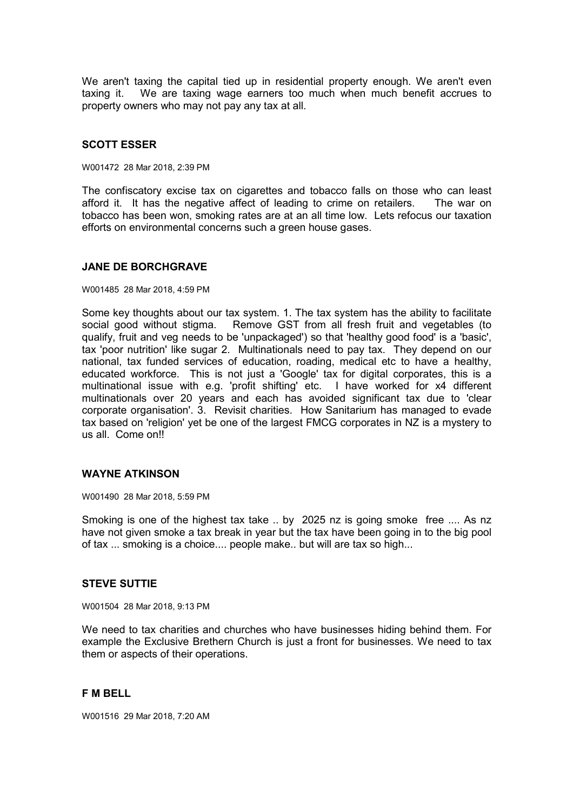We aren't taxing the capital tied up in residential property enough. We aren't even taxing it. We are taxing wage earners too much when much benefit accrues to property owners who may not pay any tax at all.

## **SCOTT ESSER**

W001472 28 Mar 2018, 2:39 PM

The confiscatory excise tax on cigarettes and tobacco falls on those who can least afford it. It has the negative affect of leading to crime on retailers. The war on tobacco has been won, smoking rates are at an all time low. Lets refocus our taxation efforts on environmental concerns such a green house gases.

### **JANE DE BORCHGRAVE**

#### W001485 28 Mar 2018, 4:59 PM

Some key thoughts about our tax system. 1. The tax system has the ability to facilitate social good without stigma. Remove GST from all fresh fruit and vegetables (to qualify, fruit and veg needs to be 'unpackaged') so that 'healthy good food' is a 'basic', tax 'poor nutrition' like sugar 2. Multinationals need to pay tax. They depend on our national, tax funded services of education, roading, medical etc to have a healthy, educated workforce. This is not just a 'Google' tax for digital corporates, this is a multinational issue with e.g. 'profit shifting' etc. I have worked for x4 different multinationals over 20 years and each has avoided significant tax due to 'clear corporate organisation'. 3. Revisit charities. How Sanitarium has managed to evade tax based on 'religion' yet be one of the largest FMCG corporates in NZ is a mystery to us all. Come on!!

### **WAYNE ATKINSON**

W001490 28 Mar 2018, 5:59 PM

Smoking is one of the highest tax take .. by 2025 nz is going smoke free .... As nz have not given smoke a tax break in year but the tax have been going in to the big pool of tax ... smoking is a choice.... people make.. but will are tax so high...

#### **STEVE SUTTIE**

W001504 28 Mar 2018, 9:13 PM

We need to tax charities and churches who have businesses hiding behind them. For example the Exclusive Brethern Church is just a front for businesses. We need to tax them or aspects of their operations.

### **F M BELL**

W001516 29 Mar 2018, 7:20 AM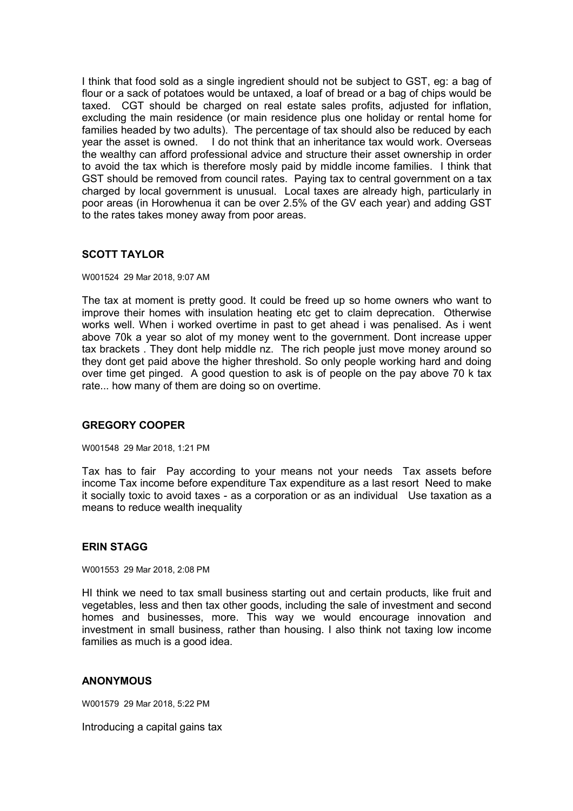I think that food sold as a single ingredient should not be subject to GST, eg: a bag of flour or a sack of potatoes would be untaxed, a loaf of bread or a bag of chips would be taxed. CGT should be charged on real estate sales profits, adjusted for inflation, excluding the main residence (or main residence plus one holiday or rental home for families headed by two adults). The percentage of tax should also be reduced by each year the asset is owned. I do not think that an inheritance tax would work. Overseas the wealthy can afford professional advice and structure their asset ownership in order to avoid the tax which is therefore mosly paid by middle income families. I think that GST should be removed from council rates. Paying tax to central government on a tax charged by local government is unusual. Local taxes are already high, particularly in poor areas (in Horowhenua it can be over 2.5% of the GV each year) and adding GST to the rates takes money away from poor areas.

# **SCOTT TAYLOR**

W001524 29 Mar 2018, 9:07 AM

The tax at moment is pretty good. It could be freed up so home owners who want to improve their homes with insulation heating etc get to claim deprecation. Otherwise works well. When i worked overtime in past to get ahead i was penalised. As i went above 70k a year so alot of my money went to the government. Dont increase upper tax brackets . They dont help middle nz. The rich people just move money around so they dont get paid above the higher threshold. So only people working hard and doing over time get pinged. A good question to ask is of people on the pay above 70 k tax rate... how many of them are doing so on overtime.

### **GREGORY COOPER**

W001548 29 Mar 2018, 1:21 PM

Tax has to fair Pay according to your means not your needs Tax assets before income Tax income before expenditure Tax expenditure as a last resort Need to make it socially toxic to avoid taxes - as a corporation or as an individual Use taxation as a means to reduce wealth inequality

### **ERIN STAGG**

W001553 29 Mar 2018, 2:08 PM

HI think we need to tax small business starting out and certain products, like fruit and vegetables, less and then tax other goods, including the sale of investment and second homes and businesses, more. This way we would encourage innovation and investment in small business, rather than housing. I also think not taxing low income families as much is a good idea.

#### **ANONYMOUS**

W001579 29 Mar 2018, 5:22 PM

Introducing a capital gains tax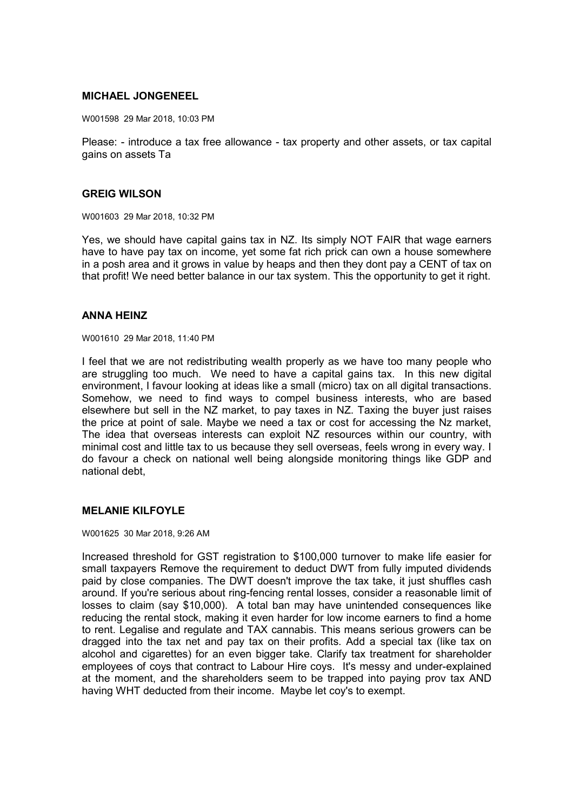### **MICHAEL JONGENEEL**

W001598 29 Mar 2018, 10:03 PM

Please: - introduce a tax free allowance - tax property and other assets, or tax capital gains on assets Ta

#### **GREIG WILSON**

W001603 29 Mar 2018, 10:32 PM

Yes, we should have capital gains tax in NZ. Its simply NOT FAIR that wage earners have to have pay tax on income, yet some fat rich prick can own a house somewhere in a posh area and it grows in value by heaps and then they dont pay a CENT of tax on that profit! We need better balance in our tax system. This the opportunity to get it right.

#### **ANNA HEINZ**

W001610 29 Mar 2018, 11:40 PM

I feel that we are not redistributing wealth properly as we have too many people who are struggling too much. We need to have a capital gains tax. In this new digital environment, I favour looking at ideas like a small (micro) tax on all digital transactions. Somehow, we need to find ways to compel business interests, who are based elsewhere but sell in the NZ market, to pay taxes in NZ. Taxing the buyer just raises the price at point of sale. Maybe we need a tax or cost for accessing the Nz market, The idea that overseas interests can exploit NZ resources within our country, with minimal cost and little tax to us because they sell overseas, feels wrong in every way. I do favour a check on national well being alongside monitoring things like GDP and national debt,

### **MELANIE KILFOYLE**

W001625 30 Mar 2018, 9:26 AM

Increased threshold for GST registration to \$100,000 turnover to make life easier for small taxpayers Remove the requirement to deduct DWT from fully imputed dividends paid by close companies. The DWT doesn't improve the tax take, it just shuffles cash around. If you're serious about ring-fencing rental losses, consider a reasonable limit of losses to claim (say \$10,000). A total ban may have unintended consequences like reducing the rental stock, making it even harder for low income earners to find a home to rent. Legalise and regulate and TAX cannabis. This means serious growers can be dragged into the tax net and pay tax on their profits. Add a special tax (like tax on alcohol and cigarettes) for an even bigger take. Clarify tax treatment for shareholder employees of coys that contract to Labour Hire coys. It's messy and under-explained at the moment, and the shareholders seem to be trapped into paying prov tax AND having WHT deducted from their income. Maybe let coy's to exempt.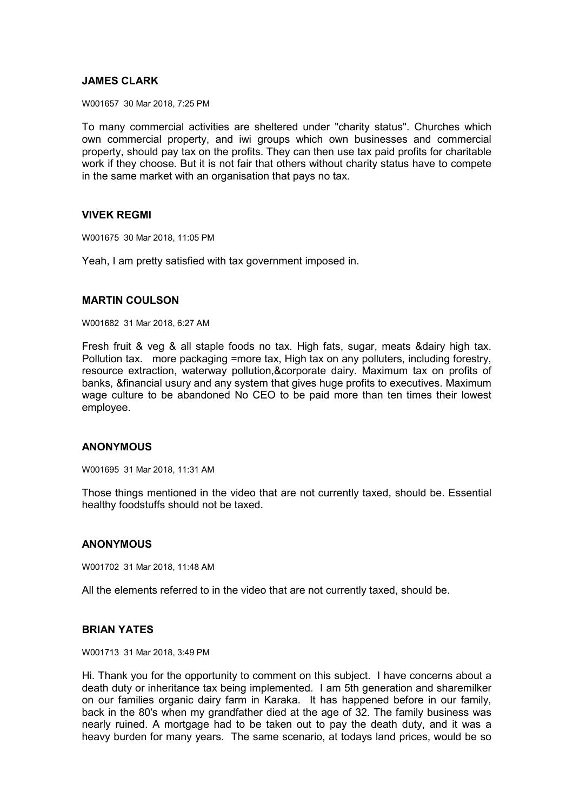## **JAMES CLARK**

W001657 30 Mar 2018, 7:25 PM

To many commercial activities are sheltered under "charity status". Churches which own commercial property, and iwi groups which own businesses and commercial property, should pay tax on the profits. They can then use tax paid profits for charitable work if they choose. But it is not fair that others without charity status have to compete in the same market with an organisation that pays no tax.

### **VIVEK REGMI**

W001675 30 Mar 2018, 11:05 PM

Yeah, I am pretty satisfied with tax government imposed in.

### **MARTIN COULSON**

W001682 31 Mar 2018, 6:27 AM

Fresh fruit & veg & all staple foods no tax. High fats, sugar, meats &dairy high tax. Pollution tax. more packaging =more tax, High tax on any polluters, including forestry, resource extraction, waterway pollution,&corporate dairy. Maximum tax on profits of banks, &financial usury and any system that gives huge profits to executives. Maximum wage culture to be abandoned No CEO to be paid more than ten times their lowest employee.

### **ANONYMOUS**

W001695 31 Mar 2018, 11:31 AM

Those things mentioned in the video that are not currently taxed, should be. Essential healthy foodstuffs should not be taxed.

### **ANONYMOUS**

W001702 31 Mar 2018, 11:48 AM

All the elements referred to in the video that are not currently taxed, should be.

### **BRIAN YATES**

W001713 31 Mar 2018, 3:49 PM

Hi. Thank you for the opportunity to comment on this subject. I have concerns about a death duty or inheritance tax being implemented. I am 5th generation and sharemilker on our families organic dairy farm in Karaka. It has happened before in our family, back in the 80's when my grandfather died at the age of 32. The family business was nearly ruined. A mortgage had to be taken out to pay the death duty, and it was a heavy burden for many years. The same scenario, at todays land prices, would be so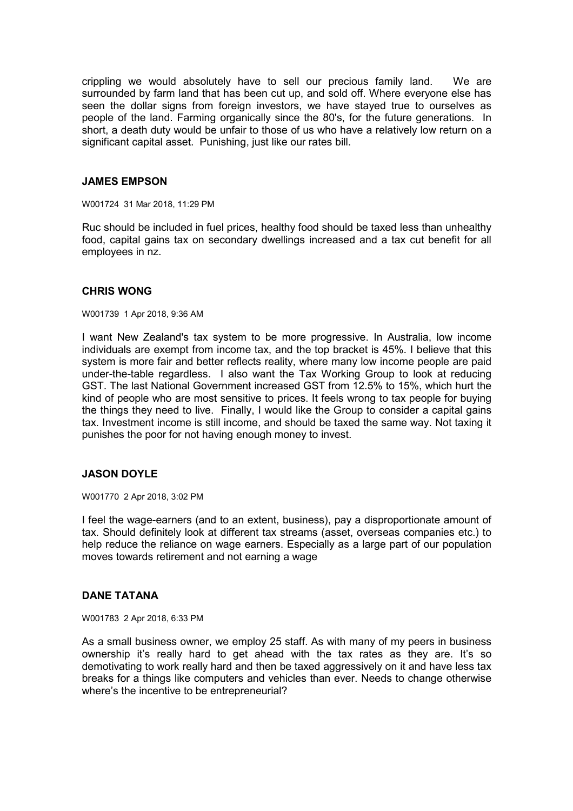crippling we would absolutely have to sell our precious family land. We are surrounded by farm land that has been cut up, and sold off. Where everyone else has seen the dollar signs from foreign investors, we have stayed true to ourselves as people of the land. Farming organically since the 80's, for the future generations. In short, a death duty would be unfair to those of us who have a relatively low return on a significant capital asset. Punishing, just like our rates bill.

#### **JAMES EMPSON**

W001724 31 Mar 2018, 11:29 PM

Ruc should be included in fuel prices, healthy food should be taxed less than unhealthy food, capital gains tax on secondary dwellings increased and a tax cut benefit for all employees in nz.

#### **CHRIS WONG**

W001739 1 Apr 2018, 9:36 AM

I want New Zealand's tax system to be more progressive. In Australia, low income individuals are exempt from income tax, and the top bracket is 45%. I believe that this system is more fair and better reflects reality, where many low income people are paid under-the-table regardless. I also want the Tax Working Group to look at reducing GST. The last National Government increased GST from 12.5% to 15%, which hurt the kind of people who are most sensitive to prices. It feels wrong to tax people for buying the things they need to live. Finally, I would like the Group to consider a capital gains tax. Investment income is still income, and should be taxed the same way. Not taxing it punishes the poor for not having enough money to invest.

### **JASON DOYLE**

W001770 2 Apr 2018, 3:02 PM

I feel the wage-earners (and to an extent, business), pay a disproportionate amount of tax. Should definitely look at different tax streams (asset, overseas companies etc.) to help reduce the reliance on wage earners. Especially as a large part of our population moves towards retirement and not earning a wage

### **DANE TATANA**

W001783 2 Apr 2018, 6:33 PM

As a small business owner, we employ 25 staff. As with many of my peers in business ownership it's really hard to get ahead with the tax rates as they are. It's so demotivating to work really hard and then be taxed aggressively on it and have less tax breaks for a things like computers and vehicles than ever. Needs to change otherwise where's the incentive to be entrepreneurial?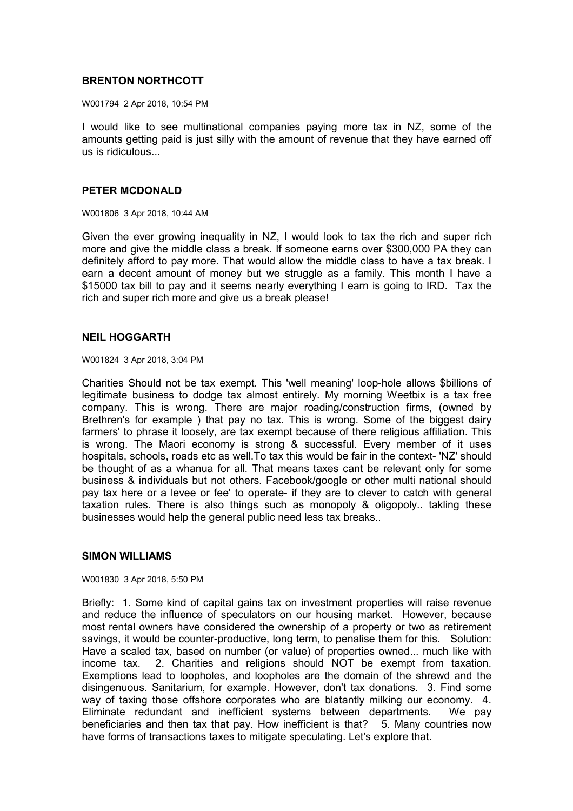## **BRENTON NORTHCOTT**

W001794 2 Apr 2018, 10:54 PM

I would like to see multinational companies paying more tax in NZ, some of the amounts getting paid is just silly with the amount of revenue that they have earned off us is ridiculous...

#### **PETER MCDONALD**

W001806 3 Apr 2018, 10:44 AM

Given the ever growing inequality in NZ, I would look to tax the rich and super rich more and give the middle class a break. If someone earns over \$300,000 PA they can definitely afford to pay more. That would allow the middle class to have a tax break. I earn a decent amount of money but we struggle as a family. This month I have a \$15000 tax bill to pay and it seems nearly everything I earn is going to IRD. Tax the rich and super rich more and give us a break please!

### **NEIL HOGGARTH**

W001824 3 Apr 2018, 3:04 PM

Charities Should not be tax exempt. This 'well meaning' loop-hole allows \$billions of legitimate business to dodge tax almost entirely. My morning Weetbix is a tax free company. This is wrong. There are major roading/construction firms, (owned by Brethren's for example ) that pay no tax. This is wrong. Some of the biggest dairy farmers' to phrase it loosely, are tax exempt because of there religious affiliation. This is wrong. The Maori economy is strong & successful. Every member of it uses hospitals, schools, roads etc as well.To tax this would be fair in the context- 'NZ' should be thought of as a whanua for all. That means taxes cant be relevant only for some business & individuals but not others. Facebook/google or other multi national should pay tax here or a levee or fee' to operate- if they are to clever to catch with general taxation rules. There is also things such as monopoly & oligopoly.. takling these businesses would help the general public need less tax breaks..

### **SIMON WILLIAMS**

W001830 3 Apr 2018, 5:50 PM

Briefly: 1. Some kind of capital gains tax on investment properties will raise revenue and reduce the influence of speculators on our housing market. However, because most rental owners have considered the ownership of a property or two as retirement savings, it would be counter-productive, long term, to penalise them for this. Solution: Have a scaled tax, based on number (or value) of properties owned... much like with income tax. 2. Charities and religions should NOT be exempt from taxation. Exemptions lead to loopholes, and loopholes are the domain of the shrewd and the disingenuous. Sanitarium, for example. However, don't tax donations. 3. Find some way of taxing those offshore corporates who are blatantly milking our economy. 4. Eliminate redundant and inefficient systems between departments. We pay beneficiaries and then tax that pay. How inefficient is that? 5. Many countries now have forms of transactions taxes to mitigate speculating. Let's explore that.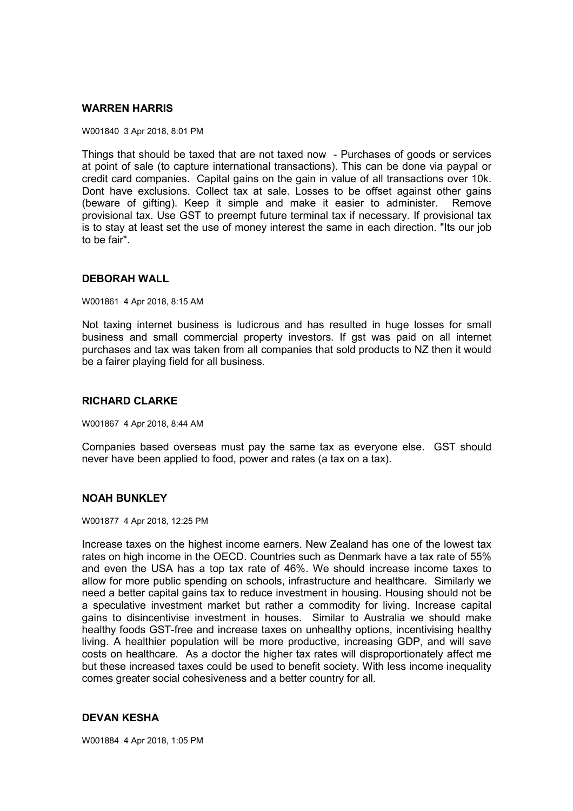#### **WARREN HARRIS**

W001840 3 Apr 2018, 8:01 PM

Things that should be taxed that are not taxed now - Purchases of goods or services at point of sale (to capture international transactions). This can be done via paypal or credit card companies. Capital gains on the gain in value of all transactions over 10k. Dont have exclusions. Collect tax at sale. Losses to be offset against other gains (beware of gifting). Keep it simple and make it easier to administer. Remove provisional tax. Use GST to preempt future terminal tax if necessary. If provisional tax is to stay at least set the use of money interest the same in each direction. "Its our job to be fair".

#### **DEBORAH WALL**

W001861 4 Apr 2018, 8:15 AM

Not taxing internet business is ludicrous and has resulted in huge losses for small business and small commercial property investors. If gst was paid on all internet purchases and tax was taken from all companies that sold products to NZ then it would be a fairer playing field for all business.

#### **RICHARD CLARKE**

W001867 4 Apr 2018, 8:44 AM

Companies based overseas must pay the same tax as everyone else. GST should never have been applied to food, power and rates (a tax on a tax).

#### **NOAH BUNKLEY**

W001877 4 Apr 2018, 12:25 PM

Increase taxes on the highest income earners. New Zealand has one of the lowest tax rates on high income in the OECD. Countries such as Denmark have a tax rate of 55% and even the USA has a top tax rate of 46%. We should increase income taxes to allow for more public spending on schools, infrastructure and healthcare. Similarly we need a better capital gains tax to reduce investment in housing. Housing should not be a speculative investment market but rather a commodity for living. Increase capital gains to disincentivise investment in houses. Similar to Australia we should make healthy foods GST-free and increase taxes on unhealthy options, incentivising healthy living. A healthier population will be more productive, increasing GDP, and will save costs on healthcare. As a doctor the higher tax rates will disproportionately affect me but these increased taxes could be used to benefit society. With less income inequality comes greater social cohesiveness and a better country for all.

### **DEVAN KESHA**

W001884 4 Apr 2018, 1:05 PM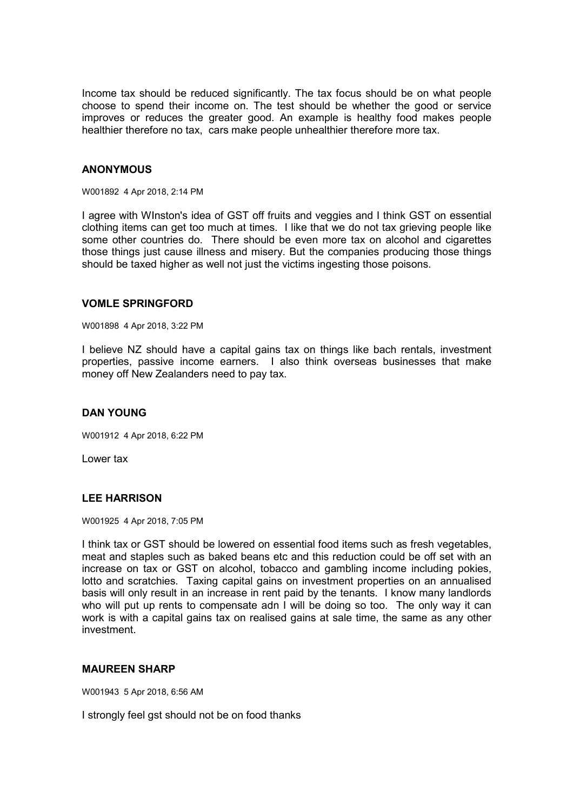Income tax should be reduced significantly. The tax focus should be on what people choose to spend their income on. The test should be whether the good or service improves or reduces the greater good. An example is healthy food makes people healthier therefore no tax, cars make people unhealthier therefore more tax.

## **ANONYMOUS**

W001892 4 Apr 2018, 2:14 PM

I agree with WInston's idea of GST off fruits and veggies and I think GST on essential clothing items can get too much at times. I like that we do not tax grieving people like some other countries do. There should be even more tax on alcohol and cigarettes those things just cause illness and misery. But the companies producing those things should be taxed higher as well not just the victims ingesting those poisons.

### **VOMLE SPRINGFORD**

W001898 4 Apr 2018, 3:22 PM

I believe NZ should have a capital gains tax on things like bach rentals, investment properties, passive income earners. I also think overseas businesses that make money off New Zealanders need to pay tax.

### **DAN YOUNG**

W001912 4 Apr 2018, 6:22 PM

Lower tax

#### **LEE HARRISON**

W001925 4 Apr 2018, 7:05 PM

I think tax or GST should be lowered on essential food items such as fresh vegetables, meat and staples such as baked beans etc and this reduction could be off set with an increase on tax or GST on alcohol, tobacco and gambling income including pokies, lotto and scratchies. Taxing capital gains on investment properties on an annualised basis will only result in an increase in rent paid by the tenants. I know many landlords who will put up rents to compensate adn I will be doing so too. The only way it can work is with a capital gains tax on realised gains at sale time, the same as any other investment.

#### **MAUREEN SHARP**

W001943 5 Apr 2018, 6:56 AM

I strongly feel gst should not be on food thanks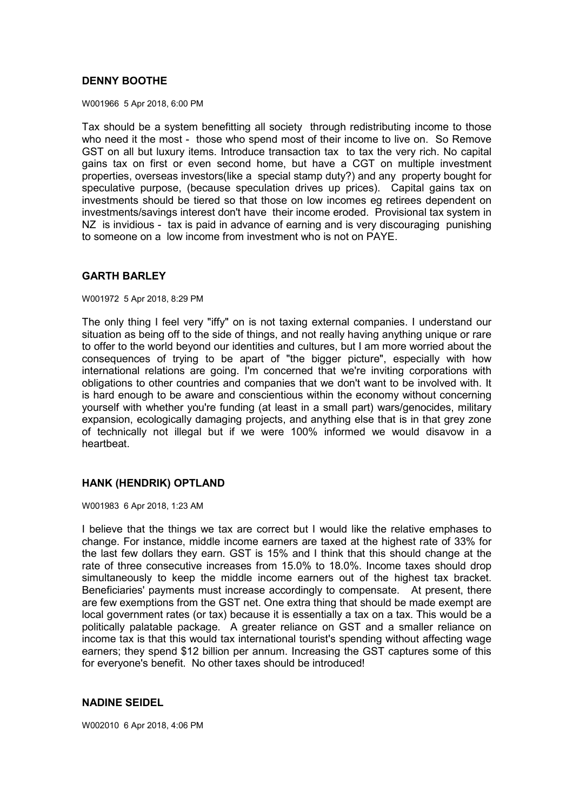## **DENNY BOOTHE**

W001966 5 Apr 2018, 6:00 PM

Tax should be a system benefitting all society through redistributing income to those who need it the most - those who spend most of their income to live on. So Remove GST on all but luxury items. Introduce transaction tax to tax the very rich. No capital gains tax on first or even second home, but have a CGT on multiple investment properties, overseas investors(like a special stamp duty?) and any property bought for speculative purpose, (because speculation drives up prices). Capital gains tax on investments should be tiered so that those on low incomes eg retirees dependent on investments/savings interest don't have their income eroded. Provisional tax system in NZ is invidious - tax is paid in advance of earning and is very discouraging punishing to someone on a low income from investment who is not on PAYE.

# **GARTH BARLEY**

W001972 5 Apr 2018, 8:29 PM

The only thing I feel very "iffy" on is not taxing external companies. I understand our situation as being off to the side of things, and not really having anything unique or rare to offer to the world beyond our identities and cultures, but I am more worried about the consequences of trying to be apart of "the bigger picture", especially with how international relations are going. I'm concerned that we're inviting corporations with obligations to other countries and companies that we don't want to be involved with. It is hard enough to be aware and conscientious within the economy without concerning yourself with whether you're funding (at least in a small part) wars/genocides, military expansion, ecologically damaging projects, and anything else that is in that grey zone of technically not illegal but if we were 100% informed we would disavow in a heartbeat.

# **HANK (HENDRIK) OPTLAND**

W001983 6 Apr 2018, 1:23 AM

I believe that the things we tax are correct but I would like the relative emphases to change. For instance, middle income earners are taxed at the highest rate of 33% for the last few dollars they earn. GST is 15% and I think that this should change at the rate of three consecutive increases from 15.0% to 18.0%. Income taxes should drop simultaneously to keep the middle income earners out of the highest tax bracket. Beneficiaries' payments must increase accordingly to compensate. At present, there are few exemptions from the GST net. One extra thing that should be made exempt are local government rates (or tax) because it is essentially a tax on a tax. This would be a politically palatable package. A greater reliance on GST and a smaller reliance on income tax is that this would tax international tourist's spending without affecting wage earners; they spend \$12 billion per annum. Increasing the GST captures some of this for everyone's benefit. No other taxes should be introduced!

# **NADINE SEIDEL**

W002010 6 Apr 2018, 4:06 PM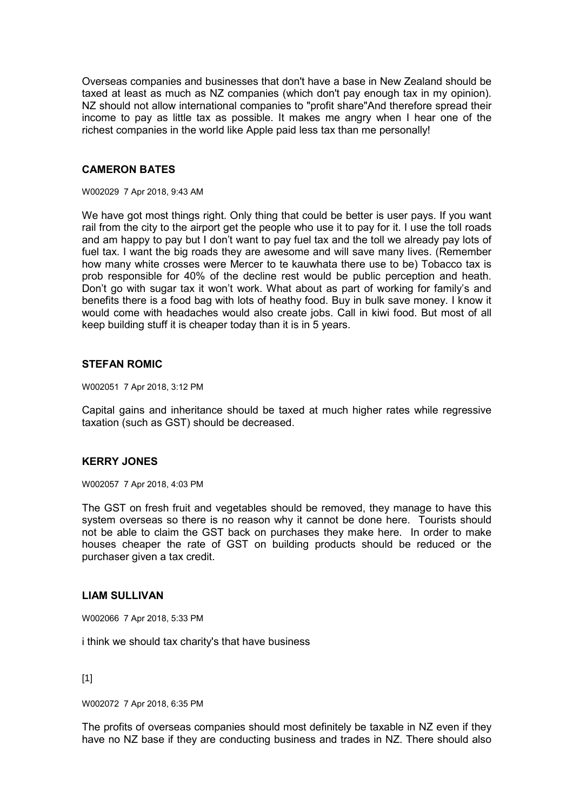Overseas companies and businesses that don't have a base in New Zealand should be taxed at least as much as NZ companies (which don't pay enough tax in my opinion). NZ should not allow international companies to "profit share"And therefore spread their income to pay as little tax as possible. It makes me angry when I hear one of the richest companies in the world like Apple paid less tax than me personally!

### **CAMERON BATES**

W002029 7 Apr 2018, 9:43 AM

We have got most things right. Only thing that could be better is user pays. If you want rail from the city to the airport get the people who use it to pay for it. I use the toll roads and am happy to pay but I don't want to pay fuel tax and the toll we already pay lots of fuel tax. I want the big roads they are awesome and will save many lives. (Remember how many white crosses were Mercer to te kauwhata there use to be) Tobacco tax is prob responsible for 40% of the decline rest would be public perception and heath. Don't go with sugar tax it won't work. What about as part of working for family's and benefits there is a food bag with lots of heathy food. Buy in bulk save money. I know it would come with headaches would also create jobs. Call in kiwi food. But most of all keep building stuff it is cheaper today than it is in 5 years.

## **STEFAN ROMIC**

W002051 7 Apr 2018, 3:12 PM

Capital gains and inheritance should be taxed at much higher rates while regressive taxation (such as GST) should be decreased.

### **KERRY JONES**

W002057 7 Apr 2018, 4:03 PM

The GST on fresh fruit and vegetables should be removed, they manage to have this system overseas so there is no reason why it cannot be done here. Tourists should not be able to claim the GST back on purchases they make here. In order to make houses cheaper the rate of GST on building products should be reduced or the purchaser given a tax credit.

#### **LIAM SULLIVAN**

W002066 7 Apr 2018, 5:33 PM

i think we should tax charity's that have business

[1]

W002072 7 Apr 2018, 6:35 PM

The profits of overseas companies should most definitely be taxable in NZ even if they have no NZ base if they are conducting business and trades in NZ. There should also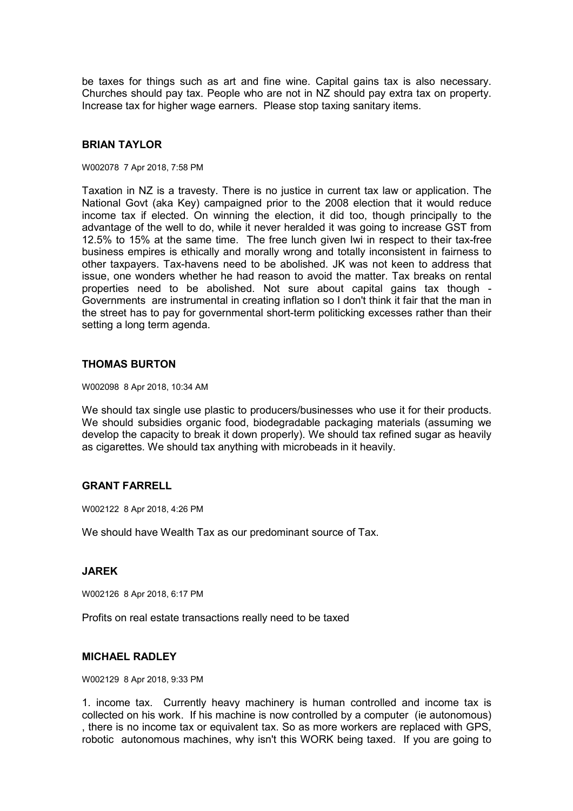be taxes for things such as art and fine wine. Capital gains tax is also necessary. Churches should pay tax. People who are not in NZ should pay extra tax on property. Increase tax for higher wage earners. Please stop taxing sanitary items.

## **BRIAN TAYLOR**

#### W002078 7 Apr 2018, 7:58 PM

Taxation in NZ is a travesty. There is no justice in current tax law or application. The National Govt (aka Key) campaigned prior to the 2008 election that it would reduce income tax if elected. On winning the election, it did too, though principally to the advantage of the well to do, while it never heralded it was going to increase GST from 12.5% to 15% at the same time. The free lunch given Iwi in respect to their tax-free business empires is ethically and morally wrong and totally inconsistent in fairness to other taxpayers. Tax-havens need to be abolished. JK was not keen to address that issue, one wonders whether he had reason to avoid the matter. Tax breaks on rental properties need to be abolished. Not sure about capital gains tax though - Governments are instrumental in creating inflation so I don't think it fair that the man in the street has to pay for governmental short-term politicking excesses rather than their setting a long term agenda.

### **THOMAS BURTON**

W002098 8 Apr 2018, 10:34 AM

We should tax single use plastic to producers/businesses who use it for their products. We should subsidies organic food, biodegradable packaging materials (assuming we develop the capacity to break it down properly). We should tax refined sugar as heavily as cigarettes. We should tax anything with microbeads in it heavily.

### **GRANT FARRELL**

W002122 8 Apr 2018, 4:26 PM

We should have Wealth Tax as our predominant source of Tax.

### **JAREK**

W002126 8 Apr 2018, 6:17 PM

Profits on real estate transactions really need to be taxed

### **MICHAEL RADLEY**

W002129 8 Apr 2018, 9:33 PM

1. income tax. Currently heavy machinery is human controlled and income tax is collected on his work. If his machine is now controlled by a computer (ie autonomous) , there is no income tax or equivalent tax. So as more workers are replaced with GPS, robotic autonomous machines, why isn't this WORK being taxed. If you are going to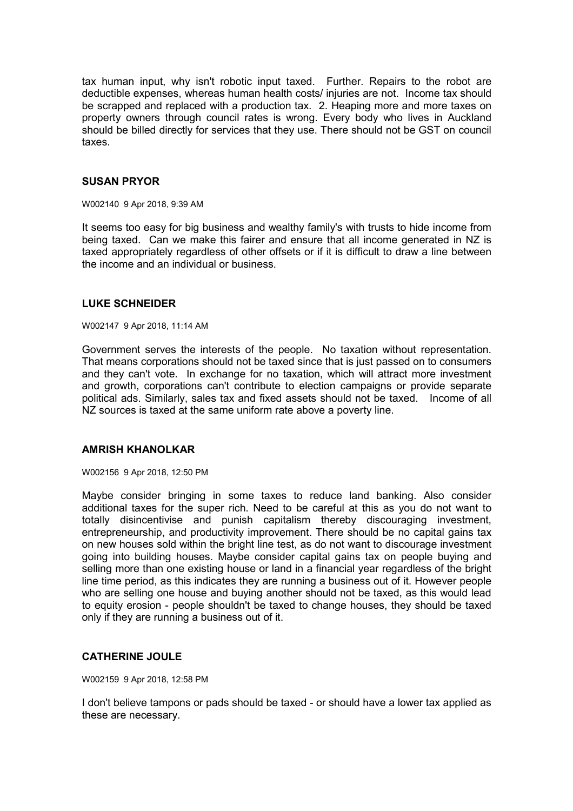tax human input, why isn't robotic input taxed. Further. Repairs to the robot are deductible expenses, whereas human health costs/ injuries are not. Income tax should be scrapped and replaced with a production tax. 2. Heaping more and more taxes on property owners through council rates is wrong. Every body who lives in Auckland should be billed directly for services that they use. There should not be GST on council taxes.

### **SUSAN PRYOR**

#### W002140 9 Apr 2018, 9:39 AM

It seems too easy for big business and wealthy family's with trusts to hide income from being taxed. Can we make this fairer and ensure that all income generated in NZ is taxed appropriately regardless of other offsets or if it is difficult to draw a line between the income and an individual or business.

### **LUKE SCHNEIDER**

#### W002147 9 Apr 2018, 11:14 AM

Government serves the interests of the people. No taxation without representation. That means corporations should not be taxed since that is just passed on to consumers and they can't vote. In exchange for no taxation, which will attract more investment and growth, corporations can't contribute to election campaigns or provide separate political ads. Similarly, sales tax and fixed assets should not be taxed. Income of all NZ sources is taxed at the same uniform rate above a poverty line.

## **AMRISH KHANOLKAR**

W002156 9 Apr 2018, 12:50 PM

Maybe consider bringing in some taxes to reduce land banking. Also consider additional taxes for the super rich. Need to be careful at this as you do not want to totally disincentivise and punish capitalism thereby discouraging investment, entrepreneurship, and productivity improvement. There should be no capital gains tax on new houses sold within the bright line test, as do not want to discourage investment going into building houses. Maybe consider capital gains tax on people buying and selling more than one existing house or land in a financial year regardless of the bright line time period, as this indicates they are running a business out of it. However people who are selling one house and buying another should not be taxed, as this would lead to equity erosion - people shouldn't be taxed to change houses, they should be taxed only if they are running a business out of it.

### **CATHERINE JOULE**

W002159 9 Apr 2018, 12:58 PM

I don't believe tampons or pads should be taxed - or should have a lower tax applied as these are necessary.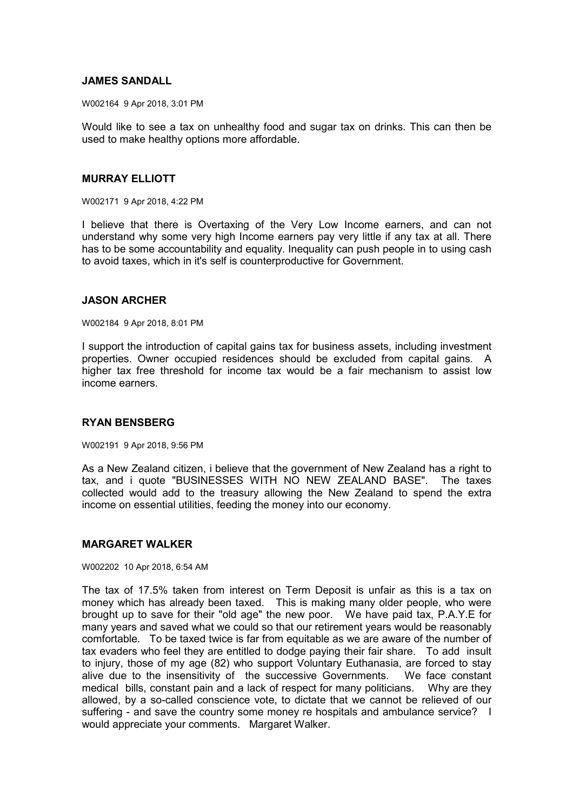## **JAMES SANDALL**

W002164 9 Apr 2018, 3:01 PM

Would like to see a tax on unhealthy food and sugar tax on drinks. This can then be used to make healthy options more affordable.

### **MURRAY ELLIOTT**

W002171 9 Apr 2018, 4:22 PM

I believe that there is Overtaxing of the Very Low Income earners, and can not understand why some very high Income earners pay very little if any tax at all. There has to be some accountability and equality. Inequality can push people in to using cash to avoid taxes, which in it's self is counterproductive for Government.

### **JASON ARCHER**

W002184 9 Apr 2018, 8:01 PM

I support the introduction of capital gains tax for business assets, including investment properties. Owner occupied residences should be excluded from capital gains. A higher tax free threshold for income tax would be a fair mechanism to assist low income earners.

### **RYAN BENSBERG**

W002191 9 Apr 2018, 9:56 PM

As a New Zealand citizen, i believe that the government of New Zealand has a right to tax, and i quote "BUSINESSES WITH NO NEW ZEALAND BASE". The taxes collected would add to the treasury allowing the New Zealand to spend the extra income on essential utilities, feeding the money into our economy.

# **MARGARET WALKER**

#### W002202 10 Apr 2018, 6:54 AM

The tax of 17.5% taken from interest on Term Deposit is unfair as this is a tax on money which has already been taxed. This is making many older people, who were brought up to save for their "old age" the new poor. We have paid tax, P.A.Y.E for many years and saved what we could so that our retirement years would be reasonably comfortable. To be taxed twice is far from equitable as we are aware of the number of tax evaders who feel they are entitled to dodge paying their fair share. To add insult to injury, those of my age (82) who support Voluntary Euthanasia, are forced to stay alive due to the insensitivity of the successive Governments. We face constant medical bills, constant pain and a lack of respect for many politicians. Why are they allowed, by a so-called conscience vote, to dictate that we cannot be relieved of our suffering - and save the country some money re hospitals and ambulance service? I would appreciate your comments. Margaret Walker.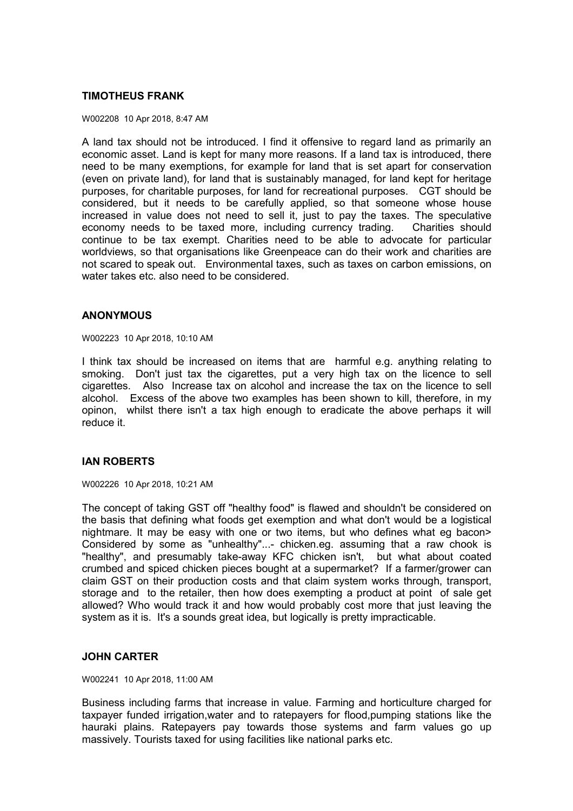## **TIMOTHEUS FRANK**

#### W002208 10 Apr 2018, 8:47 AM

A land tax should not be introduced. I find it offensive to regard land as primarily an economic asset. Land is kept for many more reasons. If a land tax is introduced, there need to be many exemptions, for example for land that is set apart for conservation (even on private land), for land that is sustainably managed, for land kept for heritage purposes, for charitable purposes, for land for recreational purposes. CGT should be considered, but it needs to be carefully applied, so that someone whose house increased in value does not need to sell it, just to pay the taxes. The speculative economy needs to be taxed more, including currency trading. Charities should continue to be tax exempt. Charities need to be able to advocate for particular worldviews, so that organisations like Greenpeace can do their work and charities are not scared to speak out. Environmental taxes, such as taxes on carbon emissions, on water takes etc. also need to be considered.

#### **ANONYMOUS**

W002223 10 Apr 2018, 10:10 AM

I think tax should be increased on items that are harmful e.g. anything relating to smoking. Don't just tax the cigarettes, put a very high tax on the licence to sell cigarettes. Also Increase tax on alcohol and increase the tax on the licence to sell alcohol. Excess of the above two examples has been shown to kill, therefore, in my opinon, whilst there isn't a tax high enough to eradicate the above perhaps it will reduce it.

### **IAN ROBERTS**

W002226 10 Apr 2018, 10:21 AM

The concept of taking GST off "healthy food" is flawed and shouldn't be considered on the basis that defining what foods get exemption and what don't would be a logistical nightmare. It may be easy with one or two items, but who defines what eg bacon> Considered by some as "unhealthy"...- chicken.eg. assuming that a raw chook is "healthy", and presumably take-away KFC chicken isn't, but what about coated crumbed and spiced chicken pieces bought at a supermarket? If a farmer/grower can claim GST on their production costs and that claim system works through, transport, storage and to the retailer, then how does exempting a product at point of sale get allowed? Who would track it and how would probably cost more that just leaving the system as it is. It's a sounds great idea, but logically is pretty impracticable.

### **JOHN CARTER**

W002241 10 Apr 2018, 11:00 AM

Business including farms that increase in value. Farming and horticulture charged for taxpayer funded irrigation,water and to ratepayers for flood,pumping stations like the hauraki plains. Ratepayers pay towards those systems and farm values go up massively. Tourists taxed for using facilities like national parks etc.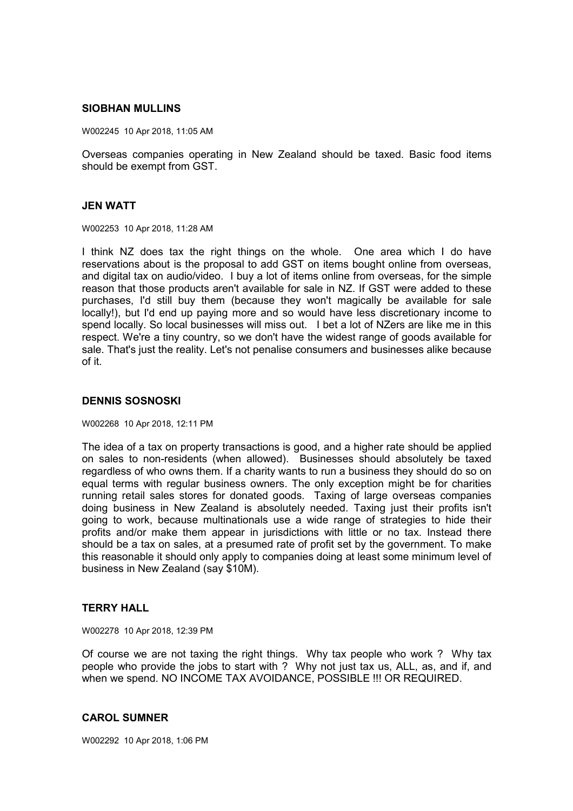#### **SIOBHAN MULLINS**

W002245 10 Apr 2018, 11:05 AM

Overseas companies operating in New Zealand should be taxed. Basic food items should be exempt from GST.

#### **JEN WATT**

W002253 10 Apr 2018, 11:28 AM

I think NZ does tax the right things on the whole. One area which I do have reservations about is the proposal to add GST on items bought online from overseas, and digital tax on audio/video. I buy a lot of items online from overseas, for the simple reason that those products aren't available for sale in NZ. If GST were added to these purchases, I'd still buy them (because they won't magically be available for sale locally!), but I'd end up paying more and so would have less discretionary income to spend locally. So local businesses will miss out. I bet a lot of NZers are like me in this respect. We're a tiny country, so we don't have the widest range of goods available for sale. That's just the reality. Let's not penalise consumers and businesses alike because of it.

### **DENNIS SOSNOSKI**

W002268 10 Apr 2018, 12:11 PM

The idea of a tax on property transactions is good, and a higher rate should be applied on sales to non-residents (when allowed). Businesses should absolutely be taxed regardless of who owns them. If a charity wants to run a business they should do so on equal terms with regular business owners. The only exception might be for charities running retail sales stores for donated goods. Taxing of large overseas companies doing business in New Zealand is absolutely needed. Taxing just their profits isn't going to work, because multinationals use a wide range of strategies to hide their profits and/or make them appear in jurisdictions with little or no tax. Instead there should be a tax on sales, at a presumed rate of profit set by the government. To make this reasonable it should only apply to companies doing at least some minimum level of business in New Zealand (say \$10M).

#### **TERRY HALL**

W002278 10 Apr 2018, 12:39 PM

Of course we are not taxing the right things. Why tax people who work ? Why tax people who provide the jobs to start with ? Why not just tax us, ALL, as, and if, and when we spend. NO INCOME TAX AVOIDANCE, POSSIBLE !!! OR REQUIRED.

#### **CAROL SUMNER**

W002292 10 Apr 2018, 1:06 PM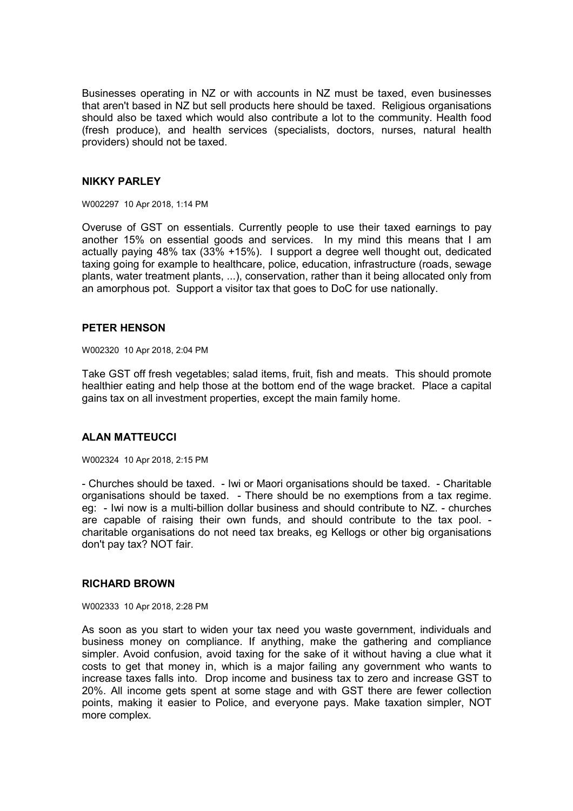Businesses operating in NZ or with accounts in NZ must be taxed, even businesses that aren't based in NZ but sell products here should be taxed. Religious organisations should also be taxed which would also contribute a lot to the community. Health food (fresh produce), and health services (specialists, doctors, nurses, natural health providers) should not be taxed.

### **NIKKY PARLEY**

W002297 10 Apr 2018, 1:14 PM

Overuse of GST on essentials. Currently people to use their taxed earnings to pay another 15% on essential goods and services. In my mind this means that I am actually paying 48% tax (33% +15%). I support a degree well thought out, dedicated taxing going for example to healthcare, police, education, infrastructure (roads, sewage plants, water treatment plants, ...), conservation, rather than it being allocated only from an amorphous pot. Support a visitor tax that goes to DoC for use nationally.

### **PETER HENSON**

W002320 10 Apr 2018, 2:04 PM

Take GST off fresh vegetables; salad items, fruit, fish and meats. This should promote healthier eating and help those at the bottom end of the wage bracket. Place a capital gains tax on all investment properties, except the main family home.

## **ALAN MATTEUCCI**

W002324 10 Apr 2018, 2:15 PM

- Churches should be taxed. - Iwi or Maori organisations should be taxed. - Charitable organisations should be taxed. - There should be no exemptions from a tax regime. eg: - Iwi now is a multi-billion dollar business and should contribute to NZ. - churches are capable of raising their own funds, and should contribute to the tax pool. charitable organisations do not need tax breaks, eg Kellogs or other big organisations don't pay tax? NOT fair.

#### **RICHARD BROWN**

W002333 10 Apr 2018, 2:28 PM

As soon as you start to widen your tax need you waste government, individuals and business money on compliance. If anything, make the gathering and compliance simpler. Avoid confusion, avoid taxing for the sake of it without having a clue what it costs to get that money in, which is a major failing any government who wants to increase taxes falls into. Drop income and business tax to zero and increase GST to 20%. All income gets spent at some stage and with GST there are fewer collection points, making it easier to Police, and everyone pays. Make taxation simpler, NOT more complex.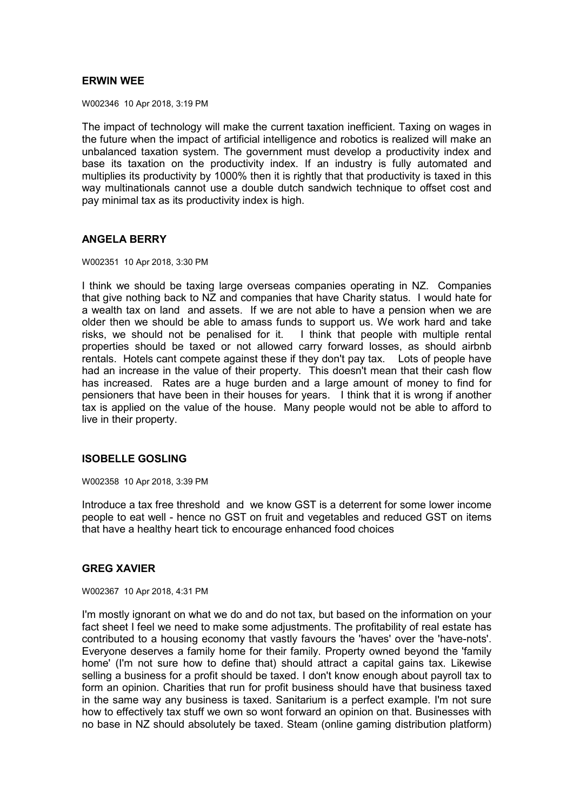## **ERWIN WEE**

W002346 10 Apr 2018, 3:19 PM

The impact of technology will make the current taxation inefficient. Taxing on wages in the future when the impact of artificial intelligence and robotics is realized will make an unbalanced taxation system. The government must develop a productivity index and base its taxation on the productivity index. If an industry is fully automated and multiplies its productivity by 1000% then it is rightly that that productivity is taxed in this way multinationals cannot use a double dutch sandwich technique to offset cost and pay minimal tax as its productivity index is high.

### **ANGELA BERRY**

W002351 10 Apr 2018, 3:30 PM

I think we should be taxing large overseas companies operating in NZ. Companies that give nothing back to NZ and companies that have Charity status. I would hate for a wealth tax on land and assets. If we are not able to have a pension when we are older then we should be able to amass funds to support us. We work hard and take risks, we should not be penalised for it. I think that people with multiple rental properties should be taxed or not allowed carry forward losses, as should airbnb rentals. Hotels cant compete against these if they don't pay tax. Lots of people have had an increase in the value of their property. This doesn't mean that their cash flow has increased. Rates are a huge burden and a large amount of money to find for pensioners that have been in their houses for years. I think that it is wrong if another tax is applied on the value of the house. Many people would not be able to afford to live in their property.

### **ISOBELLE GOSLING**

W002358 10 Apr 2018, 3:39 PM

Introduce a tax free threshold and we know GST is a deterrent for some lower income people to eat well - hence no GST on fruit and vegetables and reduced GST on items that have a healthy heart tick to encourage enhanced food choices

### **GREG XAVIER**

W002367 10 Apr 2018, 4:31 PM

I'm mostly ignorant on what we do and do not tax, but based on the information on your fact sheet I feel we need to make some adjustments. The profitability of real estate has contributed to a housing economy that vastly favours the 'haves' over the 'have-nots'. Everyone deserves a family home for their family. Property owned beyond the 'family home' (I'm not sure how to define that) should attract a capital gains tax. Likewise selling a business for a profit should be taxed. I don't know enough about payroll tax to form an opinion. Charities that run for profit business should have that business taxed in the same way any business is taxed. Sanitarium is a perfect example. I'm not sure how to effectively tax stuff we own so wont forward an opinion on that. Businesses with no base in NZ should absolutely be taxed. Steam (online gaming distribution platform)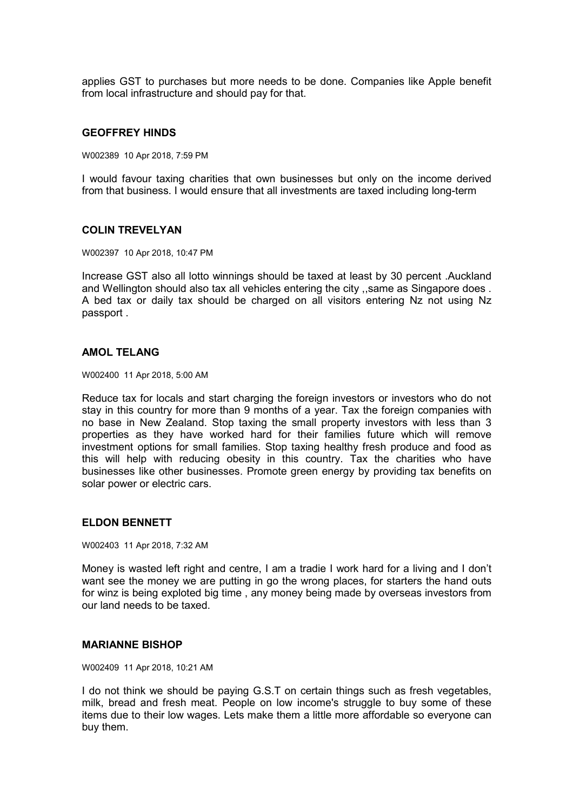applies GST to purchases but more needs to be done. Companies like Apple benefit from local infrastructure and should pay for that.

#### **GEOFFREY HINDS**

W002389 10 Apr 2018, 7:59 PM

I would favour taxing charities that own businesses but only on the income derived from that business. I would ensure that all investments are taxed including long-term

### **COLIN TREVELYAN**

W002397 10 Apr 2018, 10:47 PM

Increase GST also all lotto winnings should be taxed at least by 30 percent .Auckland and Wellington should also tax all vehicles entering the city ,,same as Singapore does . A bed tax or daily tax should be charged on all visitors entering Nz not using Nz passport .

#### **AMOL TELANG**

W002400 11 Apr 2018, 5:00 AM

Reduce tax for locals and start charging the foreign investors or investors who do not stay in this country for more than 9 months of a year. Tax the foreign companies with no base in New Zealand. Stop taxing the small property investors with less than 3 properties as they have worked hard for their families future which will remove investment options for small families. Stop taxing healthy fresh produce and food as this will help with reducing obesity in this country. Tax the charities who have businesses like other businesses. Promote green energy by providing tax benefits on solar power or electric cars.

## **ELDON BENNETT**

W002403 11 Apr 2018, 7:32 AM

Money is wasted left right and centre, I am a tradie I work hard for a living and I don't want see the money we are putting in go the wrong places, for starters the hand outs for winz is being exploted big time , any money being made by overseas investors from our land needs to be taxed.

#### **MARIANNE BISHOP**

W002409 11 Apr 2018, 10:21 AM

I do not think we should be paying G.S.T on certain things such as fresh vegetables, milk, bread and fresh meat. People on low income's struggle to buy some of these items due to their low wages. Lets make them a little more affordable so everyone can buy them.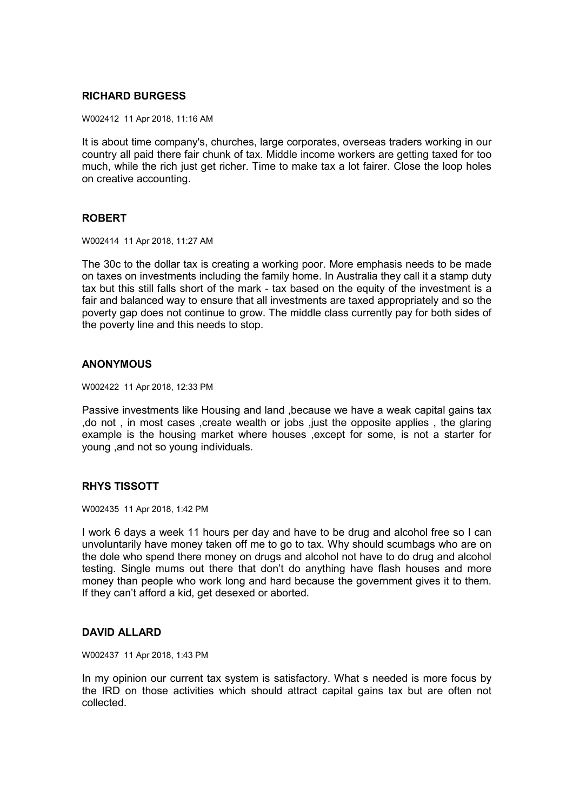## **RICHARD BURGESS**

W002412 11 Apr 2018, 11:16 AM

It is about time company's, churches, large corporates, overseas traders working in our country all paid there fair chunk of tax. Middle income workers are getting taxed for too much, while the rich just get richer. Time to make tax a lot fairer. Close the loop holes on creative accounting.

## **ROBERT**

W002414 11 Apr 2018, 11:27 AM

The 30c to the dollar tax is creating a working poor. More emphasis needs to be made on taxes on investments including the family home. In Australia they call it a stamp duty tax but this still falls short of the mark - tax based on the equity of the investment is a fair and balanced way to ensure that all investments are taxed appropriately and so the poverty gap does not continue to grow. The middle class currently pay for both sides of the poverty line and this needs to stop.

## **ANONYMOUS**

W002422 11 Apr 2018, 12:33 PM

Passive investments like Housing and land ,because we have a weak capital gains tax ,do not , in most cases ,create wealth or jobs ,just the opposite applies , the glaring example is the housing market where houses ,except for some, is not a starter for young ,and not so young individuals.

### **RHYS TISSOTT**

W002435 11 Apr 2018, 1:42 PM

I work 6 days a week 11 hours per day and have to be drug and alcohol free so I can unvoluntarily have money taken off me to go to tax. Why should scumbags who are on the dole who spend there money on drugs and alcohol not have to do drug and alcohol testing. Single mums out there that don't do anything have flash houses and more money than people who work long and hard because the government gives it to them. If they can't afford a kid, get desexed or aborted.

### **DAVID ALLARD**

W002437 11 Apr 2018, 1:43 PM

In my opinion our current tax system is satisfactory. What s needed is more focus by the IRD on those activities which should attract capital gains tax but are often not collected.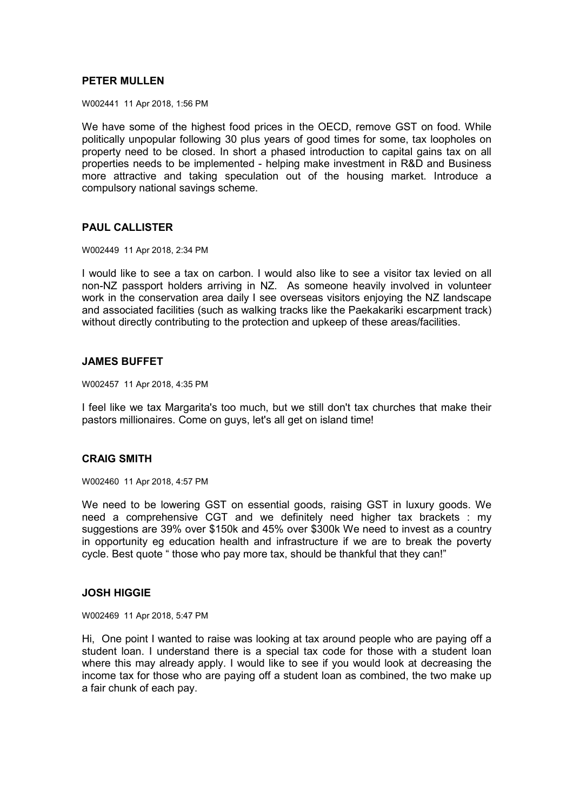## **PETER MULLEN**

W002441 11 Apr 2018, 1:56 PM

We have some of the highest food prices in the OECD, remove GST on food. While politically unpopular following 30 plus years of good times for some, tax loopholes on property need to be closed. In short a phased introduction to capital gains tax on all properties needs to be implemented - helping make investment in R&D and Business more attractive and taking speculation out of the housing market. Introduce a compulsory national savings scheme.

## **PAUL CALLISTER**

W002449 11 Apr 2018, 2:34 PM

I would like to see a tax on carbon. I would also like to see a visitor tax levied on all non-NZ passport holders arriving in NZ. As someone heavily involved in volunteer work in the conservation area daily I see overseas visitors enjoying the NZ landscape and associated facilities (such as walking tracks like the Paekakariki escarpment track) without directly contributing to the protection and upkeep of these areas/facilities.

### **JAMES BUFFET**

W002457 11 Apr 2018, 4:35 PM

I feel like we tax Margarita's too much, but we still don't tax churches that make their pastors millionaires. Come on guys, let's all get on island time!

## **CRAIG SMITH**

W002460 11 Apr 2018, 4:57 PM

We need to be lowering GST on essential goods, raising GST in luxury goods. We need a comprehensive CGT and we definitely need higher tax brackets : my suggestions are 39% over \$150k and 45% over \$300k We need to invest as a country in opportunity eg education health and infrastructure if we are to break the poverty cycle. Best quote " those who pay more tax, should be thankful that they can!"

### **JOSH HIGGIE**

W002469 11 Apr 2018, 5:47 PM

Hi, One point I wanted to raise was looking at tax around people who are paying off a student loan. I understand there is a special tax code for those with a student loan where this may already apply. I would like to see if you would look at decreasing the income tax for those who are paying off a student loan as combined, the two make up a fair chunk of each pay.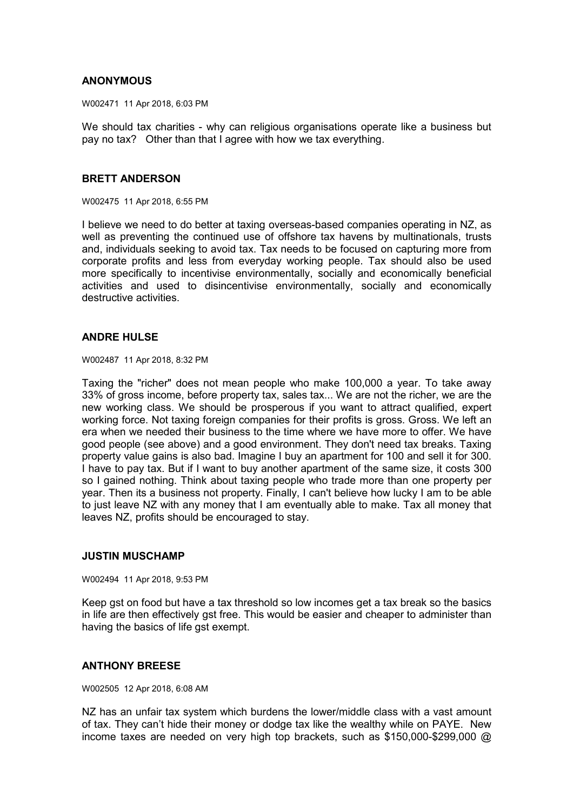## **ANONYMOUS**

W002471 11 Apr 2018, 6:03 PM

We should tax charities - why can religious organisations operate like a business but pay no tax? Other than that I agree with how we tax everything.

#### **BRETT ANDERSON**

W002475 11 Apr 2018, 6:55 PM

I believe we need to do better at taxing overseas-based companies operating in NZ, as well as preventing the continued use of offshore tax havens by multinationals, trusts and, individuals seeking to avoid tax. Tax needs to be focused on capturing more from corporate profits and less from everyday working people. Tax should also be used more specifically to incentivise environmentally, socially and economically beneficial activities and used to disincentivise environmentally, socially and economically destructive activities.

### **ANDRE HULSE**

W002487 11 Apr 2018, 8:32 PM

Taxing the "richer" does not mean people who make 100,000 a year. To take away 33% of gross income, before property tax, sales tax... We are not the richer, we are the new working class. We should be prosperous if you want to attract qualified, expert working force. Not taxing foreign companies for their profits is gross. Gross. We left an era when we needed their business to the time where we have more to offer. We have good people (see above) and a good environment. They don't need tax breaks. Taxing property value gains is also bad. Imagine I buy an apartment for 100 and sell it for 300. I have to pay tax. But if I want to buy another apartment of the same size, it costs 300 so I gained nothing. Think about taxing people who trade more than one property per year. Then its a business not property. Finally, I can't believe how lucky I am to be able to just leave NZ with any money that I am eventually able to make. Tax all money that leaves NZ, profits should be encouraged to stay.

### **JUSTIN MUSCHAMP**

W002494 11 Apr 2018, 9:53 PM

Keep gst on food but have a tax threshold so low incomes get a tax break so the basics in life are then effectively gst free. This would be easier and cheaper to administer than having the basics of life gst exempt.

### **ANTHONY BREESE**

W002505 12 Apr 2018, 6:08 AM

NZ has an unfair tax system which burdens the lower/middle class with a vast amount of tax. They can't hide their money or dodge tax like the wealthy while on PAYE. New income taxes are needed on very high top brackets, such as \$150,000-\$299,000 @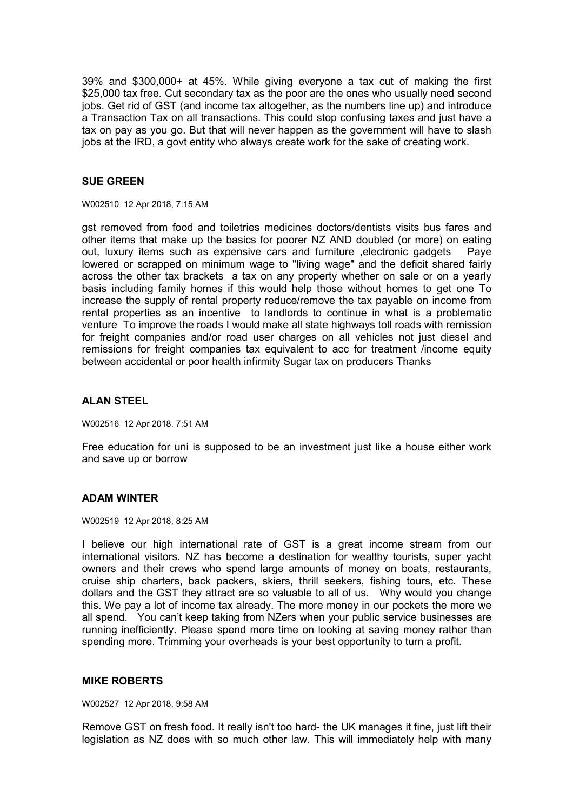39% and \$300,000+ at 45%. While giving everyone a tax cut of making the first \$25,000 tax free. Cut secondary tax as the poor are the ones who usually need second jobs. Get rid of GST (and income tax altogether, as the numbers line up) and introduce a Transaction Tax on all transactions. This could stop confusing taxes and just have a tax on pay as you go. But that will never happen as the government will have to slash jobs at the IRD, a govt entity who always create work for the sake of creating work.

## **SUE GREEN**

W002510 12 Apr 2018, 7:15 AM

gst removed from food and toiletries medicines doctors/dentists visits bus fares and other items that make up the basics for poorer NZ AND doubled (or more) on eating out, luxury items such as expensive cars and furniture ,electronic gadgets Paye lowered or scrapped on minimum wage to "living wage" and the deficit shared fairly across the other tax brackets a tax on any property whether on sale or on a yearly basis including family homes if this would help those without homes to get one To increase the supply of rental property reduce/remove the tax payable on income from rental properties as an incentive to landlords to continue in what is a problematic venture To improve the roads I would make all state highways toll roads with remission for freight companies and/or road user charges on all vehicles not just diesel and remissions for freight companies tax equivalent to acc for treatment /income equity between accidental or poor health infirmity Sugar tax on producers Thanks

### **ALAN STEEL**

W002516 12 Apr 2018, 7:51 AM

Free education for uni is supposed to be an investment just like a house either work and save up or borrow

### **ADAM WINTER**

W002519 12 Apr 2018, 8:25 AM

I believe our high international rate of GST is a great income stream from our international visitors. NZ has become a destination for wealthy tourists, super yacht owners and their crews who spend large amounts of money on boats, restaurants, cruise ship charters, back packers, skiers, thrill seekers, fishing tours, etc. These dollars and the GST they attract are so valuable to all of us. Why would you change this. We pay a lot of income tax already. The more money in our pockets the more we all spend. You can't keep taking from NZers when your public service businesses are running inefficiently. Please spend more time on looking at saving money rather than spending more. Trimming your overheads is your best opportunity to turn a profit.

### **MIKE ROBERTS**

W002527 12 Apr 2018, 9:58 AM

Remove GST on fresh food. It really isn't too hard- the UK manages it fine, just lift their legislation as NZ does with so much other law. This will immediately help with many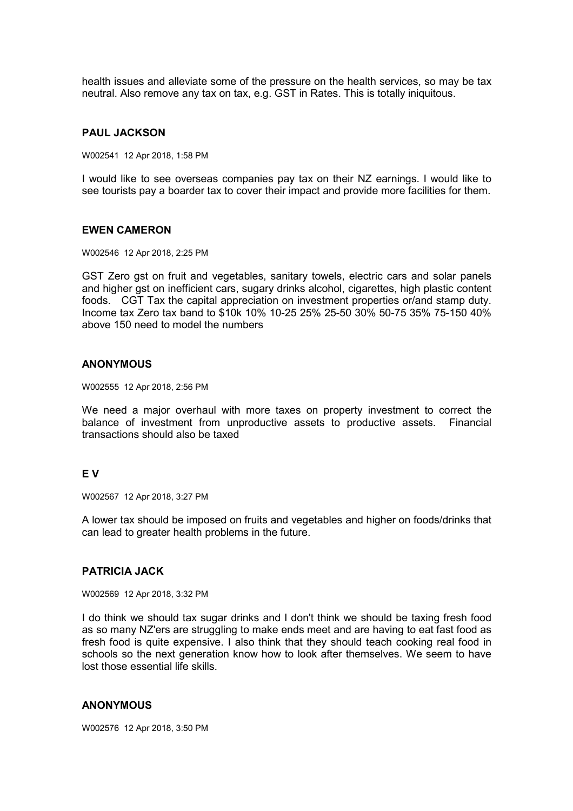health issues and alleviate some of the pressure on the health services, so may be tax neutral. Also remove any tax on tax, e.g. GST in Rates. This is totally iniquitous.

#### **PAUL JACKSON**

W002541 12 Apr 2018, 1:58 PM

I would like to see overseas companies pay tax on their NZ earnings. I would like to see tourists pay a boarder tax to cover their impact and provide more facilities for them.

#### **EWEN CAMERON**

W002546 12 Apr 2018, 2:25 PM

GST Zero gst on fruit and vegetables, sanitary towels, electric cars and solar panels and higher gst on inefficient cars, sugary drinks alcohol, cigarettes, high plastic content foods. CGT Tax the capital appreciation on investment properties or/and stamp duty. Income tax Zero tax band to \$10k 10% 10-25 25% 25-50 30% 50-75 35% 75-150 40% above 150 need to model the numbers

## **ANONYMOUS**

W002555 12 Apr 2018, 2:56 PM

We need a major overhaul with more taxes on property investment to correct the balance of investment from unproductive assets to productive assets. Financial transactions should also be taxed

### **E V**

W002567 12 Apr 2018, 3:27 PM

A lower tax should be imposed on fruits and vegetables and higher on foods/drinks that can lead to greater health problems in the future.

#### **PATRICIA JACK**

W002569 12 Apr 2018, 3:32 PM

I do think we should tax sugar drinks and I don't think we should be taxing fresh food as so many NZ'ers are struggling to make ends meet and are having to eat fast food as fresh food is quite expensive. I also think that they should teach cooking real food in schools so the next generation know how to look after themselves. We seem to have lost those essential life skills.

#### **ANONYMOUS**

W002576 12 Apr 2018, 3:50 PM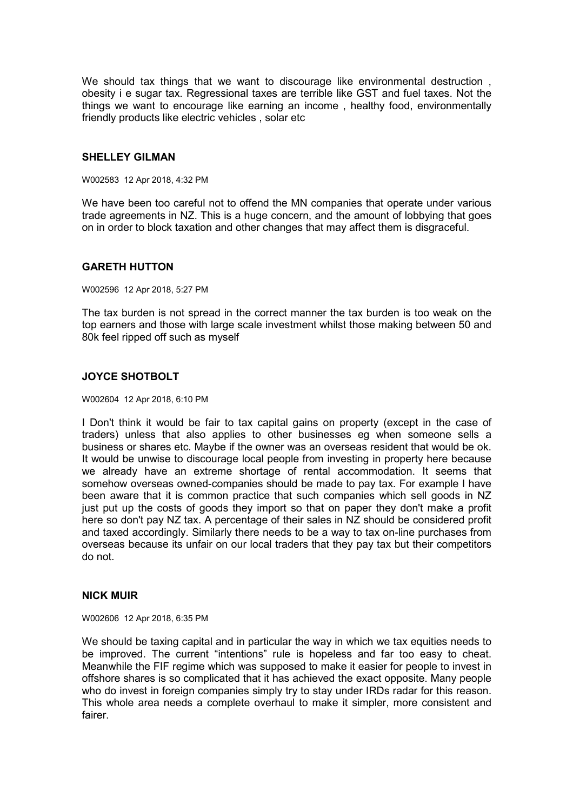We should tax things that we want to discourage like environmental destruction, obesity i e sugar tax. Regressional taxes are terrible like GST and fuel taxes. Not the things we want to encourage like earning an income , healthy food, environmentally friendly products like electric vehicles , solar etc

#### **SHELLEY GILMAN**

W002583 12 Apr 2018, 4:32 PM

We have been too careful not to offend the MN companies that operate under various trade agreements in NZ. This is a huge concern, and the amount of lobbying that goes on in order to block taxation and other changes that may affect them is disgraceful.

### **GARETH HUTTON**

W002596 12 Apr 2018, 5:27 PM

The tax burden is not spread in the correct manner the tax burden is too weak on the top earners and those with large scale investment whilst those making between 50 and 80k feel ripped off such as myself

## **JOYCE SHOTBOLT**

W002604 12 Apr 2018, 6:10 PM

I Don't think it would be fair to tax capital gains on property (except in the case of traders) unless that also applies to other businesses eg when someone sells a business or shares etc. Maybe if the owner was an overseas resident that would be ok. It would be unwise to discourage local people from investing in property here because we already have an extreme shortage of rental accommodation. It seems that somehow overseas owned-companies should be made to pay tax. For example I have been aware that it is common practice that such companies which sell goods in NZ just put up the costs of goods they import so that on paper they don't make a profit here so don't pay NZ tax. A percentage of their sales in NZ should be considered profit and taxed accordingly. Similarly there needs to be a way to tax on-line purchases from overseas because its unfair on our local traders that they pay tax but their competitors do not.

### **NICK MUIR**

W002606 12 Apr 2018, 6:35 PM

We should be taxing capital and in particular the way in which we tax equities needs to be improved. The current "intentions" rule is hopeless and far too easy to cheat. Meanwhile the FIF regime which was supposed to make it easier for people to invest in offshore shares is so complicated that it has achieved the exact opposite. Many people who do invest in foreign companies simply try to stay under IRDs radar for this reason. This whole area needs a complete overhaul to make it simpler, more consistent and fairer.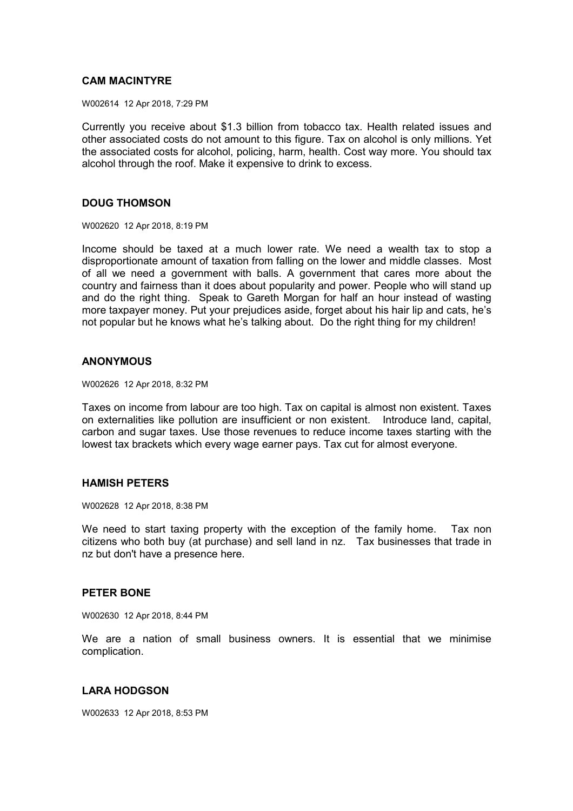## **CAM MACINTYRE**

W002614 12 Apr 2018, 7:29 PM

Currently you receive about \$1.3 billion from tobacco tax. Health related issues and other associated costs do not amount to this figure. Tax on alcohol is only millions. Yet the associated costs for alcohol, policing, harm, health. Cost way more. You should tax alcohol through the roof. Make it expensive to drink to excess.

### **DOUG THOMSON**

W002620 12 Apr 2018, 8:19 PM

Income should be taxed at a much lower rate. We need a wealth tax to stop a disproportionate amount of taxation from falling on the lower and middle classes. Most of all we need a government with balls. A government that cares more about the country and fairness than it does about popularity and power. People who will stand up and do the right thing. Speak to Gareth Morgan for half an hour instead of wasting more taxpayer money. Put your prejudices aside, forget about his hair lip and cats, he's not popular but he knows what he's talking about. Do the right thing for my children!

#### **ANONYMOUS**

W002626 12 Apr 2018, 8:32 PM

Taxes on income from labour are too high. Tax on capital is almost non existent. Taxes on externalities like pollution are insufficient or non existent. Introduce land, capital, carbon and sugar taxes. Use those revenues to reduce income taxes starting with the lowest tax brackets which every wage earner pays. Tax cut for almost everyone.

## **HAMISH PETERS**

W002628 12 Apr 2018, 8:38 PM

We need to start taxing property with the exception of the family home. Tax non citizens who both buy (at purchase) and sell land in nz. Tax businesses that trade in nz but don't have a presence here.

### **PETER BONE**

W002630 12 Apr 2018, 8:44 PM

We are a nation of small business owners. It is essential that we minimise complication.

### **LARA HODGSON**

W002633 12 Apr 2018, 8:53 PM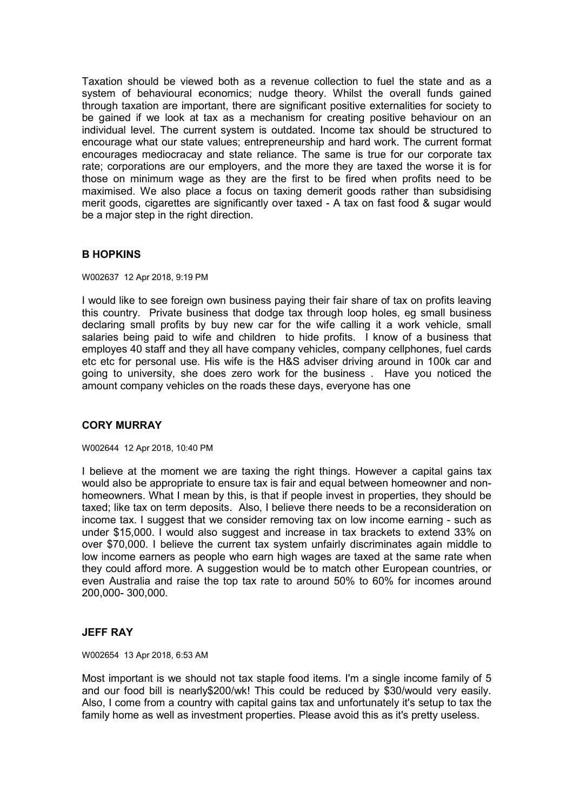Taxation should be viewed both as a revenue collection to fuel the state and as a system of behavioural economics; nudge theory. Whilst the overall funds gained through taxation are important, there are significant positive externalities for society to be gained if we look at tax as a mechanism for creating positive behaviour on an individual level. The current system is outdated. Income tax should be structured to encourage what our state values; entrepreneurship and hard work. The current format encourages mediocracay and state reliance. The same is true for our corporate tax rate; corporations are our employers, and the more they are taxed the worse it is for those on minimum wage as they are the first to be fired when profits need to be maximised. We also place a focus on taxing demerit goods rather than subsidising merit goods, cigarettes are significantly over taxed - A tax on fast food & sugar would be a major step in the right direction.

## **B HOPKINS**

W002637 12 Apr 2018, 9:19 PM

I would like to see foreign own business paying their fair share of tax on profits leaving this country. Private business that dodge tax through loop holes, eg small business declaring small profits by buy new car for the wife calling it a work vehicle, small salaries being paid to wife and children to hide profits. I know of a business that employes 40 staff and they all have company vehicles, company cellphones, fuel cards etc etc for personal use. His wife is the H&S adviser driving around in 100k car and going to university, she does zero work for the business . Have you noticed the amount company vehicles on the roads these days, everyone has one

### **CORY MURRAY**

#### W002644 12 Apr 2018, 10:40 PM

I believe at the moment we are taxing the right things. However a capital gains tax would also be appropriate to ensure tax is fair and equal between homeowner and nonhomeowners. What I mean by this, is that if people invest in properties, they should be taxed; like tax on term deposits. Also, I believe there needs to be a reconsideration on income tax. I suggest that we consider removing tax on low income earning - such as under \$15,000. I would also suggest and increase in tax brackets to extend 33% on over \$70,000. I believe the current tax system unfairly discriminates again middle to low income earners as people who earn high wages are taxed at the same rate when they could afford more. A suggestion would be to match other European countries, or even Australia and raise the top tax rate to around 50% to 60% for incomes around 200,000- 300,000.

### **JEFF RAY**

W002654 13 Apr 2018, 6:53 AM

Most important is we should not tax staple food items. I'm a single income family of 5 and our food bill is nearly\$200/wk! This could be reduced by \$30/would very easily. Also, I come from a country with capital gains tax and unfortunately it's setup to tax the family home as well as investment properties. Please avoid this as it's pretty useless.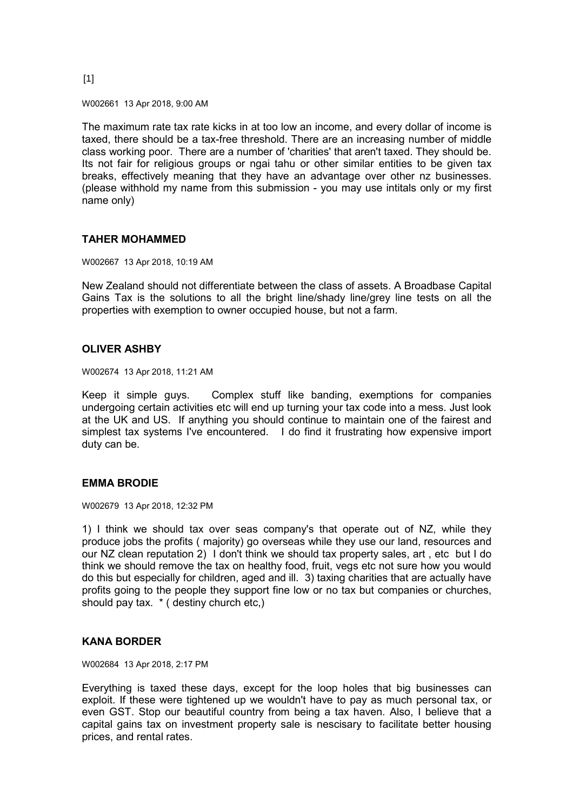#### [1]

W002661 13 Apr 2018, 9:00 AM

The maximum rate tax rate kicks in at too low an income, and every dollar of income is taxed, there should be a tax-free threshold. There are an increasing number of middle class working poor. There are a number of 'charities' that aren't taxed. They should be. Its not fair for religious groups or ngai tahu or other similar entities to be given tax breaks, effectively meaning that they have an advantage over other nz businesses. (please withhold my name from this submission - you may use intitals only or my first name only)

### **TAHER MOHAMMED**

W002667 13 Apr 2018, 10:19 AM

New Zealand should not differentiate between the class of assets. A Broadbase Capital Gains Tax is the solutions to all the bright line/shady line/grey line tests on all the properties with exemption to owner occupied house, but not a farm.

#### **OLIVER ASHBY**

W002674 13 Apr 2018, 11:21 AM

Keep it simple guys. Complex stuff like banding, exemptions for companies undergoing certain activities etc will end up turning your tax code into a mess. Just look at the UK and US. If anything you should continue to maintain one of the fairest and simplest tax systems I've encountered. I do find it frustrating how expensive import duty can be.

### **EMMA BRODIE**

W002679 13 Apr 2018, 12:32 PM

1) I think we should tax over seas company's that operate out of NZ, while they produce jobs the profits ( majority) go overseas while they use our land, resources and our NZ clean reputation 2) I don't think we should tax property sales, art , etc but I do think we should remove the tax on healthy food, fruit, vegs etc not sure how you would do this but especially for children, aged and ill. 3) taxing charities that are actually have profits going to the people they support fine low or no tax but companies or churches, should pay tax. \* ( destiny church etc,)

### **KANA BORDER**

W002684 13 Apr 2018, 2:17 PM

Everything is taxed these days, except for the loop holes that big businesses can exploit. If these were tightened up we wouldn't have to pay as much personal tax, or even GST. Stop our beautiful country from being a tax haven. Also, I believe that a capital gains tax on investment property sale is nescisary to facilitate better housing prices, and rental rates.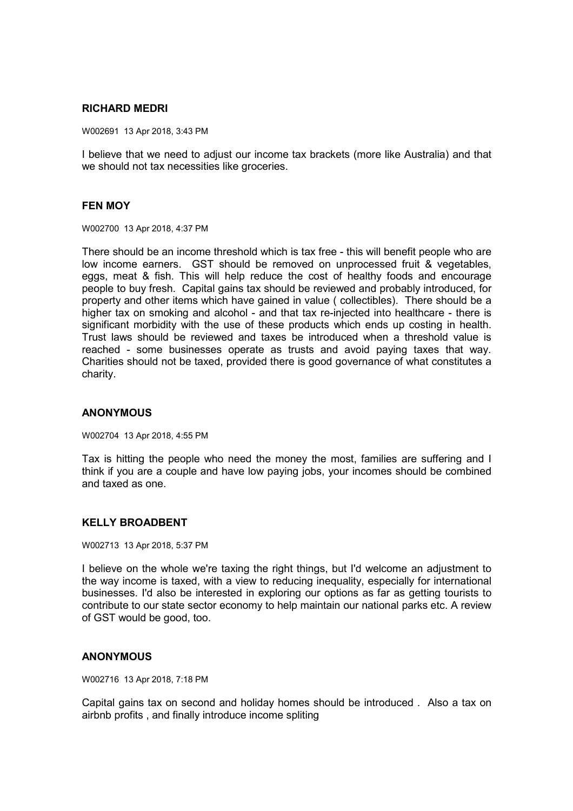### **RICHARD MEDRI**

W002691 13 Apr 2018, 3:43 PM

I believe that we need to adjust our income tax brackets (more like Australia) and that we should not tax necessities like groceries.

### **FEN MOY**

W002700 13 Apr 2018, 4:37 PM

There should be an income threshold which is tax free - this will benefit people who are low income earners. GST should be removed on unprocessed fruit & vegetables, eggs, meat & fish. This will help reduce the cost of healthy foods and encourage people to buy fresh. Capital gains tax should be reviewed and probably introduced, for property and other items which have gained in value ( collectibles). There should be a higher tax on smoking and alcohol - and that tax re-injected into healthcare - there is significant morbidity with the use of these products which ends up costing in health. Trust laws should be reviewed and taxes be introduced when a threshold value is reached - some businesses operate as trusts and avoid paying taxes that way. Charities should not be taxed, provided there is good governance of what constitutes a charity.

### **ANONYMOUS**

W002704 13 Apr 2018, 4:55 PM

Tax is hitting the people who need the money the most, families are suffering and I think if you are a couple and have low paying jobs, your incomes should be combined and taxed as one.

### **KELLY BROADBENT**

W002713 13 Apr 2018, 5:37 PM

I believe on the whole we're taxing the right things, but I'd welcome an adjustment to the way income is taxed, with a view to reducing inequality, especially for international businesses. I'd also be interested in exploring our options as far as getting tourists to contribute to our state sector economy to help maintain our national parks etc. A review of GST would be good, too.

### **ANONYMOUS**

W002716 13 Apr 2018, 7:18 PM

Capital gains tax on second and holiday homes should be introduced . Also a tax on airbnb profits , and finally introduce income spliting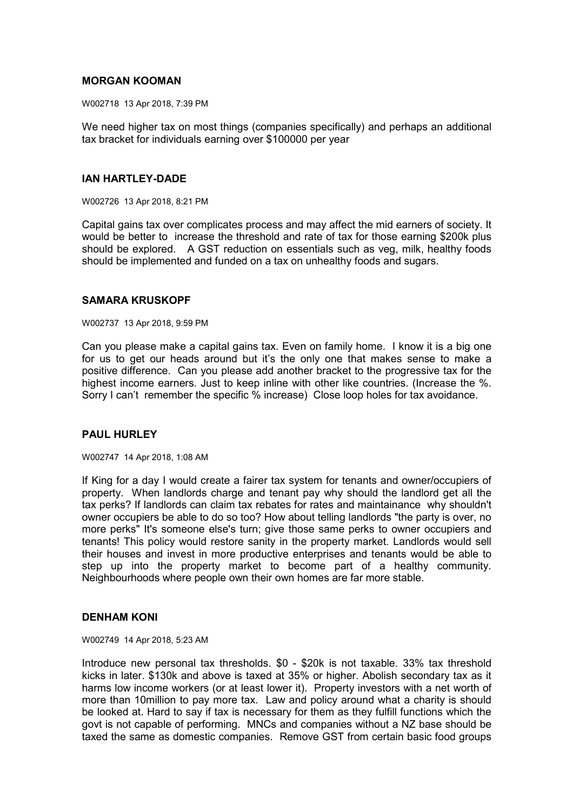## **MORGAN KOOMAN**

W002718 13 Apr 2018, 7:39 PM

We need higher tax on most things (companies specifically) and perhaps an additional tax bracket for individuals earning over \$100000 per year

### **IAN HARTLEY-DADE**

W002726 13 Apr 2018, 8:21 PM

Capital gains tax over complicates process and may affect the mid earners of society. It would be better to increase the threshold and rate of tax for those earning \$200k plus should be explored. A GST reduction on essentials such as veg, milk, healthy foods should be implemented and funded on a tax on unhealthy foods and sugars.

## **SAMARA KRUSKOPF**

W002737 13 Apr 2018, 9:59 PM

Can you please make a capital gains tax. Even on family home. I know it is a big one for us to get our heads around but it's the only one that makes sense to make a positive difference. Can you please add another bracket to the progressive tax for the highest income earners. Just to keep inline with other like countries. (Increase the %. Sorry I can't remember the specific % increase) Close loop holes for tax avoidance.

### **PAUL HURLEY**

W002747 14 Apr 2018, 1:08 AM

If King for a day I would create a fairer tax system for tenants and owner/occupiers of property. When landlords charge and tenant pay why should the landlord get all the tax perks? If landlords can claim tax rebates for rates and maintainance why shouldn't owner occupiers be able to do so too? How about telling landlords "the party is over, no more perks" It's someone else's turn; give those same perks to owner occupiers and tenants! This policy would restore sanity in the property market. Landlords would sell their houses and invest in more productive enterprises and tenants would be able to step up into the property market to become part of a healthy community. Neighbourhoods where people own their own homes are far more stable.

### **DENHAM KONI**

W002749 14 Apr 2018, 5:23 AM

Introduce new personal tax thresholds. \$0 - \$20k is not taxable. 33% tax threshold kicks in later. \$130k and above is taxed at 35% or higher. Abolish secondary tax as it harms low income workers (or at least lower it). Property investors with a net worth of more than 10million to pay more tax. Law and policy around what a charity is should be looked at. Hard to say if tax is necessary for them as they fulfill functions which the govt is not capable of performing. MNCs and companies without a NZ base should be taxed the same as domestic companies. Remove GST from certain basic food groups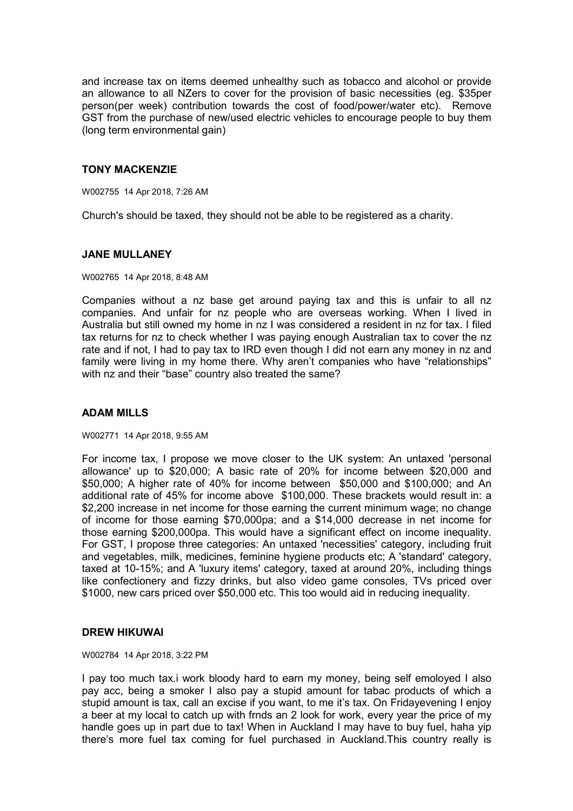and increase tax on items deemed unhealthy such as tobacco and alcohol or provide an allowance to all NZers to cover for the provision of basic necessities (eg. \$35per person(per week) contribution towards the cost of food/power/water etc). Remove GST from the purchase of new/used electric vehicles to encourage people to buy them (long term environmental gain)

## **TONY MACKENZIE**

W002755 14 Apr 2018, 7:26 AM

Church's should be taxed, they should not be able to be registered as a charity.

### **JANE MULLANEY**

W002765 14 Apr 2018, 8:48 AM

Companies without a nz base get around paying tax and this is unfair to all nz companies. And unfair for nz people who are overseas working. When I lived in Australia but still owned my home in nz I was considered a resident in nz for tax. I filed tax returns for nz to check whether I was paying enough Australian tax to cover the nz rate and if not, I had to pay tax to IRD even though I did not earn any money in nz and family were living in my home there. Why aren't companies who have "relationships" with nz and their "base" country also treated the same?

### **ADAM MILLS**

W002771 14 Apr 2018, 9:55 AM

For income tax, I propose we move closer to the UK system: An untaxed 'personal allowance' up to \$20,000; A basic rate of 20% for income between \$20,000 and \$50,000; A higher rate of 40% for income between \$50,000 and \$100,000; and An additional rate of 45% for income above \$100,000. These brackets would result in: a \$2,200 increase in net income for those earning the current minimum wage; no change of income for those earning \$70,000pa; and a \$14,000 decrease in net income for those earning \$200,000pa. This would have a significant effect on income inequality. For GST, I propose three categories: An untaxed 'necessities' category, including fruit and vegetables, milk, medicines, feminine hygiene products etc; A 'standard' category, taxed at 10-15%; and A 'luxury items' category, taxed at around 20%, including things like confectionery and fizzy drinks, but also video game consoles, TVs priced over \$1000, new cars priced over \$50,000 etc. This too would aid in reducing inequality.

### **DREW HIKUWAI**

W002784 14 Apr 2018, 3:22 PM

I pay too much tax.i work bloody hard to earn my money, being self emoloyed I also pay acc, being a smoker I also pay a stupid amount for tabac products of which a stupid amount is tax, call an excise if you want, to me it's tax. On Fridayevening I enjoy a beer at my local to catch up with frnds an 2 look for work, every year the price of my handle goes up in part due to tax! When in Auckland I may have to buy fuel, haha yip there's more fuel tax coming for fuel purchased in Auckland.This country really is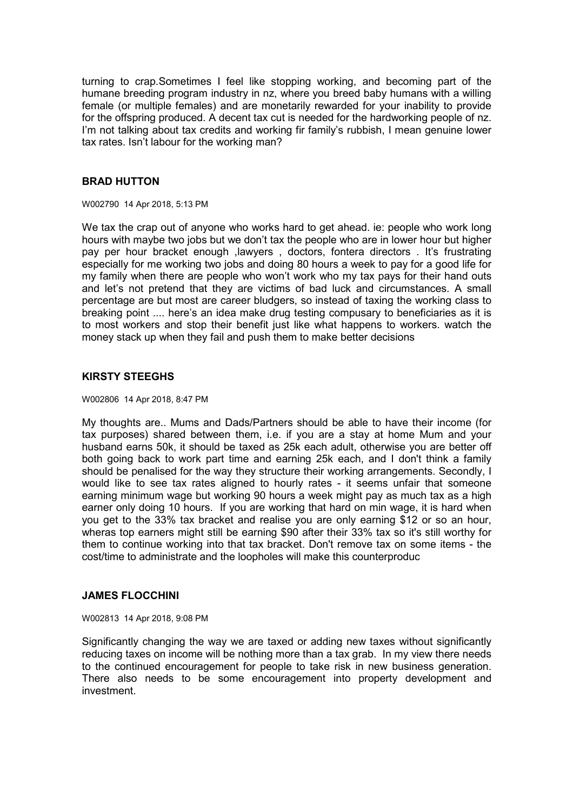turning to crap.Sometimes I feel like stopping working, and becoming part of the humane breeding program industry in nz, where you breed baby humans with a willing female (or multiple females) and are monetarily rewarded for your inability to provide for the offspring produced. A decent tax cut is needed for the hardworking people of nz. I'm not talking about tax credits and working fir family's rubbish, I mean genuine lower tax rates. Isn't labour for the working man?

## **BRAD HUTTON**

W002790 14 Apr 2018, 5:13 PM

We tax the crap out of anyone who works hard to get ahead. ie: people who work long hours with maybe two jobs but we don't tax the people who are in lower hour but higher pay per hour bracket enough ,lawyers , doctors, fontera directors . It's frustrating especially for me working two jobs and doing 80 hours a week to pay for a good life for my family when there are people who won't work who my tax pays for their hand outs and let's not pretend that they are victims of bad luck and circumstances. A small percentage are but most are career bludgers, so instead of taxing the working class to breaking point .... here's an idea make drug testing compusary to beneficiaries as it is to most workers and stop their benefit just like what happens to workers. watch the money stack up when they fail and push them to make better decisions

# **KIRSTY STEEGHS**

#### W002806 14 Apr 2018, 8:47 PM

My thoughts are.. Mums and Dads/Partners should be able to have their income (for tax purposes) shared between them, i.e. if you are a stay at home Mum and your husband earns 50k, it should be taxed as 25k each adult, otherwise you are better off both going back to work part time and earning 25k each, and I don't think a family should be penalised for the way they structure their working arrangements. Secondly, I would like to see tax rates aligned to hourly rates - it seems unfair that someone earning minimum wage but working 90 hours a week might pay as much tax as a high earner only doing 10 hours. If you are working that hard on min wage, it is hard when you get to the 33% tax bracket and realise you are only earning \$12 or so an hour, wheras top earners might still be earning \$90 after their 33% tax so it's still worthy for them to continue working into that tax bracket. Don't remove tax on some items - the cost/time to administrate and the loopholes will make this counterproduc

### **JAMES FLOCCHINI**

W002813 14 Apr 2018, 9:08 PM

Significantly changing the way we are taxed or adding new taxes without significantly reducing taxes on income will be nothing more than a tax grab. In my view there needs to the continued encouragement for people to take risk in new business generation. There also needs to be some encouragement into property development and investment.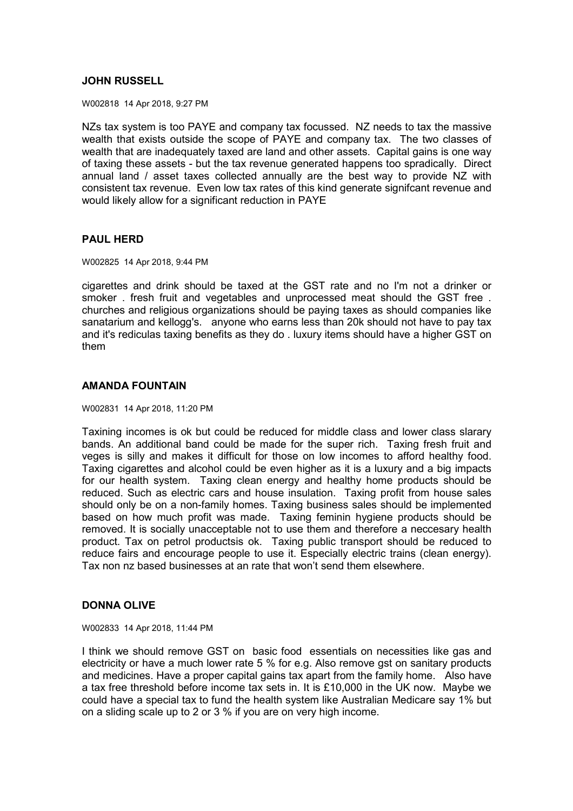## **JOHN RUSSELL**

W002818 14 Apr 2018, 9:27 PM

NZs tax system is too PAYE and company tax focussed. NZ needs to tax the massive wealth that exists outside the scope of PAYE and company tax. The two classes of wealth that are inadequately taxed are land and other assets. Capital gains is one way of taxing these assets - but the tax revenue generated happens too spradically. Direct annual land / asset taxes collected annually are the best way to provide NZ with consistent tax revenue. Even low tax rates of this kind generate signifcant revenue and would likely allow for a significant reduction in PAYE

## **PAUL HERD**

W002825 14 Apr 2018, 9:44 PM

cigarettes and drink should be taxed at the GST rate and no I'm not a drinker or smoker . fresh fruit and vegetables and unprocessed meat should the GST free . churches and religious organizations should be paying taxes as should companies like sanatarium and kellogg's. anyone who earns less than 20k should not have to pay tax and it's rediculas taxing benefits as they do . luxury items should have a higher GST on them

## **AMANDA FOUNTAIN**

W002831 14 Apr 2018, 11:20 PM

Taxining incomes is ok but could be reduced for middle class and lower class slarary bands. An additional band could be made for the super rich. Taxing fresh fruit and veges is silly and makes it difficult for those on low incomes to afford healthy food. Taxing cigarettes and alcohol could be even higher as it is a luxury and a big impacts for our health system. Taxing clean energy and healthy home products should be reduced. Such as electric cars and house insulation. Taxing profit from house sales should only be on a non-family homes. Taxing business sales should be implemented based on how much profit was made. Taxing feminin hygiene products should be removed. It is socially unacceptable not to use them and therefore a neccesary health product. Tax on petrol productsis ok. Taxing public transport should be reduced to reduce fairs and encourage people to use it. Especially electric trains (clean energy). Tax non nz based businesses at an rate that won't send them elsewhere.

### **DONNA OLIVE**

W002833 14 Apr 2018, 11:44 PM

I think we should remove GST on basic food essentials on necessities like gas and electricity or have a much lower rate 5 % for e.g. Also remove gst on sanitary products and medicines. Have a proper capital gains tax apart from the family home. Also have a tax free threshold before income tax sets in. It is £10,000 in the UK now. Maybe we could have a special tax to fund the health system like Australian Medicare say 1% but on a sliding scale up to 2 or 3 % if you are on very high income.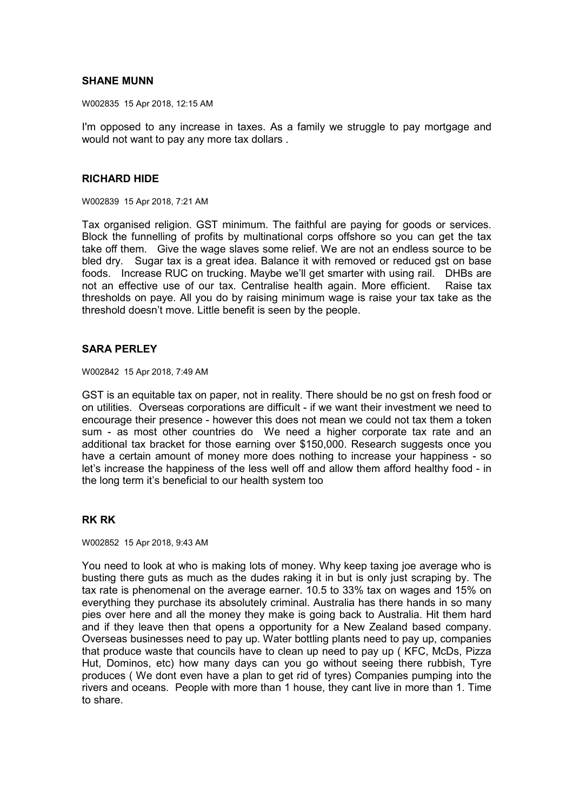## **SHANE MUNN**

W002835 15 Apr 2018, 12:15 AM

I'm opposed to any increase in taxes. As a family we struggle to pay mortgage and would not want to pay any more tax dollars .

#### **RICHARD HIDE**

W002839 15 Apr 2018, 7:21 AM

Tax organised religion. GST minimum. The faithful are paying for goods or services. Block the funnelling of profits by multinational corps offshore so you can get the tax take off them. Give the wage slaves some relief. We are not an endless source to be bled dry. Sugar tax is a great idea. Balance it with removed or reduced gst on base foods. Increase RUC on trucking. Maybe we'll get smarter with using rail. DHBs are not an effective use of our tax. Centralise health again. More efficient. Raise tax thresholds on paye. All you do by raising minimum wage is raise your tax take as the threshold doesn't move. Little benefit is seen by the people.

#### **SARA PERLEY**

W002842 15 Apr 2018, 7:49 AM

GST is an equitable tax on paper, not in reality. There should be no gst on fresh food or on utilities. Overseas corporations are difficult - if we want their investment we need to encourage their presence - however this does not mean we could not tax them a token sum - as most other countries do We need a higher corporate tax rate and an additional tax bracket for those earning over \$150,000. Research suggests once you have a certain amount of money more does nothing to increase your happiness - so let's increase the happiness of the less well off and allow them afford healthy food - in the long term it's beneficial to our health system too

### **RK RK**

W002852 15 Apr 2018, 9:43 AM

You need to look at who is making lots of money. Why keep taxing joe average who is busting there guts as much as the dudes raking it in but is only just scraping by. The tax rate is phenomenal on the average earner. 10.5 to 33% tax on wages and 15% on everything they purchase its absolutely criminal. Australia has there hands in so many pies over here and all the money they make is going back to Australia. Hit them hard and if they leave then that opens a opportunity for a New Zealand based company. Overseas businesses need to pay up. Water bottling plants need to pay up, companies that produce waste that councils have to clean up need to pay up ( KFC, McDs, Pizza Hut, Dominos, etc) how many days can you go without seeing there rubbish, Tyre produces ( We dont even have a plan to get rid of tyres) Companies pumping into the rivers and oceans. People with more than 1 house, they cant live in more than 1. Time to share.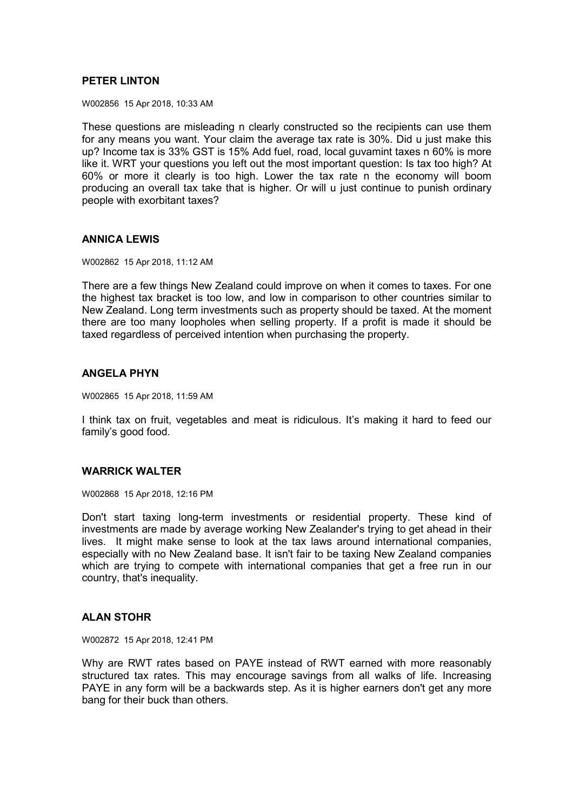## **PETER LINTON**

W002856 15 Apr 2018, 10:33 AM

These questions are misleading n clearly constructed so the recipients can use them for any means you want. Your claim the average tax rate is 30%. Did u just make this up? Income tax is 33% GST is 15% Add fuel, road, local guvamint taxes n 60% is more like it. WRT your questions you left out the most important question: Is tax too high? At 60% or more it clearly is too high. Lower the tax rate n the economy will boom producing an overall tax take that is higher. Or will u just continue to punish ordinary people with exorbitant taxes?

### **ANNICA LEWIS**

W002862 15 Apr 2018, 11:12 AM

There are a few things New Zealand could improve on when it comes to taxes. For one the highest tax bracket is too low, and low in comparison to other countries similar to New Zealand. Long term investments such as property should be taxed. At the moment there are too many loopholes when selling property. If a profit is made it should be taxed regardless of perceived intention when purchasing the property.

## **ANGELA PHYN**

W002865 15 Apr 2018, 11:59 AM

I think tax on fruit, vegetables and meat is ridiculous. It's making it hard to feed our family's good food.

#### **WARRICK WALTER**

W002868 15 Apr 2018, 12:16 PM

Don't start taxing long-term investments or residential property. These kind of investments are made by average working New Zealander's trying to get ahead in their lives. It might make sense to look at the tax laws around international companies, especially with no New Zealand base. It isn't fair to be taxing New Zealand companies which are trying to compete with international companies that get a free run in our country, that's inequality.

#### **ALAN STOHR**

W002872 15 Apr 2018, 12:41 PM

Why are RWT rates based on PAYE instead of RWT earned with more reasonably structured tax rates. This may encourage savings from all walks of life. Increasing PAYE in any form will be a backwards step. As it is higher earners don't get any more bang for their buck than others.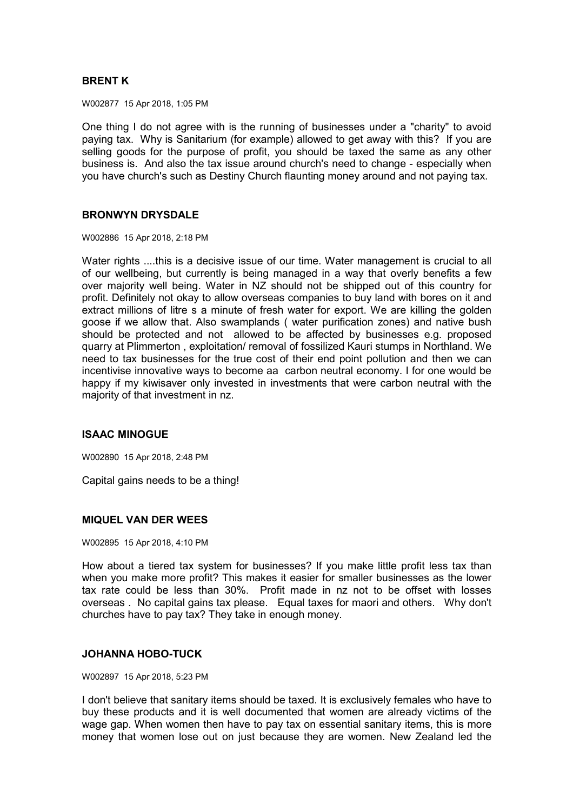# **BRENT K**

W002877 15 Apr 2018, 1:05 PM

One thing I do not agree with is the running of businesses under a "charity" to avoid paying tax. Why is Sanitarium (for example) allowed to get away with this? If you are selling goods for the purpose of profit, you should be taxed the same as any other business is. And also the tax issue around church's need to change - especially when you have church's such as Destiny Church flaunting money around and not paying tax.

### **BRONWYN DRYSDALE**

W002886 15 Apr 2018, 2:18 PM

Water rights ....this is a decisive issue of our time. Water management is crucial to all of our wellbeing, but currently is being managed in a way that overly benefits a few over majority well being. Water in NZ should not be shipped out of this country for profit. Definitely not okay to allow overseas companies to buy land with bores on it and extract millions of litre s a minute of fresh water for export. We are killing the golden goose if we allow that. Also swamplands ( water purification zones) and native bush should be protected and not allowed to be affected by businesses e.g. proposed quarry at Plimmerton , exploitation/ removal of fossilized Kauri stumps in Northland. We need to tax businesses for the true cost of their end point pollution and then we can incentivise innovative ways to become aa carbon neutral economy. I for one would be happy if my kiwisaver only invested in investments that were carbon neutral with the majority of that investment in nz.

## **ISAAC MINOGUE**

W002890 15 Apr 2018, 2:48 PM

Capital gains needs to be a thing!

## **MIQUEL VAN DER WEES**

W002895 15 Apr 2018, 4:10 PM

How about a tiered tax system for businesses? If you make little profit less tax than when you make more profit? This makes it easier for smaller businesses as the lower tax rate could be less than 30%. Profit made in nz not to be offset with losses overseas . No capital gains tax please. Equal taxes for maori and others. Why don't churches have to pay tax? They take in enough money.

## **JOHANNA HOBO-TUCK**

W002897 15 Apr 2018, 5:23 PM

I don't believe that sanitary items should be taxed. It is exclusively females who have to buy these products and it is well documented that women are already victims of the wage gap. When women then have to pay tax on essential sanitary items, this is more money that women lose out on just because they are women. New Zealand led the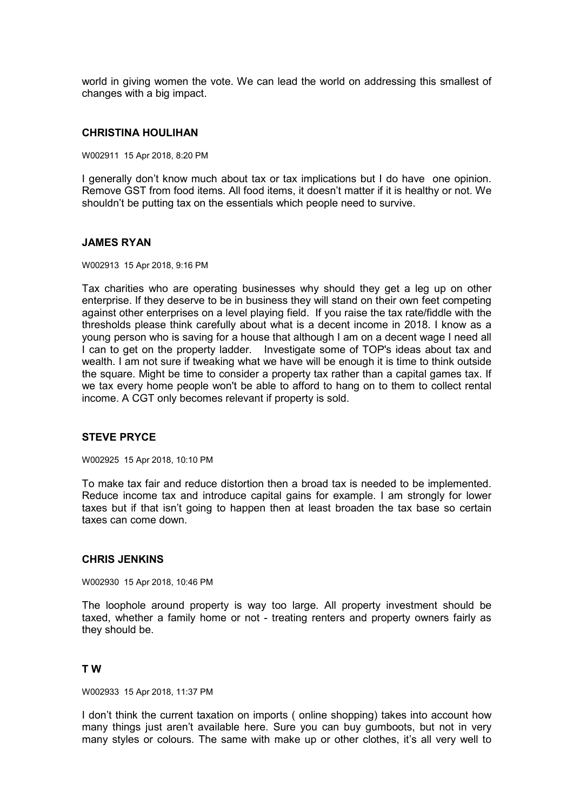world in giving women the vote. We can lead the world on addressing this smallest of changes with a big impact.

#### **CHRISTINA HOULIHAN**

W002911 15 Apr 2018, 8:20 PM

I generally don't know much about tax or tax implications but I do have one opinion. Remove GST from food items. All food items, it doesn't matter if it is healthy or not. We shouldn't be putting tax on the essentials which people need to survive.

#### **JAMES RYAN**

W002913 15 Apr 2018, 9:16 PM

Tax charities who are operating businesses why should they get a leg up on other enterprise. If they deserve to be in business they will stand on their own feet competing against other enterprises on a level playing field. If you raise the tax rate/fiddle with the thresholds please think carefully about what is a decent income in 2018. I know as a young person who is saving for a house that although I am on a decent wage I need all I can to get on the property ladder. Investigate some of TOP's ideas about tax and wealth. I am not sure if tweaking what we have will be enough it is time to think outside the square. Might be time to consider a property tax rather than a capital games tax. If we tax every home people won't be able to afford to hang on to them to collect rental income. A CGT only becomes relevant if property is sold.

#### **STEVE PRYCE**

W002925 15 Apr 2018, 10:10 PM

To make tax fair and reduce distortion then a broad tax is needed to be implemented. Reduce income tax and introduce capital gains for example. I am strongly for lower taxes but if that isn't going to happen then at least broaden the tax base so certain taxes can come down.

#### **CHRIS JENKINS**

W002930 15 Apr 2018, 10:46 PM

The loophole around property is way too large. All property investment should be taxed, whether a family home or not - treating renters and property owners fairly as they should be.

#### **T W**

W002933 15 Apr 2018, 11:37 PM

I don't think the current taxation on imports ( online shopping) takes into account how many things just aren't available here. Sure you can buy gumboots, but not in very many styles or colours. The same with make up or other clothes, it's all very well to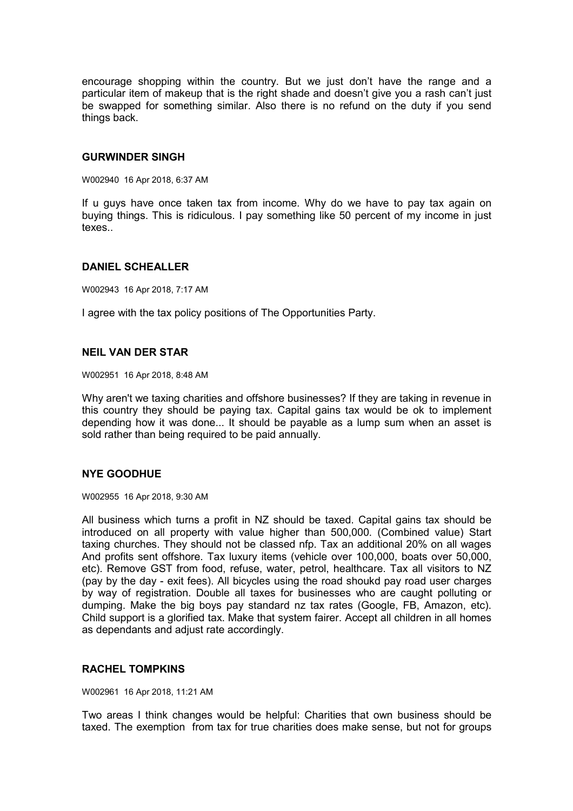encourage shopping within the country. But we just don't have the range and a particular item of makeup that is the right shade and doesn't give you a rash can't just be swapped for something similar. Also there is no refund on the duty if you send things back.

### **GURWINDER SINGH**

W002940 16 Apr 2018, 6:37 AM

If u guys have once taken tax from income. Why do we have to pay tax again on buying things. This is ridiculous. I pay something like 50 percent of my income in just texes..

## **DANIEL SCHEALLER**

W002943 16 Apr 2018, 7:17 AM

I agree with the tax policy positions of The Opportunities Party.

### **NEIL VAN DER STAR**

W002951 16 Apr 2018, 8:48 AM

Why aren't we taxing charities and offshore businesses? If they are taking in revenue in this country they should be paying tax. Capital gains tax would be ok to implement depending how it was done... It should be payable as a lump sum when an asset is sold rather than being required to be paid annually.

## **NYE GOODHUE**

W002955 16 Apr 2018, 9:30 AM

All business which turns a profit in NZ should be taxed. Capital gains tax should be introduced on all property with value higher than 500,000. (Combined value) Start taxing churches. They should not be classed nfp. Tax an additional 20% on all wages And profits sent offshore. Tax luxury items (vehicle over 100,000, boats over 50,000, etc). Remove GST from food, refuse, water, petrol, healthcare. Tax all visitors to NZ (pay by the day - exit fees). All bicycles using the road shoukd pay road user charges by way of registration. Double all taxes for businesses who are caught polluting or dumping. Make the big boys pay standard nz tax rates (Google, FB, Amazon, etc). Child support is a glorified tax. Make that system fairer. Accept all children in all homes as dependants and adjust rate accordingly.

### **RACHEL TOMPKINS**

W002961 16 Apr 2018, 11:21 AM

Two areas I think changes would be helpful: Charities that own business should be taxed. The exemption from tax for true charities does make sense, but not for groups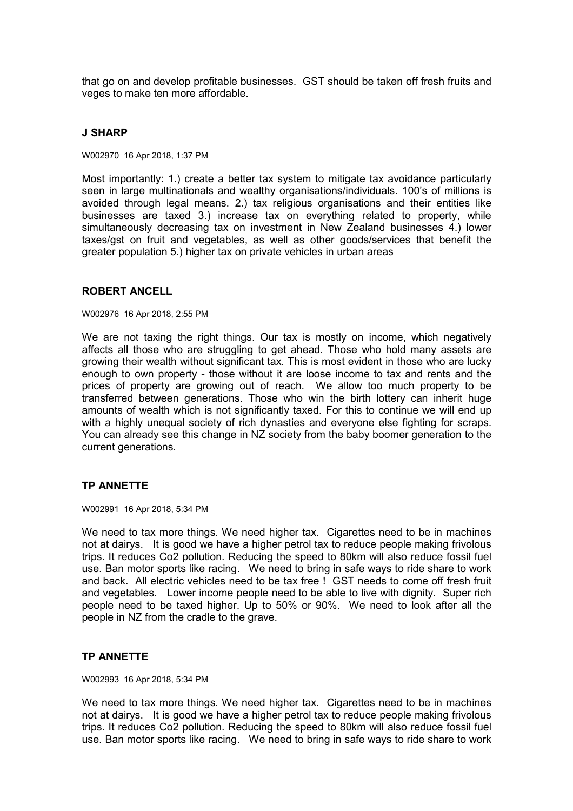that go on and develop profitable businesses. GST should be taken off fresh fruits and veges to make ten more affordable.

### **J SHARP**

W002970 16 Apr 2018, 1:37 PM

Most importantly: 1.) create a better tax system to mitigate tax avoidance particularly seen in large multinationals and wealthy organisations/individuals. 100's of millions is avoided through legal means. 2.) tax religious organisations and their entities like businesses are taxed 3.) increase tax on everything related to property, while simultaneously decreasing tax on investment in New Zealand businesses 4.) lower taxes/gst on fruit and vegetables, as well as other goods/services that benefit the greater population 5.) higher tax on private vehicles in urban areas

## **ROBERT ANCELL**

W002976 16 Apr 2018, 2:55 PM

We are not taxing the right things. Our tax is mostly on income, which negatively affects all those who are struggling to get ahead. Those who hold many assets are growing their wealth without significant tax. This is most evident in those who are lucky enough to own property - those without it are loose income to tax and rents and the prices of property are growing out of reach. We allow too much property to be transferred between generations. Those who win the birth lottery can inherit huge amounts of wealth which is not significantly taxed. For this to continue we will end up with a highly unequal society of rich dynasties and everyone else fighting for scraps. You can already see this change in NZ society from the baby boomer generation to the current generations.

## **TP ANNETTE**

W002991 16 Apr 2018, 5:34 PM

We need to tax more things. We need higher tax. Cigarettes need to be in machines not at dairys. It is good we have a higher petrol tax to reduce people making frivolous trips. It reduces Co2 pollution. Reducing the speed to 80km will also reduce fossil fuel use. Ban motor sports like racing. We need to bring in safe ways to ride share to work and back. All electric vehicles need to be tax free ! GST needs to come off fresh fruit and vegetables. Lower income people need to be able to live with dignity. Super rich people need to be taxed higher. Up to 50% or 90%. We need to look after all the people in NZ from the cradle to the grave.

## **TP ANNETTE**

W002993 16 Apr 2018, 5:34 PM

We need to tax more things. We need higher tax. Cigarettes need to be in machines not at dairys. It is good we have a higher petrol tax to reduce people making frivolous trips. It reduces Co2 pollution. Reducing the speed to 80km will also reduce fossil fuel use. Ban motor sports like racing. We need to bring in safe ways to ride share to work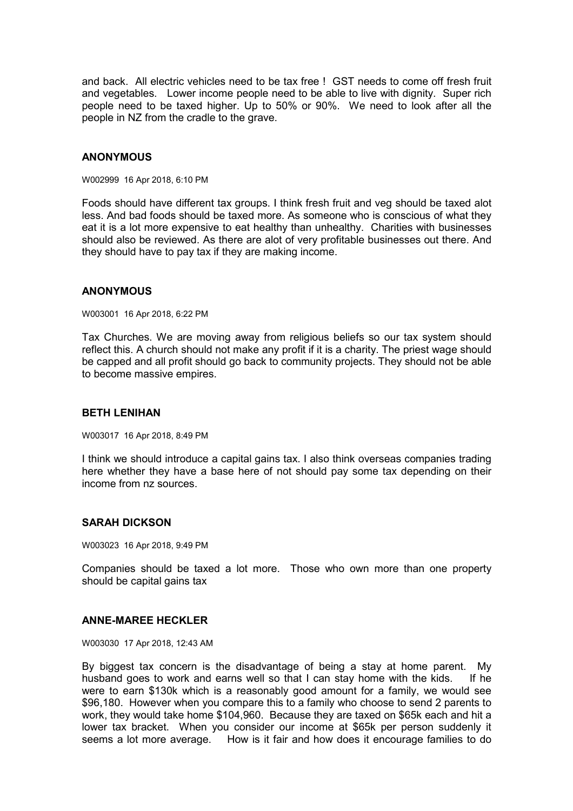and back. All electric vehicles need to be tax free ! GST needs to come off fresh fruit and vegetables. Lower income people need to be able to live with dignity. Super rich people need to be taxed higher. Up to 50% or 90%. We need to look after all the people in NZ from the cradle to the grave.

### **ANONYMOUS**

W002999 16 Apr 2018, 6:10 PM

Foods should have different tax groups. I think fresh fruit and veg should be taxed alot less. And bad foods should be taxed more. As someone who is conscious of what they eat it is a lot more expensive to eat healthy than unhealthy. Charities with businesses should also be reviewed. As there are alot of very profitable businesses out there. And they should have to pay tax if they are making income.

## **ANONYMOUS**

W003001 16 Apr 2018, 6:22 PM

Tax Churches. We are moving away from religious beliefs so our tax system should reflect this. A church should not make any profit if it is a charity. The priest wage should be capped and all profit should go back to community projects. They should not be able to become massive empires.

## **BETH LENIHAN**

W003017 16 Apr 2018, 8:49 PM

I think we should introduce a capital gains tax. I also think overseas companies trading here whether they have a base here of not should pay some tax depending on their income from nz sources.

## **SARAH DICKSON**

W003023 16 Apr 2018, 9:49 PM

Companies should be taxed a lot more. Those who own more than one property should be capital gains tax

# **ANNE-MAREE HECKLER**

W003030 17 Apr 2018, 12:43 AM

By biggest tax concern is the disadvantage of being a stay at home parent. My husband goes to work and earns well so that I can stay home with the kids. If he were to earn \$130k which is a reasonably good amount for a family, we would see \$96,180. However when you compare this to a family who choose to send 2 parents to work, they would take home \$104,960. Because they are taxed on \$65k each and hit a lower tax bracket. When you consider our income at \$65k per person suddenly it seems a lot more average. How is it fair and how does it encourage families to do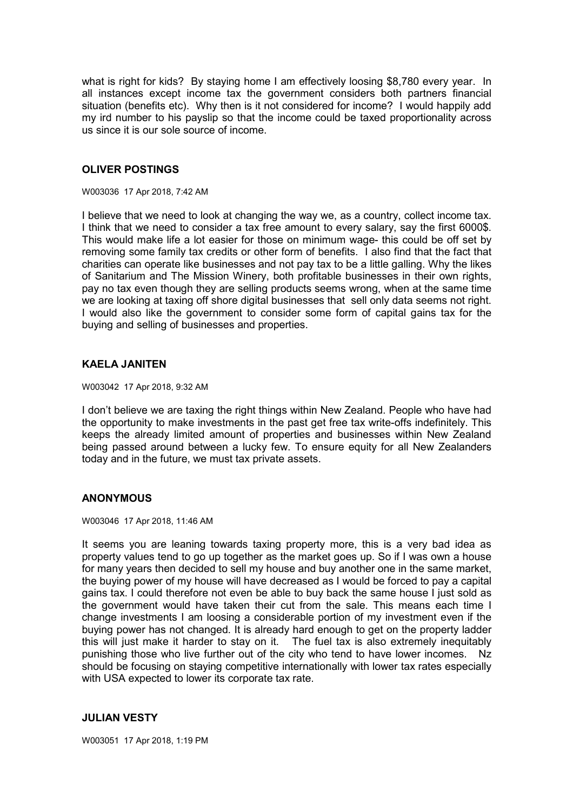what is right for kids? By staying home I am effectively loosing \$8,780 every year. In all instances except income tax the government considers both partners financial situation (benefits etc). Why then is it not considered for income? I would happily add my ird number to his payslip so that the income could be taxed proportionality across us since it is our sole source of income.

## **OLIVER POSTINGS**

W003036 17 Apr 2018, 7:42 AM

I believe that we need to look at changing the way we, as a country, collect income tax. I think that we need to consider a tax free amount to every salary, say the first 6000\$. This would make life a lot easier for those on minimum wage- this could be off set by removing some family tax credits or other form of benefits. I also find that the fact that charities can operate like businesses and not pay tax to be a little galling. Why the likes of Sanitarium and The Mission Winery, both profitable businesses in their own rights, pay no tax even though they are selling products seems wrong, when at the same time we are looking at taxing off shore digital businesses that sell only data seems not right. I would also like the government to consider some form of capital gains tax for the buying and selling of businesses and properties.

# **KAELA JANITEN**

W003042 17 Apr 2018, 9:32 AM

I don't believe we are taxing the right things within New Zealand. People who have had the opportunity to make investments in the past get free tax write-offs indefinitely. This keeps the already limited amount of properties and businesses within New Zealand being passed around between a lucky few. To ensure equity for all New Zealanders today and in the future, we must tax private assets.

## **ANONYMOUS**

W003046 17 Apr 2018, 11:46 AM

It seems you are leaning towards taxing property more, this is a very bad idea as property values tend to go up together as the market goes up. So if I was own a house for many years then decided to sell my house and buy another one in the same market, the buying power of my house will have decreased as I would be forced to pay a capital gains tax. I could therefore not even be able to buy back the same house I just sold as the government would have taken their cut from the sale. This means each time I change investments I am loosing a considerable portion of my investment even if the buying power has not changed. It is already hard enough to get on the property ladder this will just make it harder to stay on it. The fuel tax is also extremely inequitably punishing those who live further out of the city who tend to have lower incomes. Nz should be focusing on staying competitive internationally with lower tax rates especially with USA expected to lower its corporate tax rate.

## **JULIAN VESTY**

W003051 17 Apr 2018, 1:19 PM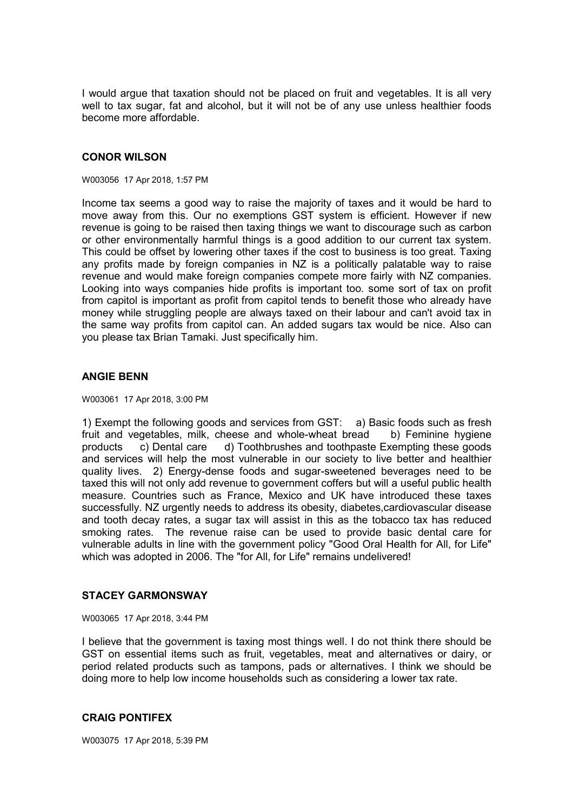I would argue that taxation should not be placed on fruit and vegetables. It is all very well to tax sugar, fat and alcohol, but it will not be of any use unless healthier foods become more affordable.

### **CONOR WILSON**

#### W003056 17 Apr 2018, 1:57 PM

Income tax seems a good way to raise the majority of taxes and it would be hard to move away from this. Our no exemptions GST system is efficient. However if new revenue is going to be raised then taxing things we want to discourage such as carbon or other environmentally harmful things is a good addition to our current tax system. This could be offset by lowering other taxes if the cost to business is too great. Taxing any profits made by foreign companies in NZ is a politically palatable way to raise revenue and would make foreign companies compete more fairly with NZ companies. Looking into ways companies hide profits is important too. some sort of tax on profit from capitol is important as profit from capitol tends to benefit those who already have money while struggling people are always taxed on their labour and can't avoid tax in the same way profits from capitol can. An added sugars tax would be nice. Also can you please tax Brian Tamaki. Just specifically him.

### **ANGIE BENN**

W003061 17 Apr 2018, 3:00 PM

1) Exempt the following goods and services from GST: a) Basic foods such as fresh fruit and vegetables, milk, cheese and whole-wheat bread b) Feminine hygiene products c) Dental care d) Toothbrushes and toothpaste Exempting these goods and services will help the most vulnerable in our society to live better and healthier quality lives. 2) Energy-dense foods and sugar-sweetened beverages need to be taxed this will not only add revenue to government coffers but will a useful public health measure. Countries such as France, Mexico and UK have introduced these taxes successfully. NZ urgently needs to address its obesity, diabetes,cardiovascular disease and tooth decay rates, a sugar tax will assist in this as the tobacco tax has reduced smoking rates. The revenue raise can be used to provide basic dental care for vulnerable adults in line with the government policy "Good Oral Health for All, for Life" which was adopted in 2006. The "for All, for Life" remains undelivered!

## **STACEY GARMONSWAY**

W003065 17 Apr 2018, 3:44 PM

I believe that the government is taxing most things well. I do not think there should be GST on essential items such as fruit, vegetables, meat and alternatives or dairy, or period related products such as tampons, pads or alternatives. I think we should be doing more to help low income households such as considering a lower tax rate.

### **CRAIG PONTIFEX**

W003075 17 Apr 2018, 5:39 PM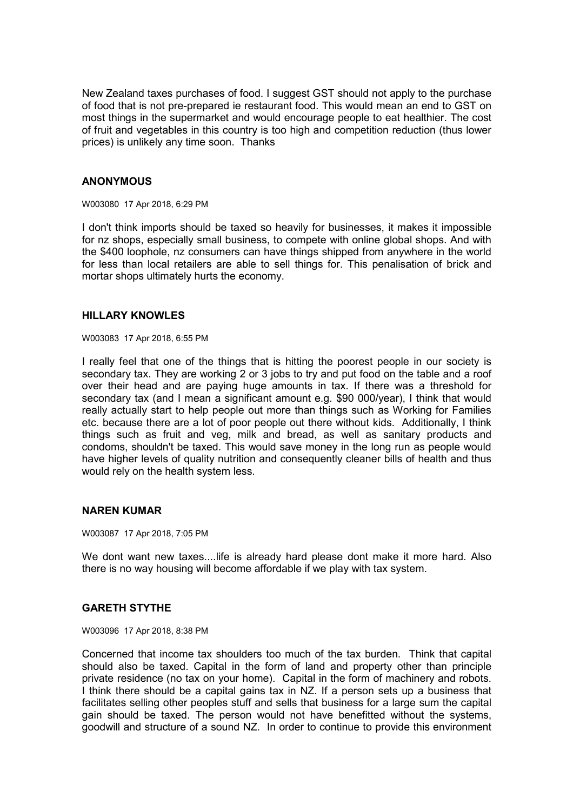New Zealand taxes purchases of food. I suggest GST should not apply to the purchase of food that is not pre-prepared ie restaurant food. This would mean an end to GST on most things in the supermarket and would encourage people to eat healthier. The cost of fruit and vegetables in this country is too high and competition reduction (thus lower prices) is unlikely any time soon. Thanks

## **ANONYMOUS**

W003080 17 Apr 2018, 6:29 PM

I don't think imports should be taxed so heavily for businesses, it makes it impossible for nz shops, especially small business, to compete with online global shops. And with the \$400 loophole, nz consumers can have things shipped from anywhere in the world for less than local retailers are able to sell things for. This penalisation of brick and mortar shops ultimately hurts the economy.

### **HILLARY KNOWLES**

W003083 17 Apr 2018, 6:55 PM

I really feel that one of the things that is hitting the poorest people in our society is secondary tax. They are working 2 or 3 jobs to try and put food on the table and a roof over their head and are paying huge amounts in tax. If there was a threshold for secondary tax (and I mean a significant amount e.g. \$90 000/year), I think that would really actually start to help people out more than things such as Working for Families etc. because there are a lot of poor people out there without kids. Additionally, I think things such as fruit and veg, milk and bread, as well as sanitary products and condoms, shouldn't be taxed. This would save money in the long run as people would have higher levels of quality nutrition and consequently cleaner bills of health and thus would rely on the health system less.

## **NAREN KUMAR**

W003087 17 Apr 2018, 7:05 PM

We dont want new taxes....life is already hard please dont make it more hard. Also there is no way housing will become affordable if we play with tax system.

#### **GARETH STYTHE**

W003096 17 Apr 2018, 8:38 PM

Concerned that income tax shoulders too much of the tax burden. Think that capital should also be taxed. Capital in the form of land and property other than principle private residence (no tax on your home). Capital in the form of machinery and robots. I think there should be a capital gains tax in NZ. If a person sets up a business that facilitates selling other peoples stuff and sells that business for a large sum the capital gain should be taxed. The person would not have benefitted without the systems, goodwill and structure of a sound NZ. In order to continue to provide this environment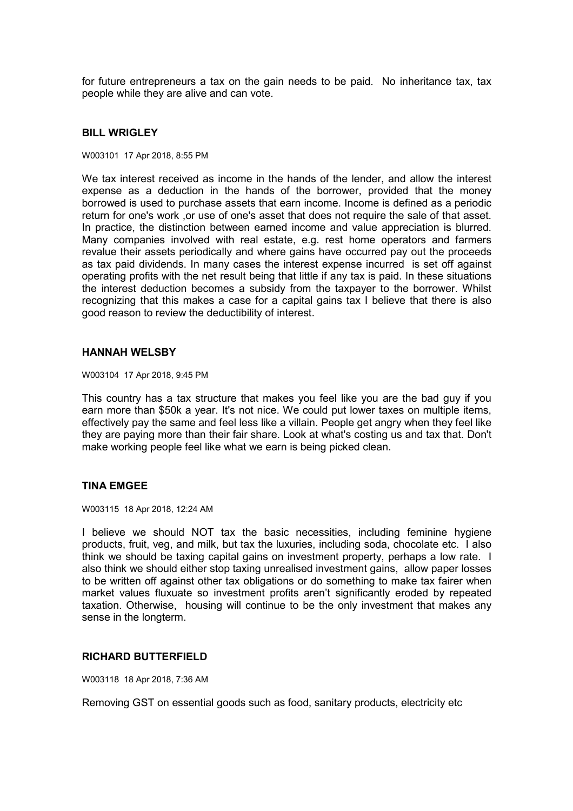for future entrepreneurs a tax on the gain needs to be paid. No inheritance tax, tax people while they are alive and can vote.

### **BILL WRIGLEY**

#### W003101 17 Apr 2018, 8:55 PM

We tax interest received as income in the hands of the lender, and allow the interest expense as a deduction in the hands of the borrower, provided that the money borrowed is used to purchase assets that earn income. Income is defined as a periodic return for one's work ,or use of one's asset that does not require the sale of that asset. In practice, the distinction between earned income and value appreciation is blurred. Many companies involved with real estate, e.g. rest home operators and farmers revalue their assets periodically and where gains have occurred pay out the proceeds as tax paid dividends. In many cases the interest expense incurred is set off against operating profits with the net result being that little if any tax is paid. In these situations the interest deduction becomes a subsidy from the taxpayer to the borrower. Whilst recognizing that this makes a case for a capital gains tax I believe that there is also good reason to review the deductibility of interest.

#### **HANNAH WELSBY**

W003104 17 Apr 2018, 9:45 PM

This country has a tax structure that makes you feel like you are the bad guy if you earn more than \$50k a year. It's not nice. We could put lower taxes on multiple items, effectively pay the same and feel less like a villain. People get angry when they feel like they are paying more than their fair share. Look at what's costing us and tax that. Don't make working people feel like what we earn is being picked clean.

#### **TINA EMGEE**

W003115 18 Apr 2018, 12:24 AM

I believe we should NOT tax the basic necessities, including feminine hygiene products, fruit, veg, and milk, but tax the luxuries, including soda, chocolate etc. I also think we should be taxing capital gains on investment property, perhaps a low rate. I also think we should either stop taxing unrealised investment gains, allow paper losses to be written off against other tax obligations or do something to make tax fairer when market values fluxuate so investment profits aren't significantly eroded by repeated taxation. Otherwise, housing will continue to be the only investment that makes any sense in the longterm.

#### **RICHARD BUTTERFIELD**

W003118 18 Apr 2018, 7:36 AM

Removing GST on essential goods such as food, sanitary products, electricity etc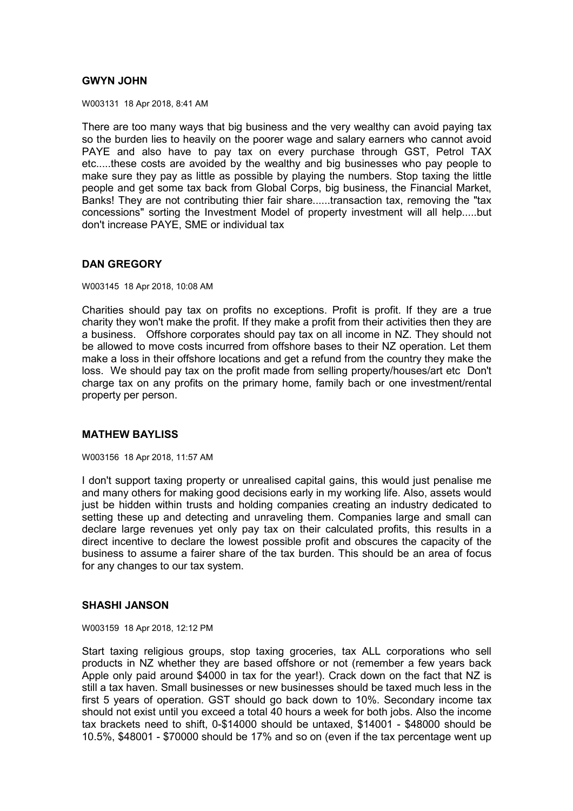# **GWYN JOHN**

W003131 18 Apr 2018, 8:41 AM

There are too many ways that big business and the very wealthy can avoid paying tax so the burden lies to heavily on the poorer wage and salary earners who cannot avoid PAYE and also have to pay tax on every purchase through GST, Petrol TAX etc.....these costs are avoided by the wealthy and big businesses who pay people to make sure they pay as little as possible by playing the numbers. Stop taxing the little people and get some tax back from Global Corps, big business, the Financial Market, Banks! They are not contributing thier fair share......transaction tax, removing the "tax concessions" sorting the Investment Model of property investment will all help.....but don't increase PAYE, SME or individual tax

# **DAN GREGORY**

W003145 18 Apr 2018, 10:08 AM

Charities should pay tax on profits no exceptions. Profit is profit. If they are a true charity they won't make the profit. If they make a profit from their activities then they are a business. Offshore corporates should pay tax on all income in NZ. They should not be allowed to move costs incurred from offshore bases to their NZ operation. Let them make a loss in their offshore locations and get a refund from the country they make the loss. We should pay tax on the profit made from selling property/houses/art etc Don't charge tax on any profits on the primary home, family bach or one investment/rental property per person.

## **MATHEW BAYLISS**

W003156 18 Apr 2018, 11:57 AM

I don't support taxing property or unrealised capital gains, this would just penalise me and many others for making good decisions early in my working life. Also, assets would just be hidden within trusts and holding companies creating an industry dedicated to setting these up and detecting and unraveling them. Companies large and small can declare large revenues yet only pay tax on their calculated profits, this results in a direct incentive to declare the lowest possible profit and obscures the capacity of the business to assume a fairer share of the tax burden. This should be an area of focus for any changes to our tax system.

## **SHASHI JANSON**

W003159 18 Apr 2018, 12:12 PM

Start taxing religious groups, stop taxing groceries, tax ALL corporations who sell products in NZ whether they are based offshore or not (remember a few years back Apple only paid around \$4000 in tax for the year!). Crack down on the fact that NZ is still a tax haven. Small businesses or new businesses should be taxed much less in the first 5 years of operation. GST should go back down to 10%. Secondary income tax should not exist until you exceed a total 40 hours a week for both jobs. Also the income tax brackets need to shift, 0-\$14000 should be untaxed, \$14001 - \$48000 should be 10.5%, \$48001 - \$70000 should be 17% and so on (even if the tax percentage went up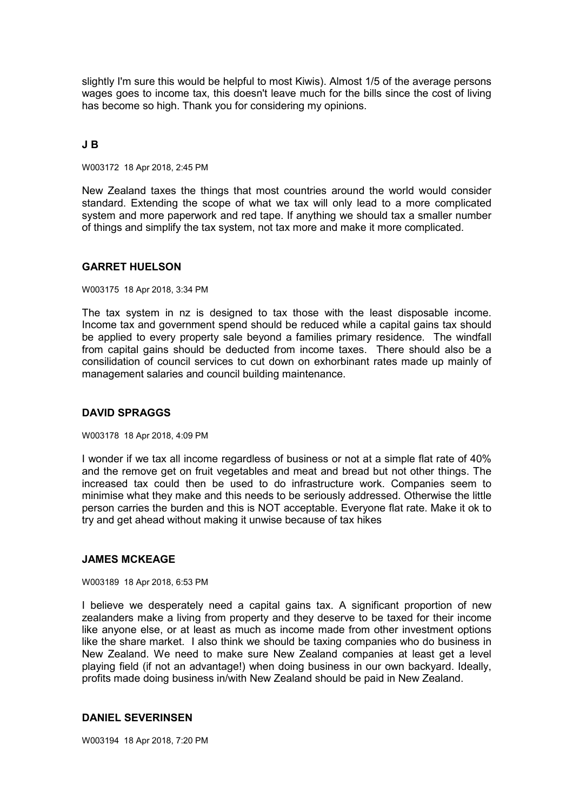slightly I'm sure this would be helpful to most Kiwis). Almost 1/5 of the average persons wages goes to income tax, this doesn't leave much for the bills since the cost of living has become so high. Thank you for considering my opinions.

## **J B**

W003172 18 Apr 2018, 2:45 PM

New Zealand taxes the things that most countries around the world would consider standard. Extending the scope of what we tax will only lead to a more complicated system and more paperwork and red tape. If anything we should tax a smaller number of things and simplify the tax system, not tax more and make it more complicated.

## **GARRET HUELSON**

W003175 18 Apr 2018, 3:34 PM

The tax system in nz is designed to tax those with the least disposable income. Income tax and government spend should be reduced while a capital gains tax should be applied to every property sale beyond a families primary residence. The windfall from capital gains should be deducted from income taxes. There should also be a consilidation of council services to cut down on exhorbinant rates made up mainly of management salaries and council building maintenance.

## **DAVID SPRAGGS**

W003178 18 Apr 2018, 4:09 PM

I wonder if we tax all income regardless of business or not at a simple flat rate of 40% and the remove get on fruit vegetables and meat and bread but not other things. The increased tax could then be used to do infrastructure work. Companies seem to minimise what they make and this needs to be seriously addressed. Otherwise the little person carries the burden and this is NOT acceptable. Everyone flat rate. Make it ok to try and get ahead without making it unwise because of tax hikes

## **JAMES MCKEAGE**

W003189 18 Apr 2018, 6:53 PM

I believe we desperately need a capital gains tax. A significant proportion of new zealanders make a living from property and they deserve to be taxed for their income like anyone else, or at least as much as income made from other investment options like the share market. I also think we should be taxing companies who do business in New Zealand. We need to make sure New Zealand companies at least get a level playing field (if not an advantage!) when doing business in our own backyard. Ideally, profits made doing business in/with New Zealand should be paid in New Zealand.

### **DANIEL SEVERINSEN**

W003194 18 Apr 2018, 7:20 PM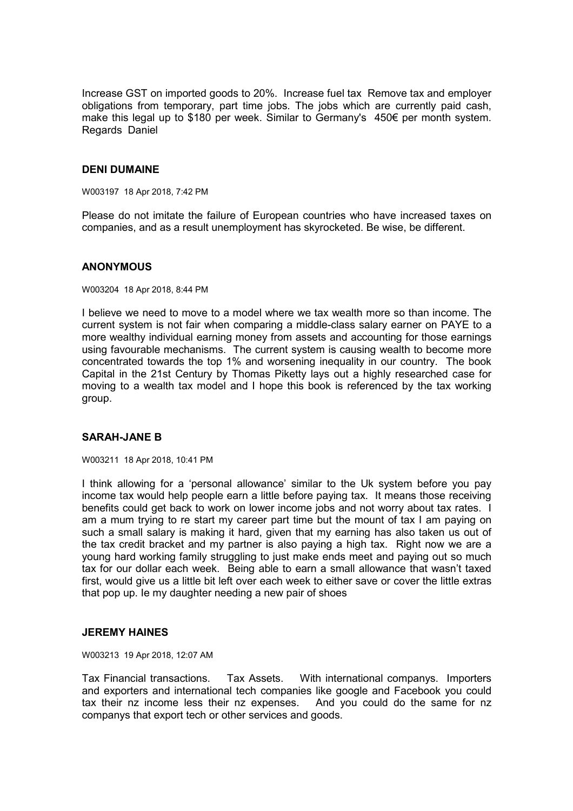Increase GST on imported goods to 20%. Increase fuel tax Remove tax and employer obligations from temporary, part time jobs. The jobs which are currently paid cash, make this legal up to \$180 per week. Similar to Germany's 450€ per month system. Regards Daniel

## **DENI DUMAINE**

W003197 18 Apr 2018, 7:42 PM

Please do not imitate the failure of European countries who have increased taxes on companies, and as a result unemployment has skyrocketed. Be wise, be different.

### **ANONYMOUS**

W003204 18 Apr 2018, 8:44 PM

I believe we need to move to a model where we tax wealth more so than income. The current system is not fair when comparing a middle-class salary earner on PAYE to a more wealthy individual earning money from assets and accounting for those earnings using favourable mechanisms. The current system is causing wealth to become more concentrated towards the top 1% and worsening inequality in our country. The book Capital in the 21st Century by Thomas Piketty lays out a highly researched case for moving to a wealth tax model and I hope this book is referenced by the tax working group.

# **SARAH-JANE B**

W003211 18 Apr 2018, 10:41 PM

I think allowing for a 'personal allowance' similar to the Uk system before you pay income tax would help people earn a little before paying tax. It means those receiving benefits could get back to work on lower income jobs and not worry about tax rates. I am a mum trying to re start my career part time but the mount of tax I am paying on such a small salary is making it hard, given that my earning has also taken us out of the tax credit bracket and my partner is also paying a high tax. Right now we are a young hard working family struggling to just make ends meet and paying out so much tax for our dollar each week. Being able to earn a small allowance that wasn't taxed first, would give us a little bit left over each week to either save or cover the little extras that pop up. Ie my daughter needing a new pair of shoes

## **JEREMY HAINES**

W003213 19 Apr 2018, 12:07 AM

Tax Financial transactions. Tax Assets. With international companys. Importers and exporters and international tech companies like google and Facebook you could tax their nz income less their nz expenses. And you could do the same for nz companys that export tech or other services and goods.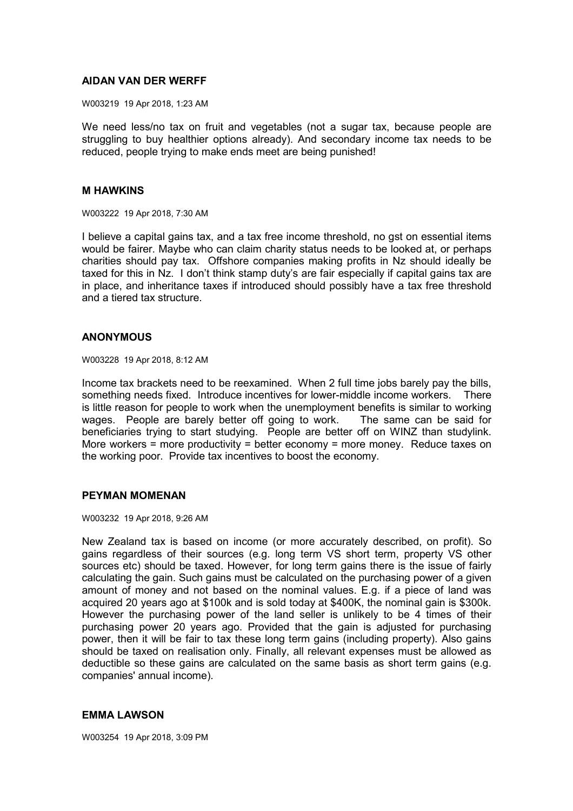### **AIDAN VAN DER WERFF**

W003219 19 Apr 2018, 1:23 AM

We need less/no tax on fruit and vegetables (not a sugar tax, because people are struggling to buy healthier options already). And secondary income tax needs to be reduced, people trying to make ends meet are being punished!

### **M HAWKINS**

W003222 19 Apr 2018, 7:30 AM

I believe a capital gains tax, and a tax free income threshold, no gst on essential items would be fairer. Maybe who can claim charity status needs to be looked at, or perhaps charities should pay tax. Offshore companies making profits in Nz should ideally be taxed for this in Nz. I don't think stamp duty's are fair especially if capital gains tax are in place, and inheritance taxes if introduced should possibly have a tax free threshold and a tiered tax structure.

## **ANONYMOUS**

W003228 19 Apr 2018, 8:12 AM

Income tax brackets need to be reexamined. When 2 full time jobs barely pay the bills, something needs fixed. Introduce incentives for lower-middle income workers. There is little reason for people to work when the unemployment benefits is similar to working wages. People are barely better off going to work. The same can be said for beneficiaries trying to start studying. People are better off on WINZ than studylink. More workers = more productivity = better economy = more money. Reduce taxes on the working poor. Provide tax incentives to boost the economy.

## **PEYMAN MOMENAN**

W003232 19 Apr 2018, 9:26 AM

New Zealand tax is based on income (or more accurately described, on profit). So gains regardless of their sources (e.g. long term VS short term, property VS other sources etc) should be taxed. However, for long term gains there is the issue of fairly calculating the gain. Such gains must be calculated on the purchasing power of a given amount of money and not based on the nominal values. E.g. if a piece of land was acquired 20 years ago at \$100k and is sold today at \$400K, the nominal gain is \$300k. However the purchasing power of the land seller is unlikely to be 4 times of their purchasing power 20 years ago. Provided that the gain is adjusted for purchasing power, then it will be fair to tax these long term gains (including property). Also gains should be taxed on realisation only. Finally, all relevant expenses must be allowed as deductible so these gains are calculated on the same basis as short term gains (e.g. companies' annual income).

## **EMMA LAWSON**

W003254 19 Apr 2018, 3:09 PM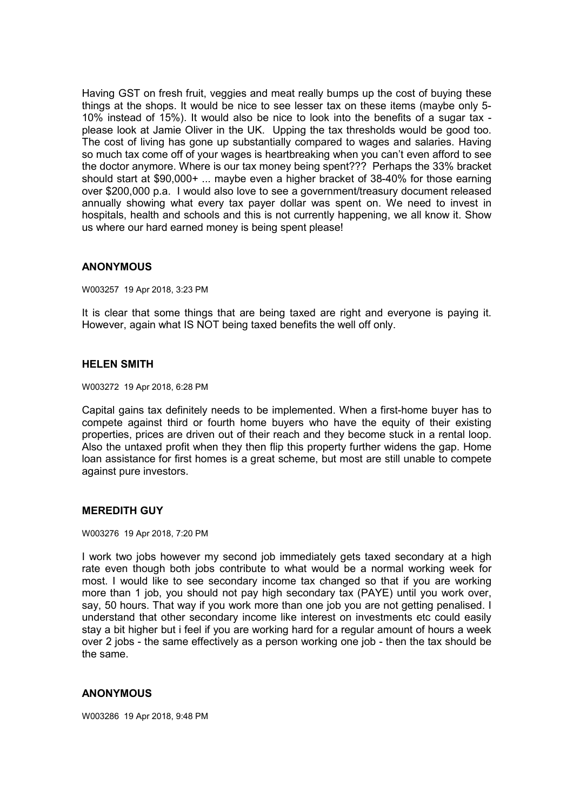Having GST on fresh fruit, veggies and meat really bumps up the cost of buying these things at the shops. It would be nice to see lesser tax on these items (maybe only 5- 10% instead of 15%). It would also be nice to look into the benefits of a sugar tax please look at Jamie Oliver in the UK. Upping the tax thresholds would be good too. The cost of living has gone up substantially compared to wages and salaries. Having so much tax come off of your wages is heartbreaking when you can't even afford to see the doctor anymore. Where is our tax money being spent??? Perhaps the 33% bracket should start at \$90,000+ ... maybe even a higher bracket of 38-40% for those earning over \$200,000 p.a. I would also love to see a government/treasury document released annually showing what every tax payer dollar was spent on. We need to invest in hospitals, health and schools and this is not currently happening, we all know it. Show us where our hard earned money is being spent please!

## **ANONYMOUS**

W003257 19 Apr 2018, 3:23 PM

It is clear that some things that are being taxed are right and everyone is paying it. However, again what IS NOT being taxed benefits the well off only.

### **HELEN SMITH**

W003272 19 Apr 2018, 6:28 PM

Capital gains tax definitely needs to be implemented. When a first-home buyer has to compete against third or fourth home buyers who have the equity of their existing properties, prices are driven out of their reach and they become stuck in a rental loop. Also the untaxed profit when they then flip this property further widens the gap. Home loan assistance for first homes is a great scheme, but most are still unable to compete against pure investors.

## **MEREDITH GUY**

W003276 19 Apr 2018, 7:20 PM

I work two jobs however my second job immediately gets taxed secondary at a high rate even though both jobs contribute to what would be a normal working week for most. I would like to see secondary income tax changed so that if you are working more than 1 job, you should not pay high secondary tax (PAYE) until you work over, say, 50 hours. That way if you work more than one job you are not getting penalised. I understand that other secondary income like interest on investments etc could easily stay a bit higher but i feel if you are working hard for a regular amount of hours a week over 2 jobs - the same effectively as a person working one job - then the tax should be the same.

## **ANONYMOUS**

W003286 19 Apr 2018, 9:48 PM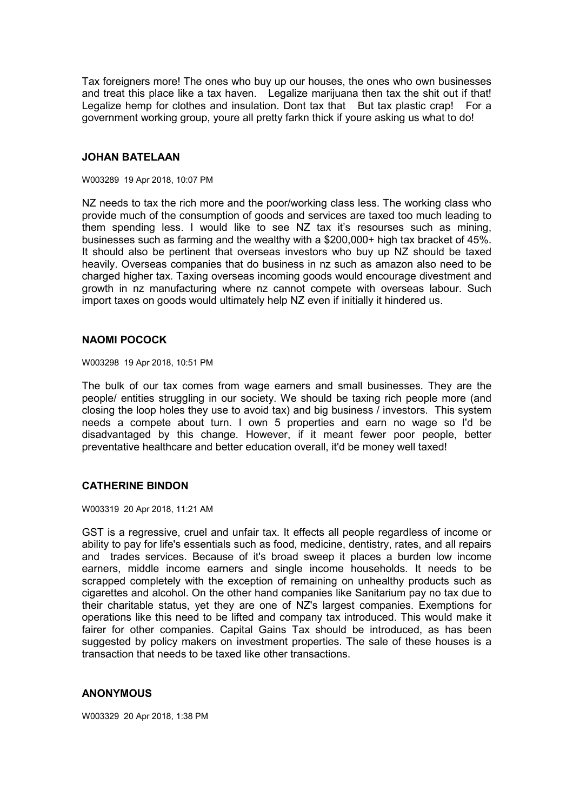Tax foreigners more! The ones who buy up our houses, the ones who own businesses and treat this place like a tax haven. Legalize marijuana then tax the shit out if that! Legalize hemp for clothes and insulation. Dont tax that But tax plastic crap! For a government working group, youre all pretty farkn thick if youre asking us what to do!

### **JOHAN BATELAAN**

#### W003289 19 Apr 2018, 10:07 PM

NZ needs to tax the rich more and the poor/working class less. The working class who provide much of the consumption of goods and services are taxed too much leading to them spending less. I would like to see NZ tax it's resourses such as mining, businesses such as farming and the wealthy with a \$200,000+ high tax bracket of 45%. It should also be pertinent that overseas investors who buy up NZ should be taxed heavily. Overseas companies that do business in nz such as amazon also need to be charged higher tax. Taxing overseas incoming goods would encourage divestment and growth in nz manufacturing where nz cannot compete with overseas labour. Such import taxes on goods would ultimately help NZ even if initially it hindered us.

### **NAOMI POCOCK**

W003298 19 Apr 2018, 10:51 PM

The bulk of our tax comes from wage earners and small businesses. They are the people/ entities struggling in our society. We should be taxing rich people more (and closing the loop holes they use to avoid tax) and big business / investors. This system needs a compete about turn. I own 5 properties and earn no wage so I'd be disadvantaged by this change. However, if it meant fewer poor people, better preventative healthcare and better education overall, it'd be money well taxed!

## **CATHERINE BINDON**

W003319 20 Apr 2018, 11:21 AM

GST is a regressive, cruel and unfair tax. It effects all people regardless of income or ability to pay for life's essentials such as food, medicine, dentistry, rates, and all repairs and trades services. Because of it's broad sweep it places a burden low income earners, middle income earners and single income households. It needs to be scrapped completely with the exception of remaining on unhealthy products such as cigarettes and alcohol. On the other hand companies like Sanitarium pay no tax due to their charitable status, yet they are one of NZ's largest companies. Exemptions for operations like this need to be lifted and company tax introduced. This would make it fairer for other companies. Capital Gains Tax should be introduced, as has been suggested by policy makers on investment properties. The sale of these houses is a transaction that needs to be taxed like other transactions.

## **ANONYMOUS**

W003329 20 Apr 2018, 1:38 PM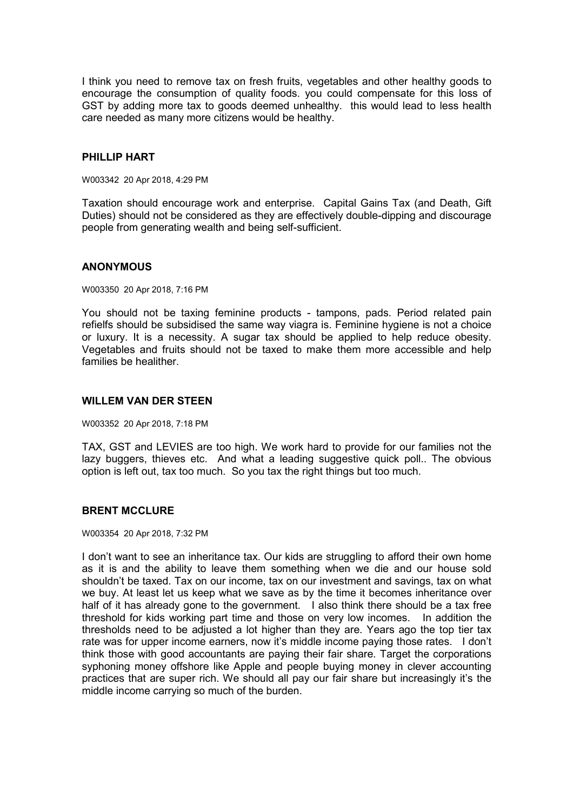I think you need to remove tax on fresh fruits, vegetables and other healthy goods to encourage the consumption of quality foods. you could compensate for this loss of GST by adding more tax to goods deemed unhealthy. this would lead to less health care needed as many more citizens would be healthy.

### **PHILLIP HART**

W003342 20 Apr 2018, 4:29 PM

Taxation should encourage work and enterprise. Capital Gains Tax (and Death, Gift Duties) should not be considered as they are effectively double-dipping and discourage people from generating wealth and being self-sufficient.

### **ANONYMOUS**

W003350 20 Apr 2018, 7:16 PM

You should not be taxing feminine products - tampons, pads. Period related pain refielfs should be subsidised the same way viagra is. Feminine hygiene is not a choice or luxury. It is a necessity. A sugar tax should be applied to help reduce obesity. Vegetables and fruits should not be taxed to make them more accessible and help families be healither.

### **WILLEM VAN DER STEEN**

W003352 20 Apr 2018, 7:18 PM

TAX, GST and LEVIES are too high. We work hard to provide for our families not the lazy buggers, thieves etc. And what a leading suggestive quick poll.. The obvious option is left out, tax too much. So you tax the right things but too much.

## **BRENT MCCLURE**

W003354 20 Apr 2018, 7:32 PM

I don't want to see an inheritance tax. Our kids are struggling to afford their own home as it is and the ability to leave them something when we die and our house sold shouldn't be taxed. Tax on our income, tax on our investment and savings, tax on what we buy. At least let us keep what we save as by the time it becomes inheritance over half of it has already gone to the government. I also think there should be a tax free threshold for kids working part time and those on very low incomes. In addition the thresholds need to be adjusted a lot higher than they are. Years ago the top tier tax rate was for upper income earners, now it's middle income paying those rates. I don't think those with good accountants are paying their fair share. Target the corporations syphoning money offshore like Apple and people buying money in clever accounting practices that are super rich. We should all pay our fair share but increasingly it's the middle income carrying so much of the burden.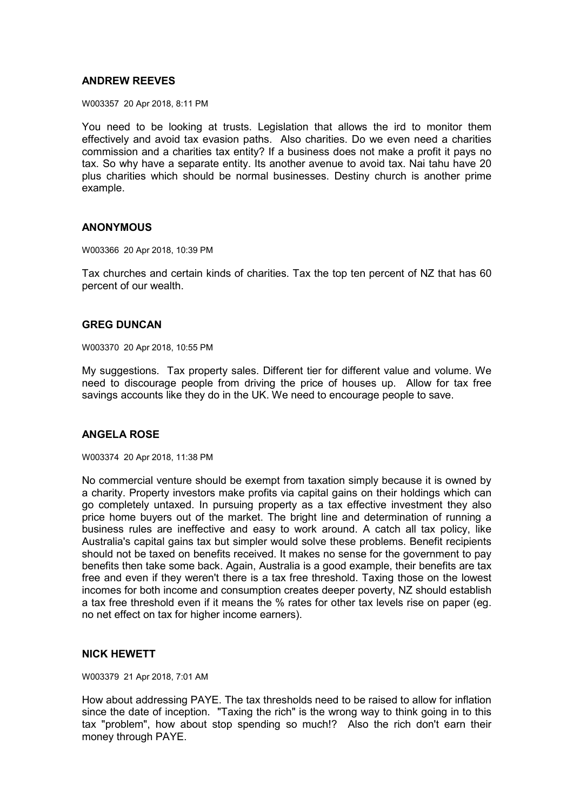## **ANDREW REEVES**

W003357 20 Apr 2018, 8:11 PM

You need to be looking at trusts. Legislation that allows the ird to monitor them effectively and avoid tax evasion paths. Also charities. Do we even need a charities commission and a charities tax entity? If a business does not make a profit it pays no tax. So why have a separate entity. Its another avenue to avoid tax. Nai tahu have 20 plus charities which should be normal businesses. Destiny church is another prime example.

## **ANONYMOUS**

W003366 20 Apr 2018, 10:39 PM

Tax churches and certain kinds of charities. Tax the top ten percent of NZ that has 60 percent of our wealth.

## **GREG DUNCAN**

W003370 20 Apr 2018, 10:55 PM

My suggestions. Tax property sales. Different tier for different value and volume. We need to discourage people from driving the price of houses up. Allow for tax free savings accounts like they do in the UK. We need to encourage people to save.

## **ANGELA ROSE**

W003374 20 Apr 2018, 11:38 PM

No commercial venture should be exempt from taxation simply because it is owned by a charity. Property investors make profits via capital gains on their holdings which can go completely untaxed. In pursuing property as a tax effective investment they also price home buyers out of the market. The bright line and determination of running a business rules are ineffective and easy to work around. A catch all tax policy, like Australia's capital gains tax but simpler would solve these problems. Benefit recipients should not be taxed on benefits received. It makes no sense for the government to pay benefits then take some back. Again, Australia is a good example, their benefits are tax free and even if they weren't there is a tax free threshold. Taxing those on the lowest incomes for both income and consumption creates deeper poverty, NZ should establish a tax free threshold even if it means the % rates for other tax levels rise on paper (eg. no net effect on tax for higher income earners).

## **NICK HEWETT**

W003379 21 Apr 2018, 7:01 AM

How about addressing PAYE. The tax thresholds need to be raised to allow for inflation since the date of inception. "Taxing the rich" is the wrong way to think going in to this tax "problem", how about stop spending so much!? Also the rich don't earn their money through PAYE.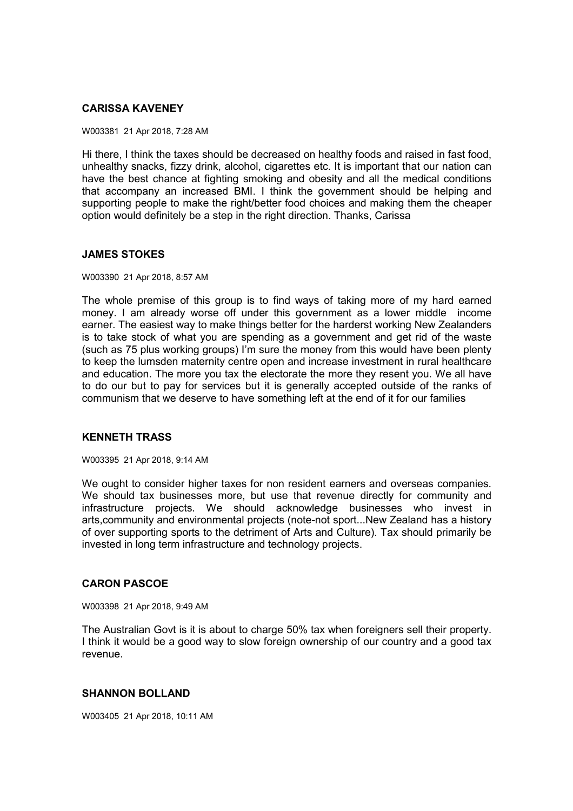# **CARISSA KAVENEY**

W003381 21 Apr 2018, 7:28 AM

Hi there, I think the taxes should be decreased on healthy foods and raised in fast food, unhealthy snacks, fizzy drink, alcohol, cigarettes etc. It is important that our nation can have the best chance at fighting smoking and obesity and all the medical conditions that accompany an increased BMI. I think the government should be helping and supporting people to make the right/better food choices and making them the cheaper option would definitely be a step in the right direction. Thanks, Carissa

## **JAMES STOKES**

W003390 21 Apr 2018, 8:57 AM

The whole premise of this group is to find ways of taking more of my hard earned money. I am already worse off under this government as a lower middle income earner. The easiest way to make things better for the harderst working New Zealanders is to take stock of what you are spending as a government and get rid of the waste (such as 75 plus working groups) I'm sure the money from this would have been plenty to keep the lumsden maternity centre open and increase investment in rural healthcare and education. The more you tax the electorate the more they resent you. We all have to do our but to pay for services but it is generally accepted outside of the ranks of communism that we deserve to have something left at the end of it for our families

# **KENNETH TRASS**

W003395 21 Apr 2018, 9:14 AM

We ought to consider higher taxes for non resident earners and overseas companies. We should tax businesses more, but use that revenue directly for community and infrastructure projects. We should acknowledge businesses who invest in arts,community and environmental projects (note-not sport...New Zealand has a history of over supporting sports to the detriment of Arts and Culture). Tax should primarily be invested in long term infrastructure and technology projects.

## **CARON PASCOE**

W003398 21 Apr 2018, 9:49 AM

The Australian Govt is it is about to charge 50% tax when foreigners sell their property. I think it would be a good way to slow foreign ownership of our country and a good tax revenue.

## **SHANNON BOLLAND**

W003405 21 Apr 2018, 10:11 AM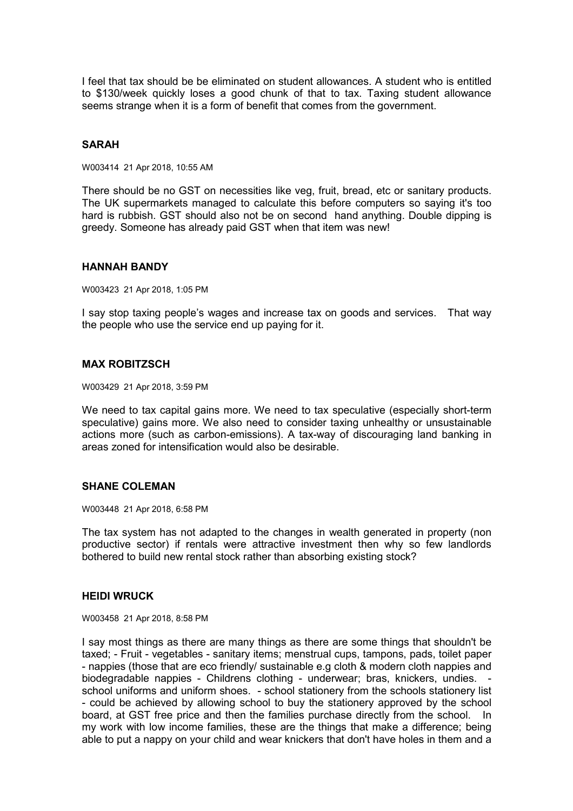I feel that tax should be be eliminated on student allowances. A student who is entitled to \$130/week quickly loses a good chunk of that to tax. Taxing student allowance seems strange when it is a form of benefit that comes from the government.

## **SARAH**

W003414 21 Apr 2018, 10:55 AM

There should be no GST on necessities like veg, fruit, bread, etc or sanitary products. The UK supermarkets managed to calculate this before computers so saying it's too hard is rubbish. GST should also not be on second hand anything. Double dipping is greedy. Someone has already paid GST when that item was new!

#### **HANNAH BANDY**

W003423 21 Apr 2018, 1:05 PM

I say stop taxing people's wages and increase tax on goods and services. That way the people who use the service end up paying for it.

# **MAX ROBITZSCH**

W003429 21 Apr 2018, 3:59 PM

We need to tax capital gains more. We need to tax speculative (especially short-term speculative) gains more. We also need to consider taxing unhealthy or unsustainable actions more (such as carbon-emissions). A tax-way of discouraging land banking in areas zoned for intensification would also be desirable.

#### **SHANE COLEMAN**

W003448 21 Apr 2018, 6:58 PM

The tax system has not adapted to the changes in wealth generated in property (non productive sector) if rentals were attractive investment then why so few landlords bothered to build new rental stock rather than absorbing existing stock?

#### **HEIDI WRUCK**

W003458 21 Apr 2018, 8:58 PM

I say most things as there are many things as there are some things that shouldn't be taxed; - Fruit - vegetables - sanitary items; menstrual cups, tampons, pads, toilet paper - nappies (those that are eco friendly/ sustainable e.g cloth & modern cloth nappies and biodegradable nappies - Childrens clothing - underwear; bras, knickers, undies. school uniforms and uniform shoes. - school stationery from the schools stationery list - could be achieved by allowing school to buy the stationery approved by the school board, at GST free price and then the families purchase directly from the school. In my work with low income families, these are the things that make a difference; being able to put a nappy on your child and wear knickers that don't have holes in them and a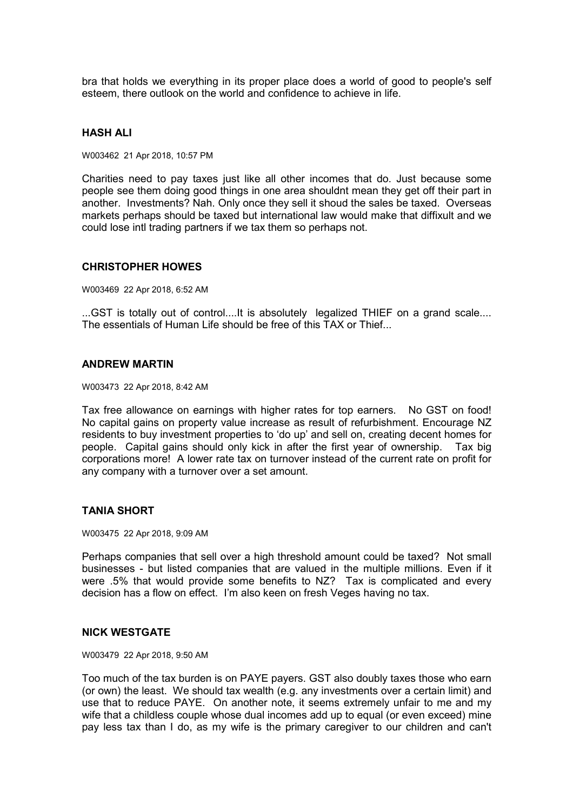bra that holds we everything in its proper place does a world of good to people's self esteem, there outlook on the world and confidence to achieve in life.

### **HASH ALI**

W003462 21 Apr 2018, 10:57 PM

Charities need to pay taxes just like all other incomes that do. Just because some people see them doing good things in one area shouldnt mean they get off their part in another. Investments? Nah. Only once they sell it shoud the sales be taxed. Overseas markets perhaps should be taxed but international law would make that diffixult and we could lose intl trading partners if we tax them so perhaps not.

#### **CHRISTOPHER HOWES**

W003469 22 Apr 2018, 6:52 AM

...GST is totally out of control....It is absolutely legalized THIEF on a grand scale.... The essentials of Human Life should be free of this TAX or Thief...

## **ANDREW MARTIN**

W003473 22 Apr 2018, 8:42 AM

Tax free allowance on earnings with higher rates for top earners. No GST on food! No capital gains on property value increase as result of refurbishment. Encourage NZ residents to buy investment properties to 'do up' and sell on, creating decent homes for people. Capital gains should only kick in after the first year of ownership. Tax big corporations more! A lower rate tax on turnover instead of the current rate on profit for any company with a turnover over a set amount.

#### **TANIA SHORT**

W003475 22 Apr 2018, 9:09 AM

Perhaps companies that sell over a high threshold amount could be taxed? Not small businesses - but listed companies that are valued in the multiple millions. Even if it were .5% that would provide some benefits to NZ? Tax is complicated and every decision has a flow on effect. I'm also keen on fresh Veges having no tax.

### **NICK WESTGATE**

W003479 22 Apr 2018, 9:50 AM

Too much of the tax burden is on PAYE payers. GST also doubly taxes those who earn (or own) the least. We should tax wealth (e.g. any investments over a certain limit) and use that to reduce PAYE. On another note, it seems extremely unfair to me and my wife that a childless couple whose dual incomes add up to equal (or even exceed) mine pay less tax than I do, as my wife is the primary caregiver to our children and can't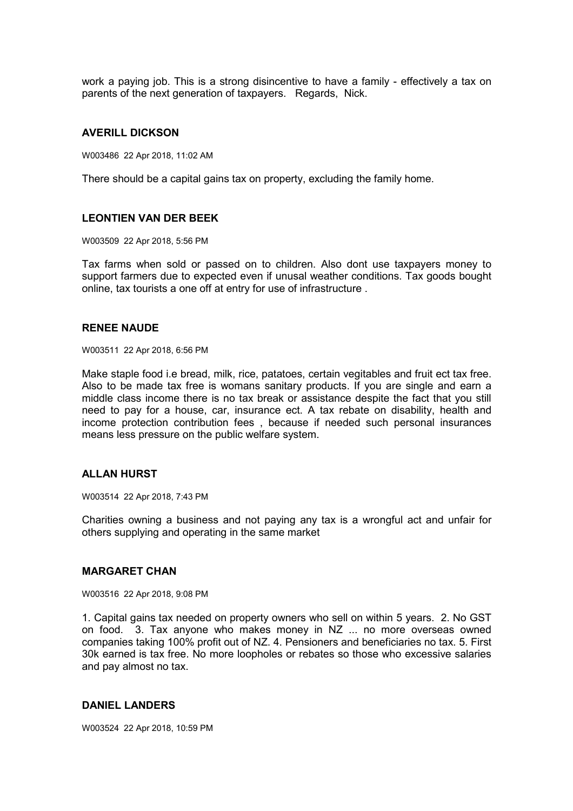work a paying job. This is a strong disincentive to have a family - effectively a tax on parents of the next generation of taxpayers. Regards, Nick.

### **AVERILL DICKSON**

W003486 22 Apr 2018, 11:02 AM

There should be a capital gains tax on property, excluding the family home.

### **LEONTIEN VAN DER BEEK**

W003509 22 Apr 2018, 5:56 PM

Tax farms when sold or passed on to children. Also dont use taxpayers money to support farmers due to expected even if unusal weather conditions. Tax goods bought online, tax tourists a one off at entry for use of infrastructure .

#### **RENEE NAUDE**

W003511 22 Apr 2018, 6:56 PM

Make staple food i.e bread, milk, rice, patatoes, certain vegitables and fruit ect tax free. Also to be made tax free is womans sanitary products. If you are single and earn a middle class income there is no tax break or assistance despite the fact that you still need to pay for a house, car, insurance ect. A tax rebate on disability, health and income protection contribution fees , because if needed such personal insurances means less pressure on the public welfare system.

#### **ALLAN HURST**

W003514 22 Apr 2018, 7:43 PM

Charities owning a business and not paying any tax is a wrongful act and unfair for others supplying and operating in the same market

### **MARGARET CHAN**

W003516 22 Apr 2018, 9:08 PM

1. Capital gains tax needed on property owners who sell on within 5 years. 2. No GST on food. 3. Tax anyone who makes money in NZ ... no more overseas owned companies taking 100% profit out of NZ. 4. Pensioners and beneficiaries no tax. 5. First 30k earned is tax free. No more loopholes or rebates so those who excessive salaries and pay almost no tax.

### **DANIEL LANDERS**

W003524 22 Apr 2018, 10:59 PM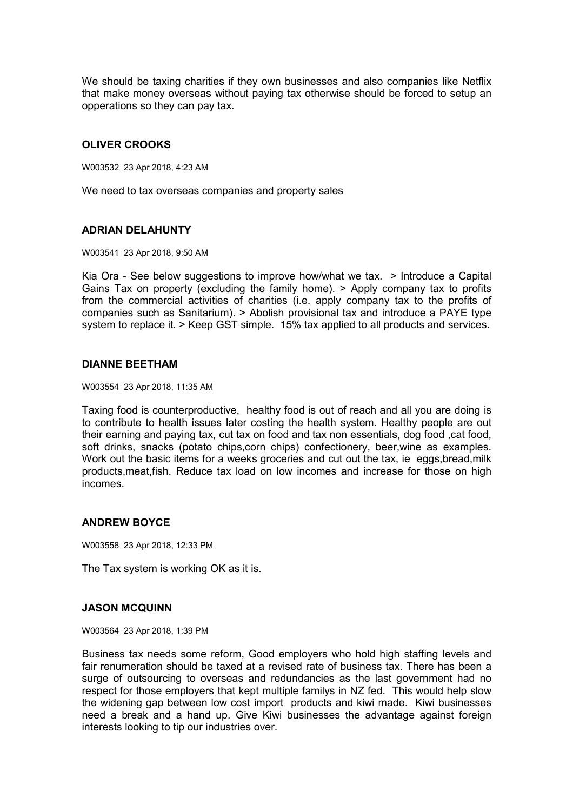We should be taxing charities if they own businesses and also companies like Netflix that make money overseas without paying tax otherwise should be forced to setup an opperations so they can pay tax.

# **OLIVER CROOKS**

W003532 23 Apr 2018, 4:23 AM

We need to tax overseas companies and property sales

# **ADRIAN DELAHUNTY**

W003541 23 Apr 2018, 9:50 AM

Kia Ora - See below suggestions to improve how/what we tax. > Introduce a Capital Gains Tax on property (excluding the family home). > Apply company tax to profits from the commercial activities of charities (i.e. apply company tax to the profits of companies such as Sanitarium). > Abolish provisional tax and introduce a PAYE type system to replace it. > Keep GST simple. 15% tax applied to all products and services.

## **DIANNE BEETHAM**

W003554 23 Apr 2018, 11:35 AM

Taxing food is counterproductive, healthy food is out of reach and all you are doing is to contribute to health issues later costing the health system. Healthy people are out their earning and paying tax, cut tax on food and tax non essentials, dog food ,cat food, soft drinks, snacks (potato chips,corn chips) confectionery, beer,wine as examples. Work out the basic items for a weeks groceries and cut out the tax, ie eggs, bread, milk products,meat,fish. Reduce tax load on low incomes and increase for those on high incomes.

# **ANDREW BOYCE**

W003558 23 Apr 2018, 12:33 PM

The Tax system is working OK as it is.

## **JASON MCQUINN**

W003564 23 Apr 2018, 1:39 PM

Business tax needs some reform, Good employers who hold high staffing levels and fair renumeration should be taxed at a revised rate of business tax. There has been a surge of outsourcing to overseas and redundancies as the last government had no respect for those employers that kept multiple familys in NZ fed. This would help slow the widening gap between low cost import products and kiwi made. Kiwi businesses need a break and a hand up. Give Kiwi businesses the advantage against foreign interests looking to tip our industries over.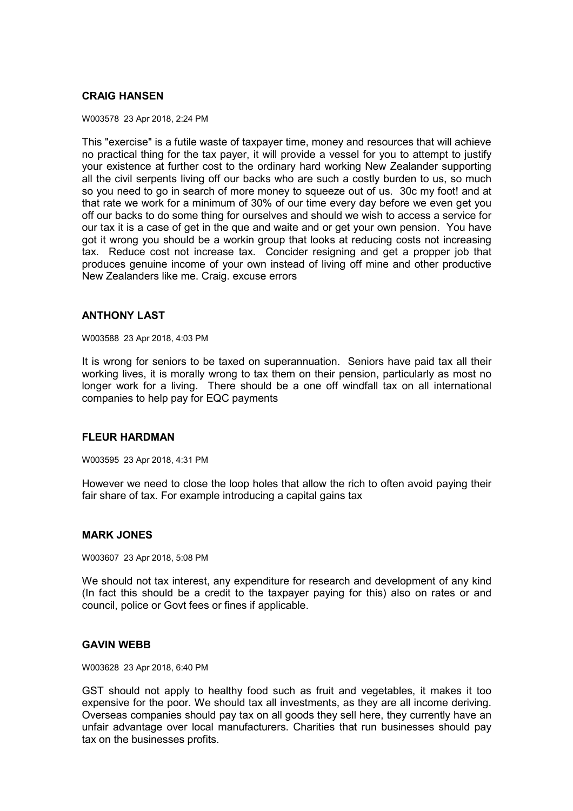# **CRAIG HANSEN**

W003578 23 Apr 2018, 2:24 PM

This "exercise" is a futile waste of taxpayer time, money and resources that will achieve no practical thing for the tax payer, it will provide a vessel for you to attempt to justify your existence at further cost to the ordinary hard working New Zealander supporting all the civil serpents living off our backs who are such a costly burden to us, so much so you need to go in search of more money to squeeze out of us. 30c my foot! and at that rate we work for a minimum of 30% of our time every day before we even get you off our backs to do some thing for ourselves and should we wish to access a service for our tax it is a case of get in the que and waite and or get your own pension. You have got it wrong you should be a workin group that looks at reducing costs not increasing tax. Reduce cost not increase tax. Concider resigning and get a propper job that produces genuine income of your own instead of living off mine and other productive New Zealanders like me. Craig. excuse errors

### **ANTHONY LAST**

W003588 23 Apr 2018, 4:03 PM

It is wrong for seniors to be taxed on superannuation. Seniors have paid tax all their working lives, it is morally wrong to tax them on their pension, particularly as most no longer work for a living. There should be a one off windfall tax on all international companies to help pay for EQC payments

## **FLEUR HARDMAN**

W003595 23 Apr 2018, 4:31 PM

However we need to close the loop holes that allow the rich to often avoid paying their fair share of tax. For example introducing a capital gains tax

#### **MARK JONES**

W003607 23 Apr 2018, 5:08 PM

We should not tax interest, any expenditure for research and development of any kind (In fact this should be a credit to the taxpayer paying for this) also on rates or and council, police or Govt fees or fines if applicable.

### **GAVIN WEBB**

W003628 23 Apr 2018, 6:40 PM

GST should not apply to healthy food such as fruit and vegetables, it makes it too expensive for the poor. We should tax all investments, as they are all income deriving. Overseas companies should pay tax on all goods they sell here, they currently have an unfair advantage over local manufacturers. Charities that run businesses should pay tax on the businesses profits.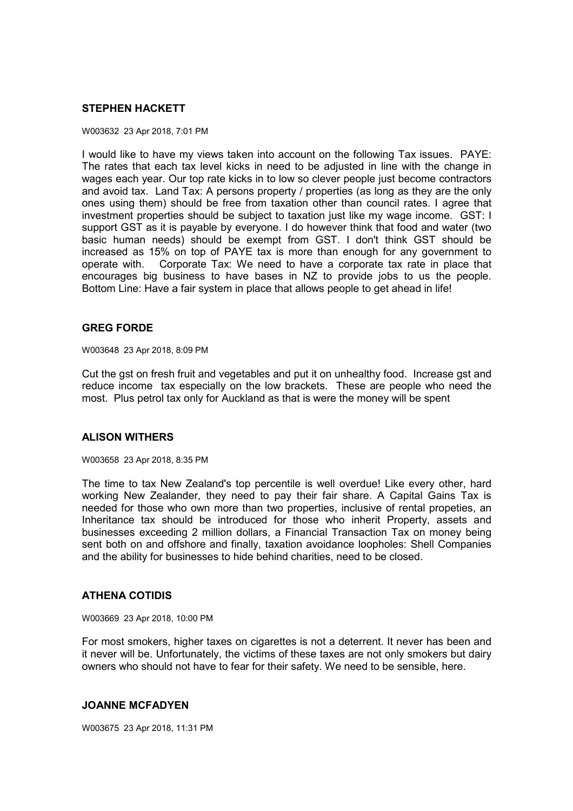## **STEPHEN HACKETT**

#### W003632 23 Apr 2018, 7:01 PM

I would like to have my views taken into account on the following Tax issues. PAYE: The rates that each tax level kicks in need to be adjusted in line with the change in wages each year. Our top rate kicks in to low so clever people just become contractors and avoid tax. Land Tax: A persons property / properties (as long as they are the only ones using them) should be free from taxation other than council rates. I agree that investment properties should be subject to taxation just like my wage income. GST: I support GST as it is payable by everyone. I do however think that food and water (two basic human needs) should be exempt from GST. I don't think GST should be increased as 15% on top of PAYE tax is more than enough for any government to operate with. Corporate Tax: We need to have a corporate tax rate in place that encourages big business to have bases in NZ to provide jobs to us the people. Bottom Line: Have a fair system in place that allows people to get ahead in life!

## **GREG FORDE**

W003648 23 Apr 2018, 8:09 PM

Cut the gst on fresh fruit and vegetables and put it on unhealthy food. Increase gst and reduce income tax especially on the low brackets. These are people who need the most. Plus petrol tax only for Auckland as that is were the money will be spent

## **ALISON WITHERS**

W003658 23 Apr 2018, 8:35 PM

The time to tax New Zealand's top percentile is well overdue! Like every other, hard working New Zealander, they need to pay their fair share. A Capital Gains Tax is needed for those who own more than two properties, inclusive of rental propeties, an Inheritance tax should be introduced for those who inherit Property, assets and businesses exceeding 2 million dollars, a Financial Transaction Tax on money being sent both on and offshore and finally, taxation avoidance loopholes: Shell Companies and the ability for businesses to hide behind charities, need to be closed.

## **ATHENA COTIDIS**

W003669 23 Apr 2018, 10:00 PM

For most smokers, higher taxes on cigarettes is not a deterrent. It never has been and it never will be. Unfortunately, the victims of these taxes are not only smokers but dairy owners who should not have to fear for their safety. We need to be sensible, here.

#### **JOANNE MCFADYEN**

W003675 23 Apr 2018, 11:31 PM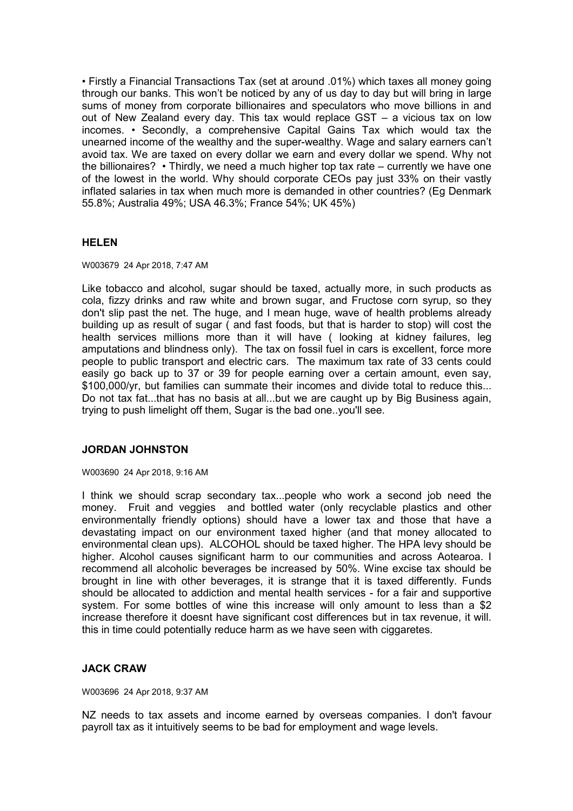• Firstly a Financial Transactions Tax (set at around .01%) which taxes all money going through our banks. This won't be noticed by any of us day to day but will bring in large sums of money from corporate billionaires and speculators who move billions in and out of New Zealand every day. This tax would replace GST – a vicious tax on low incomes. • Secondly, a comprehensive Capital Gains Tax which would tax the unearned income of the wealthy and the super-wealthy. Wage and salary earners can't avoid tax. We are taxed on every dollar we earn and every dollar we spend. Why not the billionaires? • Thirdly, we need a much higher top tax rate – currently we have one of the lowest in the world. Why should corporate CEOs pay just 33% on their vastly inflated salaries in tax when much more is demanded in other countries? (Eg Denmark 55.8%; Australia 49%; USA 46.3%; France 54%; UK 45%)

## **HELEN**

W003679 24 Apr 2018, 7:47 AM

Like tobacco and alcohol, sugar should be taxed, actually more, in such products as cola, fizzy drinks and raw white and brown sugar, and Fructose corn syrup, so they don't slip past the net. The huge, and I mean huge, wave of health problems already building up as result of sugar ( and fast foods, but that is harder to stop) will cost the health services millions more than it will have ( looking at kidney failures, leg amputations and blindness only). The tax on fossil fuel in cars is excellent, force more people to public transport and electric cars. The maximum tax rate of 33 cents could easily go back up to 37 or 39 for people earning over a certain amount, even say, \$100,000/yr, but families can summate their incomes and divide total to reduce this... Do not tax fat...that has no basis at all...but we are caught up by Big Business again, trying to push limelight off them, Sugar is the bad one..you'll see.

# **JORDAN JOHNSTON**

W003690 24 Apr 2018, 9:16 AM

I think we should scrap secondary tax...people who work a second job need the money. Fruit and veggies and bottled water (only recyclable plastics and other environmentally friendly options) should have a lower tax and those that have a devastating impact on our environment taxed higher (and that money allocated to environmental clean ups). ALCOHOL should be taxed higher. The HPA levy should be higher. Alcohol causes significant harm to our communities and across Aotearoa. I recommend all alcoholic beverages be increased by 50%. Wine excise tax should be brought in line with other beverages, it is strange that it is taxed differently. Funds should be allocated to addiction and mental health services - for a fair and supportive system. For some bottles of wine this increase will only amount to less than a \$2 increase therefore it doesnt have significant cost differences but in tax revenue, it will. this in time could potentially reduce harm as we have seen with ciggaretes.

# **JACK CRAW**

W003696 24 Apr 2018, 9:37 AM

NZ needs to tax assets and income earned by overseas companies. I don't favour payroll tax as it intuitively seems to be bad for employment and wage levels.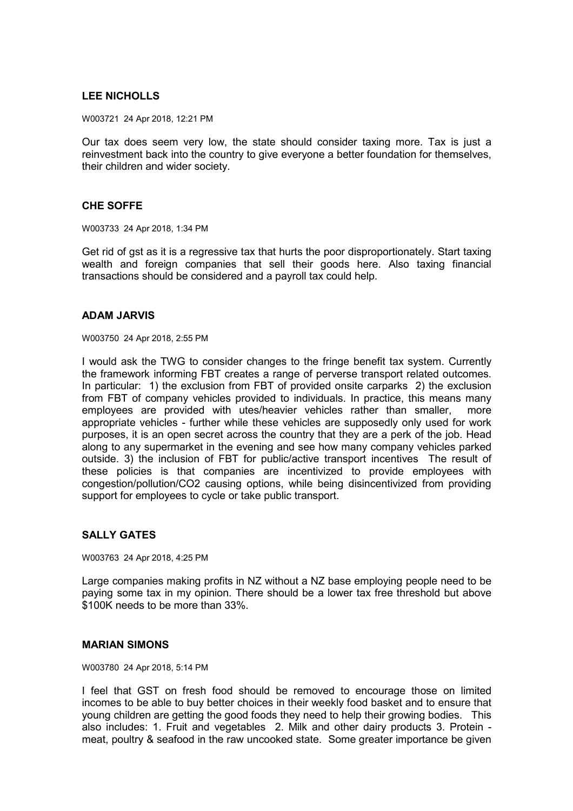# **LEE NICHOLLS**

W003721 24 Apr 2018, 12:21 PM

Our tax does seem very low, the state should consider taxing more. Tax is just a reinvestment back into the country to give everyone a better foundation for themselves, their children and wider society.

### **CHE SOFFE**

W003733 24 Apr 2018, 1:34 PM

Get rid of gst as it is a regressive tax that hurts the poor disproportionately. Start taxing wealth and foreign companies that sell their goods here. Also taxing financial transactions should be considered and a payroll tax could help.

### **ADAM JARVIS**

W003750 24 Apr 2018, 2:55 PM

I would ask the TWG to consider changes to the fringe benefit tax system. Currently the framework informing FBT creates a range of perverse transport related outcomes. In particular: 1) the exclusion from FBT of provided onsite carparks 2) the exclusion from FBT of company vehicles provided to individuals. In practice, this means many employees are provided with utes/heavier vehicles rather than smaller, more appropriate vehicles - further while these vehicles are supposedly only used for work purposes, it is an open secret across the country that they are a perk of the job. Head along to any supermarket in the evening and see how many company vehicles parked outside. 3) the inclusion of FBT for public/active transport incentives The result of these policies is that companies are incentivized to provide employees with congestion/pollution/CO2 causing options, while being disincentivized from providing support for employees to cycle or take public transport.

# **SALLY GATES**

W003763 24 Apr 2018, 4:25 PM

Large companies making profits in NZ without a NZ base employing people need to be paying some tax in my opinion. There should be a lower tax free threshold but above \$100K needs to be more than 33%.

### **MARIAN SIMONS**

W003780 24 Apr 2018, 5:14 PM

I feel that GST on fresh food should be removed to encourage those on limited incomes to be able to buy better choices in their weekly food basket and to ensure that young children are getting the good foods they need to help their growing bodies. This also includes: 1. Fruit and vegetables 2. Milk and other dairy products 3. Protein meat, poultry & seafood in the raw uncooked state. Some greater importance be given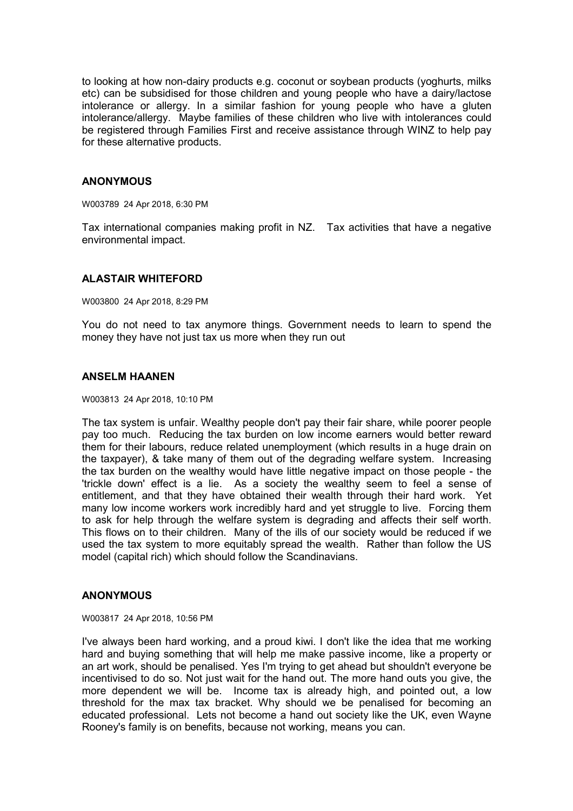to looking at how non-dairy products e.g. coconut or soybean products (yoghurts, milks etc) can be subsidised for those children and young people who have a dairy/lactose intolerance or allergy. In a similar fashion for young people who have a gluten intolerance/allergy. Maybe families of these children who live with intolerances could be registered through Families First and receive assistance through WINZ to help pay for these alternative products.

## **ANONYMOUS**

W003789 24 Apr 2018, 6:30 PM

Tax international companies making profit in NZ. Tax activities that have a negative environmental impact.

## **ALASTAIR WHITEFORD**

W003800 24 Apr 2018, 8:29 PM

You do not need to tax anymore things. Government needs to learn to spend the money they have not just tax us more when they run out

## **ANSELM HAANEN**

W003813 24 Apr 2018, 10:10 PM

The tax system is unfair. Wealthy people don't pay their fair share, while poorer people pay too much. Reducing the tax burden on low income earners would better reward them for their labours, reduce related unemployment (which results in a huge drain on the taxpayer), & take many of them out of the degrading welfare system. Increasing the tax burden on the wealthy would have little negative impact on those people - the 'trickle down' effect is a lie. As a society the wealthy seem to feel a sense of entitlement, and that they have obtained their wealth through their hard work. Yet many low income workers work incredibly hard and yet struggle to live. Forcing them to ask for help through the welfare system is degrading and affects their self worth. This flows on to their children. Many of the ills of our society would be reduced if we used the tax system to more equitably spread the wealth. Rather than follow the US model (capital rich) which should follow the Scandinavians.

## **ANONYMOUS**

W003817 24 Apr 2018, 10:56 PM

I've always been hard working, and a proud kiwi. I don't like the idea that me working hard and buying something that will help me make passive income, like a property or an art work, should be penalised. Yes I'm trying to get ahead but shouldn't everyone be incentivised to do so. Not just wait for the hand out. The more hand outs you give, the more dependent we will be. Income tax is already high, and pointed out, a low threshold for the max tax bracket. Why should we be penalised for becoming an educated professional. Lets not become a hand out society like the UK, even Wayne Rooney's family is on benefits, because not working, means you can.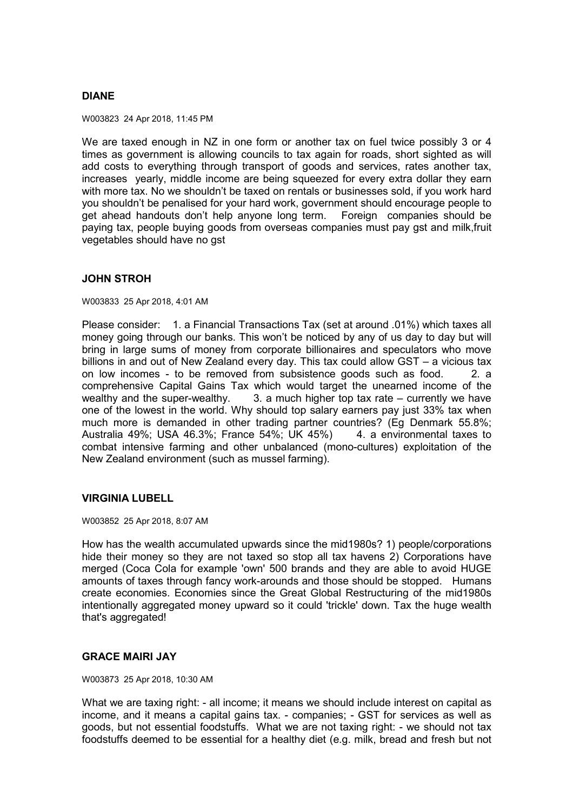# **DIANE**

W003823 24 Apr 2018, 11:45 PM

We are taxed enough in NZ in one form or another tax on fuel twice possibly 3 or 4 times as government is allowing councils to tax again for roads, short sighted as will add costs to everything through transport of goods and services, rates another tax, increases yearly, middle income are being squeezed for every extra dollar they earn with more tax. No we shouldn't be taxed on rentals or businesses sold, if you work hard you shouldn't be penalised for your hard work, government should encourage people to get ahead handouts don't help anyone long term. Foreign companies should be paying tax, people buying goods from overseas companies must pay gst and milk,fruit vegetables should have no gst

## **JOHN STROH**

W003833 25 Apr 2018, 4:01 AM

Please consider: 1. a Financial Transactions Tax (set at around .01%) which taxes all money going through our banks. This won't be noticed by any of us day to day but will bring in large sums of money from corporate billionaires and speculators who move billions in and out of New Zealand every day. This tax could allow GST – a vicious tax on low incomes - to be removed from subsistence goods such as food. 2. a comprehensive Capital Gains Tax which would target the unearned income of the wealthy and the super-wealthy. 3. a much higher top tax rate – currently we have one of the lowest in the world. Why should top salary earners pay just 33% tax when much more is demanded in other trading partner countries? (Eg Denmark 55.8%; Australia 49%; USA 46.3%; France 54%; UK 45%) 4. a environmental taxes to combat intensive farming and other unbalanced (mono-cultures) exploitation of the New Zealand environment (such as mussel farming).

## **VIRGINIA LUBELL**

W003852 25 Apr 2018, 8:07 AM

How has the wealth accumulated upwards since the mid1980s? 1) people/corporations hide their money so they are not taxed so stop all tax havens 2) Corporations have merged (Coca Cola for example 'own' 500 brands and they are able to avoid HUGE amounts of taxes through fancy work-arounds and those should be stopped. Humans create economies. Economies since the Great Global Restructuring of the mid1980s intentionally aggregated money upward so it could 'trickle' down. Tax the huge wealth that's aggregated!

## **GRACE MAIRI JAY**

W003873 25 Apr 2018, 10:30 AM

What we are taxing right: - all income; it means we should include interest on capital as income, and it means a capital gains tax. - companies; - GST for services as well as goods, but not essential foodstuffs. What we are not taxing right: - we should not tax foodstuffs deemed to be essential for a healthy diet (e.g. milk, bread and fresh but not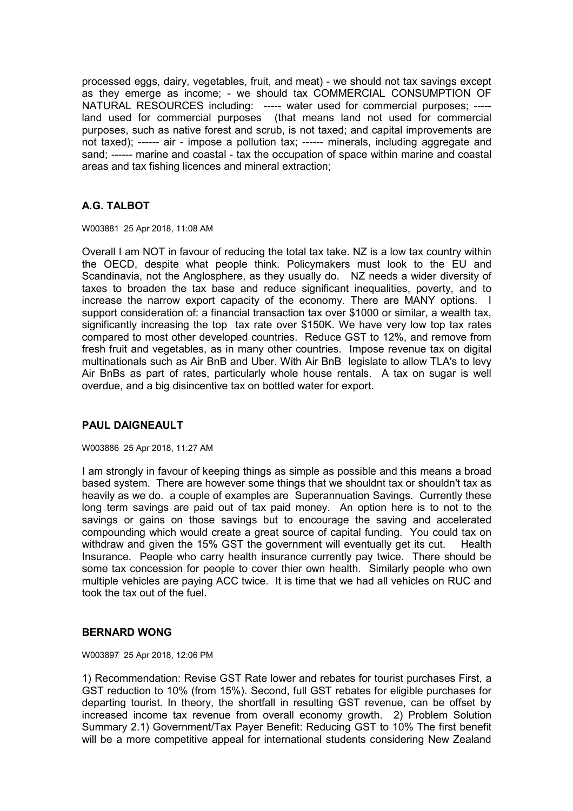processed eggs, dairy, vegetables, fruit, and meat) - we should not tax savings except as they emerge as income; - we should tax COMMERCIAL CONSUMPTION OF NATURAL RESOURCES including: ----- water used for commercial purposes; ---- land used for commercial purposes (that means land not used for commercial purposes, such as native forest and scrub, is not taxed; and capital improvements are not taxed); ------ air - impose a pollution tax; ------ minerals, including aggregate and sand; ------ marine and coastal - tax the occupation of space within marine and coastal areas and tax fishing licences and mineral extraction;

# **A.G. TALBOT**

W003881 25 Apr 2018, 11:08 AM

Overall I am NOT in favour of reducing the total tax take. NZ is a low tax country within the OECD, despite what people think. Policymakers must look to the EU and Scandinavia, not the Anglosphere, as they usually do. NZ needs a wider diversity of taxes to broaden the tax base and reduce significant inequalities, poverty, and to increase the narrow export capacity of the economy. There are MANY options. I support consideration of: a financial transaction tax over \$1000 or similar, a wealth tax, significantly increasing the top tax rate over \$150K. We have very low top tax rates compared to most other developed countries. Reduce GST to 12%, and remove from fresh fruit and vegetables, as in many other countries. Impose revenue tax on digital multinationals such as Air BnB and Uber. With Air BnB legislate to allow TLA's to levy Air BnBs as part of rates, particularly whole house rentals. A tax on sugar is well overdue, and a big disincentive tax on bottled water for export.

## **PAUL DAIGNEAULT**

#### W003886 25 Apr 2018, 11:27 AM

I am strongly in favour of keeping things as simple as possible and this means a broad based system. There are however some things that we shouldnt tax or shouldn't tax as heavily as we do. a couple of examples are Superannuation Savings. Currently these long term savings are paid out of tax paid money. An option here is to not to the savings or gains on those savings but to encourage the saving and accelerated compounding which would create a great source of capital funding. You could tax on withdraw and given the 15% GST the government will eventually get its cut. Health Insurance. People who carry health insurance currently pay twice. There should be some tax concession for people to cover thier own health. Similarly people who own multiple vehicles are paying ACC twice. It is time that we had all vehicles on RUC and took the tax out of the fuel.

## **BERNARD WONG**

W003897 25 Apr 2018, 12:06 PM

1) Recommendation: Revise GST Rate lower and rebates for tourist purchases First, a GST reduction to 10% (from 15%). Second, full GST rebates for eligible purchases for departing tourist. In theory, the shortfall in resulting GST revenue, can be offset by increased income tax revenue from overall economy growth. 2) Problem Solution Summary 2.1) Government/Tax Payer Benefit: Reducing GST to 10% The first benefit will be a more competitive appeal for international students considering New Zealand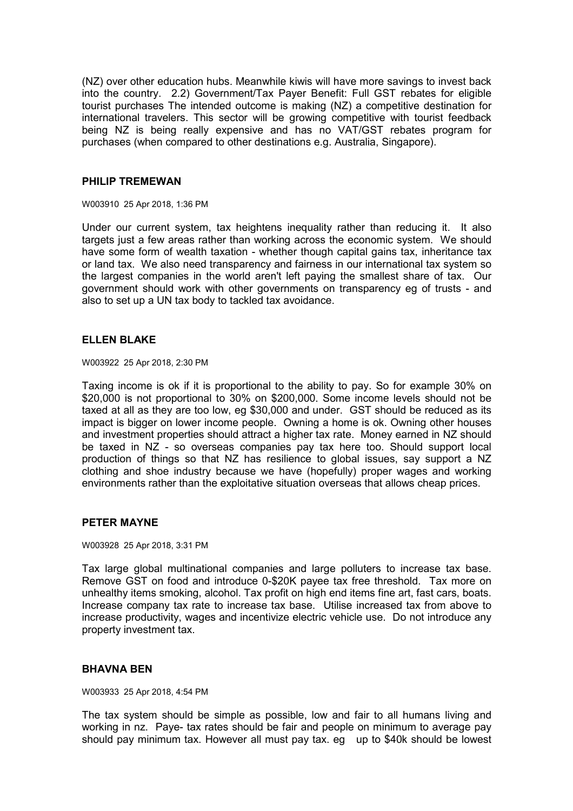(NZ) over other education hubs. Meanwhile kiwis will have more savings to invest back into the country. 2.2) Government/Tax Payer Benefit: Full GST rebates for eligible tourist purchases The intended outcome is making (NZ) a competitive destination for international travelers. This sector will be growing competitive with tourist feedback being NZ is being really expensive and has no VAT/GST rebates program for purchases (when compared to other destinations e.g. Australia, Singapore).

## **PHILIP TREMEWAN**

W003910 25 Apr 2018, 1:36 PM

Under our current system, tax heightens inequality rather than reducing it. It also targets just a few areas rather than working across the economic system. We should have some form of wealth taxation - whether though capital gains tax, inheritance tax or land tax. We also need transparency and fairness in our international tax system so the largest companies in the world aren't left paying the smallest share of tax. Our government should work with other governments on transparency eg of trusts - and also to set up a UN tax body to tackled tax avoidance.

## **ELLEN BLAKE**

W003922 25 Apr 2018, 2:30 PM

Taxing income is ok if it is proportional to the ability to pay. So for example 30% on \$20,000 is not proportional to 30% on \$200,000. Some income levels should not be taxed at all as they are too low, eg \$30,000 and under. GST should be reduced as its impact is bigger on lower income people. Owning a home is ok. Owning other houses and investment properties should attract a higher tax rate. Money earned in NZ should be taxed in NZ - so overseas companies pay tax here too. Should support local production of things so that NZ has resilience to global issues, say support a NZ clothing and shoe industry because we have (hopefully) proper wages and working environments rather than the exploitative situation overseas that allows cheap prices.

# **PETER MAYNE**

W003928 25 Apr 2018, 3:31 PM

Tax large global multinational companies and large polluters to increase tax base. Remove GST on food and introduce 0-\$20K payee tax free threshold. Tax more on unhealthy items smoking, alcohol. Tax profit on high end items fine art, fast cars, boats. Increase company tax rate to increase tax base. Utilise increased tax from above to increase productivity, wages and incentivize electric vehicle use. Do not introduce any property investment tax.

## **BHAVNA BEN**

W003933 25 Apr 2018, 4:54 PM

The tax system should be simple as possible, low and fair to all humans living and working in nz. Paye- tax rates should be fair and people on minimum to average pay should pay minimum tax. However all must pay tax. eq up to \$40k should be lowest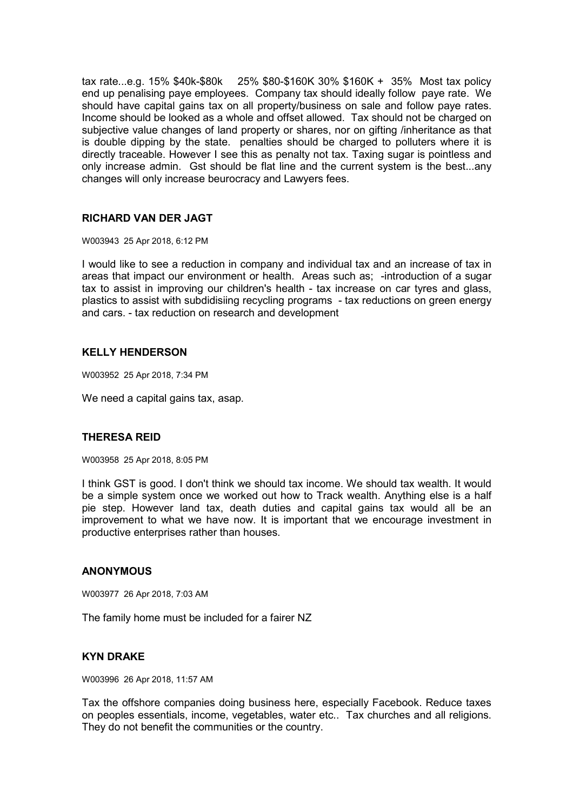tax rate...e.g. 15% \$40k-\$80k 25% \$80-\$160K 30% \$160K + 35% Most tax policy end up penalising paye employees. Company tax should ideally follow paye rate. We should have capital gains tax on all property/business on sale and follow paye rates. Income should be looked as a whole and offset allowed. Tax should not be charged on subjective value changes of land property or shares, nor on gifting /inheritance as that is double dipping by the state. penalties should be charged to polluters where it is directly traceable. However I see this as penalty not tax. Taxing sugar is pointless and only increase admin. Gst should be flat line and the current system is the best...any changes will only increase beurocracy and Lawyers fees.

# **RICHARD VAN DER JAGT**

W003943 25 Apr 2018, 6:12 PM

I would like to see a reduction in company and individual tax and an increase of tax in areas that impact our environment or health. Areas such as; -introduction of a sugar tax to assist in improving our children's health - tax increase on car tyres and glass, plastics to assist with subdidisiing recycling programs - tax reductions on green energy and cars. - tax reduction on research and development

# **KELLY HENDERSON**

W003952 25 Apr 2018, 7:34 PM

We need a capital gains tax, asap.

## **THERESA REID**

W003958 25 Apr 2018, 8:05 PM

I think GST is good. I don't think we should tax income. We should tax wealth. It would be a simple system once we worked out how to Track wealth. Anything else is a half pie step. However land tax, death duties and capital gains tax would all be an improvement to what we have now. It is important that we encourage investment in productive enterprises rather than houses.

## **ANONYMOUS**

W003977 26 Apr 2018, 7:03 AM

The family home must be included for a fairer NZ

## **KYN DRAKE**

W003996 26 Apr 2018, 11:57 AM

Tax the offshore companies doing business here, especially Facebook. Reduce taxes on peoples essentials, income, vegetables, water etc.. Tax churches and all religions. They do not benefit the communities or the country.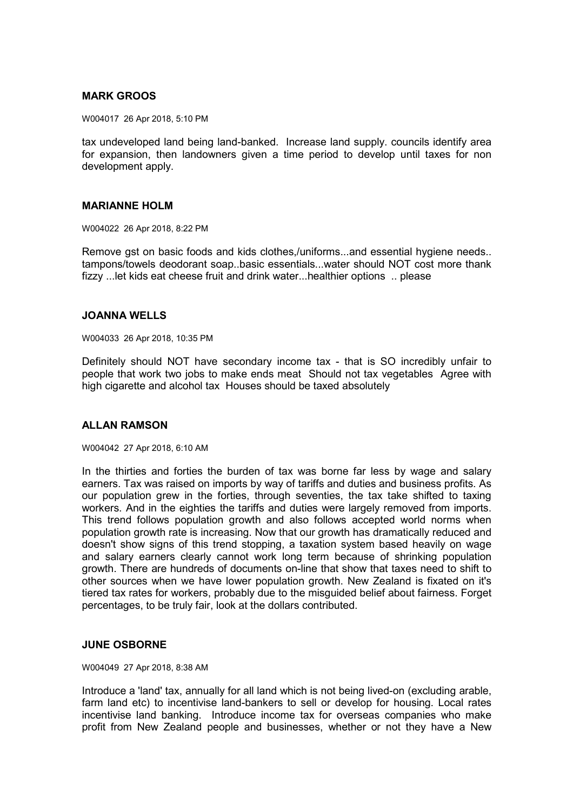# **MARK GROOS**

W004017 26 Apr 2018, 5:10 PM

tax undeveloped land being land-banked. Increase land supply. councils identify area for expansion, then landowners given a time period to develop until taxes for non development apply.

### **MARIANNE HOLM**

W004022 26 Apr 2018, 8:22 PM

Remove gst on basic foods and kids clothes,/uniforms...and essential hygiene needs.. tampons/towels deodorant soap..basic essentials...water should NOT cost more thank fizzy ...let kids eat cheese fruit and drink water...healthier options .. please

#### **JOANNA WELLS**

W004033 26 Apr 2018, 10:35 PM

Definitely should NOT have secondary income tax - that is SO incredibly unfair to people that work two jobs to make ends meat Should not tax vegetables Agree with high cigarette and alcohol tax Houses should be taxed absolutely

## **ALLAN RAMSON**

W004042 27 Apr 2018, 6:10 AM

In the thirties and forties the burden of tax was borne far less by wage and salary earners. Tax was raised on imports by way of tariffs and duties and business profits. As our population grew in the forties, through seventies, the tax take shifted to taxing workers. And in the eighties the tariffs and duties were largely removed from imports. This trend follows population growth and also follows accepted world norms when population growth rate is increasing. Now that our growth has dramatically reduced and doesn't show signs of this trend stopping, a taxation system based heavily on wage and salary earners clearly cannot work long term because of shrinking population growth. There are hundreds of documents on-line that show that taxes need to shift to other sources when we have lower population growth. New Zealand is fixated on it's tiered tax rates for workers, probably due to the misguided belief about fairness. Forget percentages, to be truly fair, look at the dollars contributed.

## **JUNE OSBORNE**

W004049 27 Apr 2018, 8:38 AM

Introduce a 'land' tax, annually for all land which is not being lived-on (excluding arable, farm land etc) to incentivise land-bankers to sell or develop for housing. Local rates incentivise land banking. Introduce income tax for overseas companies who make profit from New Zealand people and businesses, whether or not they have a New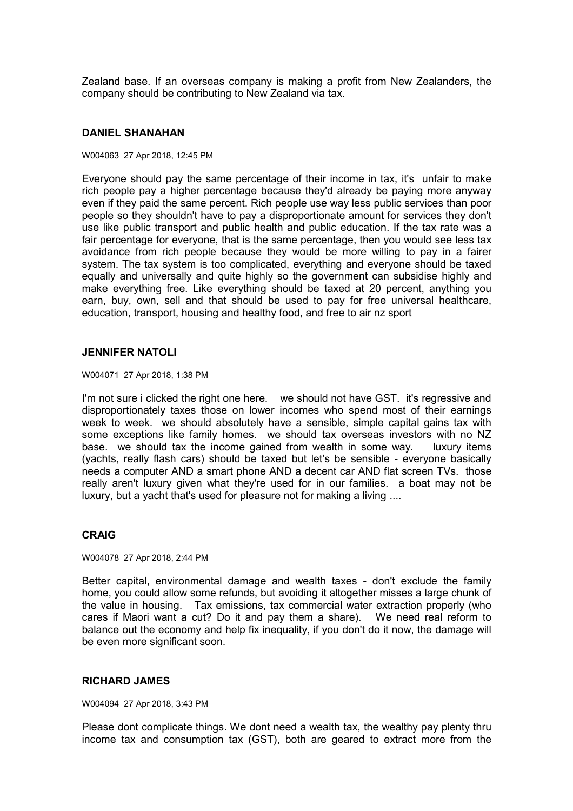Zealand base. If an overseas company is making a profit from New Zealanders, the company should be contributing to New Zealand via tax.

### **DANIEL SHANAHAN**

#### W004063 27 Apr 2018, 12:45 PM

Everyone should pay the same percentage of their income in tax, it's unfair to make rich people pay a higher percentage because they'd already be paying more anyway even if they paid the same percent. Rich people use way less public services than poor people so they shouldn't have to pay a disproportionate amount for services they don't use like public transport and public health and public education. If the tax rate was a fair percentage for everyone, that is the same percentage, then you would see less tax avoidance from rich people because they would be more willing to pay in a fairer system. The tax system is too complicated, everything and everyone should be taxed equally and universally and quite highly so the government can subsidise highly and make everything free. Like everything should be taxed at 20 percent, anything you earn, buy, own, sell and that should be used to pay for free universal healthcare, education, transport, housing and healthy food, and free to air nz sport

#### **JENNIFER NATOLI**

W004071 27 Apr 2018, 1:38 PM

I'm not sure i clicked the right one here. we should not have GST. it's regressive and disproportionately taxes those on lower incomes who spend most of their earnings week to week. we should absolutely have a sensible, simple capital gains tax with some exceptions like family homes. we should tax overseas investors with no NZ base. we should tax the income gained from wealth in some way. luxury items (yachts, really flash cars) should be taxed but let's be sensible - everyone basically needs a computer AND a smart phone AND a decent car AND flat screen TVs. those really aren't luxury given what they're used for in our families. a boat may not be luxury, but a yacht that's used for pleasure not for making a living ....

## **CRAIG**

W004078 27 Apr 2018, 2:44 PM

Better capital, environmental damage and wealth taxes - don't exclude the family home, you could allow some refunds, but avoiding it altogether misses a large chunk of the value in housing. Tax emissions, tax commercial water extraction properly (who cares if Maori want a cut? Do it and pay them a share). We need real reform to balance out the economy and help fix inequality, if you don't do it now, the damage will be even more significant soon.

### **RICHARD JAMES**

W004094 27 Apr 2018, 3:43 PM

Please dont complicate things. We dont need a wealth tax, the wealthy pay plenty thru income tax and consumption tax (GST), both are geared to extract more from the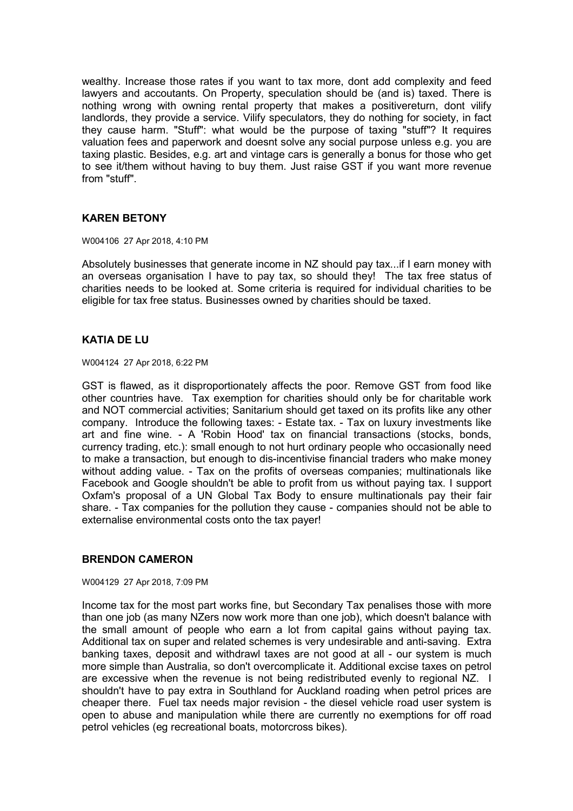wealthy. Increase those rates if you want to tax more, dont add complexity and feed lawyers and accoutants. On Property, speculation should be (and is) taxed. There is nothing wrong with owning rental property that makes a positivereturn, dont vilify landlords, they provide a service. Vilify speculators, they do nothing for society, in fact they cause harm. "Stuff": what would be the purpose of taxing "stuff"? It requires valuation fees and paperwork and doesnt solve any social purpose unless e.g. you are taxing plastic. Besides, e.g. art and vintage cars is generally a bonus for those who get to see it/them without having to buy them. Just raise GST if you want more revenue from "stuff".

# **KAREN BETONY**

W004106 27 Apr 2018, 4:10 PM

Absolutely businesses that generate income in NZ should pay tax...if I earn money with an overseas organisation I have to pay tax, so should they! The tax free status of charities needs to be looked at. Some criteria is required for individual charities to be eligible for tax free status. Businesses owned by charities should be taxed.

# **KATIA DE LU**

W004124 27 Apr 2018, 6:22 PM

GST is flawed, as it disproportionately affects the poor. Remove GST from food like other countries have. Tax exemption for charities should only be for charitable work and NOT commercial activities; Sanitarium should get taxed on its profits like any other company. Introduce the following taxes: - Estate tax. - Tax on luxury investments like art and fine wine. - A 'Robin Hood' tax on financial transactions (stocks, bonds, currency trading, etc.): small enough to not hurt ordinary people who occasionally need to make a transaction, but enough to dis-incentivise financial traders who make money without adding value. - Tax on the profits of overseas companies; multinationals like Facebook and Google shouldn't be able to profit from us without paying tax. I support Oxfam's proposal of a UN Global Tax Body to ensure multinationals pay their fair share. - Tax companies for the pollution they cause - companies should not be able to externalise environmental costs onto the tax payer!

## **BRENDON CAMERON**

#### W004129 27 Apr 2018, 7:09 PM

Income tax for the most part works fine, but Secondary Tax penalises those with more than one job (as many NZers now work more than one job), which doesn't balance with the small amount of people who earn a lot from capital gains without paying tax. Additional tax on super and related schemes is very undesirable and anti-saving. Extra banking taxes, deposit and withdrawl taxes are not good at all - our system is much more simple than Australia, so don't overcomplicate it. Additional excise taxes on petrol are excessive when the revenue is not being redistributed evenly to regional NZ. I shouldn't have to pay extra in Southland for Auckland roading when petrol prices are cheaper there. Fuel tax needs major revision - the diesel vehicle road user system is open to abuse and manipulation while there are currently no exemptions for off road petrol vehicles (eg recreational boats, motorcross bikes).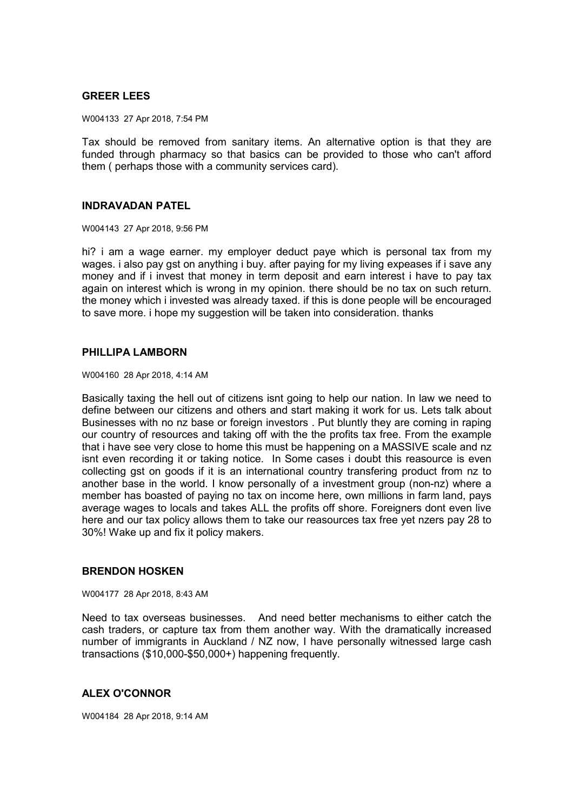# **GREER LEES**

W004133 27 Apr 2018, 7:54 PM

Tax should be removed from sanitary items. An alternative option is that they are funded through pharmacy so that basics can be provided to those who can't afford them ( perhaps those with a community services card).

### **INDRAVADAN PATEL**

W004143 27 Apr 2018, 9:56 PM

hi? i am a wage earner. my employer deduct paye which is personal tax from my wages. i also pay gst on anything i buy. after paying for my living expeases if i save any money and if i invest that money in term deposit and earn interest i have to pay tax again on interest which is wrong in my opinion. there should be no tax on such return. the money which i invested was already taxed. if this is done people will be encouraged to save more, i hope my suggestion will be taken into consideration, thanks

### **PHILLIPA LAMBORN**

W004160 28 Apr 2018, 4:14 AM

Basically taxing the hell out of citizens isnt going to help our nation. In law we need to define between our citizens and others and start making it work for us. Lets talk about Businesses with no nz base or foreign investors . Put bluntly they are coming in raping our country of resources and taking off with the the profits tax free. From the example that i have see very close to home this must be happening on a MASSIVE scale and nz isnt even recording it or taking notice. In Some cases i doubt this reasource is even collecting gst on goods if it is an international country transfering product from nz to another base in the world. I know personally of a investment group (non-nz) where a member has boasted of paying no tax on income here, own millions in farm land, pays average wages to locals and takes ALL the profits off shore. Foreigners dont even live here and our tax policy allows them to take our reasources tax free yet nzers pay 28 to 30%! Wake up and fix it policy makers.

## **BRENDON HOSKEN**

W004177 28 Apr 2018, 8:43 AM

Need to tax overseas businesses. And need better mechanisms to either catch the cash traders, or capture tax from them another way. With the dramatically increased number of immigrants in Auckland / NZ now, I have personally witnessed large cash transactions (\$10,000-\$50,000+) happening frequently.

## **ALEX O'CONNOR**

W004184 28 Apr 2018, 9:14 AM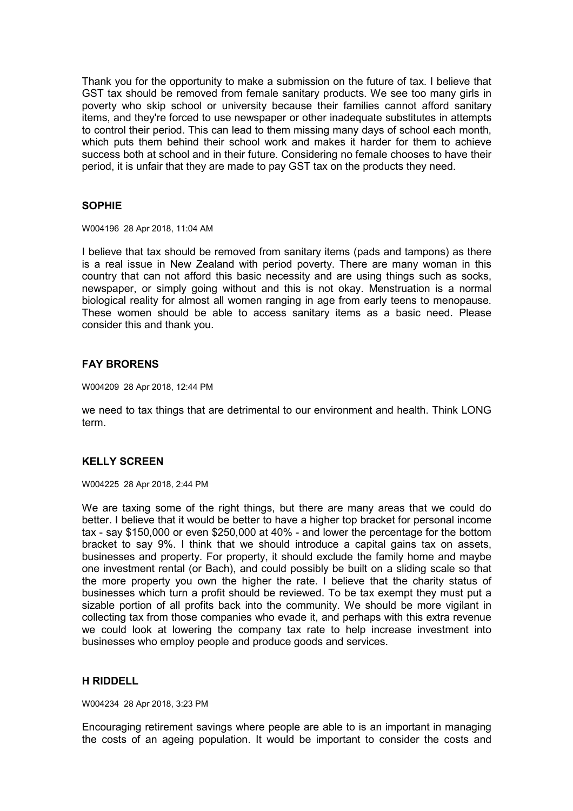Thank you for the opportunity to make a submission on the future of tax. I believe that GST tax should be removed from female sanitary products. We see too many girls in poverty who skip school or university because their families cannot afford sanitary items, and they're forced to use newspaper or other inadequate substitutes in attempts to control their period. This can lead to them missing many days of school each month, which puts them behind their school work and makes it harder for them to achieve success both at school and in their future. Considering no female chooses to have their period, it is unfair that they are made to pay GST tax on the products they need.

# **SOPHIE**

W004196 28 Apr 2018, 11:04 AM

I believe that tax should be removed from sanitary items (pads and tampons) as there is a real issue in New Zealand with period poverty. There are many woman in this country that can not afford this basic necessity and are using things such as socks, newspaper, or simply going without and this is not okay. Menstruation is a normal biological reality for almost all women ranging in age from early teens to menopause. These women should be able to access sanitary items as a basic need. Please consider this and thank you.

# **FAY BRORENS**

W004209 28 Apr 2018, 12:44 PM

we need to tax things that are detrimental to our environment and health. Think LONG term.

# **KELLY SCREEN**

W004225 28 Apr 2018, 2:44 PM

We are taxing some of the right things, but there are many areas that we could do better. I believe that it would be better to have a higher top bracket for personal income tax - say \$150,000 or even \$250,000 at 40% - and lower the percentage for the bottom bracket to say 9%. I think that we should introduce a capital gains tax on assets, businesses and property. For property, it should exclude the family home and maybe one investment rental (or Bach), and could possibly be built on a sliding scale so that the more property you own the higher the rate. I believe that the charity status of businesses which turn a profit should be reviewed. To be tax exempt they must put a sizable portion of all profits back into the community. We should be more vigilant in collecting tax from those companies who evade it, and perhaps with this extra revenue we could look at lowering the company tax rate to help increase investment into businesses who employ people and produce goods and services.

### **H RIDDELL**

W004234 28 Apr 2018, 3:23 PM

Encouraging retirement savings where people are able to is an important in managing the costs of an ageing population. It would be important to consider the costs and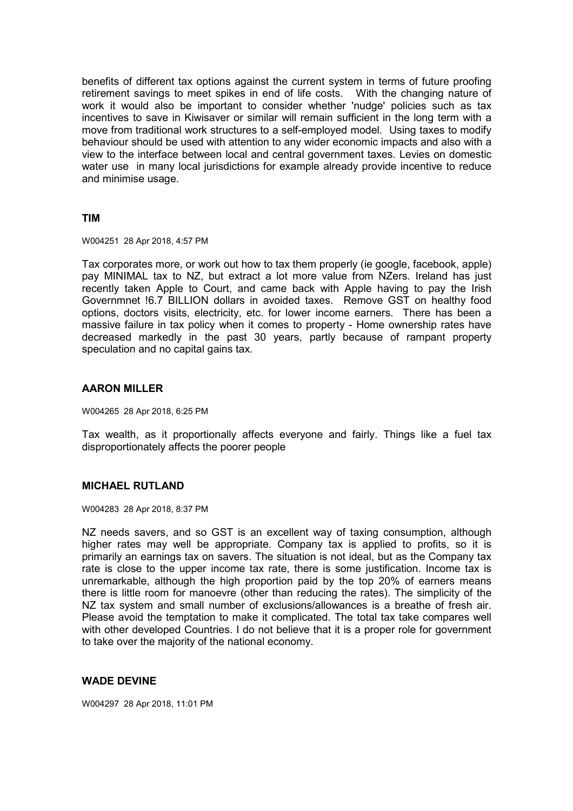benefits of different tax options against the current system in terms of future proofing retirement savings to meet spikes in end of life costs. With the changing nature of work it would also be important to consider whether 'nudge' policies such as tax incentives to save in Kiwisaver or similar will remain sufficient in the long term with a move from traditional work structures to a self-employed model. Using taxes to modify behaviour should be used with attention to any wider economic impacts and also with a view to the interface between local and central government taxes. Levies on domestic water use in many local jurisdictions for example already provide incentive to reduce and minimise usage.

### **TIM**

W004251 28 Apr 2018, 4:57 PM

Tax corporates more, or work out how to tax them properly (ie google, facebook, apple) pay MINIMAL tax to NZ, but extract a lot more value from NZers. Ireland has just recently taken Apple to Court, and came back with Apple having to pay the Irish Governmnet !6.7 BILLION dollars in avoided taxes. Remove GST on healthy food options, doctors visits, electricity, etc. for lower income earners. There has been a massive failure in tax policy when it comes to property - Home ownership rates have decreased markedly in the past 30 years, partly because of rampant property speculation and no capital gains tax.

### **AARON MILLER**

W004265 28 Apr 2018, 6:25 PM

Tax wealth, as it proportionally affects everyone and fairly. Things like a fuel tax disproportionately affects the poorer people

### **MICHAEL RUTLAND**

W004283 28 Apr 2018, 8:37 PM

NZ needs savers, and so GST is an excellent way of taxing consumption, although higher rates may well be appropriate. Company tax is applied to profits, so it is primarily an earnings tax on savers. The situation is not ideal, but as the Company tax rate is close to the upper income tax rate, there is some justification. Income tax is unremarkable, although the high proportion paid by the top 20% of earners means there is little room for manoevre (other than reducing the rates). The simplicity of the NZ tax system and small number of exclusions/allowances is a breathe of fresh air. Please avoid the temptation to make it complicated. The total tax take compares well with other developed Countries. I do not believe that it is a proper role for government to take over the majority of the national economy.

### **WADE DEVINE**

W004297 28 Apr 2018, 11:01 PM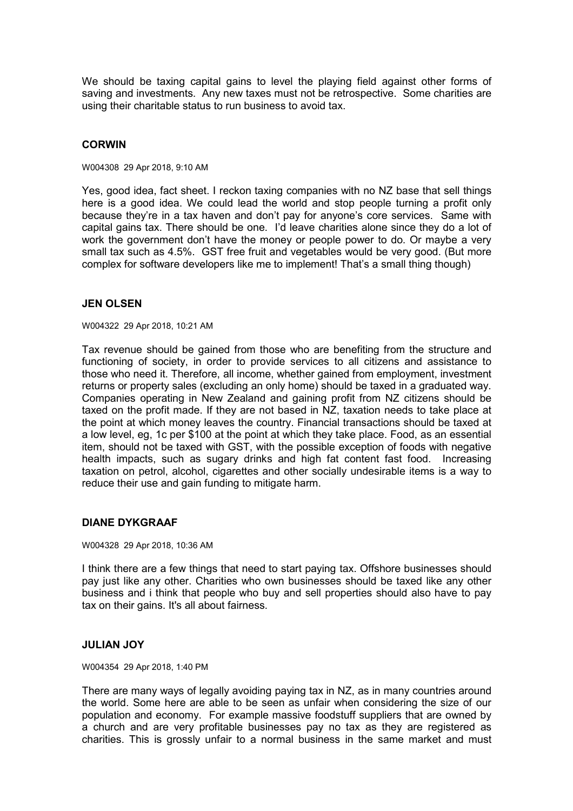We should be taxing capital gains to level the playing field against other forms of saving and investments. Any new taxes must not be retrospective. Some charities are using their charitable status to run business to avoid tax.

### **CORWIN**

W004308 29 Apr 2018, 9:10 AM

Yes, good idea, fact sheet. I reckon taxing companies with no NZ base that sell things here is a good idea. We could lead the world and stop people turning a profit only because they're in a tax haven and don't pay for anyone's core services. Same with capital gains tax. There should be one. I'd leave charities alone since they do a lot of work the government don't have the money or people power to do. Or maybe a very small tax such as 4.5%. GST free fruit and vegetables would be very good. (But more complex for software developers like me to implement! That's a small thing though)

### **JEN OLSEN**

W004322 29 Apr 2018, 10:21 AM

Tax revenue should be gained from those who are benefiting from the structure and functioning of society, in order to provide services to all citizens and assistance to those who need it. Therefore, all income, whether gained from employment, investment returns or property sales (excluding an only home) should be taxed in a graduated way. Companies operating in New Zealand and gaining profit from NZ citizens should be taxed on the profit made. If they are not based in NZ, taxation needs to take place at the point at which money leaves the country. Financial transactions should be taxed at a low level, eg, 1c per \$100 at the point at which they take place. Food, as an essential item, should not be taxed with GST, with the possible exception of foods with negative health impacts, such as sugary drinks and high fat content fast food. Increasing taxation on petrol, alcohol, cigarettes and other socially undesirable items is a way to reduce their use and gain funding to mitigate harm.

# **DIANE DYKGRAAF**

W004328 29 Apr 2018, 10:36 AM

I think there are a few things that need to start paying tax. Offshore businesses should pay just like any other. Charities who own businesses should be taxed like any other business and i think that people who buy and sell properties should also have to pay tax on their gains. It's all about fairness.

### **JULIAN JOY**

W004354 29 Apr 2018, 1:40 PM

There are many ways of legally avoiding paying tax in NZ, as in many countries around the world. Some here are able to be seen as unfair when considering the size of our population and economy. For example massive foodstuff suppliers that are owned by a church and are very profitable businesses pay no tax as they are registered as charities. This is grossly unfair to a normal business in the same market and must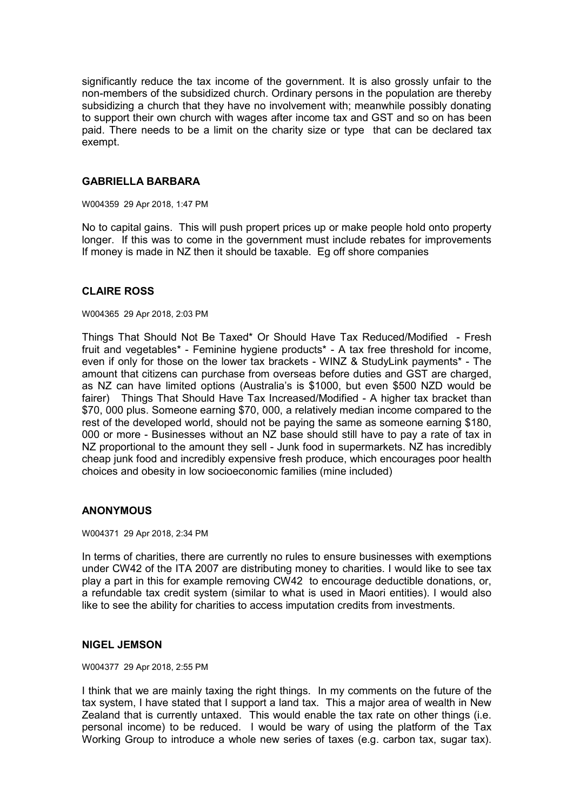significantly reduce the tax income of the government. It is also grossly unfair to the non-members of the subsidized church. Ordinary persons in the population are thereby subsidizing a church that they have no involvement with; meanwhile possibly donating to support their own church with wages after income tax and GST and so on has been paid. There needs to be a limit on the charity size or type that can be declared tax exempt.

### **GABRIELLA BARBARA**

W004359 29 Apr 2018, 1:47 PM

No to capital gains. This will push propert prices up or make people hold onto property longer. If this was to come in the government must include rebates for improvements If money is made in NZ then it should be taxable. Eg off shore companies

# **CLAIRE ROSS**

#### W004365 29 Apr 2018, 2:03 PM

Things That Should Not Be Taxed\* Or Should Have Tax Reduced/Modified - Fresh fruit and vegetables\* - Feminine hygiene products\* - A tax free threshold for income, even if only for those on the lower tax brackets - WINZ & StudyLink payments\* - The amount that citizens can purchase from overseas before duties and GST are charged, as NZ can have limited options (Australia's is \$1000, but even \$500 NZD would be fairer) Things That Should Have Tax Increased/Modified - A higher tax bracket than \$70, 000 plus. Someone earning \$70, 000, a relatively median income compared to the rest of the developed world, should not be paying the same as someone earning \$180, 000 or more - Businesses without an NZ base should still have to pay a rate of tax in NZ proportional to the amount they sell - Junk food in supermarkets. NZ has incredibly cheap junk food and incredibly expensive fresh produce, which encourages poor health choices and obesity in low socioeconomic families (mine included)

### **ANONYMOUS**

#### W004371 29 Apr 2018, 2:34 PM

In terms of charities, there are currently no rules to ensure businesses with exemptions under CW42 of the ITA 2007 are distributing money to charities. I would like to see tax play a part in this for example removing CW42 to encourage deductible donations, or, a refundable tax credit system (similar to what is used in Maori entities). I would also like to see the ability for charities to access imputation credits from investments.

### **NIGEL JEMSON**

#### W004377 29 Apr 2018, 2:55 PM

I think that we are mainly taxing the right things. In my comments on the future of the tax system, I have stated that I support a land tax. This a major area of wealth in New Zealand that is currently untaxed. This would enable the tax rate on other things (i.e. personal income) to be reduced. I would be wary of using the platform of the Tax Working Group to introduce a whole new series of taxes (e.g. carbon tax, sugar tax).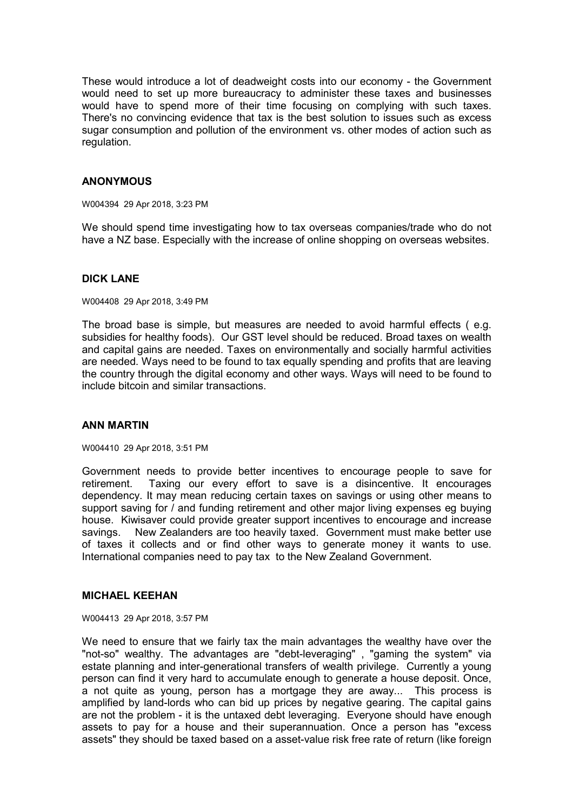These would introduce a lot of deadweight costs into our economy - the Government would need to set up more bureaucracy to administer these taxes and businesses would have to spend more of their time focusing on complying with such taxes. There's no convincing evidence that tax is the best solution to issues such as excess sugar consumption and pollution of the environment vs. other modes of action such as regulation.

### **ANONYMOUS**

W004394 29 Apr 2018, 3:23 PM

We should spend time investigating how to tax overseas companies/trade who do not have a NZ base. Especially with the increase of online shopping on overseas websites.

# **DICK LANE**

W004408 29 Apr 2018, 3:49 PM

The broad base is simple, but measures are needed to avoid harmful effects ( e.g. subsidies for healthy foods). Our GST level should be reduced. Broad taxes on wealth and capital gains are needed. Taxes on environmentally and socially harmful activities are needed. Ways need to be found to tax equally spending and profits that are leaving the country through the digital economy and other ways. Ways will need to be found to include bitcoin and similar transactions.

### **ANN MARTIN**

W004410 29 Apr 2018, 3:51 PM

Government needs to provide better incentives to encourage people to save for retirement. Taxing our every effort to save is a disincentive. It encourages dependency. It may mean reducing certain taxes on savings or using other means to support saving for / and funding retirement and other major living expenses eg buying house. Kiwisaver could provide greater support incentives to encourage and increase savings. New Zealanders are too heavily taxed. Government must make better use of taxes it collects and or find other ways to generate money it wants to use. International companies need to pay tax to the New Zealand Government.

### **MICHAEL KEEHAN**

W004413 29 Apr 2018, 3:57 PM

We need to ensure that we fairly tax the main advantages the wealthy have over the "not-so" wealthy. The advantages are "debt-leveraging" , "gaming the system" via estate planning and inter-generational transfers of wealth privilege. Currently a young person can find it very hard to accumulate enough to generate a house deposit. Once, a not quite as young, person has a mortgage they are away... This process is amplified by land-lords who can bid up prices by negative gearing. The capital gains are not the problem - it is the untaxed debt leveraging. Everyone should have enough assets to pay for a house and their superannuation. Once a person has "excess assets" they should be taxed based on a asset-value risk free rate of return (like foreign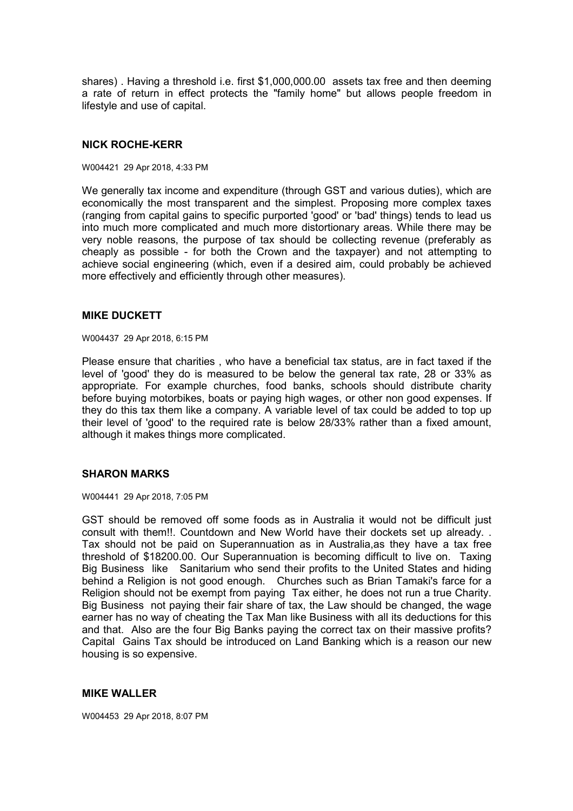shares) . Having a threshold i.e. first \$1,000,000.00 assets tax free and then deeming a rate of return in effect protects the "family home" but allows people freedom in lifestyle and use of capital.

### **NICK ROCHE-KERR**

W004421 29 Apr 2018, 4:33 PM

We generally tax income and expenditure (through GST and various duties), which are economically the most transparent and the simplest. Proposing more complex taxes (ranging from capital gains to specific purported 'good' or 'bad' things) tends to lead us into much more complicated and much more distortionary areas. While there may be very noble reasons, the purpose of tax should be collecting revenue (preferably as cheaply as possible - for both the Crown and the taxpayer) and not attempting to achieve social engineering (which, even if a desired aim, could probably be achieved more effectively and efficiently through other measures).

#### **MIKE DUCKETT**

W004437 29 Apr 2018, 6:15 PM

Please ensure that charities , who have a beneficial tax status, are in fact taxed if the level of 'good' they do is measured to be below the general tax rate, 28 or 33% as appropriate. For example churches, food banks, schools should distribute charity before buying motorbikes, boats or paying high wages, or other non good expenses. If they do this tax them like a company. A variable level of tax could be added to top up their level of 'good' to the required rate is below 28/33% rather than a fixed amount, although it makes things more complicated.

### **SHARON MARKS**

W004441 29 Apr 2018, 7:05 PM

GST should be removed off some foods as in Australia it would not be difficult just consult with them!!. Countdown and New World have their dockets set up already. . Tax should not be paid on Superannuation as in Australia,as they have a tax free threshold of \$18200.00. Our Superannuation is becoming difficult to live on. Taxing Big Business like Sanitarium who send their profits to the United States and hiding behind a Religion is not good enough. Churches such as Brian Tamaki's farce for a Religion should not be exempt from paying Tax either, he does not run a true Charity. Big Business not paying their fair share of tax, the Law should be changed, the wage earner has no way of cheating the Tax Man like Business with all its deductions for this and that. Also are the four Big Banks paying the correct tax on their massive profits? Capital Gains Tax should be introduced on Land Banking which is a reason our new housing is so expensive.

#### **MIKE WALLER**

W004453 29 Apr 2018, 8:07 PM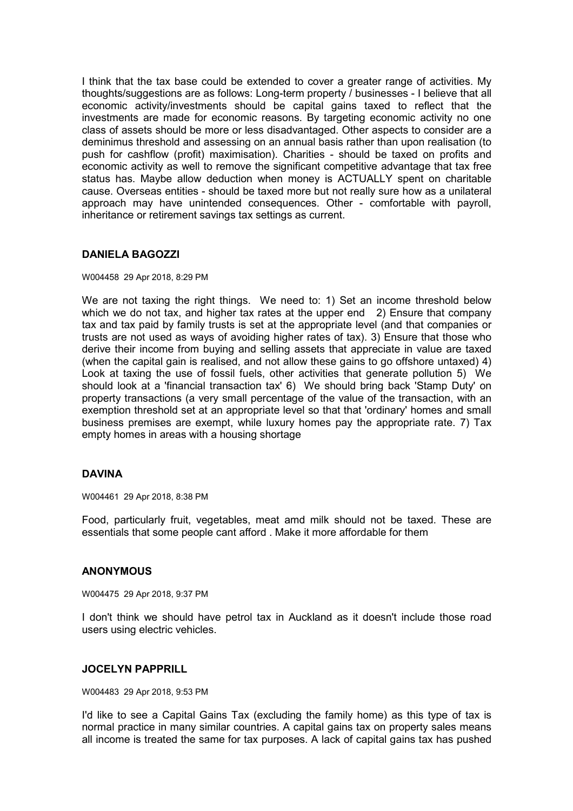I think that the tax base could be extended to cover a greater range of activities. My thoughts/suggestions are as follows: Long-term property / businesses - I believe that all economic activity/investments should be capital gains taxed to reflect that the investments are made for economic reasons. By targeting economic activity no one class of assets should be more or less disadvantaged. Other aspects to consider are a deminimus threshold and assessing on an annual basis rather than upon realisation (to push for cashflow (profit) maximisation). Charities - should be taxed on profits and economic activity as well to remove the significant competitive advantage that tax free status has. Maybe allow deduction when money is ACTUALLY spent on charitable cause. Overseas entities - should be taxed more but not really sure how as a unilateral approach may have unintended consequences. Other - comfortable with payroll, inheritance or retirement savings tax settings as current.

# **DANIELA BAGOZZI**

W004458 29 Apr 2018, 8:29 PM

We are not taxing the right things. We need to: 1) Set an income threshold below which we do not tax, and higher tax rates at the upper end  $2$ ) Ensure that company tax and tax paid by family trusts is set at the appropriate level (and that companies or trusts are not used as ways of avoiding higher rates of tax). 3) Ensure that those who derive their income from buying and selling assets that appreciate in value are taxed (when the capital gain is realised, and not allow these gains to go offshore untaxed) 4) Look at taxing the use of fossil fuels, other activities that generate pollution 5) We should look at a 'financial transaction tax' 6) We should bring back 'Stamp Duty' on property transactions (a very small percentage of the value of the transaction, with an exemption threshold set at an appropriate level so that that 'ordinary' homes and small business premises are exempt, while luxury homes pay the appropriate rate. 7) Tax empty homes in areas with a housing shortage

### **DAVINA**

W004461 29 Apr 2018, 8:38 PM

Food, particularly fruit, vegetables, meat amd milk should not be taxed. These are essentials that some people cant afford . Make it more affordable for them

### **ANONYMOUS**

W004475 29 Apr 2018, 9:37 PM

I don't think we should have petrol tax in Auckland as it doesn't include those road users using electric vehicles.

### **JOCELYN PAPPRILL**

W004483 29 Apr 2018, 9:53 PM

I'd like to see a Capital Gains Tax (excluding the family home) as this type of tax is normal practice in many similar countries. A capital gains tax on property sales means all income is treated the same for tax purposes. A lack of capital gains tax has pushed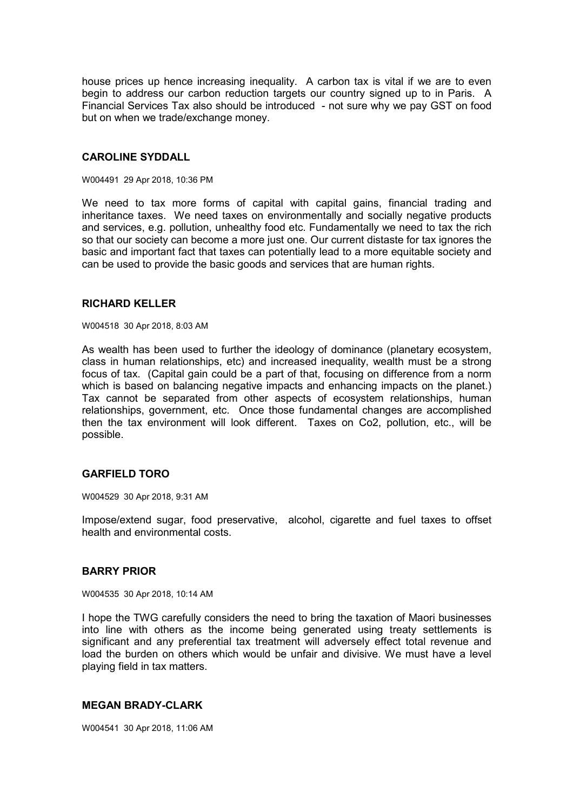house prices up hence increasing inequality. A carbon tax is vital if we are to even begin to address our carbon reduction targets our country signed up to in Paris. A Financial Services Tax also should be introduced - not sure why we pay GST on food but on when we trade/exchange money.

#### **CAROLINE SYDDALL**

W004491 29 Apr 2018, 10:36 PM

We need to tax more forms of capital with capital gains, financial trading and inheritance taxes. We need taxes on environmentally and socially negative products and services, e.g. pollution, unhealthy food etc. Fundamentally we need to tax the rich so that our society can become a more just one. Our current distaste for tax ignores the basic and important fact that taxes can potentially lead to a more equitable society and can be used to provide the basic goods and services that are human rights.

#### **RICHARD KELLER**

W004518 30 Apr 2018, 8:03 AM

As wealth has been used to further the ideology of dominance (planetary ecosystem, class in human relationships, etc) and increased inequality, wealth must be a strong focus of tax. (Capital gain could be a part of that, focusing on difference from a norm which is based on balancing negative impacts and enhancing impacts on the planet.) Tax cannot be separated from other aspects of ecosystem relationships, human relationships, government, etc. Once those fundamental changes are accomplished then the tax environment will look different. Taxes on Co2, pollution, etc., will be possible.

### **GARFIELD TORO**

W004529 30 Apr 2018, 9:31 AM

Impose/extend sugar, food preservative, alcohol, cigarette and fuel taxes to offset health and environmental costs.

#### **BARRY PRIOR**

W004535 30 Apr 2018, 10:14 AM

I hope the TWG carefully considers the need to bring the taxation of Maori businesses into line with others as the income being generated using treaty settlements is significant and any preferential tax treatment will adversely effect total revenue and load the burden on others which would be unfair and divisive. We must have a level playing field in tax matters.

### **MEGAN BRADY-CLARK**

W004541 30 Apr 2018, 11:06 AM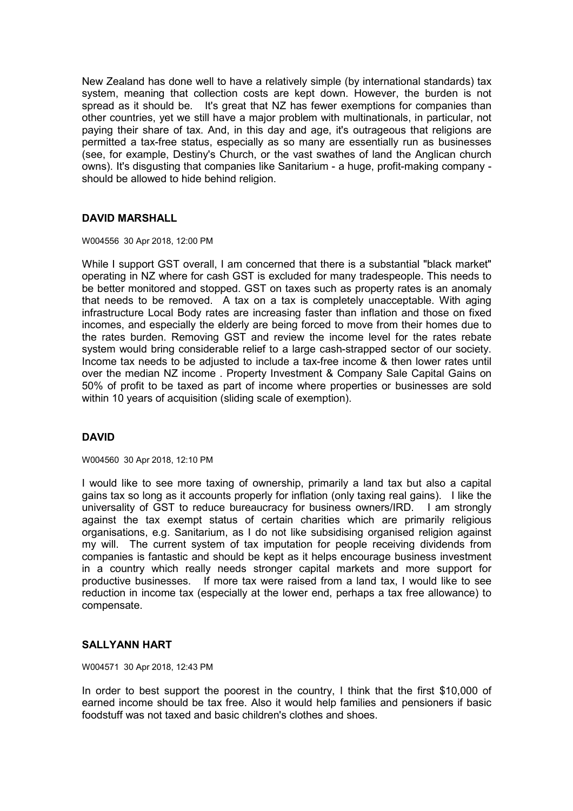New Zealand has done well to have a relatively simple (by international standards) tax system, meaning that collection costs are kept down. However, the burden is not spread as it should be. It's great that NZ has fewer exemptions for companies than other countries, yet we still have a major problem with multinationals, in particular, not paying their share of tax. And, in this day and age, it's outrageous that religions are permitted a tax-free status, especially as so many are essentially run as businesses (see, for example, Destiny's Church, or the vast swathes of land the Anglican church owns). It's disgusting that companies like Sanitarium - a huge, profit-making company should be allowed to hide behind religion.

# **DAVID MARSHALL**

W004556 30 Apr 2018, 12:00 PM

While I support GST overall, I am concerned that there is a substantial "black market" operating in NZ where for cash GST is excluded for many tradespeople. This needs to be better monitored and stopped. GST on taxes such as property rates is an anomaly that needs to be removed. A tax on a tax is completely unacceptable. With aging infrastructure Local Body rates are increasing faster than inflation and those on fixed incomes, and especially the elderly are being forced to move from their homes due to the rates burden. Removing GST and review the income level for the rates rebate system would bring considerable relief to a large cash-strapped sector of our society. Income tax needs to be adjusted to include a tax-free income & then lower rates until over the median NZ income . Property Investment & Company Sale Capital Gains on 50% of profit to be taxed as part of income where properties or businesses are sold within 10 years of acquisition (sliding scale of exemption).

# **DAVID**

W004560 30 Apr 2018, 12:10 PM

I would like to see more taxing of ownership, primarily a land tax but also a capital gains tax so long as it accounts properly for inflation (only taxing real gains). I like the universality of GST to reduce bureaucracy for business owners/IRD. I am strongly against the tax exempt status of certain charities which are primarily religious organisations, e.g. Sanitarium, as I do not like subsidising organised religion against my will. The current system of tax imputation for people receiving dividends from companies is fantastic and should be kept as it helps encourage business investment in a country which really needs stronger capital markets and more support for productive businesses. If more tax were raised from a land tax, I would like to see reduction in income tax (especially at the lower end, perhaps a tax free allowance) to compensate.

### **SALLYANN HART**

W004571 30 Apr 2018, 12:43 PM

In order to best support the poorest in the country, I think that the first \$10,000 of earned income should be tax free. Also it would help families and pensioners if basic foodstuff was not taxed and basic children's clothes and shoes.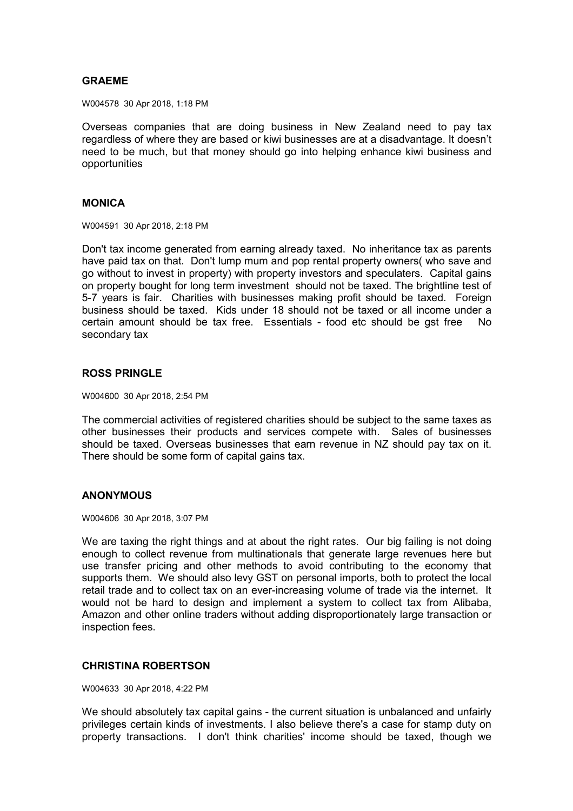#### **GRAEME**

W004578 30 Apr 2018, 1:18 PM

Overseas companies that are doing business in New Zealand need to pay tax regardless of where they are based or kiwi businesses are at a disadvantage. It doesn't need to be much, but that money should go into helping enhance kiwi business and opportunities

#### **MONICA**

W004591 30 Apr 2018, 2:18 PM

Don't tax income generated from earning already taxed. No inheritance tax as parents have paid tax on that. Don't lump mum and pop rental property owners( who save and go without to invest in property) with property investors and speculaters. Capital gains on property bought for long term investment should not be taxed. The brightline test of 5-7 years is fair. Charities with businesses making profit should be taxed. Foreign business should be taxed. Kids under 18 should not be taxed or all income under a certain amount should be tax free. Essentials - food etc should be gst free No secondary tax

# **ROSS PRINGLE**

W004600 30 Apr 2018, 2:54 PM

The commercial activities of registered charities should be subject to the same taxes as other businesses their products and services compete with. Sales of businesses should be taxed. Overseas businesses that earn revenue in NZ should pay tax on it. There should be some form of capital gains tax.

### **ANONYMOUS**

W004606 30 Apr 2018, 3:07 PM

We are taxing the right things and at about the right rates. Our big failing is not doing enough to collect revenue from multinationals that generate large revenues here but use transfer pricing and other methods to avoid contributing to the economy that supports them. We should also levy GST on personal imports, both to protect the local retail trade and to collect tax on an ever-increasing volume of trade via the internet. It would not be hard to design and implement a system to collect tax from Alibaba, Amazon and other online traders without adding disproportionately large transaction or inspection fees.

### **CHRISTINA ROBERTSON**

W004633 30 Apr 2018, 4:22 PM

We should absolutely tax capital gains - the current situation is unbalanced and unfairly privileges certain kinds of investments. I also believe there's a case for stamp duty on property transactions. I don't think charities' income should be taxed, though we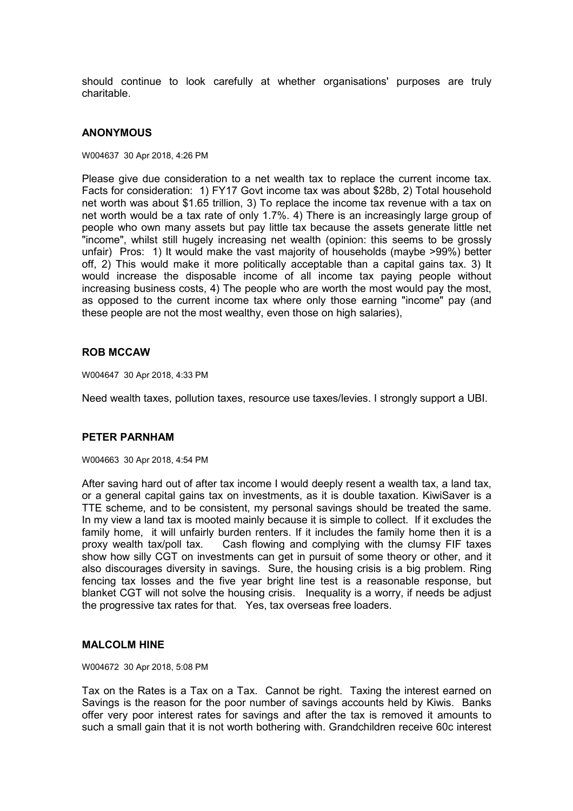should continue to look carefully at whether organisations' purposes are truly charitable.

#### **ANONYMOUS**

#### W004637 30 Apr 2018, 4:26 PM

Please give due consideration to a net wealth tax to replace the current income tax. Facts for consideration: 1) FY17 Govt income tax was about \$28b, 2) Total household net worth was about \$1.65 trillion, 3) To replace the income tax revenue with a tax on net worth would be a tax rate of only 1.7%. 4) There is an increasingly large group of people who own many assets but pay little tax because the assets generate little net "income", whilst still hugely increasing net wealth (opinion: this seems to be grossly unfair) Pros: 1) It would make the vast majority of households (maybe >99%) better off, 2) This would make it more politically acceptable than a capital gains tax. 3) It would increase the disposable income of all income tax paying people without increasing business costs, 4) The people who are worth the most would pay the most, as opposed to the current income tax where only those earning "income" pay (and these people are not the most wealthy, even those on high salaries),

#### **ROB MCCAW**

W004647 30 Apr 2018, 4:33 PM

Need wealth taxes, pollution taxes, resource use taxes/levies. I strongly support a UBI.

#### **PETER PARNHAM**

W004663 30 Apr 2018, 4:54 PM

After saving hard out of after tax income I would deeply resent a wealth tax, a land tax, or a general capital gains tax on investments, as it is double taxation. KiwiSaver is a TTE scheme, and to be consistent, my personal savings should be treated the same. In my view a land tax is mooted mainly because it is simple to collect. If it excludes the family home, it will unfairly burden renters. If it includes the family home then it is a proxy wealth tax/poll tax. Cash flowing and complying with the clumsy FIF taxes show how silly CGT on investments can get in pursuit of some theory or other, and it also discourages diversity in savings. Sure, the housing crisis is a big problem. Ring fencing tax losses and the five year bright line test is a reasonable response, but blanket CGT will not solve the housing crisis. Inequality is a worry, if needs be adjust the progressive tax rates for that. Yes, tax overseas free loaders.

#### **MALCOLM HINE**

W004672 30 Apr 2018, 5:08 PM

Tax on the Rates is a Tax on a Tax. Cannot be right. Taxing the interest earned on Savings is the reason for the poor number of savings accounts held by Kiwis. Banks offer very poor interest rates for savings and after the tax is removed it amounts to such a small gain that it is not worth bothering with. Grandchildren receive 60c interest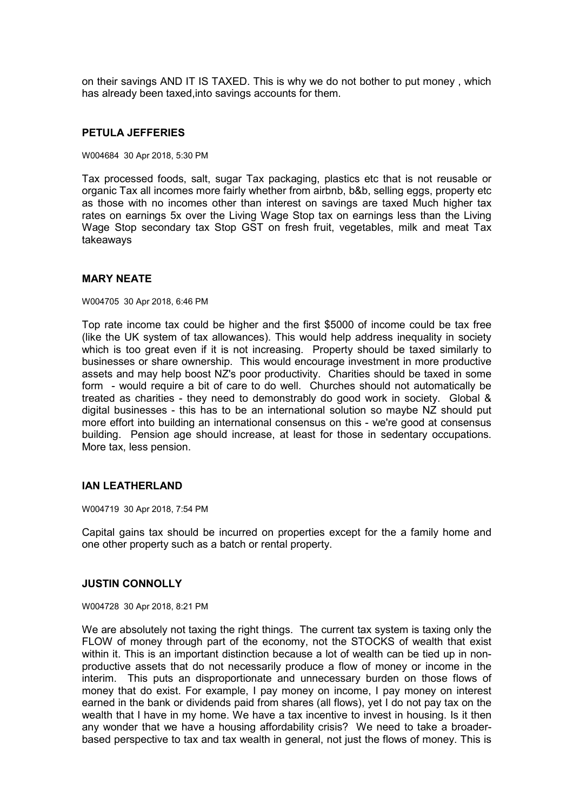on their savings AND IT IS TAXED. This is why we do not bother to put money , which has already been taxed,into savings accounts for them.

#### **PETULA JEFFERIES**

W004684 30 Apr 2018, 5:30 PM

Tax processed foods, salt, sugar Tax packaging, plastics etc that is not reusable or organic Tax all incomes more fairly whether from airbnb, b&b, selling eggs, property etc as those with no incomes other than interest on savings are taxed Much higher tax rates on earnings 5x over the Living Wage Stop tax on earnings less than the Living Wage Stop secondary tax Stop GST on fresh fruit, vegetables, milk and meat Tax takeaways

#### **MARY NEATE**

W004705 30 Apr 2018, 6:46 PM

Top rate income tax could be higher and the first \$5000 of income could be tax free (like the UK system of tax allowances). This would help address inequality in society which is too great even if it is not increasing. Property should be taxed similarly to businesses or share ownership. This would encourage investment in more productive assets and may help boost NZ's poor productivity. Charities should be taxed in some form - would require a bit of care to do well. Churches should not automatically be treated as charities - they need to demonstrably do good work in society. Global & digital businesses - this has to be an international solution so maybe NZ should put more effort into building an international consensus on this - we're good at consensus building. Pension age should increase, at least for those in sedentary occupations. More tax, less pension.

### **IAN LEATHERLAND**

W004719 30 Apr 2018, 7:54 PM

Capital gains tax should be incurred on properties except for the a family home and one other property such as a batch or rental property.

#### **JUSTIN CONNOLLY**

W004728 30 Apr 2018, 8:21 PM

We are absolutely not taxing the right things. The current tax system is taxing only the FLOW of money through part of the economy, not the STOCKS of wealth that exist within it. This is an important distinction because a lot of wealth can be tied up in nonproductive assets that do not necessarily produce a flow of money or income in the interim. This puts an disproportionate and unnecessary burden on those flows of money that do exist. For example, I pay money on income, I pay money on interest earned in the bank or dividends paid from shares (all flows), yet I do not pay tax on the wealth that I have in my home. We have a tax incentive to invest in housing. Is it then any wonder that we have a housing affordability crisis? We need to take a broaderbased perspective to tax and tax wealth in general, not just the flows of money. This is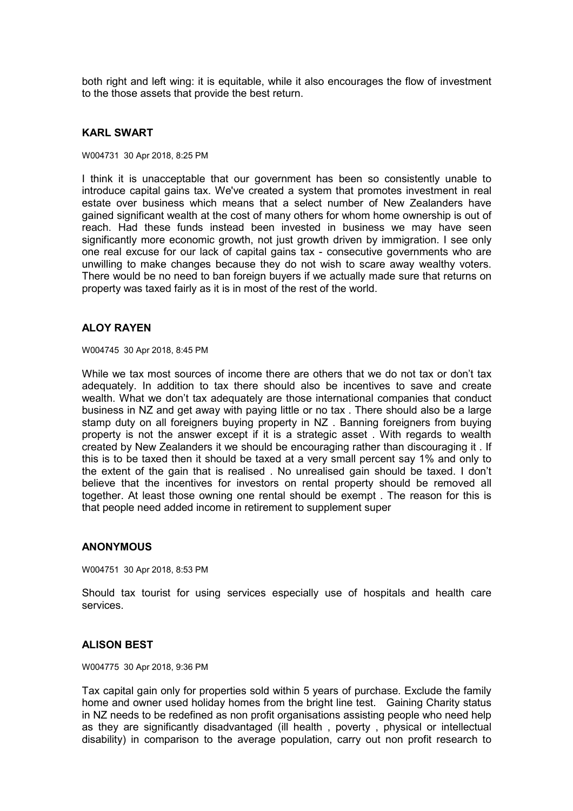both right and left wing: it is equitable, while it also encourages the flow of investment to the those assets that provide the best return.

#### **KARL SWART**

W004731 30 Apr 2018, 8:25 PM

I think it is unacceptable that our government has been so consistently unable to introduce capital gains tax. We've created a system that promotes investment in real estate over business which means that a select number of New Zealanders have gained significant wealth at the cost of many others for whom home ownership is out of reach. Had these funds instead been invested in business we may have seen significantly more economic growth, not just growth driven by immigration. I see only one real excuse for our lack of capital gains tax - consecutive governments who are unwilling to make changes because they do not wish to scare away wealthy voters. There would be no need to ban foreign buyers if we actually made sure that returns on property was taxed fairly as it is in most of the rest of the world.

### **ALOY RAYEN**

W004745 30 Apr 2018, 8:45 PM

While we tax most sources of income there are others that we do not tax or don't tax adequately. In addition to tax there should also be incentives to save and create wealth. What we don't tax adequately are those international companies that conduct business in NZ and get away with paying little or no tax . There should also be a large stamp duty on all foreigners buying property in NZ . Banning foreigners from buying property is not the answer except if it is a strategic asset . With regards to wealth created by New Zealanders it we should be encouraging rather than discouraging it . If this is to be taxed then it should be taxed at a very small percent say 1% and only to the extent of the gain that is realised . No unrealised gain should be taxed. I don't believe that the incentives for investors on rental property should be removed all together. At least those owning one rental should be exempt . The reason for this is that people need added income in retirement to supplement super

### **ANONYMOUS**

W004751 30 Apr 2018, 8:53 PM

Should tax tourist for using services especially use of hospitals and health care services.

### **ALISON BEST**

W004775 30 Apr 2018, 9:36 PM

Tax capital gain only for properties sold within 5 years of purchase. Exclude the family home and owner used holiday homes from the bright line test. Gaining Charity status in NZ needs to be redefined as non profit organisations assisting people who need help as they are significantly disadvantaged (ill health , poverty , physical or intellectual disability) in comparison to the average population, carry out non profit research to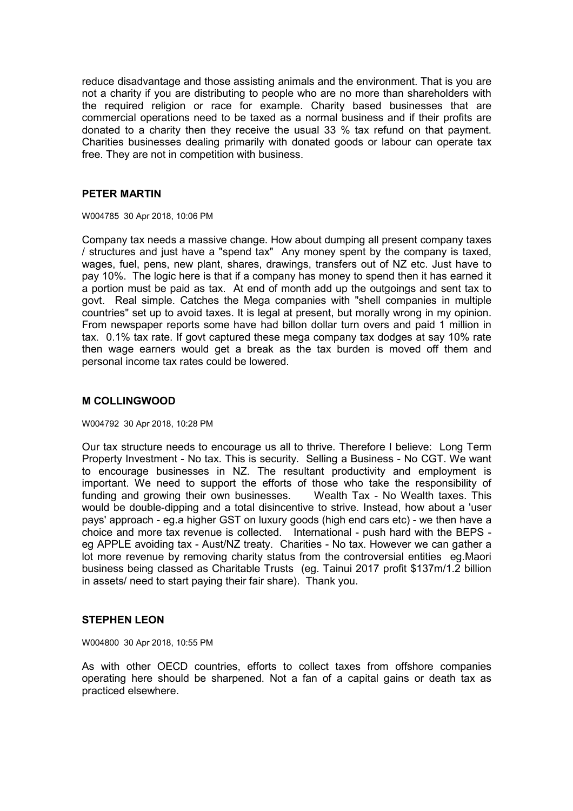reduce disadvantage and those assisting animals and the environment. That is you are not a charity if you are distributing to people who are no more than shareholders with the required religion or race for example. Charity based businesses that are commercial operations need to be taxed as a normal business and if their profits are donated to a charity then they receive the usual 33 % tax refund on that payment. Charities businesses dealing primarily with donated goods or labour can operate tax free. They are not in competition with business.

### **PETER MARTIN**

W004785 30 Apr 2018, 10:06 PM

Company tax needs a massive change. How about dumping all present company taxes / structures and just have a "spend tax" Any money spent by the company is taxed, wages, fuel, pens, new plant, shares, drawings, transfers out of NZ etc. Just have to pay 10%. The logic here is that if a company has money to spend then it has earned it a portion must be paid as tax. At end of month add up the outgoings and sent tax to govt. Real simple. Catches the Mega companies with "shell companies in multiple countries" set up to avoid taxes. It is legal at present, but morally wrong in my opinion. From newspaper reports some have had billon dollar turn overs and paid 1 million in tax. 0.1% tax rate. If govt captured these mega company tax dodges at say 10% rate then wage earners would get a break as the tax burden is moved off them and personal income tax rates could be lowered.

# **M COLLINGWOOD**

W004792 30 Apr 2018, 10:28 PM

Our tax structure needs to encourage us all to thrive. Therefore I believe: Long Term Property Investment - No tax. This is security. Selling a Business - No CGT. We want to encourage businesses in NZ. The resultant productivity and employment is important. We need to support the efforts of those who take the responsibility of funding and growing their own businesses. Wealth Tax - No Wealth taxes. This would be double-dipping and a total disincentive to strive. Instead, how about a 'user pays' approach - eg.a higher GST on luxury goods (high end cars etc) - we then have a choice and more tax revenue is collected. International - push hard with the BEPS eg APPLE avoiding tax - Aust/NZ treaty. Charities - No tax. However we can gather a lot more revenue by removing charity status from the controversial entities eg.Maori business being classed as Charitable Trusts (eg. Tainui 2017 profit \$137m/1.2 billion in assets/ need to start paying their fair share). Thank you.

# **STEPHEN LEON**

W004800 30 Apr 2018, 10:55 PM

As with other OECD countries, efforts to collect taxes from offshore companies operating here should be sharpened. Not a fan of a capital gains or death tax as practiced elsewhere.